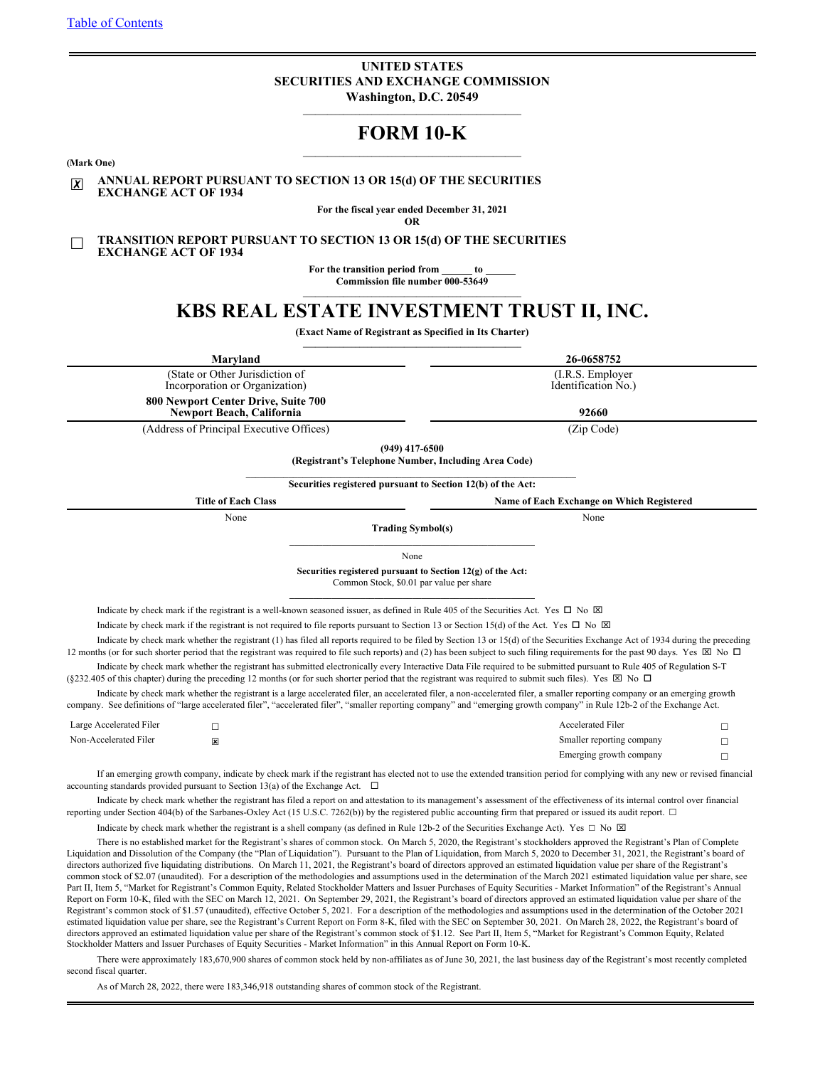#### **UNITED STATES SECURITIES AND EXCHANGE COMMISSION Washington, D.C. 20549**

 $\mathcal{L}_\mathcal{L} = \{ \mathcal{L}_\mathcal{L} = \{ \mathcal{L}_\mathcal{L} \}$ 

# **FORM 10-K \_\_\_\_\_\_\_\_\_\_\_\_\_\_\_\_\_\_\_\_\_\_\_\_\_\_\_\_\_\_\_\_\_\_\_\_\_\_\_\_\_\_\_\_\_\_\_\_\_\_\_\_\_\_**

#### **(Mark One)**

☒ **ANNUAL REPORT PURSUANT TO SECTION 13 OR 15(d) OF THE SECURITIES EXCHANGE ACT OF 1934**

**For the fiscal year ended December 31, 2021**

**OR**

☐ **TRANSITION REPORT PURSUANT TO SECTION 13 OR 15(d) OF THE SECURITIES EXCHANGE ACT OF 1934**

> For the transition period from \_\_\_\_\_\_\_ to **Commission file number 000-53649**

# **KBS REAL ESTATE INVESTMENT TRUST II, INC.**

**(Exact Name of Registrant as Specified in Its Charter)**

 $\mathcal{L}_\mathcal{L} = \{ \mathcal{L}_\mathcal{L} = \{ \mathcal{L}_\mathcal{L} \}$ **Maryland 26-0658752** (State or Other Jurisdiction of Incorporation or Organization) (I.R.S. Employer Identification No.) **800 Newport Center Drive, Suite 700 Newport Beach, California 92660** (Address of Principal Executive Offices) (Zip Code) **(949) 417-6500 (Registrant's Telephone Number, Including Area Code)**  $\mathcal{L}_\text{max}$ **Securities registered pursuant to Section 12(b) of the Act: Title of Each Class Name of Each Exchange on Which Registered** None None **Trading Symbol(s) \_\_\_\_\_\_\_\_\_\_\_\_\_\_\_\_\_\_\_\_\_\_\_\_\_\_\_\_\_\_\_\_\_\_\_\_\_\_\_\_\_\_\_\_\_\_\_\_\_\_\_\_** None **Securities registered pursuant to Section 12(g) of the Act:** Common Stock, \$0.01 par value per share **\_\_\_\_\_\_\_\_\_\_\_\_\_\_\_\_\_\_\_\_\_\_\_\_\_\_\_\_\_\_\_\_\_\_\_\_\_\_\_\_\_\_\_\_\_\_\_\_\_\_\_\_** Indicate by check mark if the registrant is a well-known seasoned issuer, as defined in Rule 405 of the Securities Act. Yes  $\Box$  No  $\boxtimes$ Indicate by check mark if the registrant is not required to file reports pursuant to Section 13 or Section 15(d) of the Act. Yes  $\Box$  No  $\boxtimes$ Indicate by check mark whether the registrant (1) has filed all reports required to be filed by Section 13 or 15(d) of the Securities Exchange Act of 1934 during the preceding 12 months (or for such shorter period that the registrant was required to file such reports) and (2) has been subject to such filing requirements for the past 90 days. Yes  $\boxtimes$  No  $\Box$ Indicate by check mark whether the registrant has submitted electronically every Interactive Data File required to be submitted pursuant to Rule 405 of Regulation S-T (§232.405 of this chapter) during the preceding 12 months (or for such shorter period that the registrant was required to submit such files). Yes  $\boxtimes$  No  $\Box$ 

Indicate by check mark whether the registrant is a large accelerated filer, an accelerated filer, a non-accelerated filer, a smaller reporting company or an emerging growth company. See definitions of "large accelerated filer", "accelerated filer", "smaller reporting company" and "emerging growth company" in Rule 12b-2 of the Exchange Act.

| Large Accelerated Filer | <b>Accelerated Filer</b>  |  |
|-------------------------|---------------------------|--|
| Non-Accelerated Filer   | Smaller reporting company |  |
|                         | Emerging growth company   |  |

If an emerging growth company, indicate by check mark if the registrant has elected not to use the extended transition period for complying with any new or revised financial accounting standards provided pursuant to Section 13(a) of the Exchange Act.  $\Box$ 

Indicate by check mark whether the registrant has filed a report on and attestation to its management's assessment of the effectiveness of its internal control over financial reporting under Section 404(b) of the Sarbanes-Oxley Act (15 U.S.C. 7262(b)) by the registered public accounting firm that prepared or issued its audit report. ☐ 

Indicate by check mark whether the registrant is a shell company (as defined in Rule 12b-2 of the Securities Exchange Act). Yes  $\Box$  No  $\boxtimes$ 

There is no established market for the Registrant's shares of common stock. On March 5, 2020, the Registrant's stockholders approved the Registrant's Plan of Complete Liquidation and Dissolution of the Company (the "Plan of Liquidation"). Pursuant to the Plan of Liquidation, from March 5, 2020 to December 31, 2021, the Registrant's board of directors authorized five liquidating distributions. On March 11, 2021, the Registrant's board of directors approved an estimated liquidation value per share of the Registrant's common stock of \$2.07 (unaudited). For a description of the methodologies and assumptions used in the determination of the March 2021 estimated liquidation value per share, see Part II, Item 5, "Market for Registrant's Common Equity, Related Stockholder Matters and Issuer Purchases of Equity Securities - Market Information" of the Registrant's Annual Report on Form 10-K, filed with the SEC on March 12, 2021. On September 29, 2021, the Registrant's board of directors approved an estimated liquidation value per share of the Registrant's common stock of \$1.57 (unaudited), effective October 5, 2021. For a description of the methodologies and assumptions used in the determination of the October 2021 estimated liquidation value per share, see the Registrant's Current Report on Form 8-K, filed with the SEC on September 30, 2021. On March 28, 2022, the Registrant's board of directors approved an estimated liquidation value per share of the Registrant's common stock of \$1.12. See Part II, Item 5, "Market for Registrant's Common Equity, Related Stockholder Matters and Issuer Purchases of Equity Securities - Market Information" in this Annual Report on Form 10-K.

There were approximately 183,670,900 shares of common stock held by non-affiliates as of June 30, 2021, the last business day of the Registrant's most recently completed second fiscal quarter

As of March 28, 2022, there were 183,346,918 outstanding shares of common stock of the Registrant.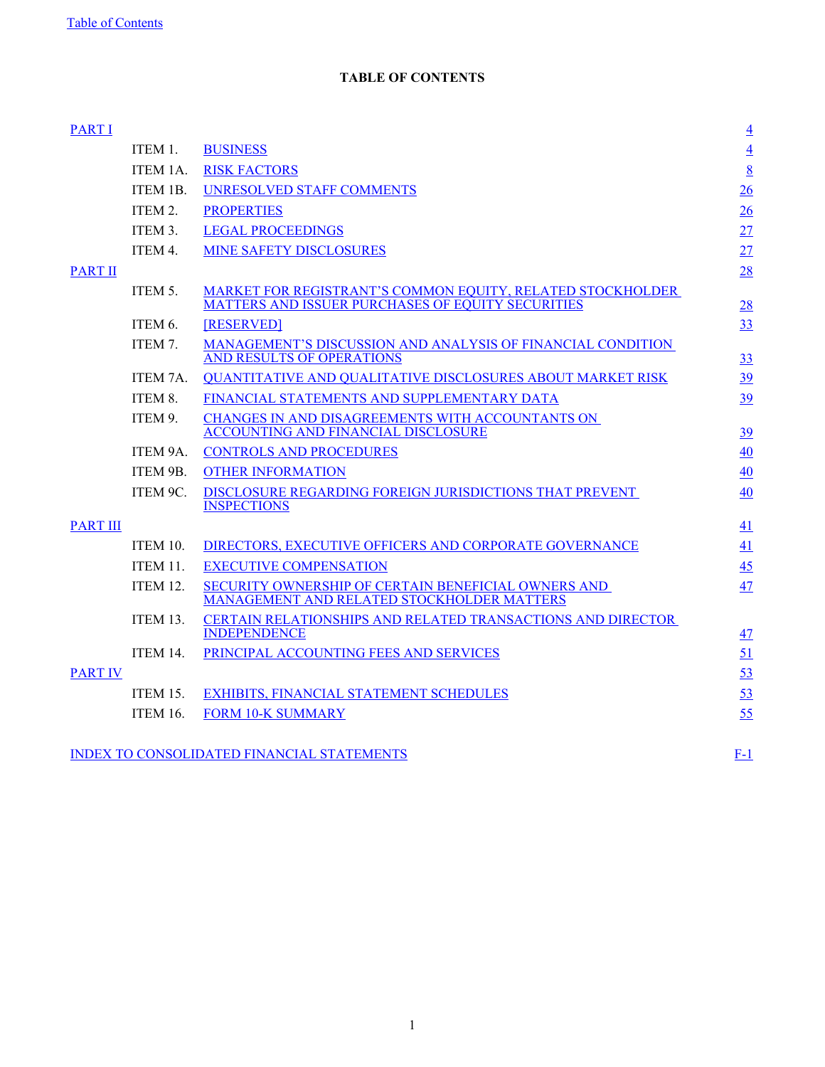# **TABLE OF CONTENTS**

<span id="page-1-0"></span>

| <b>PART I</b>   |                 |                                                                                                                               | $\overline{4}$  |
|-----------------|-----------------|-------------------------------------------------------------------------------------------------------------------------------|-----------------|
|                 | ITEM 1.         | <b>BUSINESS</b>                                                                                                               | $\overline{4}$  |
|                 | ITEM 1A.        | <b>RISK FACTORS</b>                                                                                                           | $\underline{8}$ |
|                 | ITEM 1B.        | <b>UNRESOLVED STAFF COMMENTS</b>                                                                                              | 26              |
|                 | ITEM 2.         | <b>PROPERTIES</b>                                                                                                             | 26              |
|                 | ITEM 3.         | <b>LEGAL PROCEEDINGS</b>                                                                                                      | 27              |
|                 | ITEM 4.         | <b>MINE SAFETY DISCLOSURES</b>                                                                                                | 27              |
| <b>PART II</b>  |                 |                                                                                                                               | 28              |
|                 | ITEM 5.         | <b>MARKET FOR REGISTRANT'S COMMON EQUITY, RELATED STOCKHOLDER</b><br><b>MATTERS AND ISSUER PURCHASES OF EQUITY SECURITIES</b> | 28              |
|                 | ITEM 6.         | [RESERVED]                                                                                                                    | 33              |
|                 | ITEM 7.         | MANAGEMENT'S DISCUSSION AND ANALYSIS OF FINANCIAL CONDITION<br><b>AND RESULTS OF OPERATIONS</b>                               | 33              |
|                 | ITEM 7A.        | QUANTITATIVE AND QUALITATIVE DISCLOSURES ABOUT MARKET RISK                                                                    | 39              |
|                 | ITEM 8.         | FINANCIAL STATEMENTS AND SUPPLEMENTARY DATA                                                                                   | 39              |
|                 | ITEM 9.         | CHANGES IN AND DISAGREEMENTS WITH ACCOUNTANTS ON<br><b>ACCOUNTING AND FINANCIAL DISCLOSURE</b>                                | 39              |
|                 | ITEM 9A.        | <b>CONTROLS AND PROCEDURES</b>                                                                                                | 40              |
|                 | ITEM 9B.        | <b>OTHER INFORMATION</b>                                                                                                      | 40              |
|                 | ITEM 9C.        | DISCLOSURE REGARDING FOREIGN JURISDICTIONS THAT PREVENT<br><b>INSPECTIONS</b>                                                 | 40              |
| <b>PART III</b> |                 |                                                                                                                               | 41              |
|                 | ITEM 10.        | <b>DIRECTORS, EXECUTIVE OFFICERS AND CORPORATE GOVERNANCE</b>                                                                 | 41              |
|                 | ITEM 11.        | <b>EXECUTIVE COMPENSATION</b>                                                                                                 | 45              |
|                 | <b>ITEM 12.</b> | SECURITY OWNERSHIP OF CERTAIN BENEFICIAL OWNERS AND<br>MANAGEMENT AND RELATED STOCKHOLDER MATTERS                             | 47              |
|                 | ITEM 13.        | CERTAIN RELATIONSHIPS AND RELATED TRANSACTIONS AND DIRECTOR<br><b>INDEPENDENCE</b>                                            | 47              |
|                 | ITEM 14.        | PRINCIPAL ACCOUNTING FEES AND SERVICES                                                                                        | 51              |
| <b>PART IV</b>  |                 |                                                                                                                               | 53              |
|                 | <b>ITEM 15.</b> | <b>EXHIBITS, FINANCIAL STATEMENT SCHEDULES</b>                                                                                | 53              |
|                 | ITEM 16.        | <b>FORM 10-K SUMMARY</b>                                                                                                      | 55              |
|                 |                 | <b>INDEX TO CONSOLIDATED FINANCIAL STATEMENTS</b>                                                                             | $F-1$           |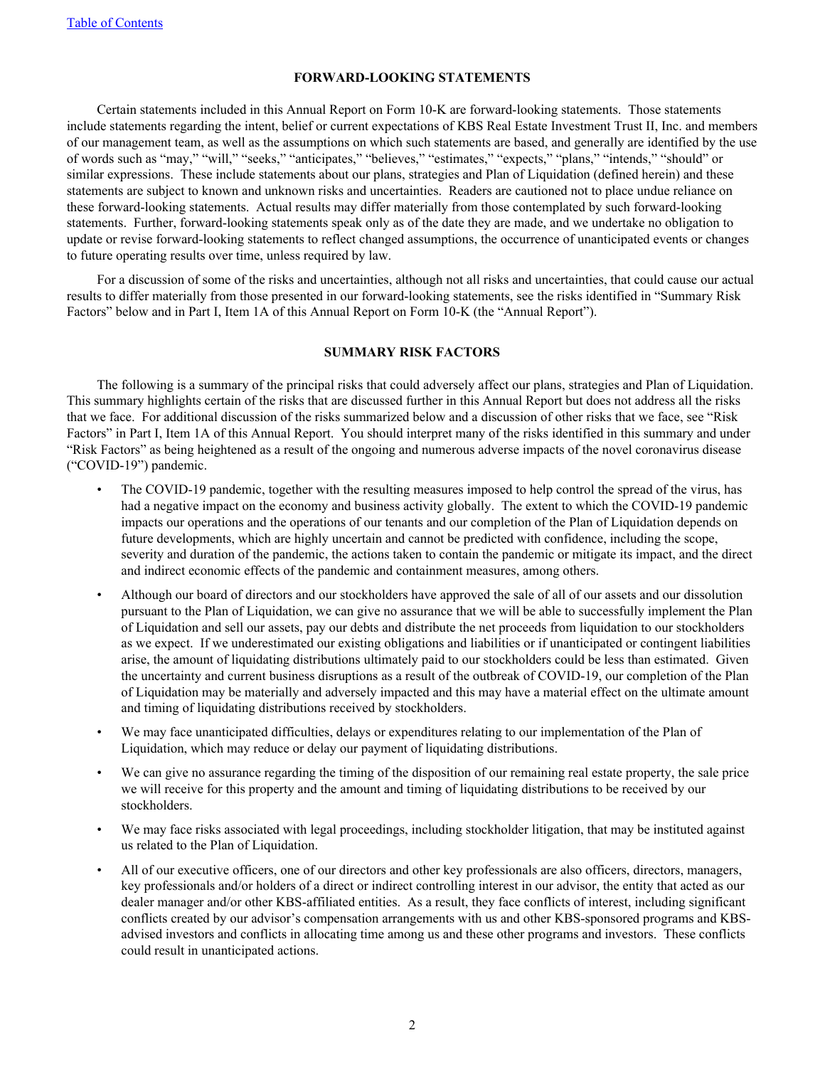#### **FORWARD-LOOKING STATEMENTS**

Certain statements included in this Annual Report on Form 10-K are forward-looking statements. Those statements include statements regarding the intent, belief or current expectations of KBS Real Estate Investment Trust II, Inc. and members of our management team, as well as the assumptions on which such statements are based, and generally are identified by the use of words such as "may," "will," "seeks," "anticipates," "believes," "estimates," "expects," "plans," "intends," "should" or similar expressions. These include statements about our plans, strategies and Plan of Liquidation (defined herein) and these statements are subject to known and unknown risks and uncertainties. Readers are cautioned not to place undue reliance on these forward-looking statements. Actual results may differ materially from those contemplated by such forward-looking statements. Further, forward-looking statements speak only as of the date they are made, and we undertake no obligation to update or revise forward-looking statements to reflect changed assumptions, the occurrence of unanticipated events or changes to future operating results over time, unless required by law.

For a discussion of some of the risks and uncertainties, although not all risks and uncertainties, that could cause our actual results to differ materially from those presented in our forward-looking statements, see the risks identified in "Summary Risk Factors" below and in Part I, Item 1A of this Annual Report on Form 10-K (the "Annual Report").

#### **SUMMARY RISK FACTORS**

The following is a summary of the principal risks that could adversely affect our plans, strategies and Plan of Liquidation. This summary highlights certain of the risks that are discussed further in this Annual Report but does not address all the risks that we face. For additional discussion of the risks summarized below and a discussion of other risks that we face, see "Risk Factors" in Part I, Item 1A of this Annual Report. You should interpret many of the risks identified in this summary and under "Risk Factors" as being heightened as a result of the ongoing and numerous adverse impacts of the novel coronavirus disease ("COVID-19") pandemic.

- The COVID-19 pandemic, together with the resulting measures imposed to help control the spread of the virus, has had a negative impact on the economy and business activity globally. The extent to which the COVID-19 pandemic impacts our operations and the operations of our tenants and our completion of the Plan of Liquidation depends on future developments, which are highly uncertain and cannot be predicted with confidence, including the scope, severity and duration of the pandemic, the actions taken to contain the pandemic or mitigate its impact, and the direct and indirect economic effects of the pandemic and containment measures, among others.
- Although our board of directors and our stockholders have approved the sale of all of our assets and our dissolution pursuant to the Plan of Liquidation, we can give no assurance that we will be able to successfully implement the Plan of Liquidation and sell our assets, pay our debts and distribute the net proceeds from liquidation to our stockholders as we expect. If we underestimated our existing obligations and liabilities or if unanticipated or contingent liabilities arise, the amount of liquidating distributions ultimately paid to our stockholders could be less than estimated. Given the uncertainty and current business disruptions as a result of the outbreak of COVID-19, our completion of the Plan of Liquidation may be materially and adversely impacted and this may have a material effect on the ultimate amount and timing of liquidating distributions received by stockholders.
- We may face unanticipated difficulties, delays or expenditures relating to our implementation of the Plan of Liquidation, which may reduce or delay our payment of liquidating distributions.
- We can give no assurance regarding the timing of the disposition of our remaining real estate property, the sale price we will receive for this property and the amount and timing of liquidating distributions to be received by our stockholders.
- We may face risks associated with legal proceedings, including stockholder litigation, that may be instituted against us related to the Plan of Liquidation.
- All of our executive officers, one of our directors and other key professionals are also officers, directors, managers, key professionals and/or holders of a direct or indirect controlling interest in our advisor, the entity that acted as our dealer manager and/or other KBS-affiliated entities. As a result, they face conflicts of interest, including significant conflicts created by our advisor's compensation arrangements with us and other KBS-sponsored programs and KBSadvised investors and conflicts in allocating time among us and these other programs and investors. These conflicts could result in unanticipated actions.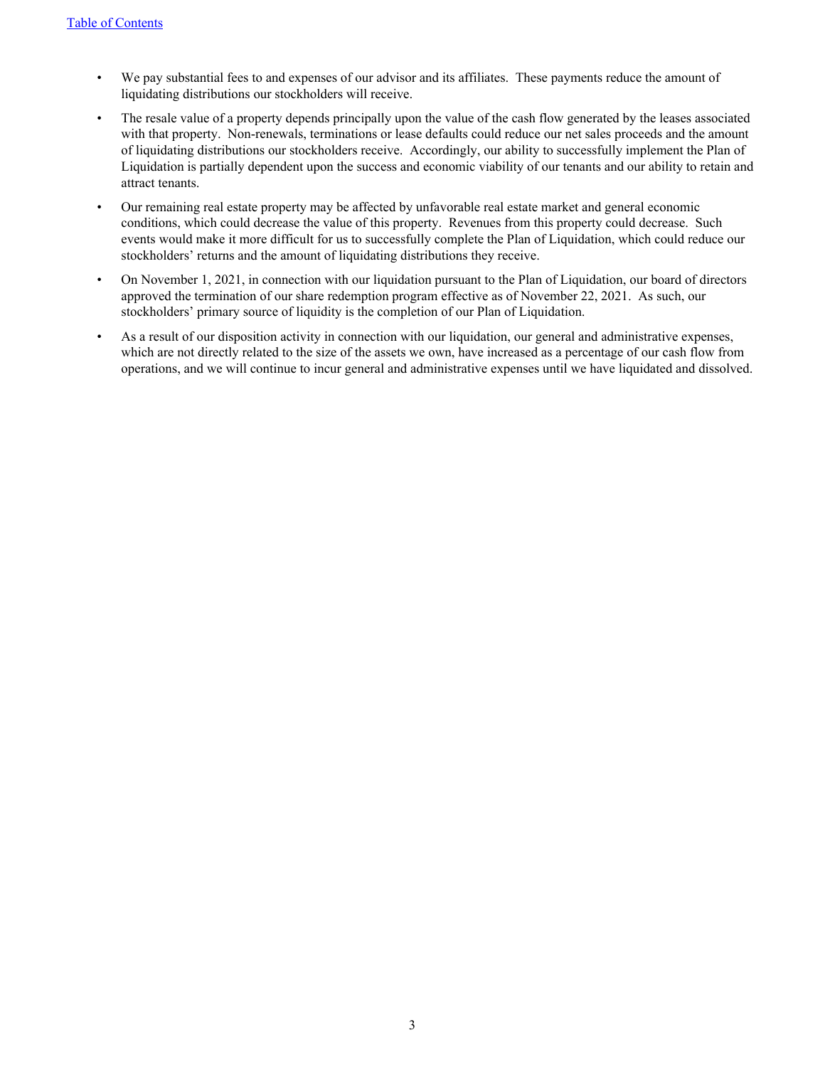- We pay substantial fees to and expenses of our advisor and its affiliates. These payments reduce the amount of liquidating distributions our stockholders will receive.
- The resale value of a property depends principally upon the value of the cash flow generated by the leases associated with that property. Non-renewals, terminations or lease defaults could reduce our net sales proceeds and the amount of liquidating distributions our stockholders receive. Accordingly, our ability to successfully implement the Plan of Liquidation is partially dependent upon the success and economic viability of our tenants and our ability to retain and attract tenants.
- Our remaining real estate property may be affected by unfavorable real estate market and general economic conditions, which could decrease the value of this property. Revenues from this property could decrease. Such events would make it more difficult for us to successfully complete the Plan of Liquidation, which could reduce our stockholders' returns and the amount of liquidating distributions they receive.
- On November 1, 2021, in connection with our liquidation pursuant to the Plan of Liquidation, our board of directors approved the termination of our share redemption program effective as of November 22, 2021. As such, our stockholders' primary source of liquidity is the completion of our Plan of Liquidation.
- As a result of our disposition activity in connection with our liquidation, our general and administrative expenses, which are not directly related to the size of the assets we own, have increased as a percentage of our cash flow from operations, and we will continue to incur general and administrative expenses until we have liquidated and dissolved.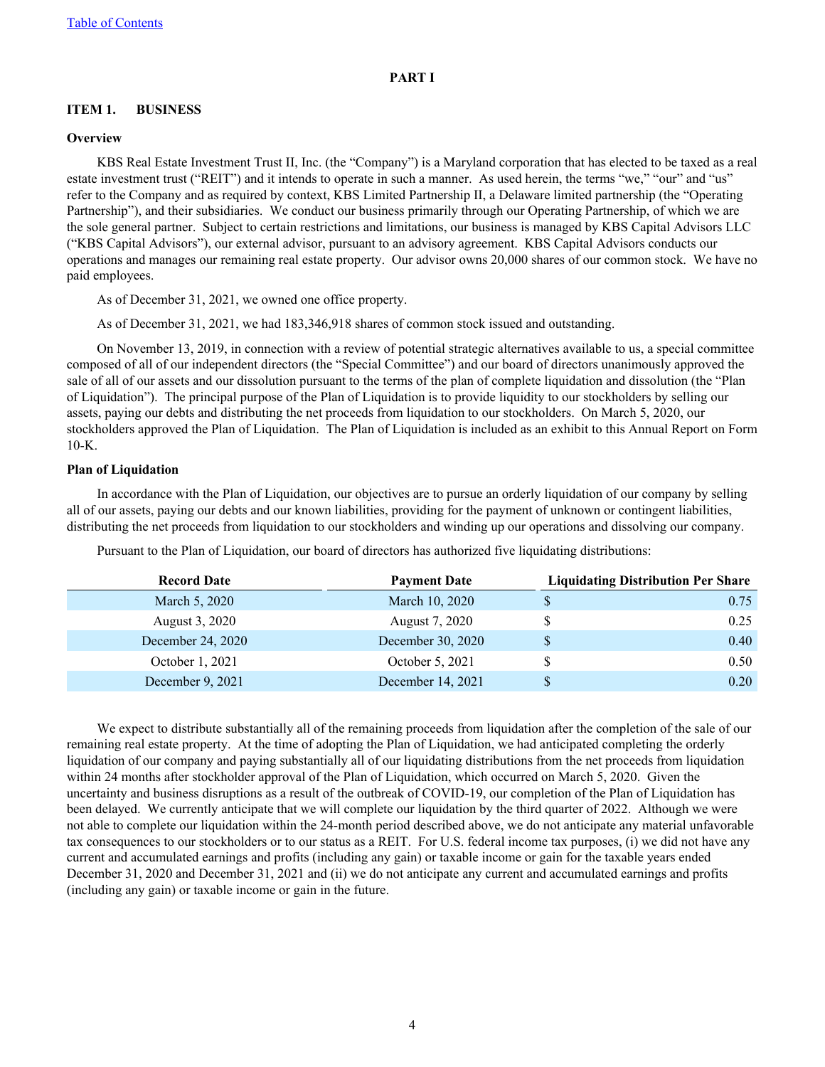### **PART I**

#### <span id="page-4-0"></span>**ITEM 1. BUSINESS**

#### **Overview**

KBS Real Estate Investment Trust II, Inc. (the "Company") is a Maryland corporation that has elected to be taxed as a real estate investment trust ("REIT") and it intends to operate in such a manner. As used herein, the terms "we," "our" and "us" refer to the Company and as required by context, KBS Limited Partnership II, a Delaware limited partnership (the "Operating Partnership"), and their subsidiaries. We conduct our business primarily through our Operating Partnership, of which we are the sole general partner. Subject to certain restrictions and limitations, our business is managed by KBS Capital Advisors LLC ("KBS Capital Advisors"), our external advisor, pursuant to an advisory agreement. KBS Capital Advisors conducts our operations and manages our remaining real estate property. Our advisor owns 20,000 shares of our common stock. We have no paid employees.

As of December 31, 2021, we owned one office property.

As of December 31, 2021, we had 183,346,918 shares of common stock issued and outstanding.

On November 13, 2019, in connection with a review of potential strategic alternatives available to us, a special committee composed of all of our independent directors (the "Special Committee") and our board of directors unanimously approved the sale of all of our assets and our dissolution pursuant to the terms of the plan of complete liquidation and dissolution (the "Plan of Liquidation"). The principal purpose of the Plan of Liquidation is to provide liquidity to our stockholders by selling our assets, paying our debts and distributing the net proceeds from liquidation to our stockholders. On March 5, 2020, our stockholders approved the Plan of Liquidation. The Plan of Liquidation is included as an exhibit to this Annual Report on Form 10-K.

#### **Plan of Liquidation**

In accordance with the Plan of Liquidation, our objectives are to pursue an orderly liquidation of our company by selling all of our assets, paying our debts and our known liabilities, providing for the payment of unknown or contingent liabilities, distributing the net proceeds from liquidation to our stockholders and winding up our operations and dissolving our company.

| <b>Record Date</b> | <b>Payment Date</b> | <b>Liquidating Distribution Per Share</b> |  |  |
|--------------------|---------------------|-------------------------------------------|--|--|
| March 5, 2020      | March 10, 2020      | 0.75                                      |  |  |
| August 3, 2020     | August 7, 2020      | 0.25                                      |  |  |
| December 24, 2020  | December 30, 2020   | \$<br>0.40                                |  |  |
| October 1, 2021    | October 5, 2021     | 0.50                                      |  |  |
| December 9, 2021   | December 14, 2021   | 0.20                                      |  |  |

Pursuant to the Plan of Liquidation, our board of directors has authorized five liquidating distributions:

We expect to distribute substantially all of the remaining proceeds from liquidation after the completion of the sale of our remaining real estate property. At the time of adopting the Plan of Liquidation, we had anticipated completing the orderly liquidation of our company and paying substantially all of our liquidating distributions from the net proceeds from liquidation within 24 months after stockholder approval of the Plan of Liquidation, which occurred on March 5, 2020. Given the uncertainty and business disruptions as a result of the outbreak of COVID-19, our completion of the Plan of Liquidation has been delayed. We currently anticipate that we will complete our liquidation by the third quarter of 2022. Although we were not able to complete our liquidation within the 24-month period described above, we do not anticipate any material unfavorable tax consequences to our stockholders or to our status as a REIT. For U.S. federal income tax purposes, (i) we did not have any current and accumulated earnings and profits (including any gain) or taxable income or gain for the taxable years ended December 31, 2020 and December 31, 2021 and (ii) we do not anticipate any current and accumulated earnings and profits (including any gain) or taxable income or gain in the future.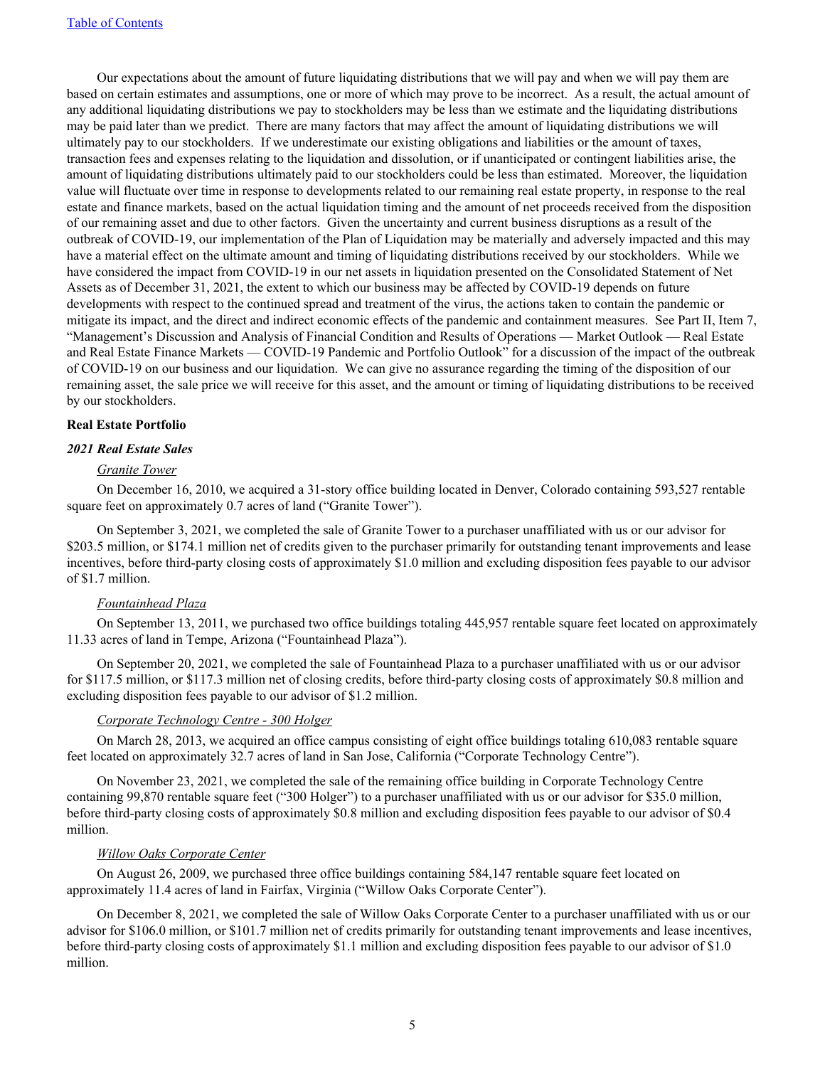Our expectations about the amount of future liquidating distributions that we will pay and when we will pay them are based on certain estimates and assumptions, one or more of which may prove to be incorrect. As a result, the actual amount of any additional liquidating distributions we pay to stockholders may be less than we estimate and the liquidating distributions may be paid later than we predict. There are many factors that may affect the amount of liquidating distributions we will ultimately pay to our stockholders. If we underestimate our existing obligations and liabilities or the amount of taxes, transaction fees and expenses relating to the liquidation and dissolution, or if unanticipated or contingent liabilities arise, the amount of liquidating distributions ultimately paid to our stockholders could be less than estimated. Moreover, the liquidation value will fluctuate over time in response to developments related to our remaining real estate property, in response to the real estate and finance markets, based on the actual liquidation timing and the amount of net proceeds received from the disposition of our remaining asset and due to other factors. Given the uncertainty and current business disruptions as a result of the outbreak of COVID-19, our implementation of the Plan of Liquidation may be materially and adversely impacted and this may have a material effect on the ultimate amount and timing of liquidating distributions received by our stockholders. While we have considered the impact from COVID-19 in our net assets in liquidation presented on the Consolidated Statement of Net Assets as of December 31, 2021, the extent to which our business may be affected by COVID-19 depends on future developments with respect to the continued spread and treatment of the virus, the actions taken to contain the pandemic or mitigate its impact, and the direct and indirect economic effects of the pandemic and containment measures. See Part II, Item 7, "Management's Discussion and Analysis of Financial Condition and Results of Operations — Market Outlook — Real Estate and Real Estate Finance Markets — COVID-19 Pandemic and Portfolio Outlook" for a discussion of the impact of the outbreak of COVID-19 on our business and our liquidation. We can give no assurance regarding the timing of the disposition of our remaining asset, the sale price we will receive for this asset, and the amount or timing of liquidating distributions to be received by our stockholders.

#### **Real Estate Portfolio**

#### *2021 Real Estate Sales*

#### *Granite Tower*

On December 16, 2010, we acquired a 31-story office building located in Denver, Colorado containing 593,527 rentable square feet on approximately 0.7 acres of land ("Granite Tower").

On September 3, 2021, we completed the sale of Granite Tower to a purchaser unaffiliated with us or our advisor for \$203.5 million, or \$174.1 million net of credits given to the purchaser primarily for outstanding tenant improvements and lease incentives, before third-party closing costs of approximately \$1.0 million and excluding disposition fees payable to our advisor of \$1.7 million.

#### *Fountainhead Plaza*

On September 13, 2011, we purchased two office buildings totaling 445,957 rentable square feet located on approximately 11.33 acres of land in Tempe, Arizona ("Fountainhead Plaza").

On September 20, 2021, we completed the sale of Fountainhead Plaza to a purchaser unaffiliated with us or our advisor for \$117.5 million, or \$117.3 million net of closing credits, before third-party closing costs of approximately \$0.8 million and excluding disposition fees payable to our advisor of \$1.2 million.

#### *Corporate Technology Centre - 300 Holger*

On March 28, 2013, we acquired an office campus consisting of eight office buildings totaling 610,083 rentable square feet located on approximately 32.7 acres of land in San Jose, California ("Corporate Technology Centre").

On November 23, 2021, we completed the sale of the remaining office building in Corporate Technology Centre containing 99,870 rentable square feet ("300 Holger") to a purchaser unaffiliated with us or our advisor for \$35.0 million, before third-party closing costs of approximately \$0.8 million and excluding disposition fees payable to our advisor of \$0.4 million.

#### *Willow Oaks Corporate Center*

On August 26, 2009, we purchased three office buildings containing 584,147 rentable square feet located on approximately 11.4 acres of land in Fairfax, Virginia ("Willow Oaks Corporate Center").

On December 8, 2021, we completed the sale of Willow Oaks Corporate Center to a purchaser unaffiliated with us or our advisor for \$106.0 million, or \$101.7 million net of credits primarily for outstanding tenant improvements and lease incentives, before third-party closing costs of approximately \$1.1 million and excluding disposition fees payable to our advisor of \$1.0 million.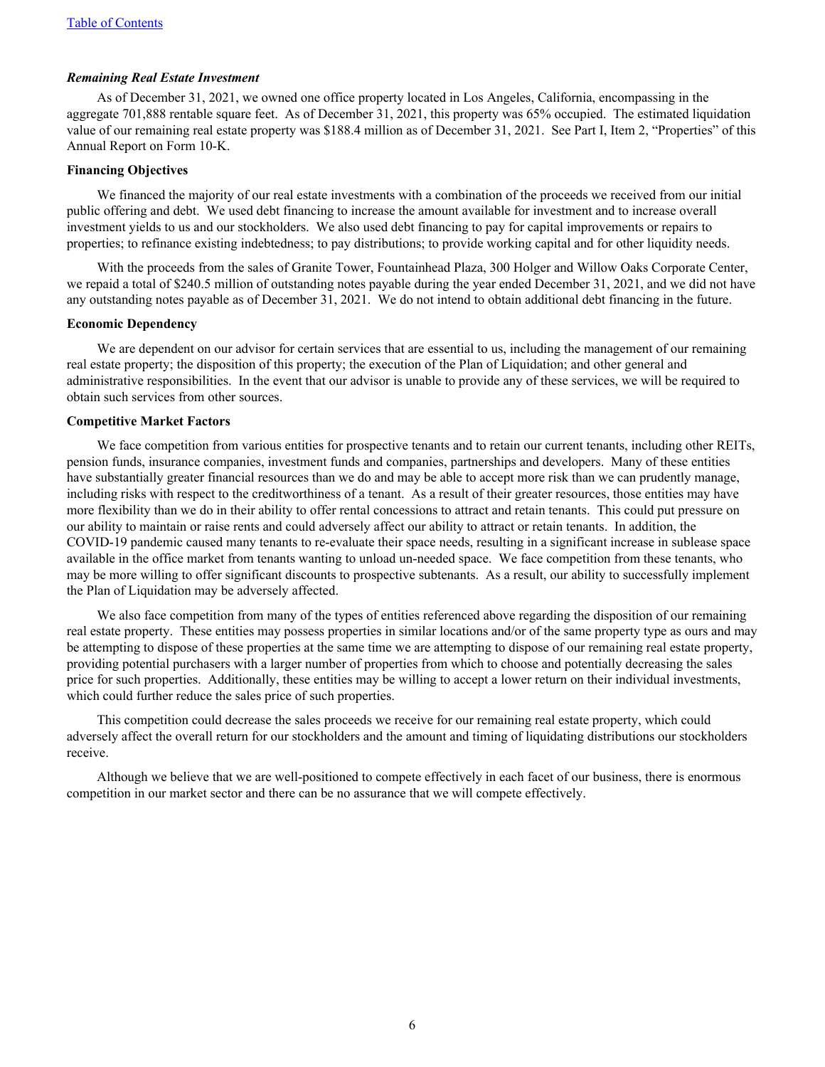#### *Remaining Real Estate Investment*

As of December 31, 2021, we owned one office property located in Los Angeles, California, encompassing in the aggregate 701,888 rentable square feet. As of December 31, 2021, this property was 65% occupied. The estimated liquidation value of our remaining real estate property was \$188.4 million as of December 31, 2021. See Part I, Item 2, "Properties" of this Annual Report on Form 10-K.

#### **Financing Objectives**

We financed the majority of our real estate investments with a combination of the proceeds we received from our initial public offering and debt. We used debt financing to increase the amount available for investment and to increase overall investment yields to us and our stockholders. We also used debt financing to pay for capital improvements or repairs to properties; to refinance existing indebtedness; to pay distributions; to provide working capital and for other liquidity needs.

With the proceeds from the sales of Granite Tower, Fountainhead Plaza, 300 Holger and Willow Oaks Corporate Center, we repaid a total of \$240.5 million of outstanding notes payable during the year ended December 31, 2021, and we did not have any outstanding notes payable as of December 31, 2021. We do not intend to obtain additional debt financing in the future.

#### **Economic Dependency**

We are dependent on our advisor for certain services that are essential to us, including the management of our remaining real estate property; the disposition of this property; the execution of the Plan of Liquidation; and other general and administrative responsibilities. In the event that our advisor is unable to provide any of these services, we will be required to obtain such services from other sources.

### **Competitive Market Factors**

We face competition from various entities for prospective tenants and to retain our current tenants, including other REITs, pension funds, insurance companies, investment funds and companies, partnerships and developers. Many of these entities have substantially greater financial resources than we do and may be able to accept more risk than we can prudently manage, including risks with respect to the creditworthiness of a tenant. As a result of their greater resources, those entities may have more flexibility than we do in their ability to offer rental concessions to attract and retain tenants. This could put pressure on our ability to maintain or raise rents and could adversely affect our ability to attract or retain tenants. In addition, the COVID-19 pandemic caused many tenants to re-evaluate their space needs, resulting in a significant increase in sublease space available in the office market from tenants wanting to unload un-needed space. We face competition from these tenants, who may be more willing to offer significant discounts to prospective subtenants. As a result, our ability to successfully implement the Plan of Liquidation may be adversely affected.

We also face competition from many of the types of entities referenced above regarding the disposition of our remaining real estate property. These entities may possess properties in similar locations and/or of the same property type as ours and may be attempting to dispose of these properties at the same time we are attempting to dispose of our remaining real estate property, providing potential purchasers with a larger number of properties from which to choose and potentially decreasing the sales price for such properties. Additionally, these entities may be willing to accept a lower return on their individual investments, which could further reduce the sales price of such properties.

This competition could decrease the sales proceeds we receive for our remaining real estate property, which could adversely affect the overall return for our stockholders and the amount and timing of liquidating distributions our stockholders receive.

Although we believe that we are well-positioned to compete effectively in each facet of our business, there is enormous competition in our market sector and there can be no assurance that we will compete effectively.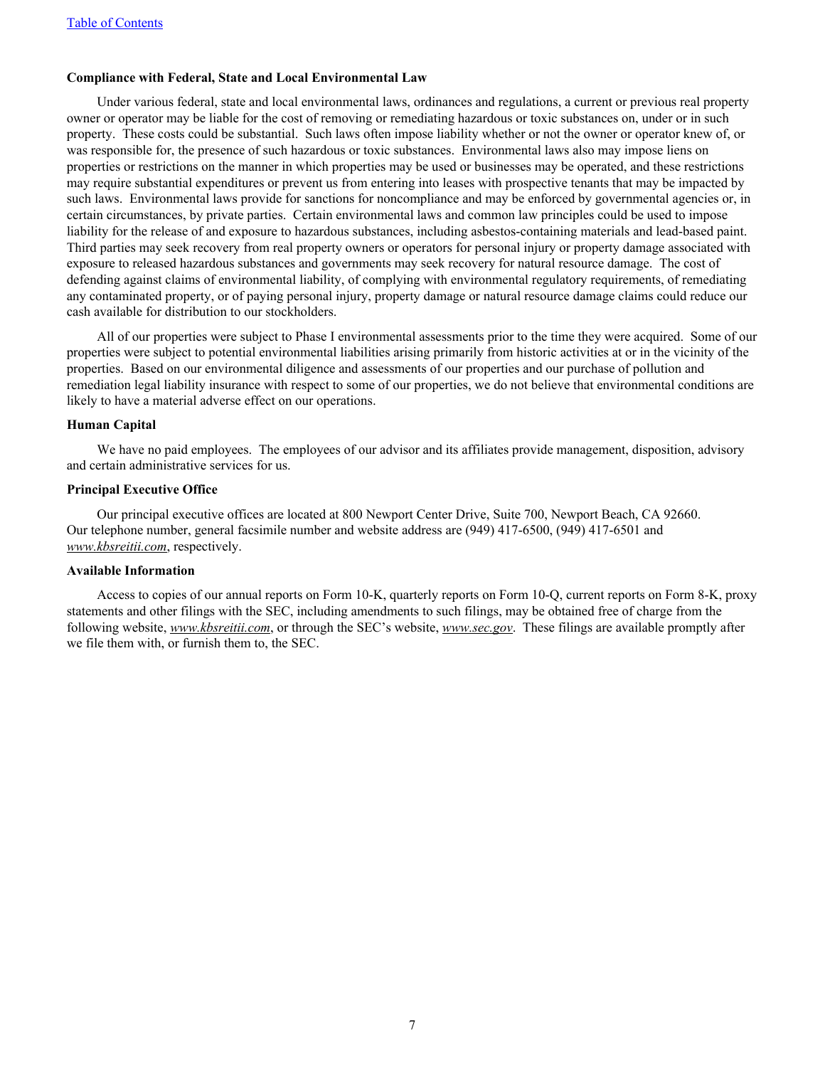#### **Compliance with Federal, State and Local Environmental Law**

Under various federal, state and local environmental laws, ordinances and regulations, a current or previous real property owner or operator may be liable for the cost of removing or remediating hazardous or toxic substances on, under or in such property. These costs could be substantial. Such laws often impose liability whether or not the owner or operator knew of, or was responsible for, the presence of such hazardous or toxic substances. Environmental laws also may impose liens on properties or restrictions on the manner in which properties may be used or businesses may be operated, and these restrictions may require substantial expenditures or prevent us from entering into leases with prospective tenants that may be impacted by such laws. Environmental laws provide for sanctions for noncompliance and may be enforced by governmental agencies or, in certain circumstances, by private parties. Certain environmental laws and common law principles could be used to impose liability for the release of and exposure to hazardous substances, including asbestos-containing materials and lead-based paint. Third parties may seek recovery from real property owners or operators for personal injury or property damage associated with exposure to released hazardous substances and governments may seek recovery for natural resource damage. The cost of defending against claims of environmental liability, of complying with environmental regulatory requirements, of remediating any contaminated property, or of paying personal injury, property damage or natural resource damage claims could reduce our cash available for distribution to our stockholders.

All of our properties were subject to Phase I environmental assessments prior to the time they were acquired. Some of our properties were subject to potential environmental liabilities arising primarily from historic activities at or in the vicinity of the properties. Based on our environmental diligence and assessments of our properties and our purchase of pollution and remediation legal liability insurance with respect to some of our properties, we do not believe that environmental conditions are likely to have a material adverse effect on our operations.

#### **Human Capital**

We have no paid employees. The employees of our advisor and its affiliates provide management, disposition, advisory and certain administrative services for us.

#### **Principal Executive Office**

Our principal executive offices are located at 800 Newport Center Drive, Suite 700, Newport Beach, CA 92660. Our telephone number, general facsimile number and website address are (949) 417-6500, (949) 417-6501 and *www.kbsreitii.com*, respectively.

#### **Available Information**

Access to copies of our annual reports on Form 10-K, quarterly reports on Form 10-Q, current reports on Form 8-K, proxy statements and other filings with the SEC, including amendments to such filings, may be obtained free of charge from the following website, *www.kbsreitii.com*, or through the SEC's website, *www.sec.gov*. These filings are available promptly after we file them with, or furnish them to, the SEC.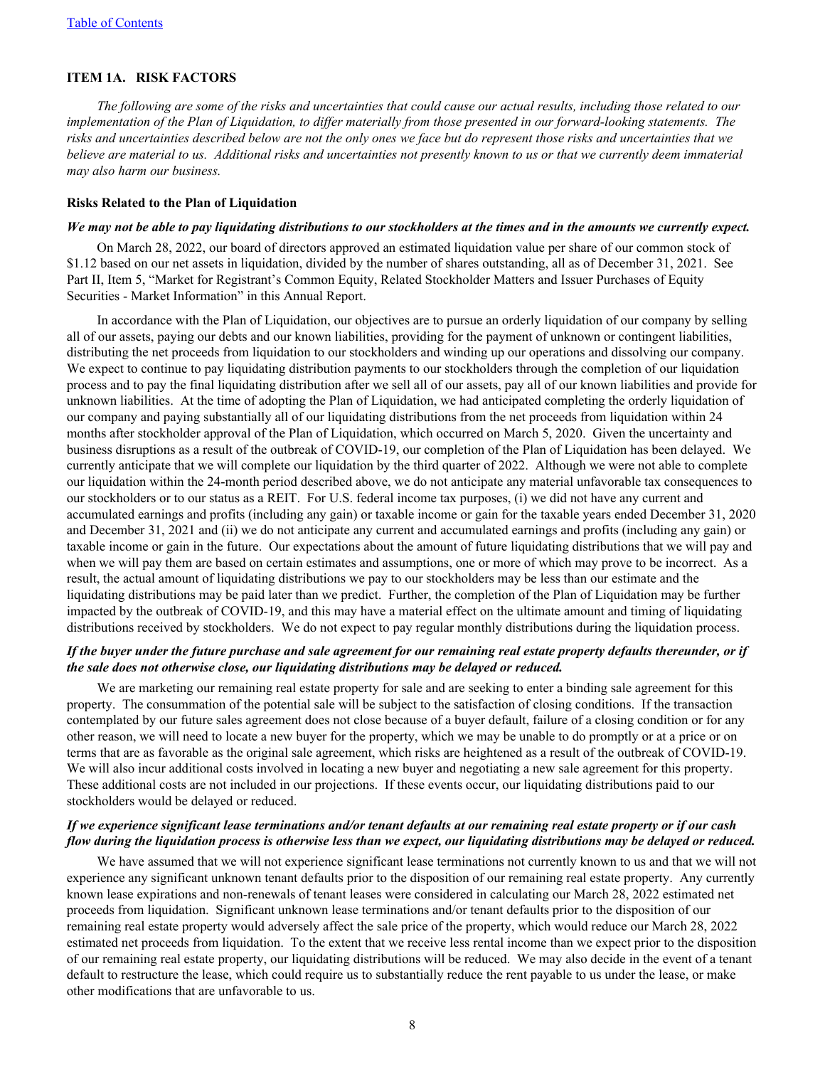# <span id="page-8-0"></span>**ITEM 1A. RISK FACTORS**

*The following are some of the risks and uncertainties that could cause our actual results, including those related to our implementation of the Plan of Liquidation, to differ materially from those presented in our forward-looking statements. The risks and uncertainties described below are not the only ones we face but do represent those risks and uncertainties that we believe are material to us. Additional risks and uncertainties not presently known to us or that we currently deem immaterial may also harm our business.* 

#### **Risks Related to the Plan of Liquidation**

#### *We may not be able to pay liquidating distributions to our stockholders at the times and in the amounts we currently expect.*

On March 28, 2022, our board of directors approved an estimated liquidation value per share of our common stock of \$1.12 based on our net assets in liquidation, divided by the number of shares outstanding, all as of December 31, 2021. See Part II, Item 5, "Market for Registrant's Common Equity, Related Stockholder Matters and Issuer Purchases of Equity Securities - Market Information" in this Annual Report.

In accordance with the Plan of Liquidation, our objectives are to pursue an orderly liquidation of our company by selling all of our assets, paying our debts and our known liabilities, providing for the payment of unknown or contingent liabilities, distributing the net proceeds from liquidation to our stockholders and winding up our operations and dissolving our company. We expect to continue to pay liquidating distribution payments to our stockholders through the completion of our liquidation process and to pay the final liquidating distribution after we sell all of our assets, pay all of our known liabilities and provide for unknown liabilities. At the time of adopting the Plan of Liquidation, we had anticipated completing the orderly liquidation of our company and paying substantially all of our liquidating distributions from the net proceeds from liquidation within 24 months after stockholder approval of the Plan of Liquidation, which occurred on March 5, 2020. Given the uncertainty and business disruptions as a result of the outbreak of COVID-19, our completion of the Plan of Liquidation has been delayed. We currently anticipate that we will complete our liquidation by the third quarter of 2022. Although we were not able to complete our liquidation within the 24-month period described above, we do not anticipate any material unfavorable tax consequences to our stockholders or to our status as a REIT. For U.S. federal income tax purposes, (i) we did not have any current and accumulated earnings and profits (including any gain) or taxable income or gain for the taxable years ended December 31, 2020 and December 31, 2021 and (ii) we do not anticipate any current and accumulated earnings and profits (including any gain) or taxable income or gain in the future. Our expectations about the amount of future liquidating distributions that we will pay and when we will pay them are based on certain estimates and assumptions, one or more of which may prove to be incorrect. As a result, the actual amount of liquidating distributions we pay to our stockholders may be less than our estimate and the liquidating distributions may be paid later than we predict. Further, the completion of the Plan of Liquidation may be further impacted by the outbreak of COVID-19, and this may have a material effect on the ultimate amount and timing of liquidating distributions received by stockholders. We do not expect to pay regular monthly distributions during the liquidation process.

# *If the buyer under the future purchase and sale agreement for our remaining real estate property defaults thereunder, or if the sale does not otherwise close, our liquidating distributions may be delayed or reduced.*

We are marketing our remaining real estate property for sale and are seeking to enter a binding sale agreement for this property. The consummation of the potential sale will be subject to the satisfaction of closing conditions. If the transaction contemplated by our future sales agreement does not close because of a buyer default, failure of a closing condition or for any other reason, we will need to locate a new buyer for the property, which we may be unable to do promptly or at a price or on terms that are as favorable as the original sale agreement, which risks are heightened as a result of the outbreak of COVID-19. We will also incur additional costs involved in locating a new buyer and negotiating a new sale agreement for this property. These additional costs are not included in our projections. If these events occur, our liquidating distributions paid to our stockholders would be delayed or reduced.

### *If we experience significant lease terminations and/or tenant defaults at our remaining real estate property or if our cash flow during the liquidation process is otherwise less than we expect, our liquidating distributions may be delayed or reduced.*

We have assumed that we will not experience significant lease terminations not currently known to us and that we will not experience any significant unknown tenant defaults prior to the disposition of our remaining real estate property. Any currently known lease expirations and non-renewals of tenant leases were considered in calculating our March 28, 2022 estimated net proceeds from liquidation. Significant unknown lease terminations and/or tenant defaults prior to the disposition of our remaining real estate property would adversely affect the sale price of the property, which would reduce our March 28, 2022 estimated net proceeds from liquidation. To the extent that we receive less rental income than we expect prior to the disposition of our remaining real estate property, our liquidating distributions will be reduced. We may also decide in the event of a tenant default to restructure the lease, which could require us to substantially reduce the rent payable to us under the lease, or make other modifications that are unfavorable to us.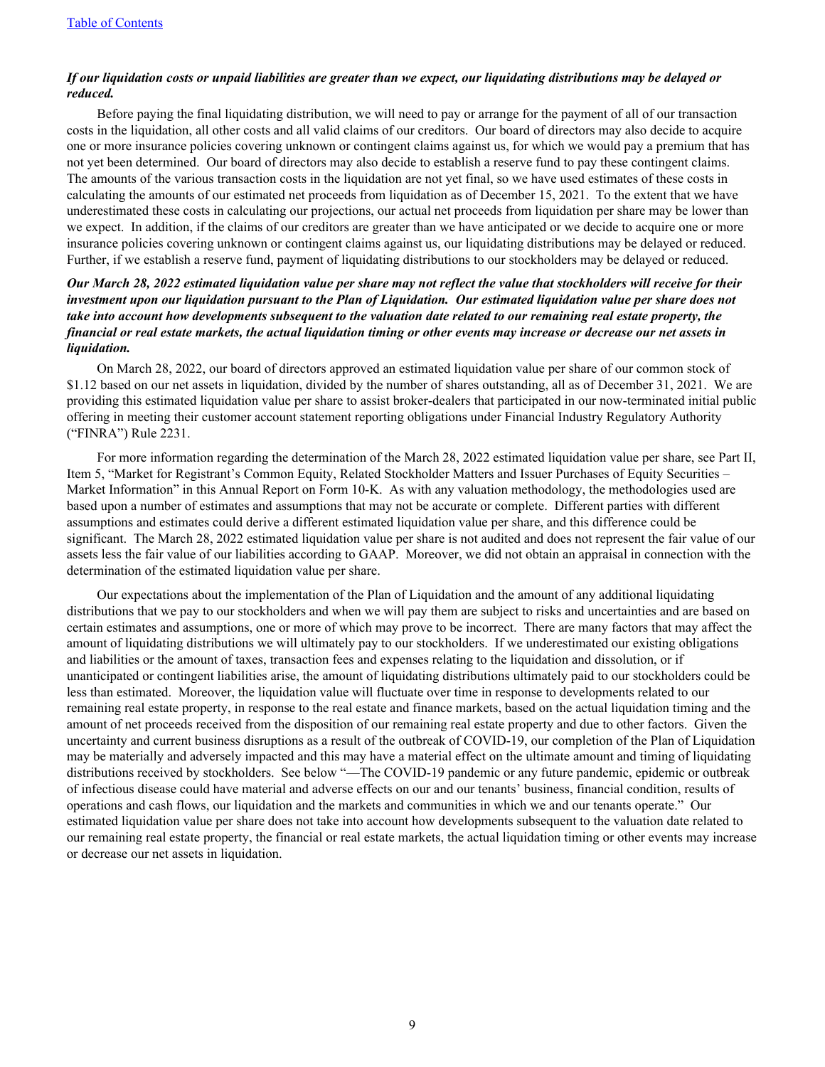### *If our liquidation costs or unpaid liabilities are greater than we expect, our liquidating distributions may be delayed or reduced.*

Before paying the final liquidating distribution, we will need to pay or arrange for the payment of all of our transaction costs in the liquidation, all other costs and all valid claims of our creditors. Our board of directors may also decide to acquire one or more insurance policies covering unknown or contingent claims against us, for which we would pay a premium that has not yet been determined. Our board of directors may also decide to establish a reserve fund to pay these contingent claims. The amounts of the various transaction costs in the liquidation are not yet final, so we have used estimates of these costs in calculating the amounts of our estimated net proceeds from liquidation as of December 15, 2021. To the extent that we have underestimated these costs in calculating our projections, our actual net proceeds from liquidation per share may be lower than we expect. In addition, if the claims of our creditors are greater than we have anticipated or we decide to acquire one or more insurance policies covering unknown or contingent claims against us, our liquidating distributions may be delayed or reduced. Further, if we establish a reserve fund, payment of liquidating distributions to our stockholders may be delayed or reduced.

### *Our March 28, 2022 estimated liquidation value per share may not reflect the value that stockholders will receive for their investment upon our liquidation pursuant to the Plan of Liquidation. Our estimated liquidation value per share does not take into account how developments subsequent to the valuation date related to our remaining real estate property, the financial or real estate markets, the actual liquidation timing or other events may increase or decrease our net assets in liquidation.*

On March 28, 2022, our board of directors approved an estimated liquidation value per share of our common stock of \$1.12 based on our net assets in liquidation, divided by the number of shares outstanding, all as of December 31, 2021. We are providing this estimated liquidation value per share to assist broker-dealers that participated in our now-terminated initial public offering in meeting their customer account statement reporting obligations under Financial Industry Regulatory Authority ("FINRA") Rule 2231.

For more information regarding the determination of the March 28, 2022 estimated liquidation value per share, see Part II, Item 5, "Market for Registrant's Common Equity, Related Stockholder Matters and Issuer Purchases of Equity Securities – Market Information" in this Annual Report on Form 10-K. As with any valuation methodology, the methodologies used are based upon a number of estimates and assumptions that may not be accurate or complete. Different parties with different assumptions and estimates could derive a different estimated liquidation value per share, and this difference could be significant. The March 28, 2022 estimated liquidation value per share is not audited and does not represent the fair value of our assets less the fair value of our liabilities according to GAAP. Moreover, we did not obtain an appraisal in connection with the determination of the estimated liquidation value per share.

Our expectations about the implementation of the Plan of Liquidation and the amount of any additional liquidating distributions that we pay to our stockholders and when we will pay them are subject to risks and uncertainties and are based on certain estimates and assumptions, one or more of which may prove to be incorrect. There are many factors that may affect the amount of liquidating distributions we will ultimately pay to our stockholders. If we underestimated our existing obligations and liabilities or the amount of taxes, transaction fees and expenses relating to the liquidation and dissolution, or if unanticipated or contingent liabilities arise, the amount of liquidating distributions ultimately paid to our stockholders could be less than estimated. Moreover, the liquidation value will fluctuate over time in response to developments related to our remaining real estate property, in response to the real estate and finance markets, based on the actual liquidation timing and the amount of net proceeds received from the disposition of our remaining real estate property and due to other factors. Given the uncertainty and current business disruptions as a result of the outbreak of COVID-19, our completion of the Plan of Liquidation may be materially and adversely impacted and this may have a material effect on the ultimate amount and timing of liquidating distributions received by stockholders. See below "—The COVID-19 pandemic or any future pandemic, epidemic or outbreak of infectious disease could have material and adverse effects on our and our tenants' business, financial condition, results of operations and cash flows, our liquidation and the markets and communities in which we and our tenants operate." Our estimated liquidation value per share does not take into account how developments subsequent to the valuation date related to our remaining real estate property, the financial or real estate markets, the actual liquidation timing or other events may increase or decrease our net assets in liquidation.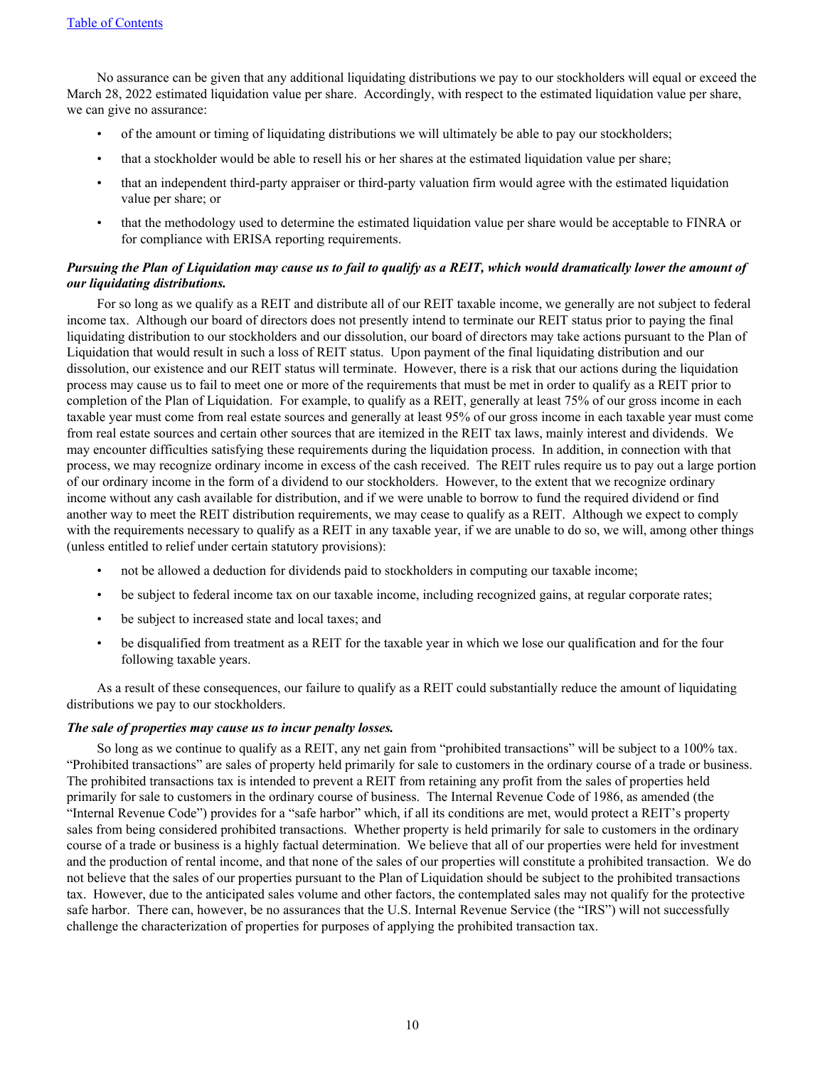No assurance can be given that any additional liquidating distributions we pay to our stockholders will equal or exceed the March 28, 2022 estimated liquidation value per share. Accordingly, with respect to the estimated liquidation value per share, we can give no assurance:

- of the amount or timing of liquidating distributions we will ultimately be able to pay our stockholders;
- that a stockholder would be able to resell his or her shares at the estimated liquidation value per share;
- that an independent third-party appraiser or third-party valuation firm would agree with the estimated liquidation value per share; or
- that the methodology used to determine the estimated liquidation value per share would be acceptable to FINRA or for compliance with ERISA reporting requirements.

### *Pursuing the Plan of Liquidation may cause us to fail to qualify as a REIT, which would dramatically lower the amount of our liquidating distributions.*

For so long as we qualify as a REIT and distribute all of our REIT taxable income, we generally are not subject to federal income tax. Although our board of directors does not presently intend to terminate our REIT status prior to paying the final liquidating distribution to our stockholders and our dissolution, our board of directors may take actions pursuant to the Plan of Liquidation that would result in such a loss of REIT status. Upon payment of the final liquidating distribution and our dissolution, our existence and our REIT status will terminate. However, there is a risk that our actions during the liquidation process may cause us to fail to meet one or more of the requirements that must be met in order to qualify as a REIT prior to completion of the Plan of Liquidation. For example, to qualify as a REIT, generally at least 75% of our gross income in each taxable year must come from real estate sources and generally at least 95% of our gross income in each taxable year must come from real estate sources and certain other sources that are itemized in the REIT tax laws, mainly interest and dividends. We may encounter difficulties satisfying these requirements during the liquidation process. In addition, in connection with that process, we may recognize ordinary income in excess of the cash received. The REIT rules require us to pay out a large portion of our ordinary income in the form of a dividend to our stockholders. However, to the extent that we recognize ordinary income without any cash available for distribution, and if we were unable to borrow to fund the required dividend or find another way to meet the REIT distribution requirements, we may cease to qualify as a REIT. Although we expect to comply with the requirements necessary to qualify as a REIT in any taxable year, if we are unable to do so, we will, among other things (unless entitled to relief under certain statutory provisions):

- not be allowed a deduction for dividends paid to stockholders in computing our taxable income;
- be subject to federal income tax on our taxable income, including recognized gains, at regular corporate rates;
- be subject to increased state and local taxes; and
- be disqualified from treatment as a REIT for the taxable year in which we lose our qualification and for the four following taxable years.

As a result of these consequences, our failure to qualify as a REIT could substantially reduce the amount of liquidating distributions we pay to our stockholders.

#### *The sale of properties may cause us to incur penalty losses.*

So long as we continue to qualify as a REIT, any net gain from "prohibited transactions" will be subject to a 100% tax. "Prohibited transactions" are sales of property held primarily for sale to customers in the ordinary course of a trade or business. The prohibited transactions tax is intended to prevent a REIT from retaining any profit from the sales of properties held primarily for sale to customers in the ordinary course of business. The Internal Revenue Code of 1986, as amended (the "Internal Revenue Code") provides for a "safe harbor" which, if all its conditions are met, would protect a REIT's property sales from being considered prohibited transactions. Whether property is held primarily for sale to customers in the ordinary course of a trade or business is a highly factual determination. We believe that all of our properties were held for investment and the production of rental income, and that none of the sales of our properties will constitute a prohibited transaction. We do not believe that the sales of our properties pursuant to the Plan of Liquidation should be subject to the prohibited transactions tax. However, due to the anticipated sales volume and other factors, the contemplated sales may not qualify for the protective safe harbor. There can, however, be no assurances that the U.S. Internal Revenue Service (the "IRS") will not successfully challenge the characterization of properties for purposes of applying the prohibited transaction tax.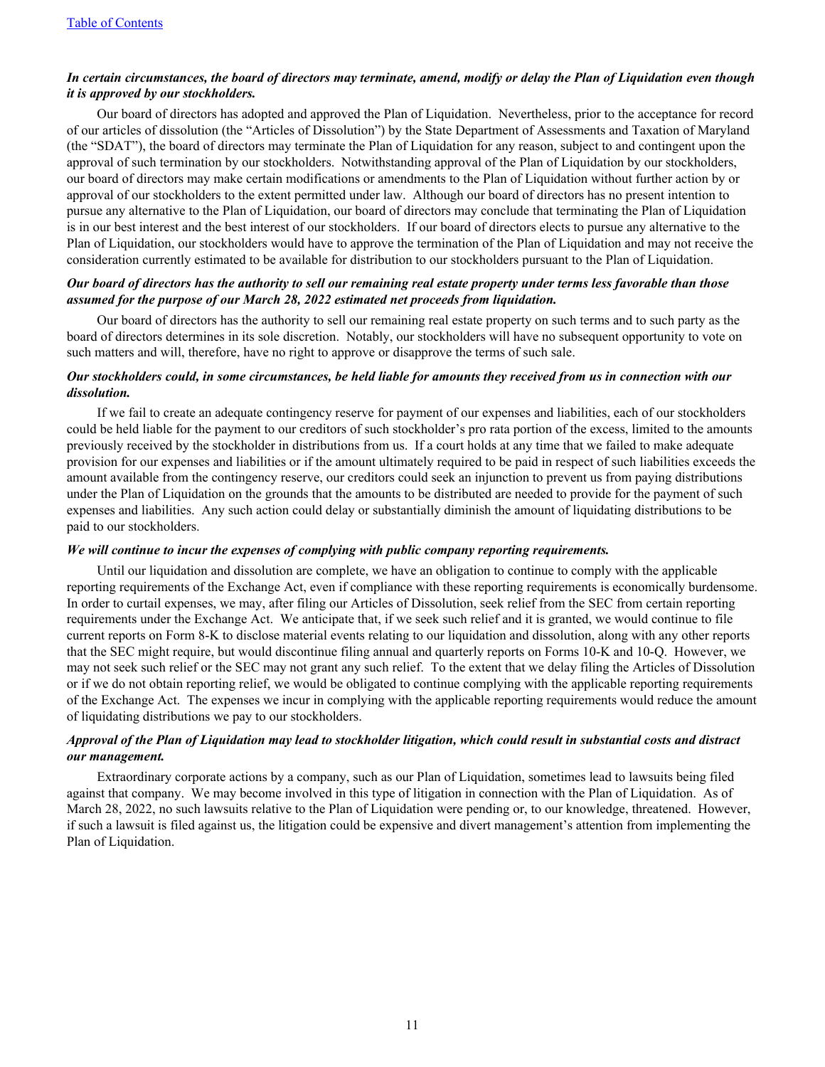### *In certain circumstances, the board of directors may terminate, amend, modify or delay the Plan of Liquidation even though it is approved by our stockholders.*

Our board of directors has adopted and approved the Plan of Liquidation. Nevertheless, prior to the acceptance for record of our articles of dissolution (the "Articles of Dissolution") by the State Department of Assessments and Taxation of Maryland (the "SDAT"), the board of directors may terminate the Plan of Liquidation for any reason, subject to and contingent upon the approval of such termination by our stockholders. Notwithstanding approval of the Plan of Liquidation by our stockholders, our board of directors may make certain modifications or amendments to the Plan of Liquidation without further action by or approval of our stockholders to the extent permitted under law. Although our board of directors has no present intention to pursue any alternative to the Plan of Liquidation, our board of directors may conclude that terminating the Plan of Liquidation is in our best interest and the best interest of our stockholders. If our board of directors elects to pursue any alternative to the Plan of Liquidation, our stockholders would have to approve the termination of the Plan of Liquidation and may not receive the consideration currently estimated to be available for distribution to our stockholders pursuant to the Plan of Liquidation.

### *Our board of directors has the authority to sell our remaining real estate property under terms less favorable than those assumed for the purpose of our March 28, 2022 estimated net proceeds from liquidation.*

Our board of directors has the authority to sell our remaining real estate property on such terms and to such party as the board of directors determines in its sole discretion. Notably, our stockholders will have no subsequent opportunity to vote on such matters and will, therefore, have no right to approve or disapprove the terms of such sale.

### *Our stockholders could, in some circumstances, be held liable for amounts they received from us in connection with our dissolution.*

If we fail to create an adequate contingency reserve for payment of our expenses and liabilities, each of our stockholders could be held liable for the payment to our creditors of such stockholder's pro rata portion of the excess, limited to the amounts previously received by the stockholder in distributions from us. If a court holds at any time that we failed to make adequate provision for our expenses and liabilities or if the amount ultimately required to be paid in respect of such liabilities exceeds the amount available from the contingency reserve, our creditors could seek an injunction to prevent us from paying distributions under the Plan of Liquidation on the grounds that the amounts to be distributed are needed to provide for the payment of such expenses and liabilities. Any such action could delay or substantially diminish the amount of liquidating distributions to be paid to our stockholders.

#### *We will continue to incur the expenses of complying with public company reporting requirements.*

Until our liquidation and dissolution are complete, we have an obligation to continue to comply with the applicable reporting requirements of the Exchange Act, even if compliance with these reporting requirements is economically burdensome. In order to curtail expenses, we may, after filing our Articles of Dissolution, seek relief from the SEC from certain reporting requirements under the Exchange Act. We anticipate that, if we seek such relief and it is granted, we would continue to file current reports on Form 8-K to disclose material events relating to our liquidation and dissolution, along with any other reports that the SEC might require, but would discontinue filing annual and quarterly reports on Forms 10-K and 10-Q. However, we may not seek such relief or the SEC may not grant any such relief. To the extent that we delay filing the Articles of Dissolution or if we do not obtain reporting relief, we would be obligated to continue complying with the applicable reporting requirements of the Exchange Act. The expenses we incur in complying with the applicable reporting requirements would reduce the amount of liquidating distributions we pay to our stockholders.

# *Approval of the Plan of Liquidation may lead to stockholder litigation, which could result in substantial costs and distract our management.*

Extraordinary corporate actions by a company, such as our Plan of Liquidation, sometimes lead to lawsuits being filed against that company. We may become involved in this type of litigation in connection with the Plan of Liquidation. As of March 28, 2022, no such lawsuits relative to the Plan of Liquidation were pending or, to our knowledge, threatened. However, if such a lawsuit is filed against us, the litigation could be expensive and divert management's attention from implementing the Plan of Liquidation.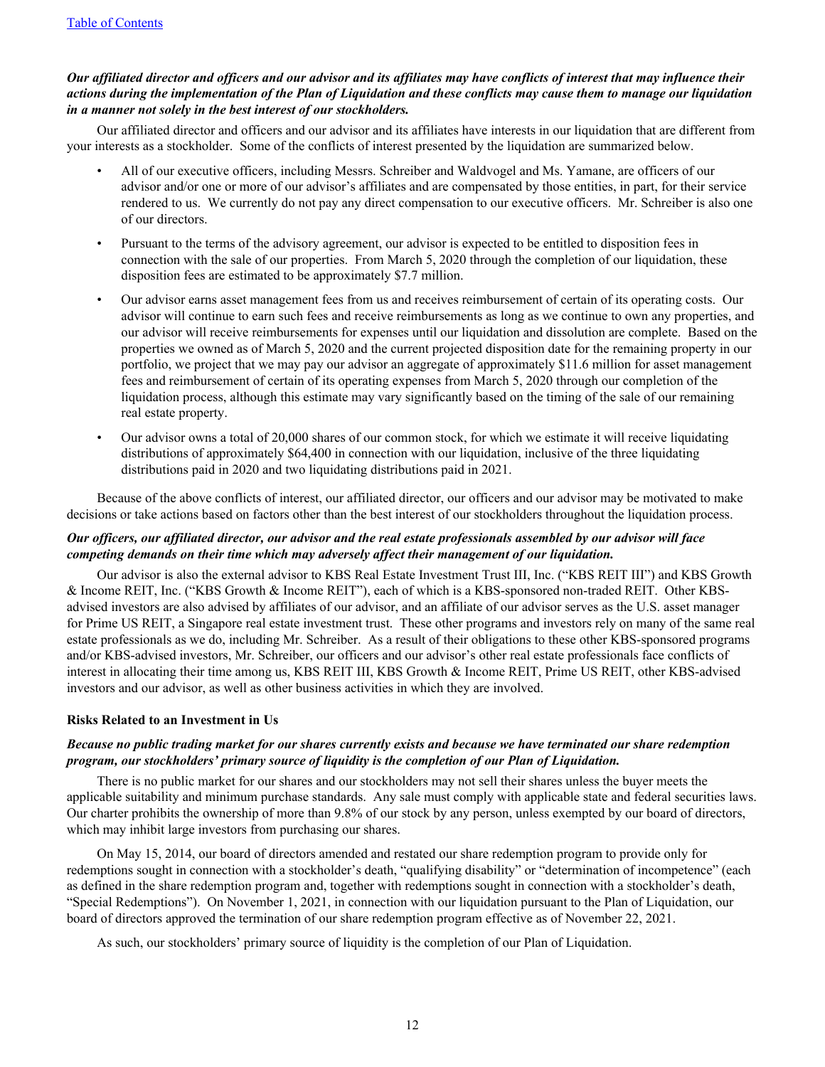# *Our affiliated director and officers and our advisor and its affiliates may have conflicts of interest that may influence their actions during the implementation of the Plan of Liquidation and these conflicts may cause them to manage our liquidation in a manner not solely in the best interest of our stockholders.*

Our affiliated director and officers and our advisor and its affiliates have interests in our liquidation that are different from your interests as a stockholder. Some of the conflicts of interest presented by the liquidation are summarized below.

- All of our executive officers, including Messrs. Schreiber and Waldvogel and Ms. Yamane, are officers of our advisor and/or one or more of our advisor's affiliates and are compensated by those entities, in part, for their service rendered to us. We currently do not pay any direct compensation to our executive officers. Mr. Schreiber is also one of our directors.
- Pursuant to the terms of the advisory agreement, our advisor is expected to be entitled to disposition fees in connection with the sale of our properties. From March 5, 2020 through the completion of our liquidation, these disposition fees are estimated to be approximately \$7.7 million.
- Our advisor earns asset management fees from us and receives reimbursement of certain of its operating costs. Our advisor will continue to earn such fees and receive reimbursements as long as we continue to own any properties, and our advisor will receive reimbursements for expenses until our liquidation and dissolution are complete. Based on the properties we owned as of March 5, 2020 and the current projected disposition date for the remaining property in our portfolio, we project that we may pay our advisor an aggregate of approximately \$11.6 million for asset management fees and reimbursement of certain of its operating expenses from March 5, 2020 through our completion of the liquidation process, although this estimate may vary significantly based on the timing of the sale of our remaining real estate property.
- Our advisor owns a total of 20,000 shares of our common stock, for which we estimate it will receive liquidating distributions of approximately \$64,400 in connection with our liquidation, inclusive of the three liquidating distributions paid in 2020 and two liquidating distributions paid in 2021.

Because of the above conflicts of interest, our affiliated director, our officers and our advisor may be motivated to make decisions or take actions based on factors other than the best interest of our stockholders throughout the liquidation process.

# *Our officers, our affiliated director, our advisor and the real estate professionals assembled by our advisor will face competing demands on their time which may adversely affect their management of our liquidation.*

Our advisor is also the external advisor to KBS Real Estate Investment Trust III, Inc. ("KBS REIT III") and KBS Growth & Income REIT, Inc. ("KBS Growth & Income REIT"), each of which is a KBS-sponsored non-traded REIT. Other KBSadvised investors are also advised by affiliates of our advisor, and an affiliate of our advisor serves as the U.S. asset manager for Prime US REIT, a Singapore real estate investment trust. These other programs and investors rely on many of the same real estate professionals as we do, including Mr. Schreiber. As a result of their obligations to these other KBS-sponsored programs and/or KBS-advised investors, Mr. Schreiber, our officers and our advisor's other real estate professionals face conflicts of interest in allocating their time among us, KBS REIT III, KBS Growth & Income REIT, Prime US REIT, other KBS-advised investors and our advisor, as well as other business activities in which they are involved.

### **Risks Related to an Investment in Us**

# *Because no public trading market for our shares currently exists and because we have terminated our share redemption program, our stockholders' primary source of liquidity is the completion of our Plan of Liquidation.*

There is no public market for our shares and our stockholders may not sell their shares unless the buyer meets the applicable suitability and minimum purchase standards. Any sale must comply with applicable state and federal securities laws. Our charter prohibits the ownership of more than 9.8% of our stock by any person, unless exempted by our board of directors, which may inhibit large investors from purchasing our shares.

On May 15, 2014, our board of directors amended and restated our share redemption program to provide only for redemptions sought in connection with a stockholder's death, "qualifying disability" or "determination of incompetence" (each as defined in the share redemption program and, together with redemptions sought in connection with a stockholder's death, "Special Redemptions"). On November 1, 2021, in connection with our liquidation pursuant to the Plan of Liquidation, our board of directors approved the termination of our share redemption program effective as of November 22, 2021.

As such, our stockholders' primary source of liquidity is the completion of our Plan of Liquidation.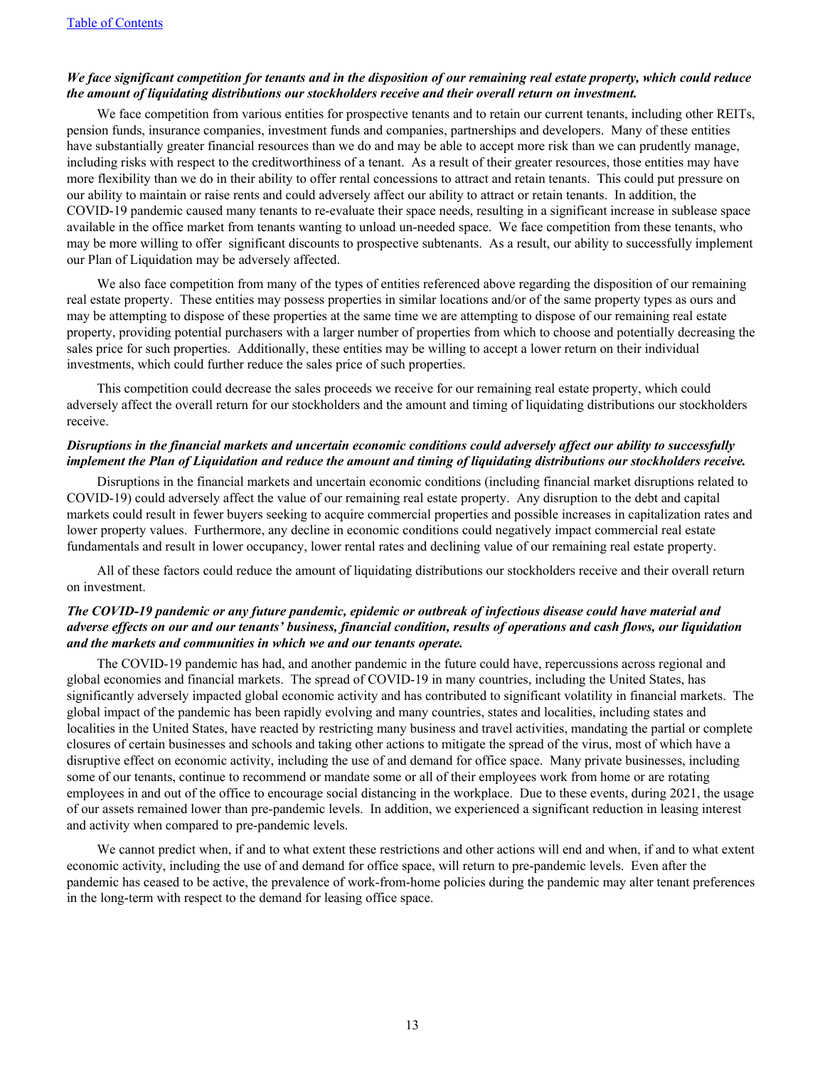### *We face significant competition for tenants and in the disposition of our remaining real estate property, which could reduce the amount of liquidating distributions our stockholders receive and their overall return on investment.*

We face competition from various entities for prospective tenants and to retain our current tenants, including other REITs, pension funds, insurance companies, investment funds and companies, partnerships and developers. Many of these entities have substantially greater financial resources than we do and may be able to accept more risk than we can prudently manage, including risks with respect to the creditworthiness of a tenant. As a result of their greater resources, those entities may have more flexibility than we do in their ability to offer rental concessions to attract and retain tenants. This could put pressure on our ability to maintain or raise rents and could adversely affect our ability to attract or retain tenants. In addition, the COVID-19 pandemic caused many tenants to re-evaluate their space needs, resulting in a significant increase in sublease space available in the office market from tenants wanting to unload un-needed space. We face competition from these tenants, who may be more willing to offer significant discounts to prospective subtenants. As a result, our ability to successfully implement our Plan of Liquidation may be adversely affected.

We also face competition from many of the types of entities referenced above regarding the disposition of our remaining real estate property. These entities may possess properties in similar locations and/or of the same property types as ours and may be attempting to dispose of these properties at the same time we are attempting to dispose of our remaining real estate property, providing potential purchasers with a larger number of properties from which to choose and potentially decreasing the sales price for such properties. Additionally, these entities may be willing to accept a lower return on their individual investments, which could further reduce the sales price of such properties.

This competition could decrease the sales proceeds we receive for our remaining real estate property, which could adversely affect the overall return for our stockholders and the amount and timing of liquidating distributions our stockholders receive.

### *Disruptions in the financial markets and uncertain economic conditions could adversely affect our ability to successfully implement the Plan of Liquidation and reduce the amount and timing of liquidating distributions our stockholders receive.*

Disruptions in the financial markets and uncertain economic conditions (including financial market disruptions related to COVID-19) could adversely affect the value of our remaining real estate property. Any disruption to the debt and capital markets could result in fewer buyers seeking to acquire commercial properties and possible increases in capitalization rates and lower property values. Furthermore, any decline in economic conditions could negatively impact commercial real estate fundamentals and result in lower occupancy, lower rental rates and declining value of our remaining real estate property.

All of these factors could reduce the amount of liquidating distributions our stockholders receive and their overall return on investment.

### *The COVID-19 pandemic or any future pandemic, epidemic or outbreak of infectious disease could have material and adverse effects on our and our tenants' business, financial condition, results of operations and cash flows, our liquidation and the markets and communities in which we and our tenants operate.*

The COVID-19 pandemic has had, and another pandemic in the future could have, repercussions across regional and global economies and financial markets. The spread of COVID-19 in many countries, including the United States, has significantly adversely impacted global economic activity and has contributed to significant volatility in financial markets. The global impact of the pandemic has been rapidly evolving and many countries, states and localities, including states and localities in the United States, have reacted by restricting many business and travel activities, mandating the partial or complete closures of certain businesses and schools and taking other actions to mitigate the spread of the virus, most of which have a disruptive effect on economic activity, including the use of and demand for office space. Many private businesses, including some of our tenants, continue to recommend or mandate some or all of their employees work from home or are rotating employees in and out of the office to encourage social distancing in the workplace. Due to these events, during 2021, the usage of our assets remained lower than pre-pandemic levels. In addition, we experienced a significant reduction in leasing interest and activity when compared to pre-pandemic levels.

We cannot predict when, if and to what extent these restrictions and other actions will end and when, if and to what extent economic activity, including the use of and demand for office space, will return to pre-pandemic levels. Even after the pandemic has ceased to be active, the prevalence of work-from-home policies during the pandemic may alter tenant preferences in the long-term with respect to the demand for leasing office space.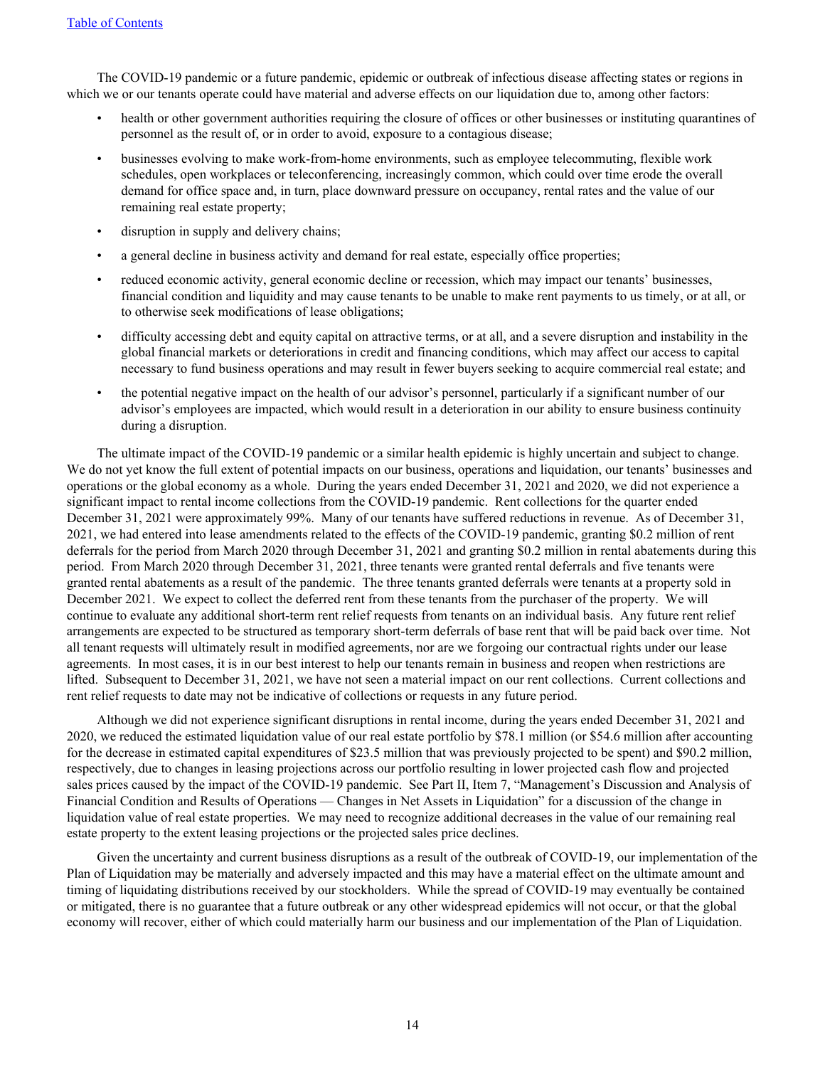The COVID-19 pandemic or a future pandemic, epidemic or outbreak of infectious disease affecting states or regions in which we or our tenants operate could have material and adverse effects on our liquidation due to, among other factors:

- health or other government authorities requiring the closure of offices or other businesses or instituting quarantines of personnel as the result of, or in order to avoid, exposure to a contagious disease;
- businesses evolving to make work-from-home environments, such as employee telecommuting, flexible work schedules, open workplaces or teleconferencing, increasingly common, which could over time erode the overall demand for office space and, in turn, place downward pressure on occupancy, rental rates and the value of our remaining real estate property;
- disruption in supply and delivery chains;
- a general decline in business activity and demand for real estate, especially office properties;
- reduced economic activity, general economic decline or recession, which may impact our tenants' businesses, financial condition and liquidity and may cause tenants to be unable to make rent payments to us timely, or at all, or to otherwise seek modifications of lease obligations;
- difficulty accessing debt and equity capital on attractive terms, or at all, and a severe disruption and instability in the global financial markets or deteriorations in credit and financing conditions, which may affect our access to capital necessary to fund business operations and may result in fewer buyers seeking to acquire commercial real estate; and
- the potential negative impact on the health of our advisor's personnel, particularly if a significant number of our advisor's employees are impacted, which would result in a deterioration in our ability to ensure business continuity during a disruption.

The ultimate impact of the COVID-19 pandemic or a similar health epidemic is highly uncertain and subject to change. We do not yet know the full extent of potential impacts on our business, operations and liquidation, our tenants' businesses and operations or the global economy as a whole. During the years ended December 31, 2021 and 2020, we did not experience a significant impact to rental income collections from the COVID-19 pandemic. Rent collections for the quarter ended December 31, 2021 were approximately 99%. Many of our tenants have suffered reductions in revenue. As of December 31, 2021, we had entered into lease amendments related to the effects of the COVID-19 pandemic, granting \$0.2 million of rent deferrals for the period from March 2020 through December 31, 2021 and granting \$0.2 million in rental abatements during this period. From March 2020 through December 31, 2021, three tenants were granted rental deferrals and five tenants were granted rental abatements as a result of the pandemic. The three tenants granted deferrals were tenants at a property sold in December 2021. We expect to collect the deferred rent from these tenants from the purchaser of the property. We will continue to evaluate any additional short-term rent relief requests from tenants on an individual basis. Any future rent relief arrangements are expected to be structured as temporary short-term deferrals of base rent that will be paid back over time. Not all tenant requests will ultimately result in modified agreements, nor are we forgoing our contractual rights under our lease agreements. In most cases, it is in our best interest to help our tenants remain in business and reopen when restrictions are lifted. Subsequent to December 31, 2021, we have not seen a material impact on our rent collections. Current collections and rent relief requests to date may not be indicative of collections or requests in any future period.

Although we did not experience significant disruptions in rental income, during the years ended December 31, 2021 and 2020, we reduced the estimated liquidation value of our real estate portfolio by \$78.1 million (or \$54.6 million after accounting for the decrease in estimated capital expenditures of \$23.5 million that was previously projected to be spent) and \$90.2 million, respectively, due to changes in leasing projections across our portfolio resulting in lower projected cash flow and projected sales prices caused by the impact of the COVID-19 pandemic. See Part II, Item 7, "Management's Discussion and Analysis of Financial Condition and Results of Operations — Changes in Net Assets in Liquidation" for a discussion of the change in liquidation value of real estate properties. We may need to recognize additional decreases in the value of our remaining real estate property to the extent leasing projections or the projected sales price declines.

Given the uncertainty and current business disruptions as a result of the outbreak of COVID-19, our implementation of the Plan of Liquidation may be materially and adversely impacted and this may have a material effect on the ultimate amount and timing of liquidating distributions received by our stockholders. While the spread of COVID-19 may eventually be contained or mitigated, there is no guarantee that a future outbreak or any other widespread epidemics will not occur, or that the global economy will recover, either of which could materially harm our business and our implementation of the Plan of Liquidation.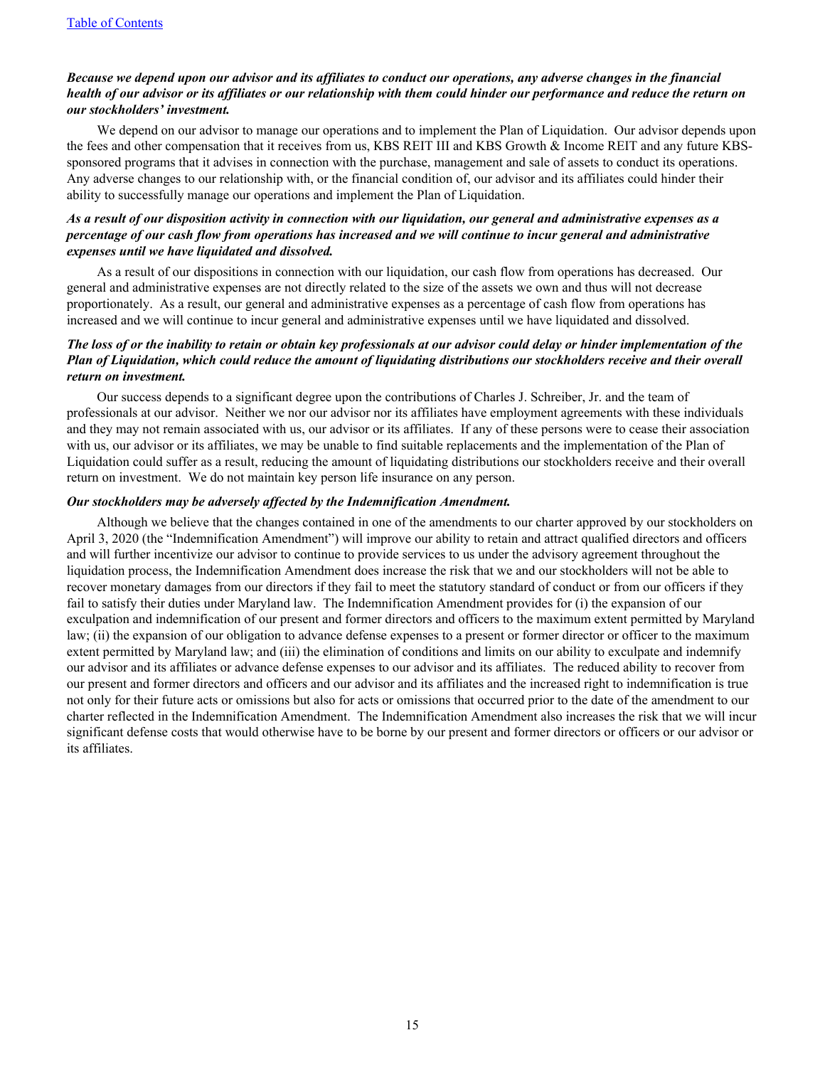# *Because we depend upon our advisor and its affiliates to conduct our operations, any adverse changes in the financial health of our advisor or its affiliates or our relationship with them could hinder our performance and reduce the return on our stockholders' investment.*

We depend on our advisor to manage our operations and to implement the Plan of Liquidation. Our advisor depends upon the fees and other compensation that it receives from us, KBS REIT III and KBS Growth & Income REIT and any future KBSsponsored programs that it advises in connection with the purchase, management and sale of assets to conduct its operations. Any adverse changes to our relationship with, or the financial condition of, our advisor and its affiliates could hinder their ability to successfully manage our operations and implement the Plan of Liquidation.

# *As a result of our disposition activity in connection with our liquidation, our general and administrative expenses as a percentage of our cash flow from operations has increased and we will continue to incur general and administrative expenses until we have liquidated and dissolved.*

As a result of our dispositions in connection with our liquidation, our cash flow from operations has decreased. Our general and administrative expenses are not directly related to the size of the assets we own and thus will not decrease proportionately. As a result, our general and administrative expenses as a percentage of cash flow from operations has increased and we will continue to incur general and administrative expenses until we have liquidated and dissolved.

# *The loss of or the inability to retain or obtain key professionals at our advisor could delay or hinder implementation of the Plan of Liquidation, which could reduce the amount of liquidating distributions our stockholders receive and their overall return on investment.*

Our success depends to a significant degree upon the contributions of Charles J. Schreiber, Jr. and the team of professionals at our advisor. Neither we nor our advisor nor its affiliates have employment agreements with these individuals and they may not remain associated with us, our advisor or its affiliates. If any of these persons were to cease their association with us, our advisor or its affiliates, we may be unable to find suitable replacements and the implementation of the Plan of Liquidation could suffer as a result, reducing the amount of liquidating distributions our stockholders receive and their overall return on investment. We do not maintain key person life insurance on any person.

#### *Our stockholders may be adversely affected by the Indemnification Amendment.*

Although we believe that the changes contained in one of the amendments to our charter approved by our stockholders on April 3, 2020 (the "Indemnification Amendment") will improve our ability to retain and attract qualified directors and officers and will further incentivize our advisor to continue to provide services to us under the advisory agreement throughout the liquidation process, the Indemnification Amendment does increase the risk that we and our stockholders will not be able to recover monetary damages from our directors if they fail to meet the statutory standard of conduct or from our officers if they fail to satisfy their duties under Maryland law. The Indemnification Amendment provides for (i) the expansion of our exculpation and indemnification of our present and former directors and officers to the maximum extent permitted by Maryland law; (ii) the expansion of our obligation to advance defense expenses to a present or former director or officer to the maximum extent permitted by Maryland law; and (iii) the elimination of conditions and limits on our ability to exculpate and indemnify our advisor and its affiliates or advance defense expenses to our advisor and its affiliates. The reduced ability to recover from our present and former directors and officers and our advisor and its affiliates and the increased right to indemnification is true not only for their future acts or omissions but also for acts or omissions that occurred prior to the date of the amendment to our charter reflected in the Indemnification Amendment. The Indemnification Amendment also increases the risk that we will incur significant defense costs that would otherwise have to be borne by our present and former directors or officers or our advisor or its affiliates.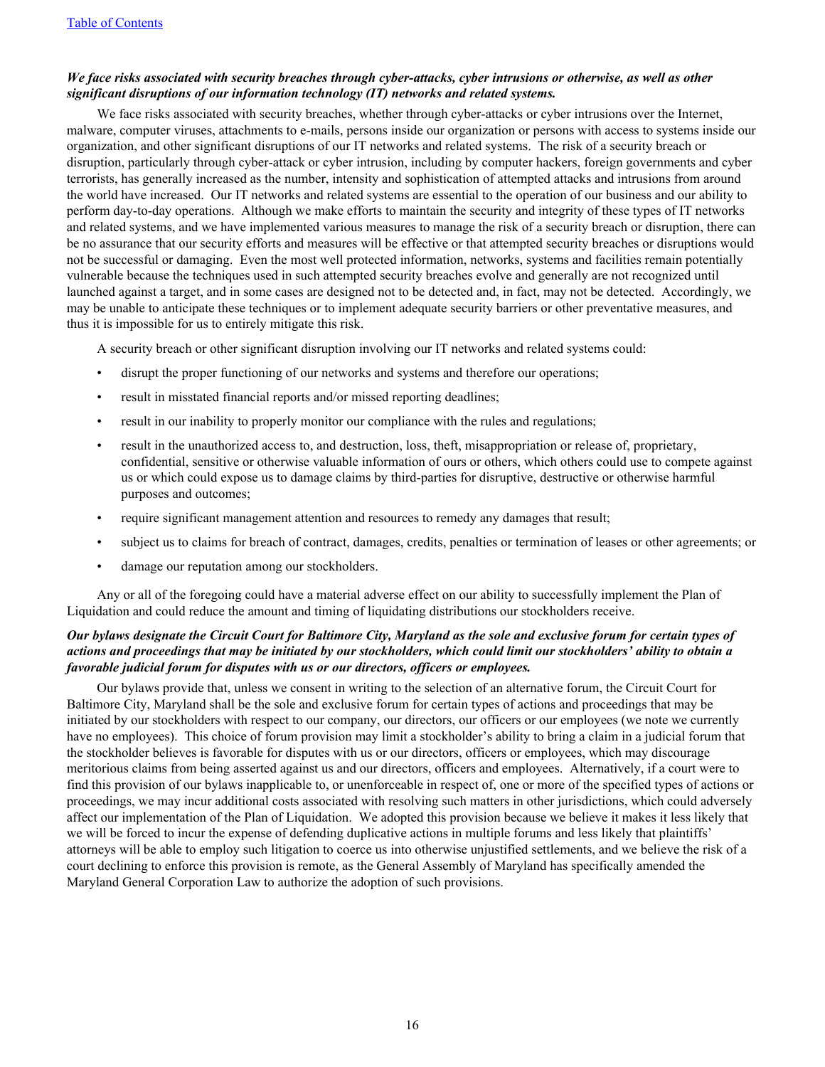### *We face risks associated with security breaches through cyber-attacks, cyber intrusions or otherwise, as well as other significant disruptions of our information technology (IT) networks and related systems.*

We face risks associated with security breaches, whether through cyber-attacks or cyber intrusions over the Internet, malware, computer viruses, attachments to e-mails, persons inside our organization or persons with access to systems inside our organization, and other significant disruptions of our IT networks and related systems. The risk of a security breach or disruption, particularly through cyber-attack or cyber intrusion, including by computer hackers, foreign governments and cyber terrorists, has generally increased as the number, intensity and sophistication of attempted attacks and intrusions from around the world have increased. Our IT networks and related systems are essential to the operation of our business and our ability to perform day-to-day operations. Although we make efforts to maintain the security and integrity of these types of IT networks and related systems, and we have implemented various measures to manage the risk of a security breach or disruption, there can be no assurance that our security efforts and measures will be effective or that attempted security breaches or disruptions would not be successful or damaging. Even the most well protected information, networks, systems and facilities remain potentially vulnerable because the techniques used in such attempted security breaches evolve and generally are not recognized until launched against a target, and in some cases are designed not to be detected and, in fact, may not be detected. Accordingly, we may be unable to anticipate these techniques or to implement adequate security barriers or other preventative measures, and thus it is impossible for us to entirely mitigate this risk.

A security breach or other significant disruption involving our IT networks and related systems could:

- disrupt the proper functioning of our networks and systems and therefore our operations;
- result in misstated financial reports and/or missed reporting deadlines;
- result in our inability to properly monitor our compliance with the rules and regulations;
- result in the unauthorized access to, and destruction, loss, theft, misappropriation or release of, proprietary, confidential, sensitive or otherwise valuable information of ours or others, which others could use to compete against us or which could expose us to damage claims by third-parties for disruptive, destructive or otherwise harmful purposes and outcomes;
- require significant management attention and resources to remedy any damages that result;
- subject us to claims for breach of contract, damages, credits, penalties or termination of leases or other agreements; or
- damage our reputation among our stockholders.

Any or all of the foregoing could have a material adverse effect on our ability to successfully implement the Plan of Liquidation and could reduce the amount and timing of liquidating distributions our stockholders receive.

# *Our bylaws designate the Circuit Court for Baltimore City, Maryland as the sole and exclusive forum for certain types of actions and proceedings that may be initiated by our stockholders, which could limit our stockholders' ability to obtain a favorable judicial forum for disputes with us or our directors, officers or employees.*

Our bylaws provide that, unless we consent in writing to the selection of an alternative forum, the Circuit Court for Baltimore City, Maryland shall be the sole and exclusive forum for certain types of actions and proceedings that may be initiated by our stockholders with respect to our company, our directors, our officers or our employees (we note we currently have no employees). This choice of forum provision may limit a stockholder's ability to bring a claim in a judicial forum that the stockholder believes is favorable for disputes with us or our directors, officers or employees, which may discourage meritorious claims from being asserted against us and our directors, officers and employees. Alternatively, if a court were to find this provision of our bylaws inapplicable to, or unenforceable in respect of, one or more of the specified types of actions or proceedings, we may incur additional costs associated with resolving such matters in other jurisdictions, which could adversely affect our implementation of the Plan of Liquidation. We adopted this provision because we believe it makes it less likely that we will be forced to incur the expense of defending duplicative actions in multiple forums and less likely that plaintiffs' attorneys will be able to employ such litigation to coerce us into otherwise unjustified settlements, and we believe the risk of a court declining to enforce this provision is remote, as the General Assembly of Maryland has specifically amended the Maryland General Corporation Law to authorize the adoption of such provisions.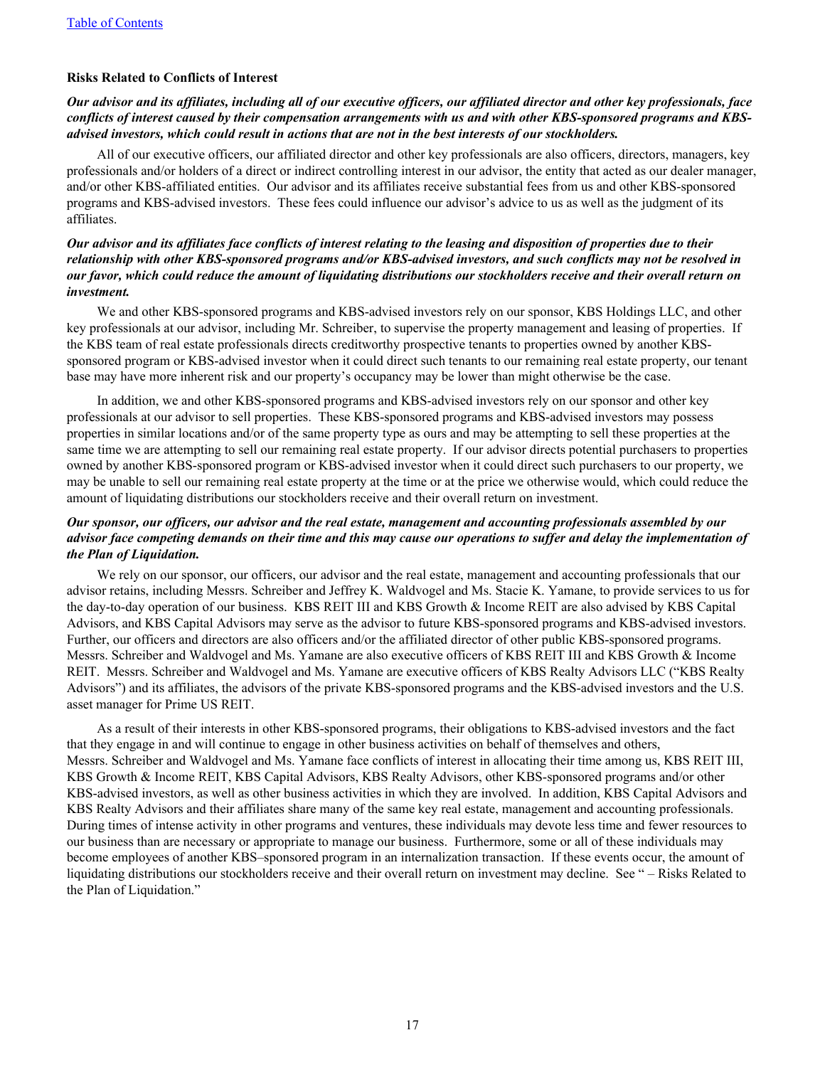#### **Risks Related to Conflicts of Interest**

# *Our advisor and its affiliates, including all of our executive officers, our affiliated director and other key professionals, face conflicts of interest caused by their compensation arrangements with us and with other KBS-sponsored programs and KBSadvised investors, which could result in actions that are not in the best interests of our stockholders.*

All of our executive officers, our affiliated director and other key professionals are also officers, directors, managers, key professionals and/or holders of a direct or indirect controlling interest in our advisor, the entity that acted as our dealer manager, and/or other KBS-affiliated entities. Our advisor and its affiliates receive substantial fees from us and other KBS-sponsored programs and KBS-advised investors. These fees could influence our advisor's advice to us as well as the judgment of its affiliates.

# *Our advisor and its affiliates face conflicts of interest relating to the leasing and disposition of properties due to their relationship with other KBS-sponsored programs and/or KBS-advised investors, and such conflicts may not be resolved in our favor, which could reduce the amount of liquidating distributions our stockholders receive and their overall return on investment.*

We and other KBS-sponsored programs and KBS-advised investors rely on our sponsor, KBS Holdings LLC, and other key professionals at our advisor, including Mr. Schreiber, to supervise the property management and leasing of properties. If the KBS team of real estate professionals directs creditworthy prospective tenants to properties owned by another KBSsponsored program or KBS-advised investor when it could direct such tenants to our remaining real estate property, our tenant base may have more inherent risk and our property's occupancy may be lower than might otherwise be the case.

In addition, we and other KBS-sponsored programs and KBS-advised investors rely on our sponsor and other key professionals at our advisor to sell properties. These KBS-sponsored programs and KBS-advised investors may possess properties in similar locations and/or of the same property type as ours and may be attempting to sell these properties at the same time we are attempting to sell our remaining real estate property. If our advisor directs potential purchasers to properties owned by another KBS-sponsored program or KBS-advised investor when it could direct such purchasers to our property, we may be unable to sell our remaining real estate property at the time or at the price we otherwise would, which could reduce the amount of liquidating distributions our stockholders receive and their overall return on investment.

### *Our sponsor, our officers, our advisor and the real estate, management and accounting professionals assembled by our advisor face competing demands on their time and this may cause our operations to suffer and delay the implementation of the Plan of Liquidation.*

We rely on our sponsor, our officers, our advisor and the real estate, management and accounting professionals that our advisor retains, including Messrs. Schreiber and Jeffrey K. Waldvogel and Ms. Stacie K. Yamane, to provide services to us for the day-to-day operation of our business. KBS REIT III and KBS Growth & Income REIT are also advised by KBS Capital Advisors, and KBS Capital Advisors may serve as the advisor to future KBS-sponsored programs and KBS-advised investors. Further, our officers and directors are also officers and/or the affiliated director of other public KBS-sponsored programs. Messrs. Schreiber and Waldvogel and Ms. Yamane are also executive officers of KBS REIT III and KBS Growth & Income REIT. Messrs. Schreiber and Waldvogel and Ms. Yamane are executive officers of KBS Realty Advisors LLC ("KBS Realty Advisors") and its affiliates, the advisors of the private KBS-sponsored programs and the KBS-advised investors and the U.S. asset manager for Prime US REIT.

As a result of their interests in other KBS-sponsored programs, their obligations to KBS-advised investors and the fact that they engage in and will continue to engage in other business activities on behalf of themselves and others, Messrs. Schreiber and Waldvogel and Ms. Yamane face conflicts of interest in allocating their time among us, KBS REIT III, KBS Growth & Income REIT, KBS Capital Advisors, KBS Realty Advisors, other KBS-sponsored programs and/or other KBS-advised investors, as well as other business activities in which they are involved. In addition, KBS Capital Advisors and KBS Realty Advisors and their affiliates share many of the same key real estate, management and accounting professionals. During times of intense activity in other programs and ventures, these individuals may devote less time and fewer resources to our business than are necessary or appropriate to manage our business. Furthermore, some or all of these individuals may become employees of another KBS–sponsored program in an internalization transaction. If these events occur, the amount of liquidating distributions our stockholders receive and their overall return on investment may decline. See " – Risks Related to the Plan of Liquidation."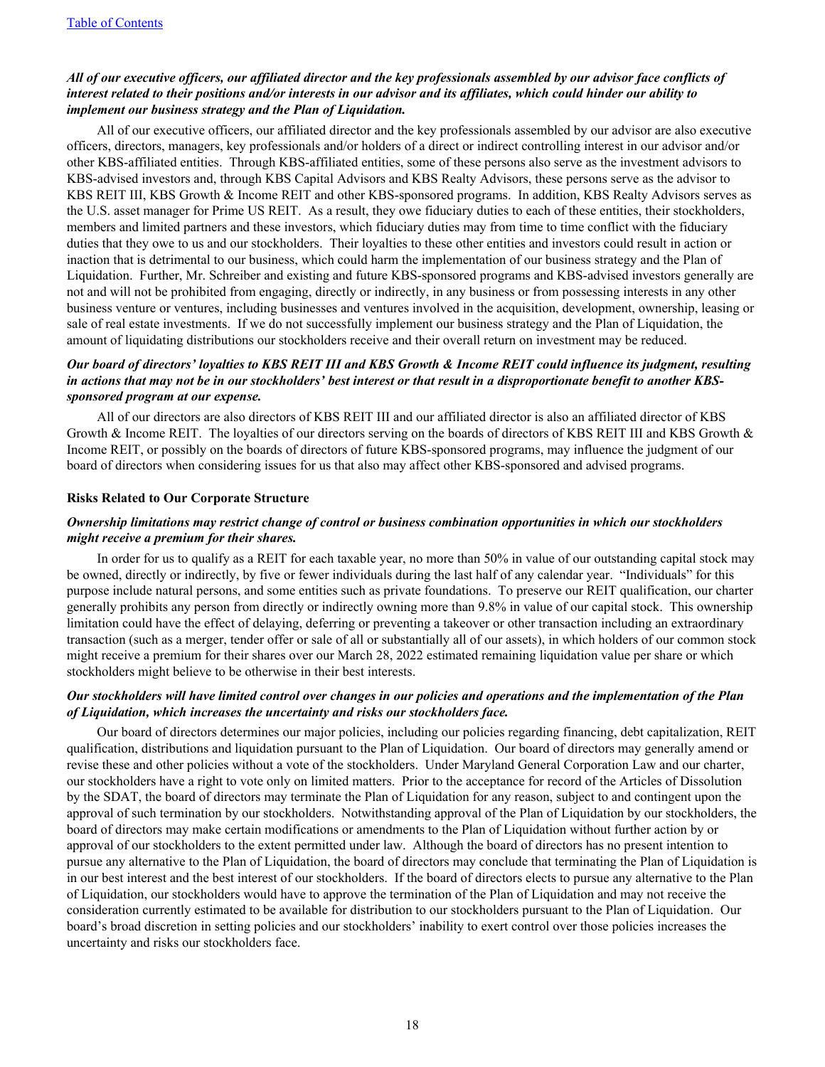# *All of our executive officers, our affiliated director and the key professionals assembled by our advisor face conflicts of interest related to their positions and/or interests in our advisor and its affiliates, which could hinder our ability to implement our business strategy and the Plan of Liquidation.*

All of our executive officers, our affiliated director and the key professionals assembled by our advisor are also executive officers, directors, managers, key professionals and/or holders of a direct or indirect controlling interest in our advisor and/or other KBS-affiliated entities. Through KBS-affiliated entities, some of these persons also serve as the investment advisors to KBS-advised investors and, through KBS Capital Advisors and KBS Realty Advisors, these persons serve as the advisor to KBS REIT III, KBS Growth & Income REIT and other KBS-sponsored programs. In addition, KBS Realty Advisors serves as the U.S. asset manager for Prime US REIT. As a result, they owe fiduciary duties to each of these entities, their stockholders, members and limited partners and these investors, which fiduciary duties may from time to time conflict with the fiduciary duties that they owe to us and our stockholders. Their loyalties to these other entities and investors could result in action or inaction that is detrimental to our business, which could harm the implementation of our business strategy and the Plan of Liquidation. Further, Mr. Schreiber and existing and future KBS-sponsored programs and KBS-advised investors generally are not and will not be prohibited from engaging, directly or indirectly, in any business or from possessing interests in any other business venture or ventures, including businesses and ventures involved in the acquisition, development, ownership, leasing or sale of real estate investments. If we do not successfully implement our business strategy and the Plan of Liquidation, the amount of liquidating distributions our stockholders receive and their overall return on investment may be reduced.

### *Our board of directors' loyalties to KBS REIT III and KBS Growth & Income REIT could influence its judgment, resulting in actions that may not be in our stockholders' best interest or that result in a disproportionate benefit to another KBSsponsored program at our expense.*

All of our directors are also directors of KBS REIT III and our affiliated director is also an affiliated director of KBS Growth & Income REIT. The loyalties of our directors serving on the boards of directors of KBS REIT III and KBS Growth & Income REIT, or possibly on the boards of directors of future KBS-sponsored programs, may influence the judgment of our board of directors when considering issues for us that also may affect other KBS-sponsored and advised programs.

#### **Risks Related to Our Corporate Structure**

### *Ownership limitations may restrict change of control or business combination opportunities in which our stockholders might receive a premium for their shares.*

In order for us to qualify as a REIT for each taxable year, no more than 50% in value of our outstanding capital stock may be owned, directly or indirectly, by five or fewer individuals during the last half of any calendar year. "Individuals" for this purpose include natural persons, and some entities such as private foundations. To preserve our REIT qualification, our charter generally prohibits any person from directly or indirectly owning more than 9.8% in value of our capital stock. This ownership limitation could have the effect of delaying, deferring or preventing a takeover or other transaction including an extraordinary transaction (such as a merger, tender offer or sale of all or substantially all of our assets), in which holders of our common stock might receive a premium for their shares over our March 28, 2022 estimated remaining liquidation value per share or which stockholders might believe to be otherwise in their best interests.

#### *Our stockholders will have limited control over changes in our policies and operations and the implementation of the Plan of Liquidation, which increases the uncertainty and risks our stockholders face.*

Our board of directors determines our major policies, including our policies regarding financing, debt capitalization, REIT qualification, distributions and liquidation pursuant to the Plan of Liquidation. Our board of directors may generally amend or revise these and other policies without a vote of the stockholders. Under Maryland General Corporation Law and our charter, our stockholders have a right to vote only on limited matters. Prior to the acceptance for record of the Articles of Dissolution by the SDAT, the board of directors may terminate the Plan of Liquidation for any reason, subject to and contingent upon the approval of such termination by our stockholders. Notwithstanding approval of the Plan of Liquidation by our stockholders, the board of directors may make certain modifications or amendments to the Plan of Liquidation without further action by or approval of our stockholders to the extent permitted under law. Although the board of directors has no present intention to pursue any alternative to the Plan of Liquidation, the board of directors may conclude that terminating the Plan of Liquidation is in our best interest and the best interest of our stockholders. If the board of directors elects to pursue any alternative to the Plan of Liquidation, our stockholders would have to approve the termination of the Plan of Liquidation and may not receive the consideration currently estimated to be available for distribution to our stockholders pursuant to the Plan of Liquidation. Our board's broad discretion in setting policies and our stockholders' inability to exert control over those policies increases the uncertainty and risks our stockholders face.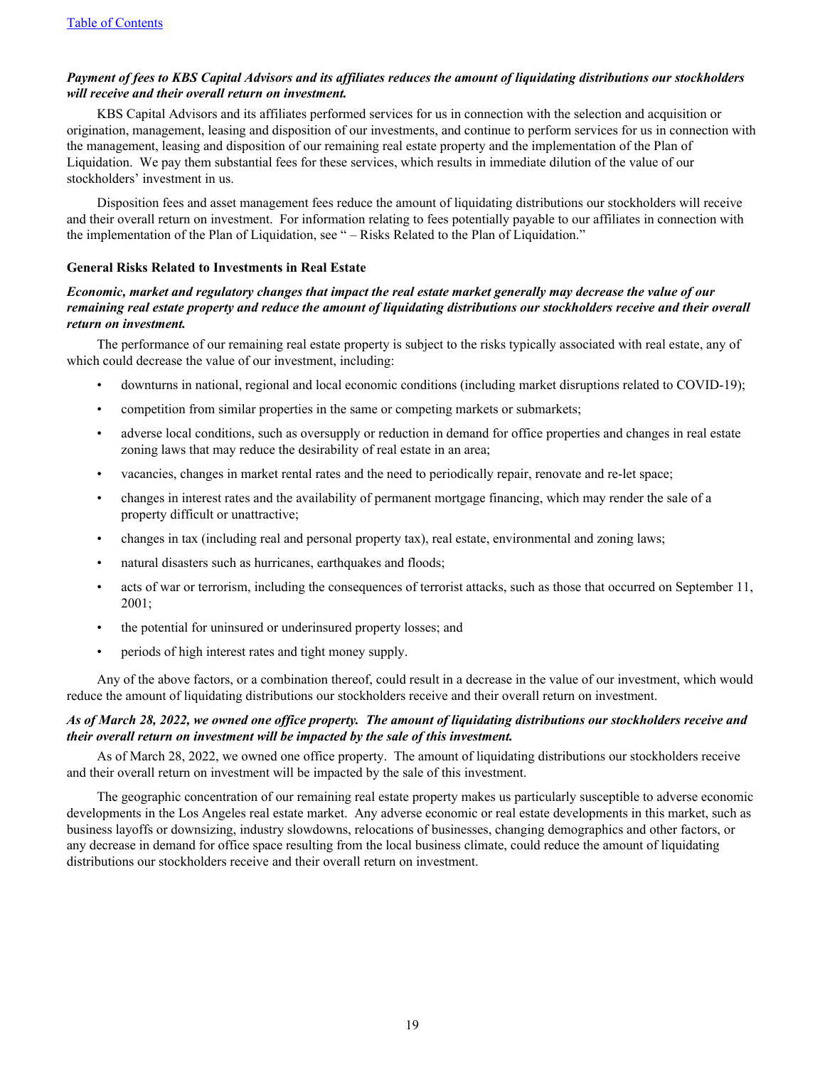# *Payment of fees to KBS Capital Advisors and its affiliates reduces the amount of liquidating distributions our stockholders will receive and their overall return on investment.*

KBS Capital Advisors and its affiliates performed services for us in connection with the selection and acquisition or origination, management, leasing and disposition of our investments, and continue to perform services for us in connection with the management, leasing and disposition of our remaining real estate property and the implementation of the Plan of Liquidation. We pay them substantial fees for these services, which results in immediate dilution of the value of our stockholders' investment in us.

Disposition fees and asset management fees reduce the amount of liquidating distributions our stockholders will receive and their overall return on investment. For information relating to fees potentially payable to our affiliates in connection with the implementation of the Plan of Liquidation, see " – Risks Related to the Plan of Liquidation."

# **General Risks Related to Investments in Real Estate**

# *Economic, market and regulatory changes that impact the real estate market generally may decrease the value of our remaining real estate property and reduce the amount of liquidating distributions our stockholders receive and their overall return on investment.*

The performance of our remaining real estate property is subject to the risks typically associated with real estate, any of which could decrease the value of our investment, including:

- downturns in national, regional and local economic conditions (including market disruptions related to COVID-19);
- competition from similar properties in the same or competing markets or submarkets;
- adverse local conditions, such as oversupply or reduction in demand for office properties and changes in real estate zoning laws that may reduce the desirability of real estate in an area;
- vacancies, changes in market rental rates and the need to periodically repair, renovate and re-let space;
- changes in interest rates and the availability of permanent mortgage financing, which may render the sale of a property difficult or unattractive;
- changes in tax (including real and personal property tax), real estate, environmental and zoning laws;
- natural disasters such as hurricanes, earthquakes and floods;
- acts of war or terrorism, including the consequences of terrorist attacks, such as those that occurred on September 11, 2001;
- the potential for uninsured or underinsured property losses; and
- periods of high interest rates and tight money supply.

Any of the above factors, or a combination thereof, could result in a decrease in the value of our investment, which would reduce the amount of liquidating distributions our stockholders receive and their overall return on investment.

# *As of March 28, 2022, we owned one office property. The amount of liquidating distributions our stockholders receive and their overall return on investment will be impacted by the sale of this investment.*

As of March 28, 2022, we owned one office property. The amount of liquidating distributions our stockholders receive and their overall return on investment will be impacted by the sale of this investment.

The geographic concentration of our remaining real estate property makes us particularly susceptible to adverse economic developments in the Los Angeles real estate market. Any adverse economic or real estate developments in this market, such as business layoffs or downsizing, industry slowdowns, relocations of businesses, changing demographics and other factors, or any decrease in demand for office space resulting from the local business climate, could reduce the amount of liquidating distributions our stockholders receive and their overall return on investment.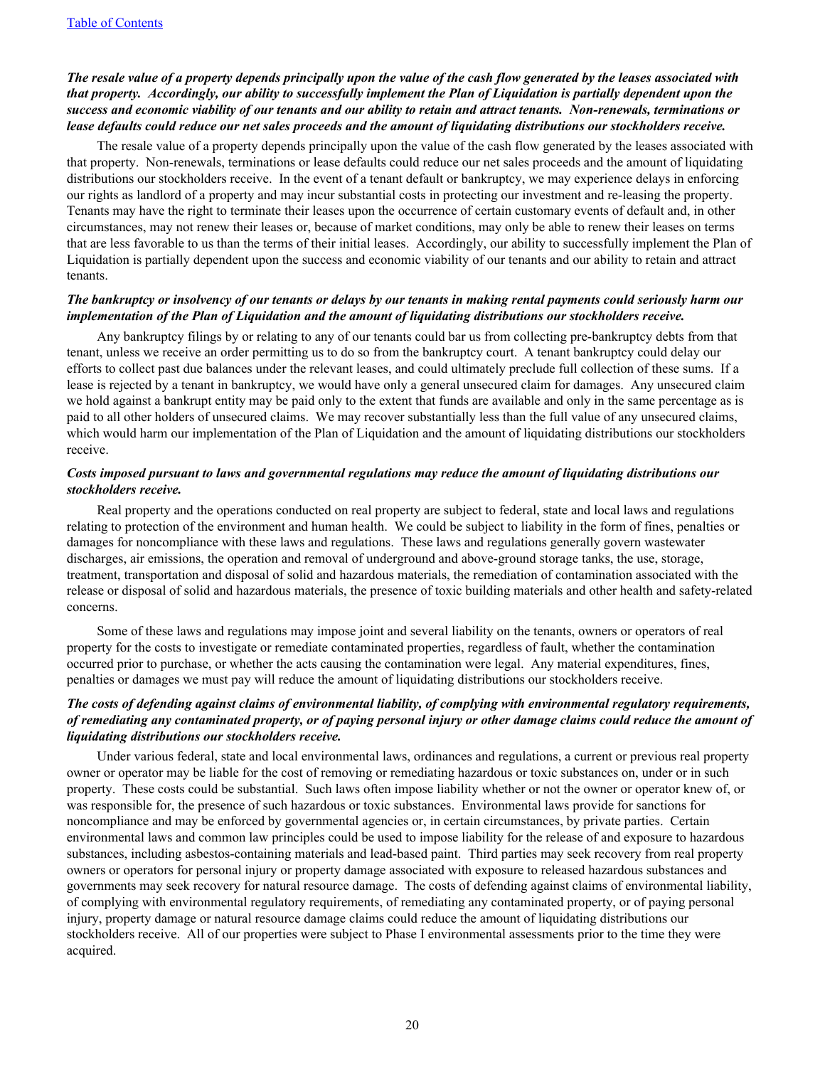# *The resale value of a property depends principally upon the value of the cash flow generated by the leases associated with that property. Accordingly, our ability to successfully implement the Plan of Liquidation is partially dependent upon the success and economic viability of our tenants and our ability to retain and attract tenants. Non-renewals, terminations or lease defaults could reduce our net sales proceeds and the amount of liquidating distributions our stockholders receive.*

The resale value of a property depends principally upon the value of the cash flow generated by the leases associated with that property. Non-renewals, terminations or lease defaults could reduce our net sales proceeds and the amount of liquidating distributions our stockholders receive. In the event of a tenant default or bankruptcy, we may experience delays in enforcing our rights as landlord of a property and may incur substantial costs in protecting our investment and re-leasing the property. Tenants may have the right to terminate their leases upon the occurrence of certain customary events of default and, in other circumstances, may not renew their leases or, because of market conditions, may only be able to renew their leases on terms that are less favorable to us than the terms of their initial leases. Accordingly, our ability to successfully implement the Plan of Liquidation is partially dependent upon the success and economic viability of our tenants and our ability to retain and attract tenants.

### *The bankruptcy or insolvency of our tenants or delays by our tenants in making rental payments could seriously harm our implementation of the Plan of Liquidation and the amount of liquidating distributions our stockholders receive.*

Any bankruptcy filings by or relating to any of our tenants could bar us from collecting pre-bankruptcy debts from that tenant, unless we receive an order permitting us to do so from the bankruptcy court. A tenant bankruptcy could delay our efforts to collect past due balances under the relevant leases, and could ultimately preclude full collection of these sums. If a lease is rejected by a tenant in bankruptcy, we would have only a general unsecured claim for damages. Any unsecured claim we hold against a bankrupt entity may be paid only to the extent that funds are available and only in the same percentage as is paid to all other holders of unsecured claims. We may recover substantially less than the full value of any unsecured claims, which would harm our implementation of the Plan of Liquidation and the amount of liquidating distributions our stockholders receive.

# *Costs imposed pursuant to laws and governmental regulations may reduce the amount of liquidating distributions our stockholders receive.*

Real property and the operations conducted on real property are subject to federal, state and local laws and regulations relating to protection of the environment and human health. We could be subject to liability in the form of fines, penalties or damages for noncompliance with these laws and regulations. These laws and regulations generally govern wastewater discharges, air emissions, the operation and removal of underground and above-ground storage tanks, the use, storage, treatment, transportation and disposal of solid and hazardous materials, the remediation of contamination associated with the release or disposal of solid and hazardous materials, the presence of toxic building materials and other health and safety-related concerns.

Some of these laws and regulations may impose joint and several liability on the tenants, owners or operators of real property for the costs to investigate or remediate contaminated properties, regardless of fault, whether the contamination occurred prior to purchase, or whether the acts causing the contamination were legal. Any material expenditures, fines, penalties or damages we must pay will reduce the amount of liquidating distributions our stockholders receive.

### *The costs of defending against claims of environmental liability, of complying with environmental regulatory requirements, of remediating any contaminated property, or of paying personal injury or other damage claims could reduce the amount of liquidating distributions our stockholders receive.*

Under various federal, state and local environmental laws, ordinances and regulations, a current or previous real property owner or operator may be liable for the cost of removing or remediating hazardous or toxic substances on, under or in such property. These costs could be substantial. Such laws often impose liability whether or not the owner or operator knew of, or was responsible for, the presence of such hazardous or toxic substances. Environmental laws provide for sanctions for noncompliance and may be enforced by governmental agencies or, in certain circumstances, by private parties. Certain environmental laws and common law principles could be used to impose liability for the release of and exposure to hazardous substances, including asbestos-containing materials and lead-based paint. Third parties may seek recovery from real property owners or operators for personal injury or property damage associated with exposure to released hazardous substances and governments may seek recovery for natural resource damage. The costs of defending against claims of environmental liability, of complying with environmental regulatory requirements, of remediating any contaminated property, or of paying personal injury, property damage or natural resource damage claims could reduce the amount of liquidating distributions our stockholders receive. All of our properties were subject to Phase I environmental assessments prior to the time they were acquired.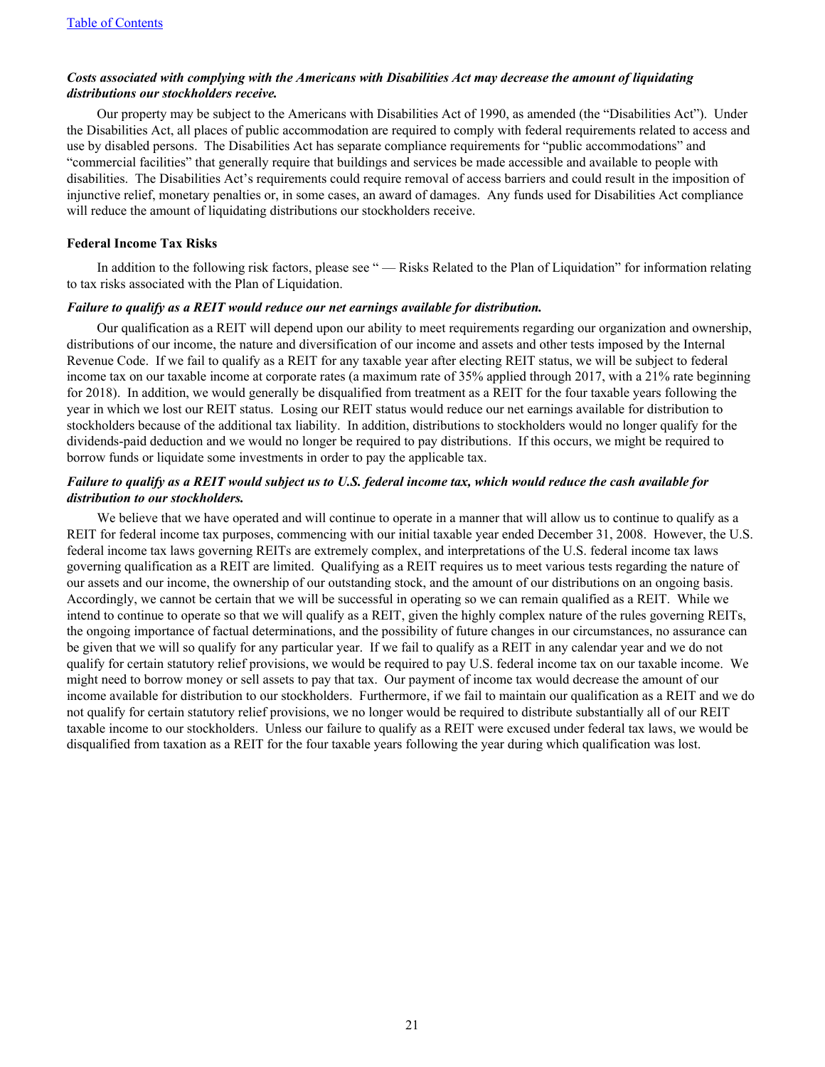#### *Costs associated with complying with the Americans with Disabilities Act may decrease the amount of liquidating distributions our stockholders receive.*

Our property may be subject to the Americans with Disabilities Act of 1990, as amended (the "Disabilities Act"). Under the Disabilities Act, all places of public accommodation are required to comply with federal requirements related to access and use by disabled persons. The Disabilities Act has separate compliance requirements for "public accommodations" and "commercial facilities" that generally require that buildings and services be made accessible and available to people with disabilities. The Disabilities Act's requirements could require removal of access barriers and could result in the imposition of injunctive relief, monetary penalties or, in some cases, an award of damages. Any funds used for Disabilities Act compliance will reduce the amount of liquidating distributions our stockholders receive.

#### **Federal Income Tax Risks**

In addition to the following risk factors, please see " — Risks Related to the Plan of Liquidation" for information relating to tax risks associated with the Plan of Liquidation.

#### *Failure to qualify as a REIT would reduce our net earnings available for distribution.*

Our qualification as a REIT will depend upon our ability to meet requirements regarding our organization and ownership, distributions of our income, the nature and diversification of our income and assets and other tests imposed by the Internal Revenue Code. If we fail to qualify as a REIT for any taxable year after electing REIT status, we will be subject to federal income tax on our taxable income at corporate rates (a maximum rate of 35% applied through 2017, with a 21% rate beginning for 2018). In addition, we would generally be disqualified from treatment as a REIT for the four taxable years following the year in which we lost our REIT status. Losing our REIT status would reduce our net earnings available for distribution to stockholders because of the additional tax liability. In addition, distributions to stockholders would no longer qualify for the dividends-paid deduction and we would no longer be required to pay distributions. If this occurs, we might be required to borrow funds or liquidate some investments in order to pay the applicable tax.

### *Failure to qualify as a REIT would subject us to U.S. federal income tax, which would reduce the cash available for distribution to our stockholders.*

We believe that we have operated and will continue to operate in a manner that will allow us to continue to qualify as a REIT for federal income tax purposes, commencing with our initial taxable year ended December 31, 2008. However, the U.S. federal income tax laws governing REITs are extremely complex, and interpretations of the U.S. federal income tax laws governing qualification as a REIT are limited. Qualifying as a REIT requires us to meet various tests regarding the nature of our assets and our income, the ownership of our outstanding stock, and the amount of our distributions on an ongoing basis. Accordingly, we cannot be certain that we will be successful in operating so we can remain qualified as a REIT. While we intend to continue to operate so that we will qualify as a REIT, given the highly complex nature of the rules governing REITs, the ongoing importance of factual determinations, and the possibility of future changes in our circumstances, no assurance can be given that we will so qualify for any particular year. If we fail to qualify as a REIT in any calendar year and we do not qualify for certain statutory relief provisions, we would be required to pay U.S. federal income tax on our taxable income. We might need to borrow money or sell assets to pay that tax. Our payment of income tax would decrease the amount of our income available for distribution to our stockholders. Furthermore, if we fail to maintain our qualification as a REIT and we do not qualify for certain statutory relief provisions, we no longer would be required to distribute substantially all of our REIT taxable income to our stockholders. Unless our failure to qualify as a REIT were excused under federal tax laws, we would be disqualified from taxation as a REIT for the four taxable years following the year during which qualification was lost.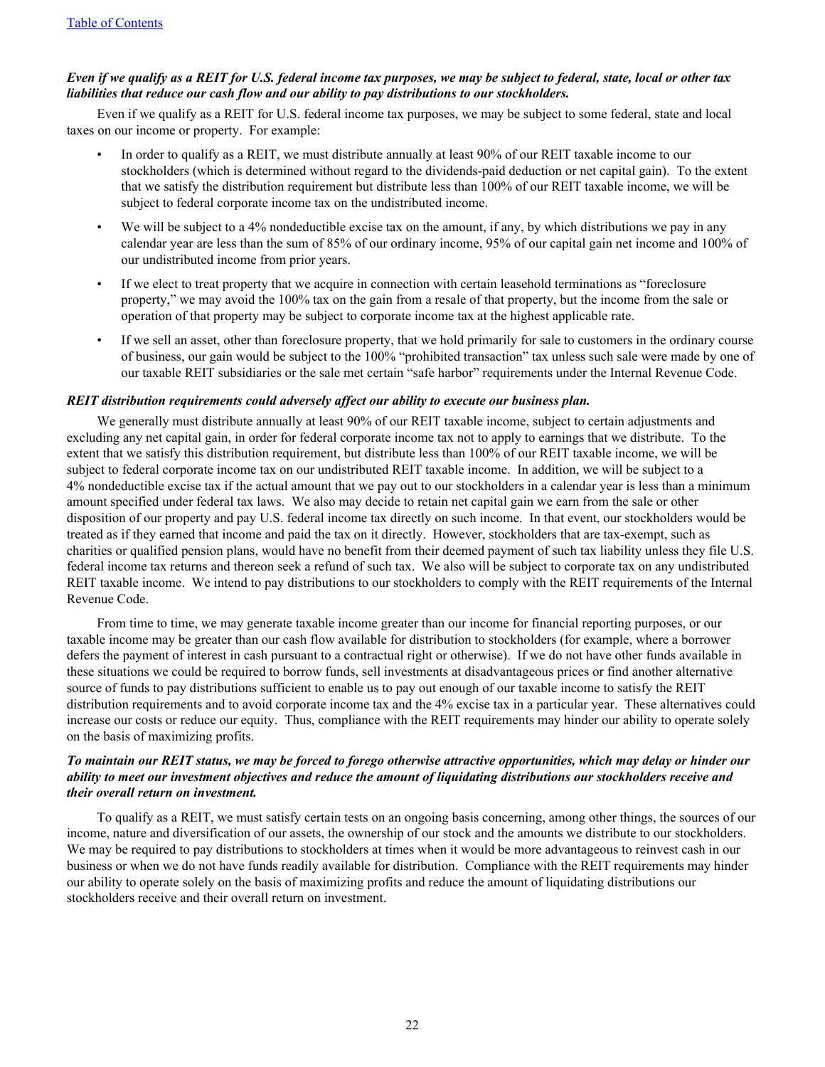# *Even if we qualify as a REIT for U.S. federal income tax purposes, we may be subject to federal, state, local or other tax liabilities that reduce our cash flow and our ability to pay distributions to our stockholders.*

Even if we qualify as a REIT for U.S. federal income tax purposes, we may be subject to some federal, state and local taxes on our income or property. For example:

- In order to qualify as a REIT, we must distribute annually at least 90% of our REIT taxable income to our stockholders (which is determined without regard to the dividends-paid deduction or net capital gain). To the extent that we satisfy the distribution requirement but distribute less than 100% of our REIT taxable income, we will be subject to federal corporate income tax on the undistributed income.
- We will be subject to a 4% nondeductible excise tax on the amount, if any, by which distributions we pay in any calendar year are less than the sum of 85% of our ordinary income, 95% of our capital gain net income and 100% of our undistributed income from prior years.
- If we elect to treat property that we acquire in connection with certain leasehold terminations as "foreclosure property," we may avoid the 100% tax on the gain from a resale of that property, but the income from the sale or operation of that property may be subject to corporate income tax at the highest applicable rate.
- If we sell an asset, other than foreclosure property, that we hold primarily for sale to customers in the ordinary course of business, our gain would be subject to the 100% "prohibited transaction" tax unless such sale were made by one of our taxable REIT subsidiaries or the sale met certain "safe harbor" requirements under the Internal Revenue Code.

#### *REIT distribution requirements could adversely affect our ability to execute our business plan.*

We generally must distribute annually at least 90% of our REIT taxable income, subject to certain adjustments and excluding any net capital gain, in order for federal corporate income tax not to apply to earnings that we distribute. To the extent that we satisfy this distribution requirement, but distribute less than 100% of our REIT taxable income, we will be subject to federal corporate income tax on our undistributed REIT taxable income. In addition, we will be subject to a 4% nondeductible excise tax if the actual amount that we pay out to our stockholders in a calendar year is less than a minimum amount specified under federal tax laws. We also may decide to retain net capital gain we earn from the sale or other disposition of our property and pay U.S. federal income tax directly on such income. In that event, our stockholders would be treated as if they earned that income and paid the tax on it directly. However, stockholders that are tax-exempt, such as charities or qualified pension plans, would have no benefit from their deemed payment of such tax liability unless they file U.S. federal income tax returns and thereon seek a refund of such tax. We also will be subject to corporate tax on any undistributed REIT taxable income. We intend to pay distributions to our stockholders to comply with the REIT requirements of the Internal Revenue Code.

From time to time, we may generate taxable income greater than our income for financial reporting purposes, or our taxable income may be greater than our cash flow available for distribution to stockholders (for example, where a borrower defers the payment of interest in cash pursuant to a contractual right or otherwise). If we do not have other funds available in these situations we could be required to borrow funds, sell investments at disadvantageous prices or find another alternative source of funds to pay distributions sufficient to enable us to pay out enough of our taxable income to satisfy the REIT distribution requirements and to avoid corporate income tax and the 4% excise tax in a particular year. These alternatives could increase our costs or reduce our equity. Thus, compliance with the REIT requirements may hinder our ability to operate solely on the basis of maximizing profits.

### *To maintain our REIT status, we may be forced to forego otherwise attractive opportunities, which may delay or hinder our ability to meet our investment objectives and reduce the amount of liquidating distributions our stockholders receive and their overall return on investment.*

To qualify as a REIT, we must satisfy certain tests on an ongoing basis concerning, among other things, the sources of our income, nature and diversification of our assets, the ownership of our stock and the amounts we distribute to our stockholders. We may be required to pay distributions to stockholders at times when it would be more advantageous to reinvest cash in our business or when we do not have funds readily available for distribution. Compliance with the REIT requirements may hinder our ability to operate solely on the basis of maximizing profits and reduce the amount of liquidating distributions our stockholders receive and their overall return on investment.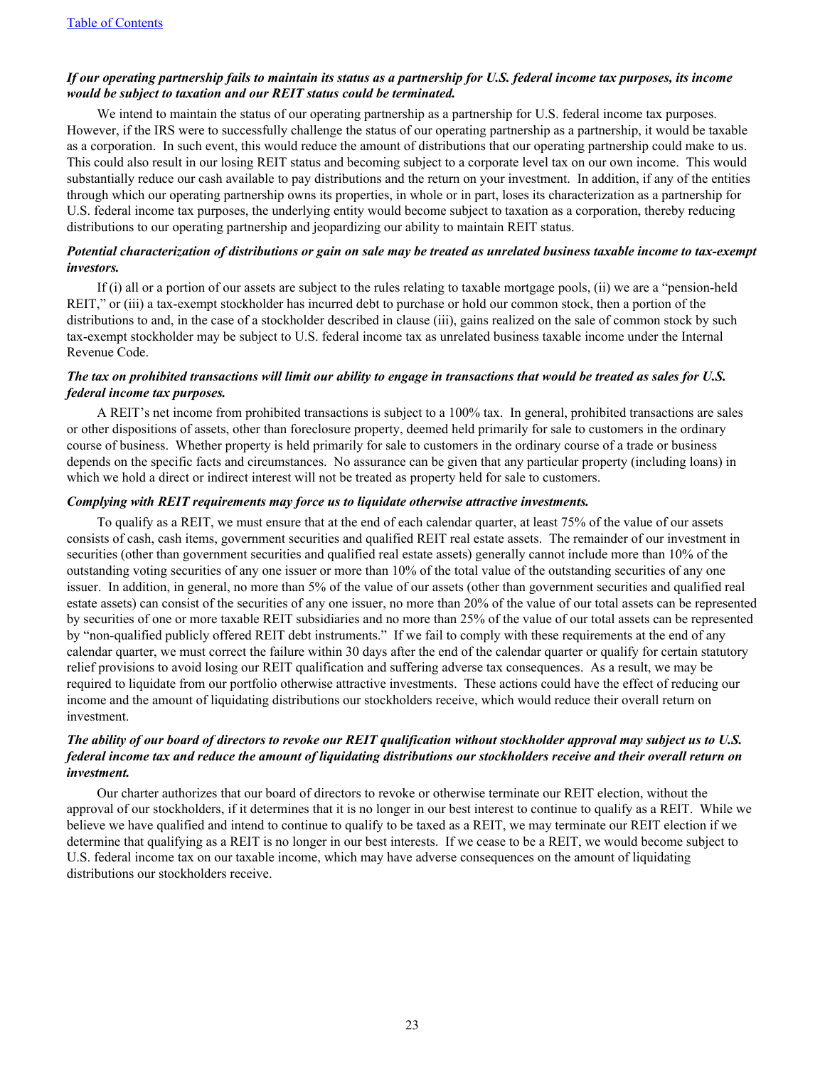### *If our operating partnership fails to maintain its status as a partnership for U.S. federal income tax purposes, its income would be subject to taxation and our REIT status could be terminated.*

We intend to maintain the status of our operating partnership as a partnership for U.S. federal income tax purposes. However, if the IRS were to successfully challenge the status of our operating partnership as a partnership, it would be taxable as a corporation. In such event, this would reduce the amount of distributions that our operating partnership could make to us. This could also result in our losing REIT status and becoming subject to a corporate level tax on our own income. This would substantially reduce our cash available to pay distributions and the return on your investment. In addition, if any of the entities through which our operating partnership owns its properties, in whole or in part, loses its characterization as a partnership for U.S. federal income tax purposes, the underlying entity would become subject to taxation as a corporation, thereby reducing distributions to our operating partnership and jeopardizing our ability to maintain REIT status.

# *Potential characterization of distributions or gain on sale may be treated as unrelated business taxable income to tax-exempt investors.*

If (i) all or a portion of our assets are subject to the rules relating to taxable mortgage pools, (ii) we are a "pension-held REIT," or (iii) a tax-exempt stockholder has incurred debt to purchase or hold our common stock, then a portion of the distributions to and, in the case of a stockholder described in clause (iii), gains realized on the sale of common stock by such tax-exempt stockholder may be subject to U.S. federal income tax as unrelated business taxable income under the Internal Revenue Code.

### *The tax on prohibited transactions will limit our ability to engage in transactions that would be treated as sales for U.S. federal income tax purposes.*

A REIT's net income from prohibited transactions is subject to a 100% tax. In general, prohibited transactions are sales or other dispositions of assets, other than foreclosure property, deemed held primarily for sale to customers in the ordinary course of business. Whether property is held primarily for sale to customers in the ordinary course of a trade or business depends on the specific facts and circumstances. No assurance can be given that any particular property (including loans) in which we hold a direct or indirect interest will not be treated as property held for sale to customers.

### *Complying with REIT requirements may force us to liquidate otherwise attractive investments.*

To qualify as a REIT, we must ensure that at the end of each calendar quarter, at least 75% of the value of our assets consists of cash, cash items, government securities and qualified REIT real estate assets. The remainder of our investment in securities (other than government securities and qualified real estate assets) generally cannot include more than 10% of the outstanding voting securities of any one issuer or more than 10% of the total value of the outstanding securities of any one issuer. In addition, in general, no more than 5% of the value of our assets (other than government securities and qualified real estate assets) can consist of the securities of any one issuer, no more than 20% of the value of our total assets can be represented by securities of one or more taxable REIT subsidiaries and no more than 25% of the value of our total assets can be represented by "non-qualified publicly offered REIT debt instruments." If we fail to comply with these requirements at the end of any calendar quarter, we must correct the failure within 30 days after the end of the calendar quarter or qualify for certain statutory relief provisions to avoid losing our REIT qualification and suffering adverse tax consequences. As a result, we may be required to liquidate from our portfolio otherwise attractive investments. These actions could have the effect of reducing our income and the amount of liquidating distributions our stockholders receive, which would reduce their overall return on investment.

### *The ability of our board of directors to revoke our REIT qualification without stockholder approval may subject us to U.S. federal income tax and reduce the amount of liquidating distributions our stockholders receive and their overall return on investment.*

Our charter authorizes that our board of directors to revoke or otherwise terminate our REIT election, without the approval of our stockholders, if it determines that it is no longer in our best interest to continue to qualify as a REIT. While we believe we have qualified and intend to continue to qualify to be taxed as a REIT, we may terminate our REIT election if we determine that qualifying as a REIT is no longer in our best interests. If we cease to be a REIT, we would become subject to U.S. federal income tax on our taxable income, which may have adverse consequences on the amount of liquidating distributions our stockholders receive.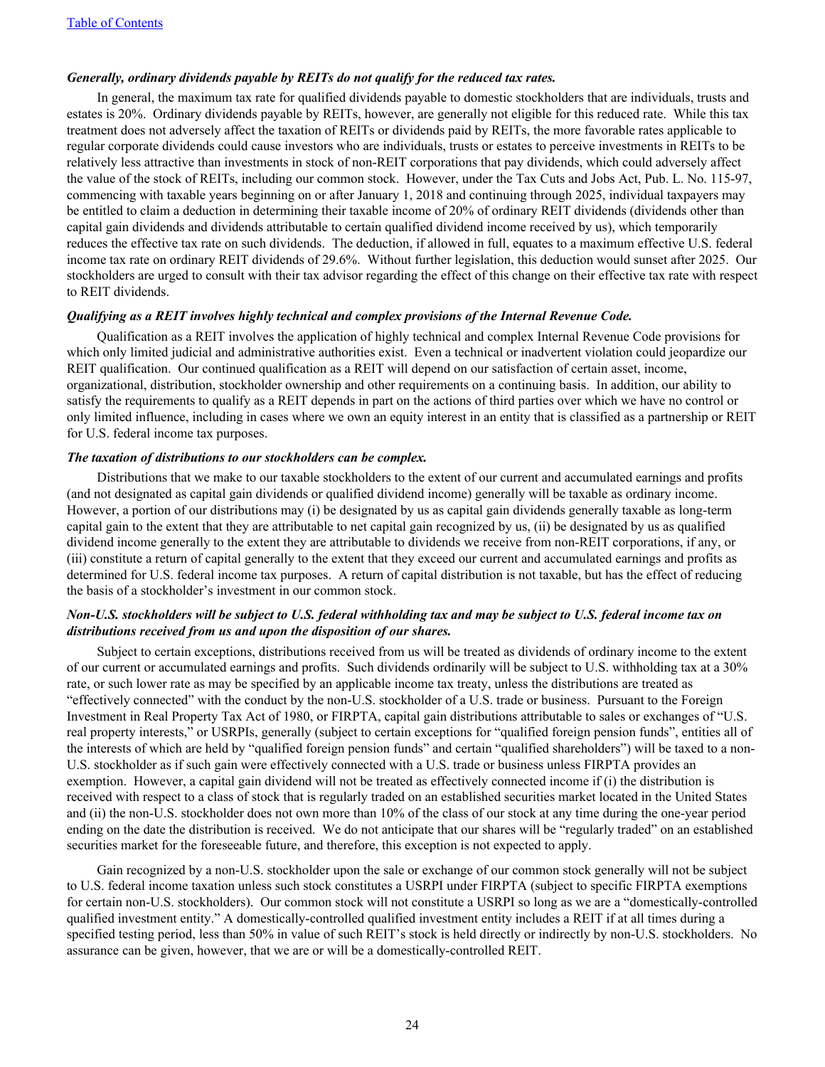#### *Generally, ordinary dividends payable by REITs do not qualify for the reduced tax rates.*

In general, the maximum tax rate for qualified dividends payable to domestic stockholders that are individuals, trusts and estates is 20%. Ordinary dividends payable by REITs, however, are generally not eligible for this reduced rate. While this tax treatment does not adversely affect the taxation of REITs or dividends paid by REITs, the more favorable rates applicable to regular corporate dividends could cause investors who are individuals, trusts or estates to perceive investments in REITs to be relatively less attractive than investments in stock of non-REIT corporations that pay dividends, which could adversely affect the value of the stock of REITs, including our common stock. However, under the Tax Cuts and Jobs Act, Pub. L. No. 115-97, commencing with taxable years beginning on or after January 1, 2018 and continuing through 2025, individual taxpayers may be entitled to claim a deduction in determining their taxable income of 20% of ordinary REIT dividends (dividends other than capital gain dividends and dividends attributable to certain qualified dividend income received by us), which temporarily reduces the effective tax rate on such dividends. The deduction, if allowed in full, equates to a maximum effective U.S. federal income tax rate on ordinary REIT dividends of 29.6%. Without further legislation, this deduction would sunset after 2025. Our stockholders are urged to consult with their tax advisor regarding the effect of this change on their effective tax rate with respect to REIT dividends.

#### *Qualifying as a REIT involves highly technical and complex provisions of the Internal Revenue Code.*

Qualification as a REIT involves the application of highly technical and complex Internal Revenue Code provisions for which only limited judicial and administrative authorities exist. Even a technical or inadvertent violation could jeopardize our REIT qualification. Our continued qualification as a REIT will depend on our satisfaction of certain asset, income, organizational, distribution, stockholder ownership and other requirements on a continuing basis. In addition, our ability to satisfy the requirements to qualify as a REIT depends in part on the actions of third parties over which we have no control or only limited influence, including in cases where we own an equity interest in an entity that is classified as a partnership or REIT for U.S. federal income tax purposes.

#### *The taxation of distributions to our stockholders can be complex.*

Distributions that we make to our taxable stockholders to the extent of our current and accumulated earnings and profits (and not designated as capital gain dividends or qualified dividend income) generally will be taxable as ordinary income. However, a portion of our distributions may (i) be designated by us as capital gain dividends generally taxable as long-term capital gain to the extent that they are attributable to net capital gain recognized by us, (ii) be designated by us as qualified dividend income generally to the extent they are attributable to dividends we receive from non-REIT corporations, if any, or (iii) constitute a return of capital generally to the extent that they exceed our current and accumulated earnings and profits as determined for U.S. federal income tax purposes. A return of capital distribution is not taxable, but has the effect of reducing the basis of a stockholder's investment in our common stock.

### *Non-U.S. stockholders will be subject to U.S. federal withholding tax and may be subject to U.S. federal income tax on distributions received from us and upon the disposition of our shares.*

Subject to certain exceptions, distributions received from us will be treated as dividends of ordinary income to the extent of our current or accumulated earnings and profits. Such dividends ordinarily will be subject to U.S. withholding tax at a 30% rate, or such lower rate as may be specified by an applicable income tax treaty, unless the distributions are treated as "effectively connected" with the conduct by the non-U.S. stockholder of a U.S. trade or business. Pursuant to the Foreign Investment in Real Property Tax Act of 1980, or FIRPTA, capital gain distributions attributable to sales or exchanges of "U.S. real property interests," or USRPIs, generally (subject to certain exceptions for "qualified foreign pension funds", entities all of the interests of which are held by "qualified foreign pension funds" and certain "qualified shareholders") will be taxed to a non-U.S. stockholder as if such gain were effectively connected with a U.S. trade or business unless FIRPTA provides an exemption. However, a capital gain dividend will not be treated as effectively connected income if (i) the distribution is received with respect to a class of stock that is regularly traded on an established securities market located in the United States and (ii) the non-U.S. stockholder does not own more than 10% of the class of our stock at any time during the one-year period ending on the date the distribution is received. We do not anticipate that our shares will be "regularly traded" on an established securities market for the foreseeable future, and therefore, this exception is not expected to apply.

Gain recognized by a non-U.S. stockholder upon the sale or exchange of our common stock generally will not be subject to U.S. federal income taxation unless such stock constitutes a USRPI under FIRPTA (subject to specific FIRPTA exemptions for certain non-U.S. stockholders). Our common stock will not constitute a USRPI so long as we are a "domestically-controlled qualified investment entity." A domestically-controlled qualified investment entity includes a REIT if at all times during a specified testing period, less than 50% in value of such REIT's stock is held directly or indirectly by non-U.S. stockholders. No assurance can be given, however, that we are or will be a domestically-controlled REIT.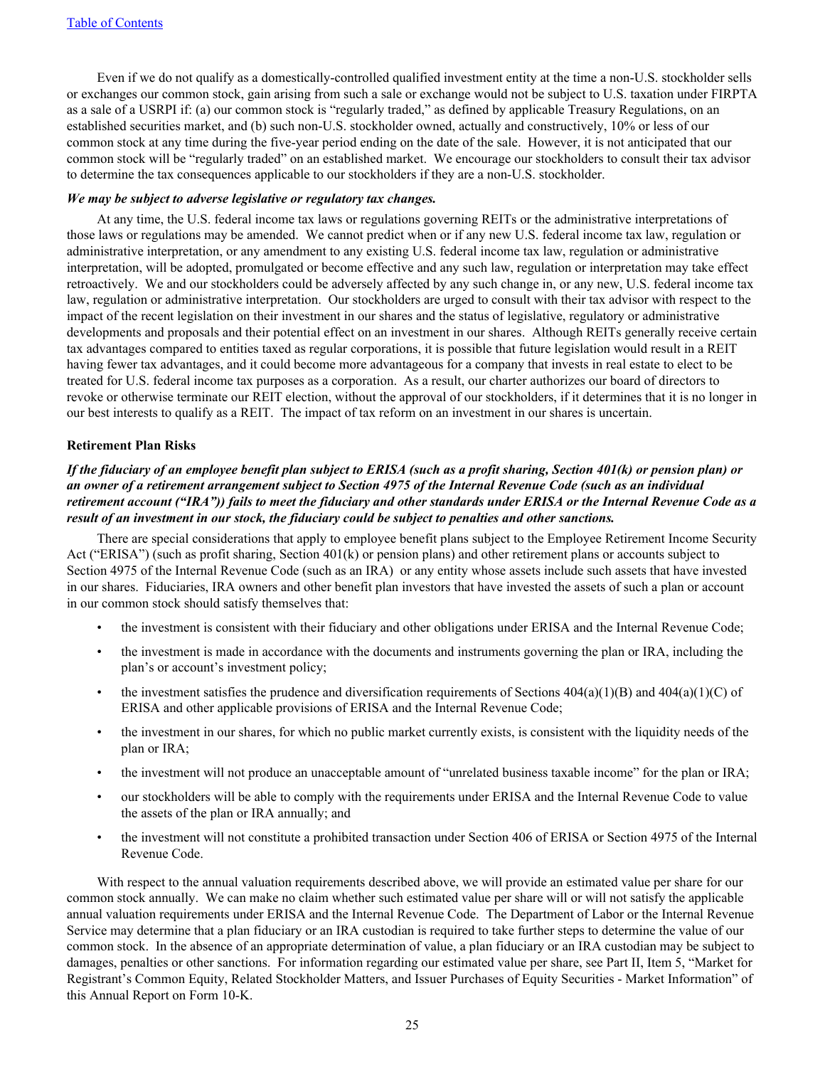Even if we do not qualify as a domestically-controlled qualified investment entity at the time a non-U.S. stockholder sells or exchanges our common stock, gain arising from such a sale or exchange would not be subject to U.S. taxation under FIRPTA as a sale of a USRPI if: (a) our common stock is "regularly traded," as defined by applicable Treasury Regulations, on an established securities market, and (b) such non-U.S. stockholder owned, actually and constructively, 10% or less of our common stock at any time during the five-year period ending on the date of the sale. However, it is not anticipated that our common stock will be "regularly traded" on an established market. We encourage our stockholders to consult their tax advisor to determine the tax consequences applicable to our stockholders if they are a non-U.S. stockholder.

#### *We may be subject to adverse legislative or regulatory tax changes.*

At any time, the U.S. federal income tax laws or regulations governing REITs or the administrative interpretations of those laws or regulations may be amended. We cannot predict when or if any new U.S. federal income tax law, regulation or administrative interpretation, or any amendment to any existing U.S. federal income tax law, regulation or administrative interpretation, will be adopted, promulgated or become effective and any such law, regulation or interpretation may take effect retroactively. We and our stockholders could be adversely affected by any such change in, or any new, U.S. federal income tax law, regulation or administrative interpretation. Our stockholders are urged to consult with their tax advisor with respect to the impact of the recent legislation on their investment in our shares and the status of legislative, regulatory or administrative developments and proposals and their potential effect on an investment in our shares. Although REITs generally receive certain tax advantages compared to entities taxed as regular corporations, it is possible that future legislation would result in a REIT having fewer tax advantages, and it could become more advantageous for a company that invests in real estate to elect to be treated for U.S. federal income tax purposes as a corporation. As a result, our charter authorizes our board of directors to revoke or otherwise terminate our REIT election, without the approval of our stockholders, if it determines that it is no longer in our best interests to qualify as a REIT. The impact of tax reform on an investment in our shares is uncertain.

#### **Retirement Plan Risks**

# *If the fiduciary of an employee benefit plan subject to ERISA (such as a profit sharing, Section 401(k) or pension plan) or an owner of a retirement arrangement subject to Section 4975 of the Internal Revenue Code (such as an individual retirement account ("IRA")) fails to meet the fiduciary and other standards under ERISA or the Internal Revenue Code as a result of an investment in our stock, the fiduciary could be subject to penalties and other sanctions.*

There are special considerations that apply to employee benefit plans subject to the Employee Retirement Income Security Act ("ERISA") (such as profit sharing, Section 401(k) or pension plans) and other retirement plans or accounts subject to Section 4975 of the Internal Revenue Code (such as an IRA) or any entity whose assets include such assets that have invested in our shares. Fiduciaries, IRA owners and other benefit plan investors that have invested the assets of such a plan or account in our common stock should satisfy themselves that:

- the investment is consistent with their fiduciary and other obligations under ERISA and the Internal Revenue Code;
- the investment is made in accordance with the documents and instruments governing the plan or IRA, including the plan's or account's investment policy;
- the investment satisfies the prudence and diversification requirements of Sections  $404(a)(1)(B)$  and  $404(a)(1)(C)$  of ERISA and other applicable provisions of ERISA and the Internal Revenue Code;
- the investment in our shares, for which no public market currently exists, is consistent with the liquidity needs of the plan or IRA;
- the investment will not produce an unacceptable amount of "unrelated business taxable income" for the plan or IRA;
- our stockholders will be able to comply with the requirements under ERISA and the Internal Revenue Code to value the assets of the plan or IRA annually; and
- the investment will not constitute a prohibited transaction under Section 406 of ERISA or Section 4975 of the Internal Revenue Code.

With respect to the annual valuation requirements described above, we will provide an estimated value per share for our common stock annually. We can make no claim whether such estimated value per share will or will not satisfy the applicable annual valuation requirements under ERISA and the Internal Revenue Code. The Department of Labor or the Internal Revenue Service may determine that a plan fiduciary or an IRA custodian is required to take further steps to determine the value of our common stock. In the absence of an appropriate determination of value, a plan fiduciary or an IRA custodian may be subject to damages, penalties or other sanctions. For information regarding our estimated value per share, see Part II, Item 5, "Market for Registrant's Common Equity, Related Stockholder Matters, and Issuer Purchases of Equity Securities - Market Information" of this Annual Report on Form 10-K.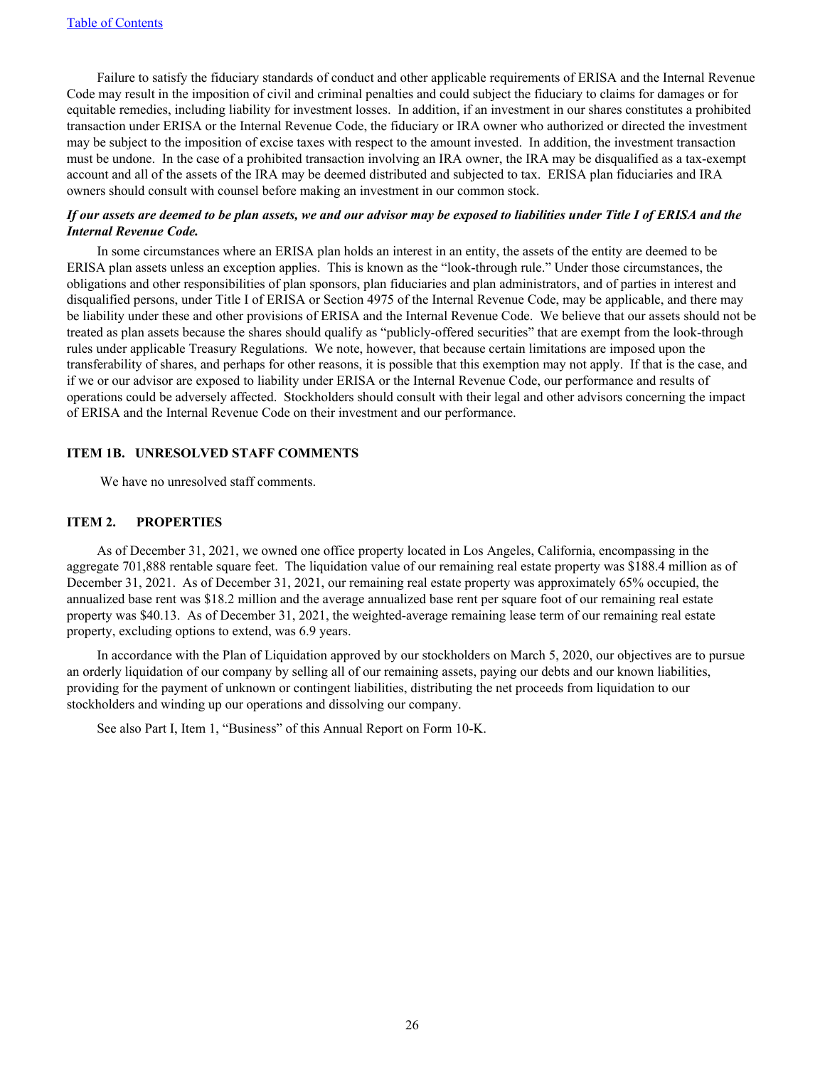<span id="page-26-0"></span>Failure to satisfy the fiduciary standards of conduct and other applicable requirements of ERISA and the Internal Revenue Code may result in the imposition of civil and criminal penalties and could subject the fiduciary to claims for damages or for equitable remedies, including liability for investment losses. In addition, if an investment in our shares constitutes a prohibited transaction under ERISA or the Internal Revenue Code, the fiduciary or IRA owner who authorized or directed the investment may be subject to the imposition of excise taxes with respect to the amount invested. In addition, the investment transaction must be undone. In the case of a prohibited transaction involving an IRA owner, the IRA may be disqualified as a tax-exempt account and all of the assets of the IRA may be deemed distributed and subjected to tax. ERISA plan fiduciaries and IRA owners should consult with counsel before making an investment in our common stock.

### *If our assets are deemed to be plan assets, we and our advisor may be exposed to liabilities under Title I of ERISA and the Internal Revenue Code.*

In some circumstances where an ERISA plan holds an interest in an entity, the assets of the entity are deemed to be ERISA plan assets unless an exception applies. This is known as the "look-through rule." Under those circumstances, the obligations and other responsibilities of plan sponsors, plan fiduciaries and plan administrators, and of parties in interest and disqualified persons, under Title I of ERISA or Section 4975 of the Internal Revenue Code, may be applicable, and there may be liability under these and other provisions of ERISA and the Internal Revenue Code. We believe that our assets should not be treated as plan assets because the shares should qualify as "publicly-offered securities" that are exempt from the look-through rules under applicable Treasury Regulations. We note, however, that because certain limitations are imposed upon the transferability of shares, and perhaps for other reasons, it is possible that this exemption may not apply. If that is the case, and if we or our advisor are exposed to liability under ERISA or the Internal Revenue Code, our performance and results of operations could be adversely affected. Stockholders should consult with their legal and other advisors concerning the impact of ERISA and the Internal Revenue Code on their investment and our performance.

#### **ITEM 1B. UNRESOLVED STAFF COMMENTS**

We have no unresolved staff comments.

#### **ITEM 2. PROPERTIES**

As of December 31, 2021, we owned one office property located in Los Angeles, California, encompassing in the aggregate 701,888 rentable square feet. The liquidation value of our remaining real estate property was \$188.4 million as of December 31, 2021. As of December 31, 2021, our remaining real estate property was approximately 65% occupied, the annualized base rent was \$18.2 million and the average annualized base rent per square foot of our remaining real estate property was \$40.13. As of December 31, 2021, the weighted-average remaining lease term of our remaining real estate property, excluding options to extend, was 6.9 years.

In accordance with the Plan of Liquidation approved by our stockholders on March 5, 2020, our objectives are to pursue an orderly liquidation of our company by selling all of our remaining assets, paying our debts and our known liabilities, providing for the payment of unknown or contingent liabilities, distributing the net proceeds from liquidation to our stockholders and winding up our operations and dissolving our company.

See also Part I, Item 1, "Business" of this Annual Report on Form 10-K.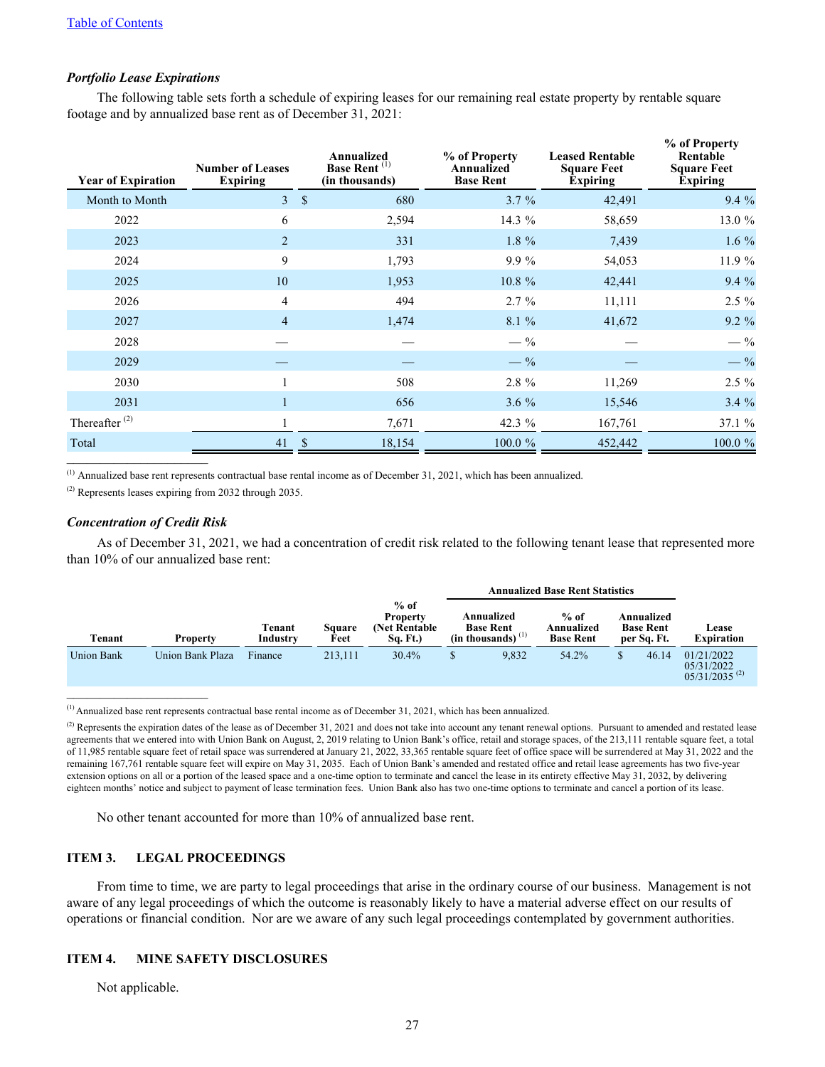### <span id="page-27-0"></span>*Portfolio Lease Expirations*

The following table sets forth a schedule of expiring leases for our remaining real estate property by rentable square footage and by annualized base rent as of December 31, 2021:

| <b>Year of Expiration</b> | <b>Number of Leases</b><br><b>Expiring</b> | Annualized<br>% of Property<br><b>Base Rent</b> <sup>(1)</sup><br>Annualized<br><b>Base Rent</b><br>(in thousands) |          | <b>Leased Rentable</b><br><b>Square Feet</b><br><b>Expiring</b> | % of Property<br>Rentable<br><b>Square Feet</b><br><b>Expiring</b> |
|---------------------------|--------------------------------------------|--------------------------------------------------------------------------------------------------------------------|----------|-----------------------------------------------------------------|--------------------------------------------------------------------|
| Month to Month            | 3                                          | $\mathbb{S}$<br>680                                                                                                | $3.7 \%$ | 42,491                                                          | 9.4%                                                               |
| 2022                      | 6                                          | 2,594                                                                                                              | 14.3 %   | 58,659                                                          | 13.0 %                                                             |
| 2023                      | $\overline{2}$                             | 331                                                                                                                | $1.8 \%$ | 7,439                                                           | $1.6\%$                                                            |
| 2024                      | 9                                          | 1,793                                                                                                              | 9.9%     | 54,053                                                          | 11.9 %                                                             |
| 2025                      | 10                                         | 1,953                                                                                                              | 10.8 %   | 42,441                                                          | 9.4%                                                               |
| 2026                      | 4                                          | 494                                                                                                                | $2.7\%$  | 11,111                                                          | 2.5 %                                                              |
| 2027                      | $\overline{4}$                             | 1,474                                                                                                              | 8.1%     | 41,672                                                          | $9.2\%$                                                            |
| 2028                      |                                            |                                                                                                                    | $-$ %    |                                                                 | $-$ %                                                              |
| 2029                      |                                            |                                                                                                                    | $-$ %    |                                                                 | $ \%$                                                              |
| 2030                      |                                            | 508                                                                                                                | 2.8 %    | 11,269                                                          | 2.5 %                                                              |
| 2031                      |                                            | 656                                                                                                                | $3.6\%$  | 15,546                                                          | 3.4%                                                               |
| Thereafter $^{(2)}$       |                                            | 7,671                                                                                                              | 42.3 %   | 167,761                                                         | 37.1 %                                                             |
| Total                     | 41                                         | 18,154<br>\$.                                                                                                      | 100.0 %  | 452,442                                                         | 100.0 %                                                            |

 $<sup>(1)</sup>$  Annualized base rent represents contractual base rental income as of December 31, 2021, which has been annualized.</sup>

(2) Represents leases expiring from 2032 through 2035.

#### *Concentration of Credit Risk*

As of December 31, 2021, we had a concentration of credit risk related to the following tenant lease that represented more than 10% of our annualized base rent:

|                   |                  |                    |                       |                                                        | <b>Annualized Base Rent Statistics</b> |       |                                           |  |                                |                                                         |  |                            |
|-------------------|------------------|--------------------|-----------------------|--------------------------------------------------------|----------------------------------------|-------|-------------------------------------------|--|--------------------------------|---------------------------------------------------------|--|----------------------------|
| Tenant            | <b>Property</b>  | Tenant<br>Industry | <b>Square</b><br>Feet | $%$ of<br><b>Property</b><br>(Net Rentable)<br>Sq. Ft. | Annualized<br><b>Base Rent</b>         |       | $%$ of<br>$(in thousands)$ <sup>(1)</sup> |  | Annualized<br><b>Base Rent</b> | Annualized<br><b>Base Rent</b><br>per Sq. Ft.           |  | Lease<br><b>Expiration</b> |
| <b>Union Bank</b> | Union Bank Plaza | Finance            | 213.111               | 30.4%                                                  |                                        | 9,832 | 54.2%                                     |  | 46.14                          | 01/21/2022<br>05/31/2022<br>$05/31/2035$ <sup>(2)</sup> |  |                            |

 $(1)$  Annualized base rent represents contractual base rental income as of December 31, 2021, which has been annualized.

 $<sup>(2)</sup>$  Represents the expiration dates of the lease as of December 31, 2021 and does not take into account any tenant renewal options. Pursuant to amended and restated lease</sup> agreements that we entered into with Union Bank on August, 2, 2019 relating to Union Bank's office, retail and storage spaces, of the 213,111 rentable square feet, a total of 11,985 rentable square feet of retail space was surrendered at January 21, 2022, 33,365 rentable square feet of office space will be surrendered at May 31, 2022 and the remaining 167,761 rentable square feet will expire on May 31, 2035. Each of Union Bank's amended and restated office and retail lease agreements has two five-year extension options on all or a portion of the leased space and a one-time option to terminate and cancel the lease in its entirety effective May 31, 2032, by delivering eighteen months' notice and subject to payment of lease termination fees. Union Bank also has two one-time options to terminate and cancel a portion of its lease.

No other tenant accounted for more than 10% of annualized base rent.

### **ITEM 3. LEGAL PROCEEDINGS**

From time to time, we are party to legal proceedings that arise in the ordinary course of our business. Management is not aware of any legal proceedings of which the outcome is reasonably likely to have a material adverse effect on our results of operations or financial condition. Nor are we aware of any such legal proceedings contemplated by government authorities.

#### **ITEM 4. MINE SAFETY DISCLOSURES**

Not applicable.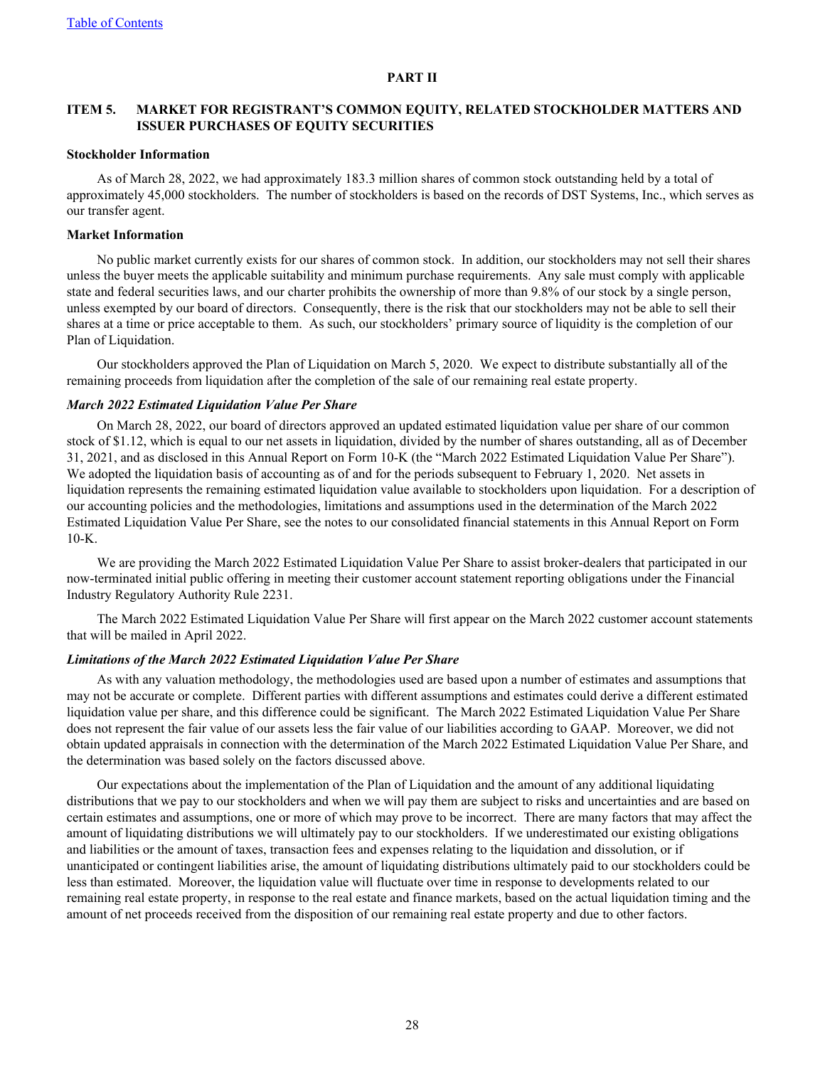#### **PART II**

# <span id="page-28-0"></span>**ITEM 5. MARKET FOR REGISTRANT'S COMMON EQUITY, RELATED STOCKHOLDER MATTERS AND ISSUER PURCHASES OF EQUITY SECURITIES**

#### **Stockholder Information**

As of March 28, 2022, we had approximately 183.3 million shares of common stock outstanding held by a total of approximately 45,000 stockholders. The number of stockholders is based on the records of DST Systems, Inc., which serves as our transfer agent.

#### **Market Information**

No public market currently exists for our shares of common stock. In addition, our stockholders may not sell their shares unless the buyer meets the applicable suitability and minimum purchase requirements. Any sale must comply with applicable state and federal securities laws, and our charter prohibits the ownership of more than 9.8% of our stock by a single person, unless exempted by our board of directors. Consequently, there is the risk that our stockholders may not be able to sell their shares at a time or price acceptable to them. As such, our stockholders' primary source of liquidity is the completion of our Plan of Liquidation.

Our stockholders approved the Plan of Liquidation on March 5, 2020. We expect to distribute substantially all of the remaining proceeds from liquidation after the completion of the sale of our remaining real estate property.

#### *March 2022 Estimated Liquidation Value Per Share*

On March 28, 2022, our board of directors approved an updated estimated liquidation value per share of our common stock of \$1.12, which is equal to our net assets in liquidation, divided by the number of shares outstanding, all as of December 31, 2021, and as disclosed in this Annual Report on Form 10-K (the "March 2022 Estimated Liquidation Value Per Share"). We adopted the liquidation basis of accounting as of and for the periods subsequent to February 1, 2020. Net assets in liquidation represents the remaining estimated liquidation value available to stockholders upon liquidation. For a description of our accounting policies and the methodologies, limitations and assumptions used in the determination of the March 2022 Estimated Liquidation Value Per Share, see the notes to our consolidated financial statements in this Annual Report on Form 10-K.

We are providing the March 2022 Estimated Liquidation Value Per Share to assist broker-dealers that participated in our now-terminated initial public offering in meeting their customer account statement reporting obligations under the Financial Industry Regulatory Authority Rule 2231.

The March 2022 Estimated Liquidation Value Per Share will first appear on the March 2022 customer account statements that will be mailed in April 2022.

### *Limitations of the March 2022 Estimated Liquidation Value Per Share*

As with any valuation methodology, the methodologies used are based upon a number of estimates and assumptions that may not be accurate or complete. Different parties with different assumptions and estimates could derive a different estimated liquidation value per share, and this difference could be significant. The March 2022 Estimated Liquidation Value Per Share does not represent the fair value of our assets less the fair value of our liabilities according to GAAP. Moreover, we did not obtain updated appraisals in connection with the determination of the March 2022 Estimated Liquidation Value Per Share, and the determination was based solely on the factors discussed above.

Our expectations about the implementation of the Plan of Liquidation and the amount of any additional liquidating distributions that we pay to our stockholders and when we will pay them are subject to risks and uncertainties and are based on certain estimates and assumptions, one or more of which may prove to be incorrect. There are many factors that may affect the amount of liquidating distributions we will ultimately pay to our stockholders. If we underestimated our existing obligations and liabilities or the amount of taxes, transaction fees and expenses relating to the liquidation and dissolution, or if unanticipated or contingent liabilities arise, the amount of liquidating distributions ultimately paid to our stockholders could be less than estimated. Moreover, the liquidation value will fluctuate over time in response to developments related to our remaining real estate property, in response to the real estate and finance markets, based on the actual liquidation timing and the amount of net proceeds received from the disposition of our remaining real estate property and due to other factors.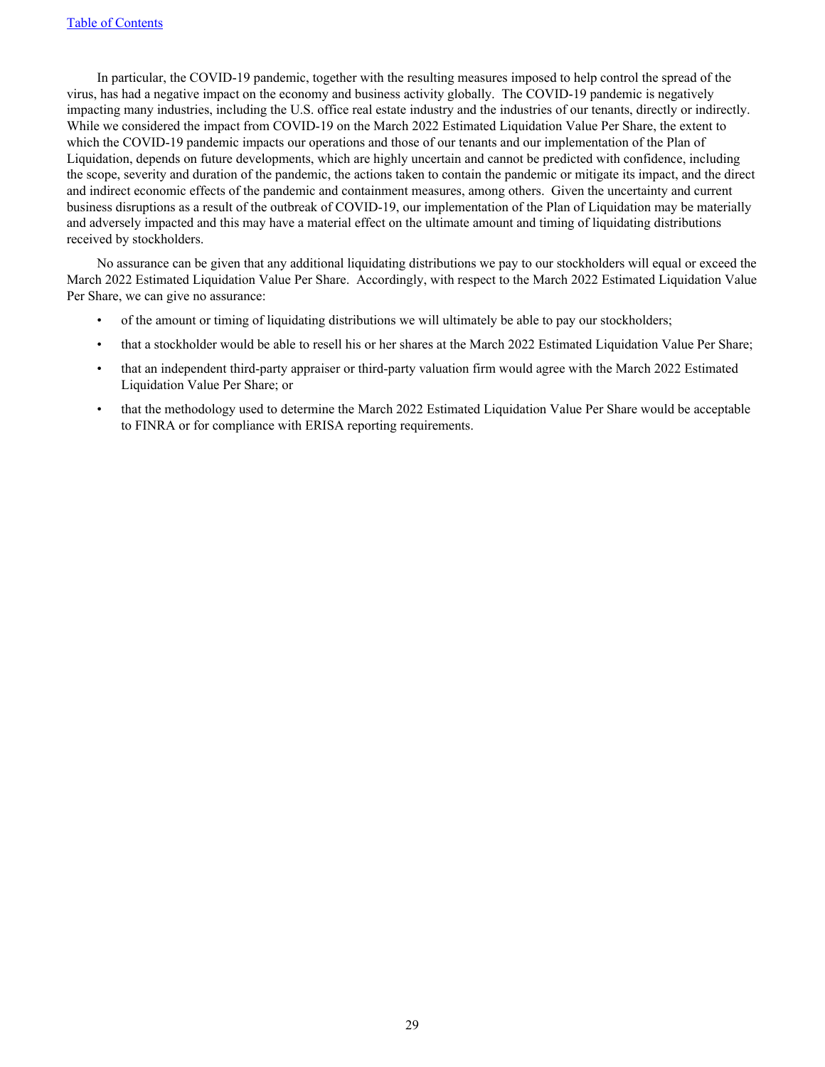In particular, the COVID-19 pandemic, together with the resulting measures imposed to help control the spread of the virus, has had a negative impact on the economy and business activity globally. The COVID-19 pandemic is negatively impacting many industries, including the U.S. office real estate industry and the industries of our tenants, directly or indirectly. While we considered the impact from COVID-19 on the March 2022 Estimated Liquidation Value Per Share, the extent to which the COVID-19 pandemic impacts our operations and those of our tenants and our implementation of the Plan of Liquidation, depends on future developments, which are highly uncertain and cannot be predicted with confidence, including the scope, severity and duration of the pandemic, the actions taken to contain the pandemic or mitigate its impact, and the direct and indirect economic effects of the pandemic and containment measures, among others. Given the uncertainty and current business disruptions as a result of the outbreak of COVID-19, our implementation of the Plan of Liquidation may be materially and adversely impacted and this may have a material effect on the ultimate amount and timing of liquidating distributions received by stockholders.

No assurance can be given that any additional liquidating distributions we pay to our stockholders will equal or exceed the March 2022 Estimated Liquidation Value Per Share. Accordingly, with respect to the March 2022 Estimated Liquidation Value Per Share, we can give no assurance:

- of the amount or timing of liquidating distributions we will ultimately be able to pay our stockholders;
- that a stockholder would be able to resell his or her shares at the March 2022 Estimated Liquidation Value Per Share;
- that an independent third-party appraiser or third-party valuation firm would agree with the March 2022 Estimated Liquidation Value Per Share; or
- that the methodology used to determine the March 2022 Estimated Liquidation Value Per Share would be acceptable to FINRA or for compliance with ERISA reporting requirements.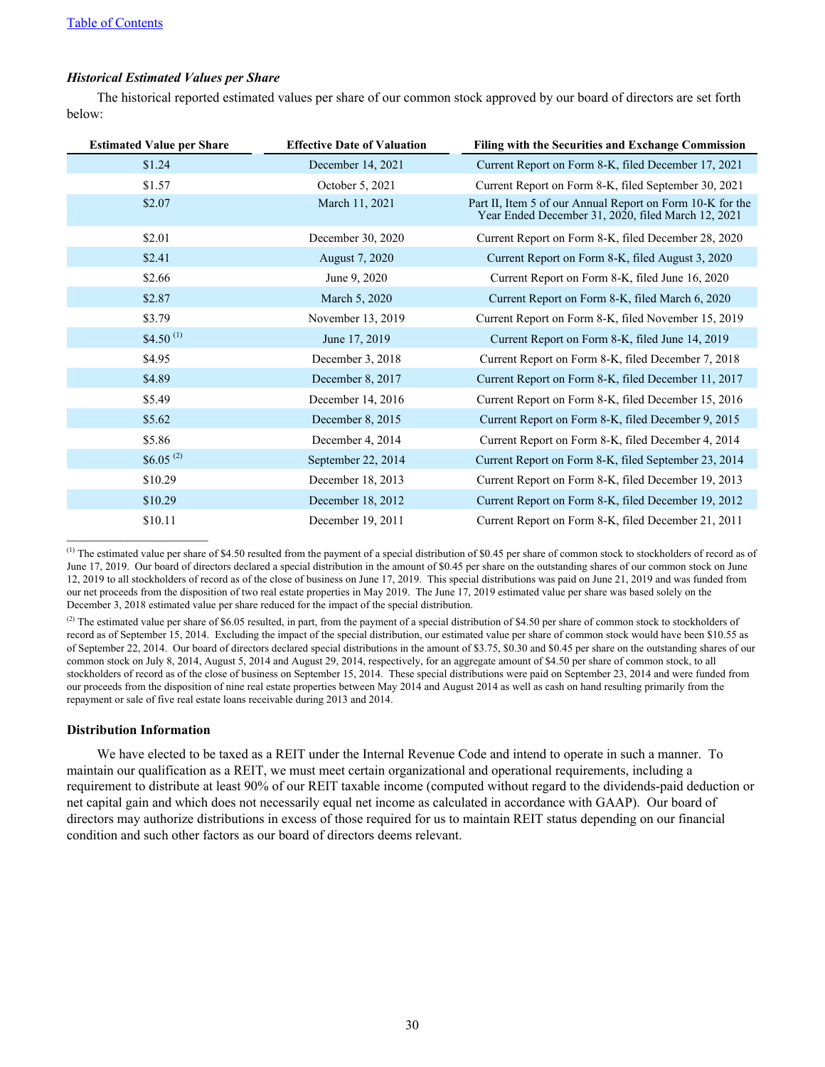### *Historical Estimated Values per Share*

The historical reported estimated values per share of our common stock approved by our board of directors are set forth below:

| <b>Estimated Value per Share</b> | <b>Effective Date of Valuation</b> | Filing with the Securities and Exchange Commission                                                              |
|----------------------------------|------------------------------------|-----------------------------------------------------------------------------------------------------------------|
| \$1.24                           | December 14, 2021                  | Current Report on Form 8-K, filed December 17, 2021                                                             |
| \$1.57                           | October 5, 2021                    | Current Report on Form 8-K, filed September 30, 2021                                                            |
| \$2.07                           | March 11, 2021                     | Part II, Item 5 of our Annual Report on Form 10-K for the<br>Year Ended December 31, 2020, filed March 12, 2021 |
| \$2.01                           | December 30, 2020                  | Current Report on Form 8-K, filed December 28, 2020                                                             |
| \$2.41                           | <b>August 7, 2020</b>              | Current Report on Form 8-K, filed August 3, 2020                                                                |
| \$2.66                           | June 9, 2020                       | Current Report on Form 8-K, filed June 16, 2020                                                                 |
| \$2.87                           | March 5, 2020                      | Current Report on Form 8-K, filed March 6, 2020                                                                 |
| \$3.79                           | November 13, 2019                  | Current Report on Form 8-K, filed November 15, 2019                                                             |
| \$4.50 $^{(1)}$                  | June 17, 2019                      | Current Report on Form 8-K, filed June 14, 2019                                                                 |
| \$4.95                           | December 3, 2018                   | Current Report on Form 8-K, filed December 7, 2018                                                              |
| \$4.89                           | December 8, 2017                   | Current Report on Form 8-K, filed December 11, 2017                                                             |
| \$5.49                           | December 14, 2016                  | Current Report on Form 8-K, filed December 15, 2016                                                             |
| \$5.62                           | December 8, 2015                   | Current Report on Form 8-K, filed December 9, 2015                                                              |
| \$5.86                           | December 4, 2014                   | Current Report on Form 8-K, filed December 4, 2014                                                              |
| $$6.05$^{(2)}$                   | September 22, 2014                 | Current Report on Form 8-K, filed September 23, 2014                                                            |
| \$10.29                          | December 18, 2013                  | Current Report on Form 8-K, filed December 19, 2013                                                             |
| \$10.29                          | December 18, 2012                  | Current Report on Form 8-K, filed December 19, 2012                                                             |
| \$10.11                          | December 19, 2011                  | Current Report on Form 8-K, filed December 21, 2011                                                             |

 $<sup>(1)</sup>$  The estimated value per share of \$4.50 resulted from the payment of a special distribution of \$0.45 per share of common stock to stockholders of record as of</sup> June 17, 2019. Our board of directors declared a special distribution in the amount of \$0.45 per share on the outstanding shares of our common stock on June 12, 2019 to all stockholders of record as of the close of business on June 17, 2019. This special distributions was paid on June 21, 2019 and was funded from our net proceeds from the disposition of two real estate properties in May 2019. The June 17, 2019 estimated value per share was based solely on the December 3, 2018 estimated value per share reduced for the impact of the special distribution.

 $^{(2)}$  The estimated value per share of \$6.05 resulted, in part, from the payment of a special distribution of \$4.50 per share of common stock to stockholders of record as of September 15, 2014. Excluding the impact of the special distribution, our estimated value per share of common stock would have been \$10.55 as of September 22, 2014. Our board of directors declared special distributions in the amount of \$3.75, \$0.30 and \$0.45 per share on the outstanding shares of our common stock on July 8, 2014, August 5, 2014 and August 29, 2014, respectively, for an aggregate amount of \$4.50 per share of common stock, to all stockholders of record as of the close of business on September 15, 2014. These special distributions were paid on September 23, 2014 and were funded from our proceeds from the disposition of nine real estate properties between May 2014 and August 2014 as well as cash on hand resulting primarily from the repayment or sale of five real estate loans receivable during 2013 and 2014.

### **Distribution Information**

We have elected to be taxed as a REIT under the Internal Revenue Code and intend to operate in such a manner. To maintain our qualification as a REIT, we must meet certain organizational and operational requirements, including a requirement to distribute at least 90% of our REIT taxable income (computed without regard to the dividends-paid deduction or net capital gain and which does not necessarily equal net income as calculated in accordance with GAAP). Our board of directors may authorize distributions in excess of those required for us to maintain REIT status depending on our financial condition and such other factors as our board of directors deems relevant.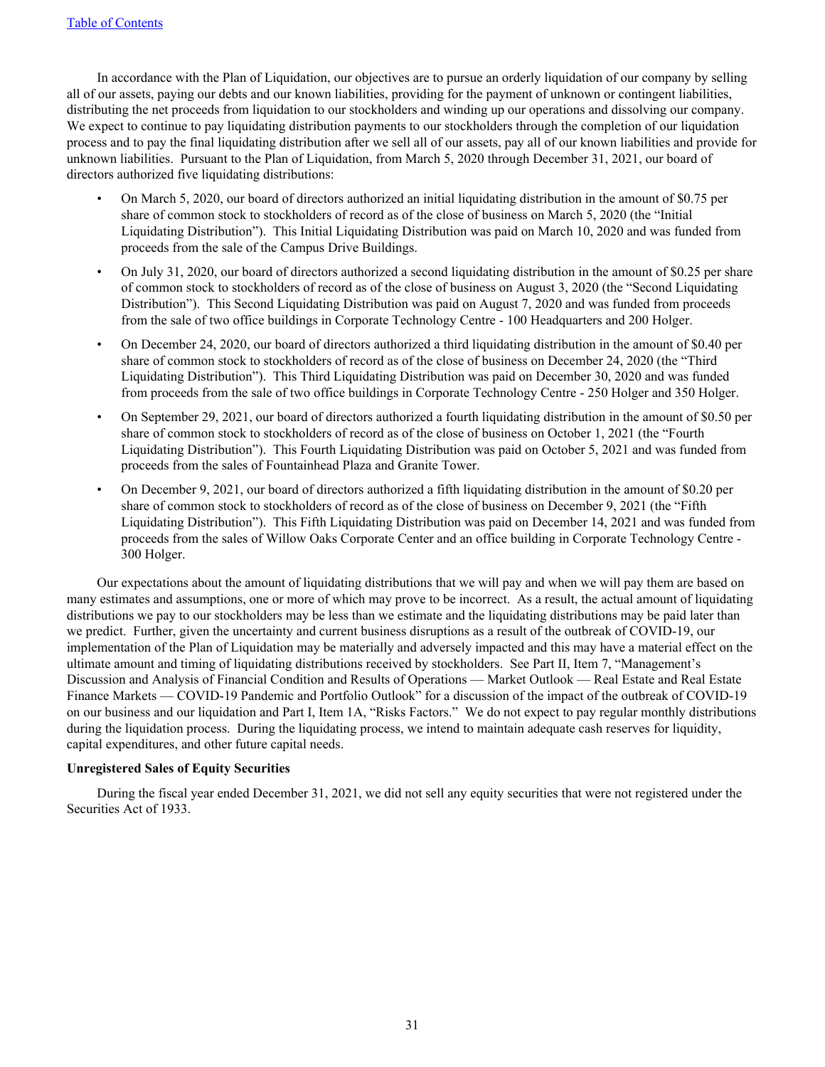In accordance with the Plan of Liquidation, our objectives are to pursue an orderly liquidation of our company by selling all of our assets, paying our debts and our known liabilities, providing for the payment of unknown or contingent liabilities, distributing the net proceeds from liquidation to our stockholders and winding up our operations and dissolving our company. We expect to continue to pay liquidating distribution payments to our stockholders through the completion of our liquidation process and to pay the final liquidating distribution after we sell all of our assets, pay all of our known liabilities and provide for unknown liabilities. Pursuant to the Plan of Liquidation, from March 5, 2020 through December 31, 2021, our board of directors authorized five liquidating distributions:

- On March 5, 2020, our board of directors authorized an initial liquidating distribution in the amount of \$0.75 per share of common stock to stockholders of record as of the close of business on March 5, 2020 (the "Initial Liquidating Distribution"). This Initial Liquidating Distribution was paid on March 10, 2020 and was funded from proceeds from the sale of the Campus Drive Buildings.
- On July 31, 2020, our board of directors authorized a second liquidating distribution in the amount of \$0.25 per share of common stock to stockholders of record as of the close of business on August 3, 2020 (the "Second Liquidating Distribution"). This Second Liquidating Distribution was paid on August 7, 2020 and was funded from proceeds from the sale of two office buildings in Corporate Technology Centre - 100 Headquarters and 200 Holger.
- On December 24, 2020, our board of directors authorized a third liquidating distribution in the amount of \$0.40 per share of common stock to stockholders of record as of the close of business on December 24, 2020 (the "Third Liquidating Distribution"). This Third Liquidating Distribution was paid on December 30, 2020 and was funded from proceeds from the sale of two office buildings in Corporate Technology Centre - 250 Holger and 350 Holger.
- On September 29, 2021, our board of directors authorized a fourth liquidating distribution in the amount of \$0.50 per share of common stock to stockholders of record as of the close of business on October 1, 2021 (the "Fourth Liquidating Distribution"). This Fourth Liquidating Distribution was paid on October 5, 2021 and was funded from proceeds from the sales of Fountainhead Plaza and Granite Tower.
- On December 9, 2021, our board of directors authorized a fifth liquidating distribution in the amount of \$0.20 per share of common stock to stockholders of record as of the close of business on December 9, 2021 (the "Fifth Liquidating Distribution"). This Fifth Liquidating Distribution was paid on December 14, 2021 and was funded from proceeds from the sales of Willow Oaks Corporate Center and an office building in Corporate Technology Centre - 300 Holger.

Our expectations about the amount of liquidating distributions that we will pay and when we will pay them are based on many estimates and assumptions, one or more of which may prove to be incorrect. As a result, the actual amount of liquidating distributions we pay to our stockholders may be less than we estimate and the liquidating distributions may be paid later than we predict. Further, given the uncertainty and current business disruptions as a result of the outbreak of COVID-19, our implementation of the Plan of Liquidation may be materially and adversely impacted and this may have a material effect on the ultimate amount and timing of liquidating distributions received by stockholders. See Part II, Item 7, "Management's Discussion and Analysis of Financial Condition and Results of Operations — Market Outlook — Real Estate and Real Estate Finance Markets — COVID-19 Pandemic and Portfolio Outlook" for a discussion of the impact of the outbreak of COVID-19 on our business and our liquidation and Part I, Item 1A, "Risks Factors." We do not expect to pay regular monthly distributions during the liquidation process. During the liquidating process, we intend to maintain adequate cash reserves for liquidity, capital expenditures, and other future capital needs.

### **Unregistered Sales of Equity Securities**

During the fiscal year ended December 31, 2021, we did not sell any equity securities that were not registered under the Securities Act of 1933.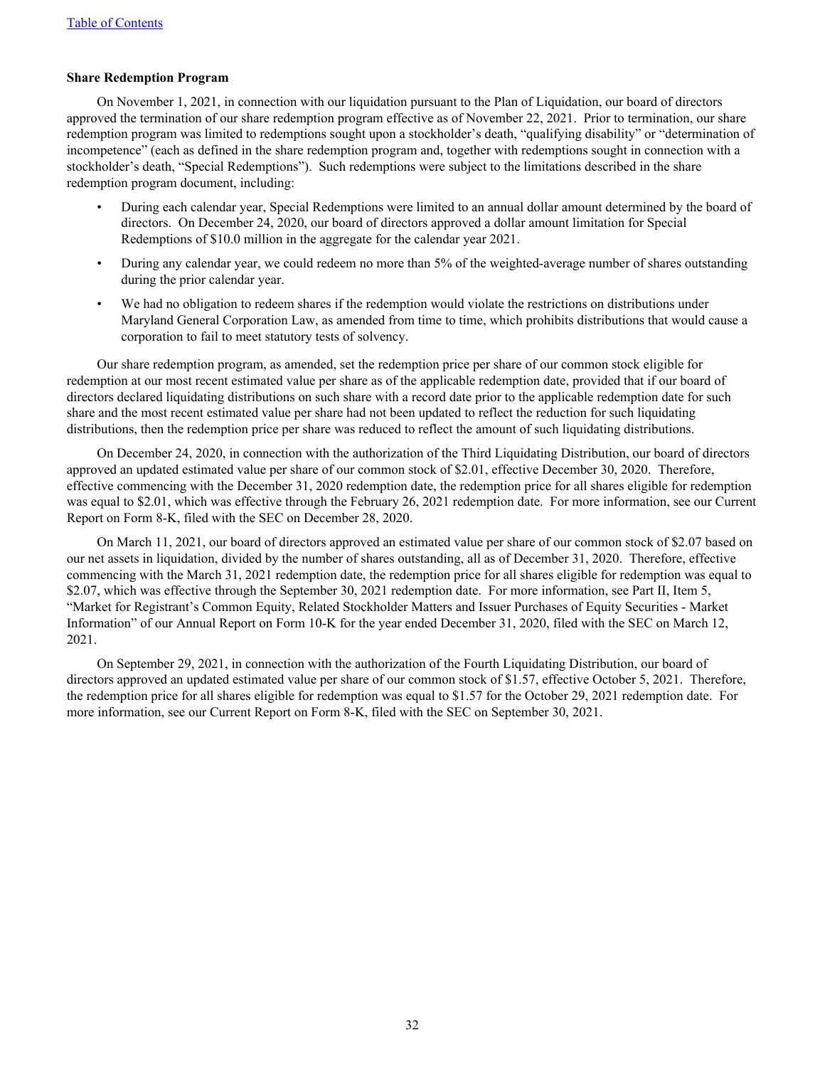### **Share Redemption Program**

On November 1, 2021, in connection with our liquidation pursuant to the Plan of Liquidation, our board of directors approved the termination of our share redemption program effective as of November 22, 2021. Prior to termination, our share redemption program was limited to redemptions sought upon a stockholder's death, "qualifying disability" or "determination of incompetence" (each as defined in the share redemption program and, together with redemptions sought in connection with a stockholder's death, "Special Redemptions"). Such redemptions were subject to the limitations described in the share redemption program document, including:

- During each calendar year, Special Redemptions were limited to an annual dollar amount determined by the board of directors. On December 24, 2020, our board of directors approved a dollar amount limitation for Special Redemptions of \$10.0 million in the aggregate for the calendar year 2021.
- During any calendar year, we could redeem no more than 5% of the weighted-average number of shares outstanding during the prior calendar year.
- We had no obligation to redeem shares if the redemption would violate the restrictions on distributions under Maryland General Corporation Law, as amended from time to time, which prohibits distributions that would cause a corporation to fail to meet statutory tests of solvency.

Our share redemption program, as amended, set the redemption price per share of our common stock eligible for redemption at our most recent estimated value per share as of the applicable redemption date, provided that if our board of directors declared liquidating distributions on such share with a record date prior to the applicable redemption date for such share and the most recent estimated value per share had not been updated to reflect the reduction for such liquidating distributions, then the redemption price per share was reduced to reflect the amount of such liquidating distributions.

On December 24, 2020, in connection with the authorization of the Third Liquidating Distribution, our board of directors approved an updated estimated value per share of our common stock of \$2.01, effective December 30, 2020. Therefore, effective commencing with the December 31, 2020 redemption date, the redemption price for all shares eligible for redemption was equal to \$2.01, which was effective through the February 26, 2021 redemption date. For more information, see our Current Report on Form 8-K, filed with the SEC on December 28, 2020.

On March 11, 2021, our board of directors approved an estimated value per share of our common stock of \$2.07 based on our net assets in liquidation, divided by the number of shares outstanding, all as of December 31, 2020. Therefore, effective commencing with the March 31, 2021 redemption date, the redemption price for all shares eligible for redemption was equal to \$2.07, which was effective through the September 30, 2021 redemption date. For more information, see Part II, Item 5, "Market for Registrant's Common Equity, Related Stockholder Matters and Issuer Purchases of Equity Securities - Market Information" of our Annual Report on Form 10-K for the year ended December 31, 2020, filed with the SEC on March 12, 2021.

On September 29, 2021, in connection with the authorization of the Fourth Liquidating Distribution, our board of directors approved an updated estimated value per share of our common stock of \$1.57, effective October 5, 2021. Therefore, the redemption price for all shares eligible for redemption was equal to \$1.57 for the October 29, 2021 redemption date. For more information, see our Current Report on Form 8-K, filed with the SEC on September 30, 2021.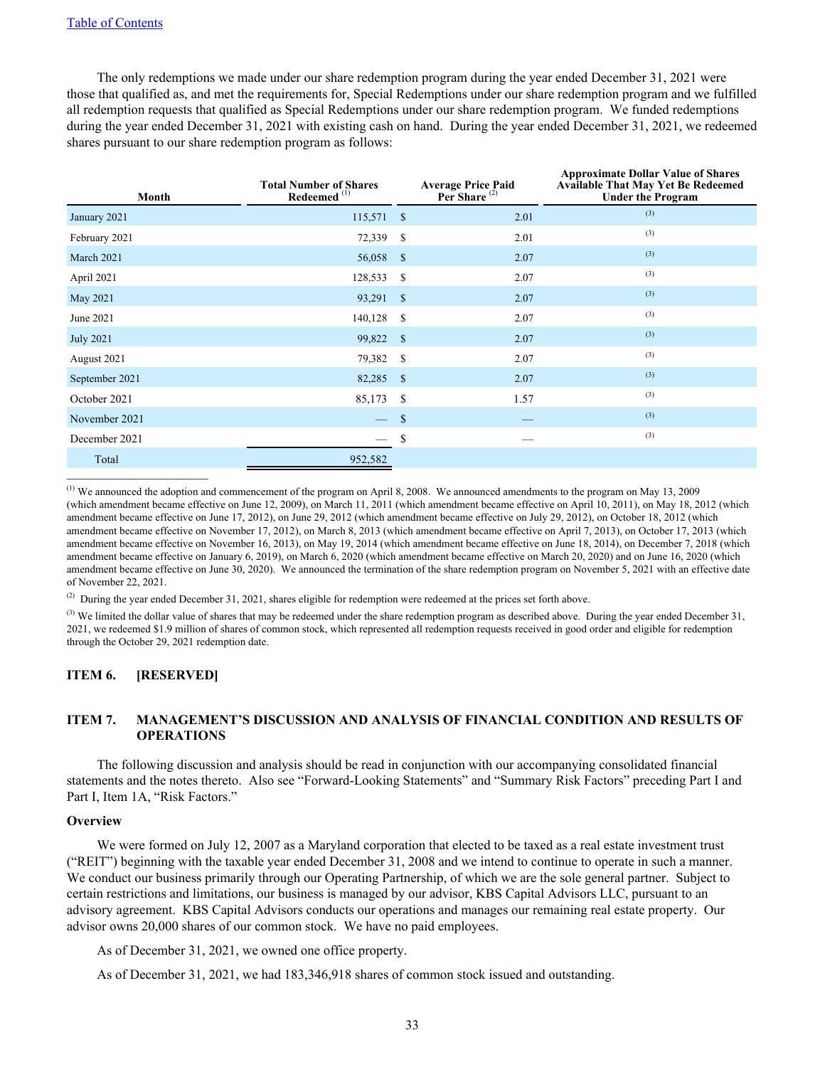#### <span id="page-33-0"></span>[Table of Contents](#page-1-0)

The only redemptions we made under our share redemption program during the year ended December 31, 2021 were those that qualified as, and met the requirements for, Special Redemptions under our share redemption program and we fulfilled all redemption requests that qualified as Special Redemptions under our share redemption program. We funded redemptions during the year ended December 31, 2021 with existing cash on hand. During the year ended December 31, 2021, we redeemed shares pursuant to our share redemption program as follows:

| Month            | <b>Total Number of Shares</b><br>Redeemed <sup>(1)</sup> |                    | <b>Average Price Paid<br/>Per Share</b> <sup>(2)</sup> | <b>Approximate Dollar Value of Shares</b><br><b>Available That May Yet Be Redeemed</b><br><b>Under the Program</b> |
|------------------|----------------------------------------------------------|--------------------|--------------------------------------------------------|--------------------------------------------------------------------------------------------------------------------|
| January 2021     | 115,571                                                  | - \$               | 2.01                                                   | (3)                                                                                                                |
| February 2021    | 72,339                                                   | <sup>\$</sup>      | 2.01                                                   | (3)                                                                                                                |
| March 2021       | 56,058                                                   | $\mathbb{S}$       | 2.07                                                   | (3)                                                                                                                |
| April 2021       | 128,533                                                  | <sup>\$</sup>      | 2.07                                                   | (3)                                                                                                                |
| May 2021         | 93,291                                                   | $\mathcal{S}$      | 2.07                                                   | (3)                                                                                                                |
| June 2021        | 140,128                                                  | -S                 | 2.07                                                   | (3)                                                                                                                |
| <b>July 2021</b> | 99,822                                                   | $\mathbf{\hat{s}}$ | 2.07                                                   | (3)                                                                                                                |
| August 2021      | 79,382                                                   | -S                 | 2.07                                                   | (3)                                                                                                                |
| September 2021   | 82,285                                                   | $\mathbf{s}$       | 2.07                                                   | (3)                                                                                                                |
| October 2021     | 85,173                                                   | \$                 | 1.57                                                   | (3)                                                                                                                |
| November 2021    |                                                          | \$                 |                                                        | (3)                                                                                                                |
| December 2021    |                                                          | \$                 |                                                        | (3)                                                                                                                |
| Total            | 952,582                                                  |                    |                                                        |                                                                                                                    |
|                  |                                                          |                    |                                                        |                                                                                                                    |

 $<sup>(1)</sup>$  We announced the adoption and commencement of the program on April 8, 2008. We announced amendments to the program on May 13, 2009</sup> (which amendment became effective on June 12, 2009), on March 11, 2011 (which amendment became effective on April 10, 2011), on May 18, 2012 (which amendment became effective on June 17, 2012), on June 29, 2012 (which amendment became effective on July 29, 2012), on October 18, 2012 (which amendment became effective on November 17, 2012), on March 8, 2013 (which amendment became effective on April 7, 2013), on October 17, 2013 (which amendment became effective on November 16, 2013), on May 19, 2014 (which amendment became effective on June 18, 2014), on December 7, 2018 (which amendment became effective on January 6, 2019), on March 6, 2020 (which amendment became effective on March 20, 2020) and on June 16, 2020 (which amendment became effective on June 30, 2020). We announced the termination of the share redemption program on November 5, 2021 with an effective date of November 22, 2021.

 $(2)$  During the year ended December 31, 2021, shares eligible for redemption were redeemed at the prices set forth above.

<sup>(3)</sup> We limited the dollar value of shares that may be redeemed under the share redemption program as described above. During the year ended December 31, 2021, we redeemed \$1.9 million of shares of common stock, which represented all redemption requests received in good order and eligible for redemption through the October 29, 2021 redemption date.

#### **ITEM 6. [RESERVED]**

#### **ITEM 7. MANAGEMENT'S DISCUSSION AND ANALYSIS OF FINANCIAL CONDITION AND RESULTS OF OPERATIONS**

The following discussion and analysis should be read in conjunction with our accompanying consolidated financial statements and the notes thereto. Also see "Forward-Looking Statements" and "Summary Risk Factors" preceding Part I and Part I, Item 1A, "Risk Factors."

#### **Overview**

We were formed on July 12, 2007 as a Maryland corporation that elected to be taxed as a real estate investment trust ("REIT") beginning with the taxable year ended December 31, 2008 and we intend to continue to operate in such a manner. We conduct our business primarily through our Operating Partnership, of which we are the sole general partner. Subject to certain restrictions and limitations, our business is managed by our advisor, KBS Capital Advisors LLC, pursuant to an advisory agreement. KBS Capital Advisors conducts our operations and manages our remaining real estate property. Our advisor owns 20,000 shares of our common stock. We have no paid employees.

As of December 31, 2021, we owned one office property.

As of December 31, 2021, we had 183,346,918 shares of common stock issued and outstanding.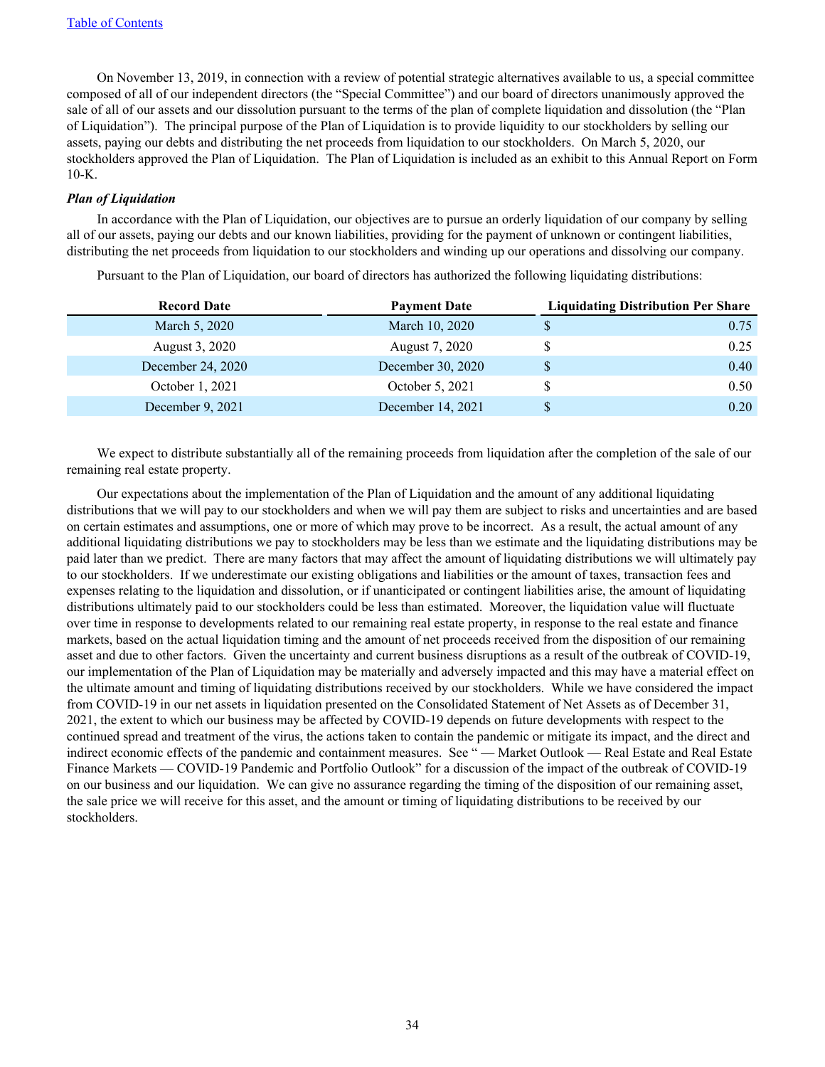On November 13, 2019, in connection with a review of potential strategic alternatives available to us, a special committee composed of all of our independent directors (the "Special Committee") and our board of directors unanimously approved the sale of all of our assets and our dissolution pursuant to the terms of the plan of complete liquidation and dissolution (the "Plan of Liquidation"). The principal purpose of the Plan of Liquidation is to provide liquidity to our stockholders by selling our assets, paying our debts and distributing the net proceeds from liquidation to our stockholders. On March 5, 2020, our stockholders approved the Plan of Liquidation. The Plan of Liquidation is included as an exhibit to this Annual Report on Form 10-K.

#### *Plan of Liquidation*

In accordance with the Plan of Liquidation, our objectives are to pursue an orderly liquidation of our company by selling all of our assets, paying our debts and our known liabilities, providing for the payment of unknown or contingent liabilities, distributing the net proceeds from liquidation to our stockholders and winding up our operations and dissolving our company.

| <b>Record Date</b> | <b>Payment Date</b> | <b>Liquidating Distribution Per Share</b> |  |  |
|--------------------|---------------------|-------------------------------------------|--|--|
| March 5, 2020      | March 10, 2020      | 0.75                                      |  |  |
| August 3, 2020     | August 7, 2020      | 0.25                                      |  |  |
| December 24, 2020  | December 30, 2020   | 0.40                                      |  |  |
| October 1, 2021    | October 5, 2021     | 0.50                                      |  |  |
| December 9, 2021   | December 14, 2021   | 0.20                                      |  |  |

Pursuant to the Plan of Liquidation, our board of directors has authorized the following liquidating distributions:

We expect to distribute substantially all of the remaining proceeds from liquidation after the completion of the sale of our remaining real estate property.

Our expectations about the implementation of the Plan of Liquidation and the amount of any additional liquidating distributions that we will pay to our stockholders and when we will pay them are subject to risks and uncertainties and are based on certain estimates and assumptions, one or more of which may prove to be incorrect. As a result, the actual amount of any additional liquidating distributions we pay to stockholders may be less than we estimate and the liquidating distributions may be paid later than we predict. There are many factors that may affect the amount of liquidating distributions we will ultimately pay to our stockholders. If we underestimate our existing obligations and liabilities or the amount of taxes, transaction fees and expenses relating to the liquidation and dissolution, or if unanticipated or contingent liabilities arise, the amount of liquidating distributions ultimately paid to our stockholders could be less than estimated. Moreover, the liquidation value will fluctuate over time in response to developments related to our remaining real estate property, in response to the real estate and finance markets, based on the actual liquidation timing and the amount of net proceeds received from the disposition of our remaining asset and due to other factors. Given the uncertainty and current business disruptions as a result of the outbreak of COVID-19, our implementation of the Plan of Liquidation may be materially and adversely impacted and this may have a material effect on the ultimate amount and timing of liquidating distributions received by our stockholders. While we have considered the impact from COVID-19 in our net assets in liquidation presented on the Consolidated Statement of Net Assets as of December 31, 2021, the extent to which our business may be affected by COVID-19 depends on future developments with respect to the continued spread and treatment of the virus, the actions taken to contain the pandemic or mitigate its impact, and the direct and indirect economic effects of the pandemic and containment measures. See "—Market Outlook — Real Estate and Real Estate Finance Markets — COVID-19 Pandemic and Portfolio Outlook" for a discussion of the impact of the outbreak of COVID-19 on our business and our liquidation. We can give no assurance regarding the timing of the disposition of our remaining asset, the sale price we will receive for this asset, and the amount or timing of liquidating distributions to be received by our stockholders.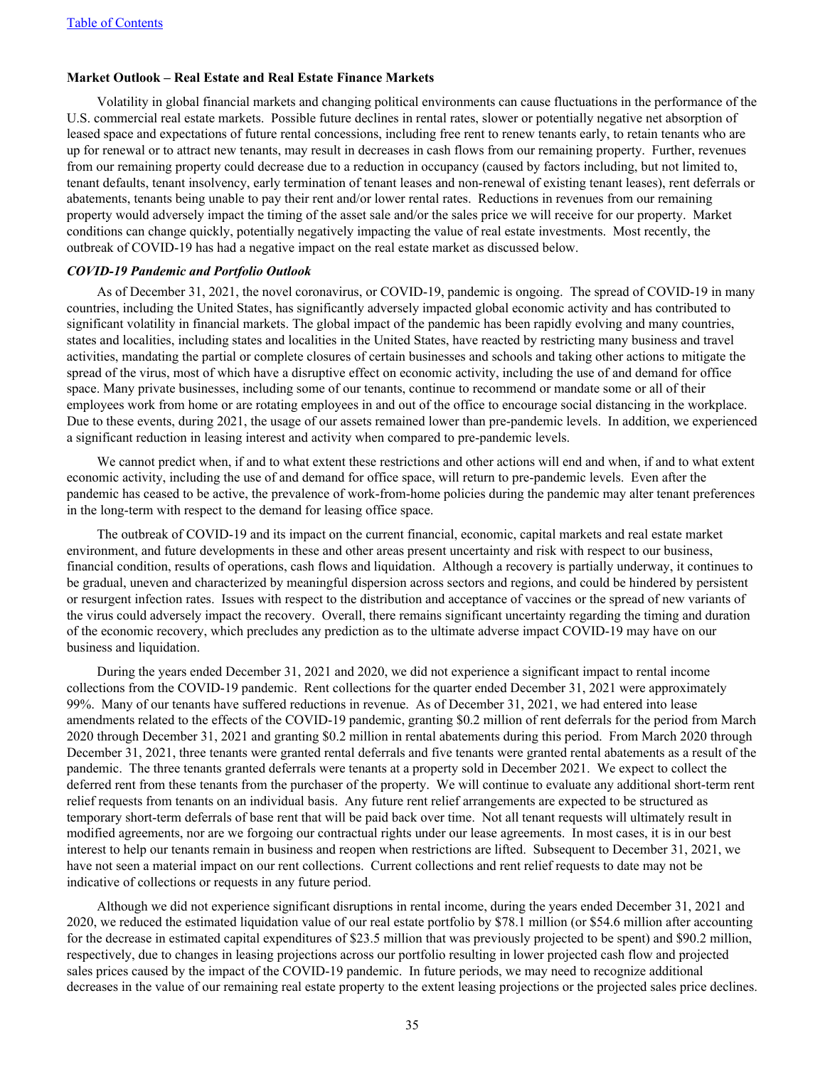#### **Market Outlook – Real Estate and Real Estate Finance Markets**

Volatility in global financial markets and changing political environments can cause fluctuations in the performance of the U.S. commercial real estate markets. Possible future declines in rental rates, slower or potentially negative net absorption of leased space and expectations of future rental concessions, including free rent to renew tenants early, to retain tenants who are up for renewal or to attract new tenants, may result in decreases in cash flows from our remaining property. Further, revenues from our remaining property could decrease due to a reduction in occupancy (caused by factors including, but not limited to, tenant defaults, tenant insolvency, early termination of tenant leases and non-renewal of existing tenant leases), rent deferrals or abatements, tenants being unable to pay their rent and/or lower rental rates. Reductions in revenues from our remaining property would adversely impact the timing of the asset sale and/or the sales price we will receive for our property. Market conditions can change quickly, potentially negatively impacting the value of real estate investments. Most recently, the outbreak of COVID-19 has had a negative impact on the real estate market as discussed below.

#### *COVID-19 Pandemic and Portfolio Outlook*

As of December 31, 2021, the novel coronavirus, or COVID-19, pandemic is ongoing. The spread of COVID-19 in many countries, including the United States, has significantly adversely impacted global economic activity and has contributed to significant volatility in financial markets. The global impact of the pandemic has been rapidly evolving and many countries, states and localities, including states and localities in the United States, have reacted by restricting many business and travel activities, mandating the partial or complete closures of certain businesses and schools and taking other actions to mitigate the spread of the virus, most of which have a disruptive effect on economic activity, including the use of and demand for office space. Many private businesses, including some of our tenants, continue to recommend or mandate some or all of their employees work from home or are rotating employees in and out of the office to encourage social distancing in the workplace. Due to these events, during 2021, the usage of our assets remained lower than pre-pandemic levels. In addition, we experienced a significant reduction in leasing interest and activity when compared to pre-pandemic levels.

We cannot predict when, if and to what extent these restrictions and other actions will end and when, if and to what extent economic activity, including the use of and demand for office space, will return to pre-pandemic levels. Even after the pandemic has ceased to be active, the prevalence of work-from-home policies during the pandemic may alter tenant preferences in the long-term with respect to the demand for leasing office space.

The outbreak of COVID-19 and its impact on the current financial, economic, capital markets and real estate market environment, and future developments in these and other areas present uncertainty and risk with respect to our business, financial condition, results of operations, cash flows and liquidation. Although a recovery is partially underway, it continues to be gradual, uneven and characterized by meaningful dispersion across sectors and regions, and could be hindered by persistent or resurgent infection rates. Issues with respect to the distribution and acceptance of vaccines or the spread of new variants of the virus could adversely impact the recovery. Overall, there remains significant uncertainty regarding the timing and duration of the economic recovery, which precludes any prediction as to the ultimate adverse impact COVID-19 may have on our business and liquidation.

During the years ended December 31, 2021 and 2020, we did not experience a significant impact to rental income collections from the COVID-19 pandemic. Rent collections for the quarter ended December 31, 2021 were approximately 99%. Many of our tenants have suffered reductions in revenue. As of December 31, 2021, we had entered into lease amendments related to the effects of the COVID-19 pandemic, granting \$0.2 million of rent deferrals for the period from March 2020 through December 31, 2021 and granting \$0.2 million in rental abatements during this period. From March 2020 through December 31, 2021, three tenants were granted rental deferrals and five tenants were granted rental abatements as a result of the pandemic. The three tenants granted deferrals were tenants at a property sold in December 2021. We expect to collect the deferred rent from these tenants from the purchaser of the property. We will continue to evaluate any additional short-term rent relief requests from tenants on an individual basis. Any future rent relief arrangements are expected to be structured as temporary short-term deferrals of base rent that will be paid back over time. Not all tenant requests will ultimately result in modified agreements, nor are we forgoing our contractual rights under our lease agreements. In most cases, it is in our best interest to help our tenants remain in business and reopen when restrictions are lifted. Subsequent to December 31, 2021, we have not seen a material impact on our rent collections. Current collections and rent relief requests to date may not be indicative of collections or requests in any future period.

Although we did not experience significant disruptions in rental income, during the years ended December 31, 2021 and 2020, we reduced the estimated liquidation value of our real estate portfolio by \$78.1 million (or \$54.6 million after accounting for the decrease in estimated capital expenditures of \$23.5 million that was previously projected to be spent) and \$90.2 million, respectively, due to changes in leasing projections across our portfolio resulting in lower projected cash flow and projected sales prices caused by the impact of the COVID-19 pandemic. In future periods, we may need to recognize additional decreases in the value of our remaining real estate property to the extent leasing projections or the projected sales price declines.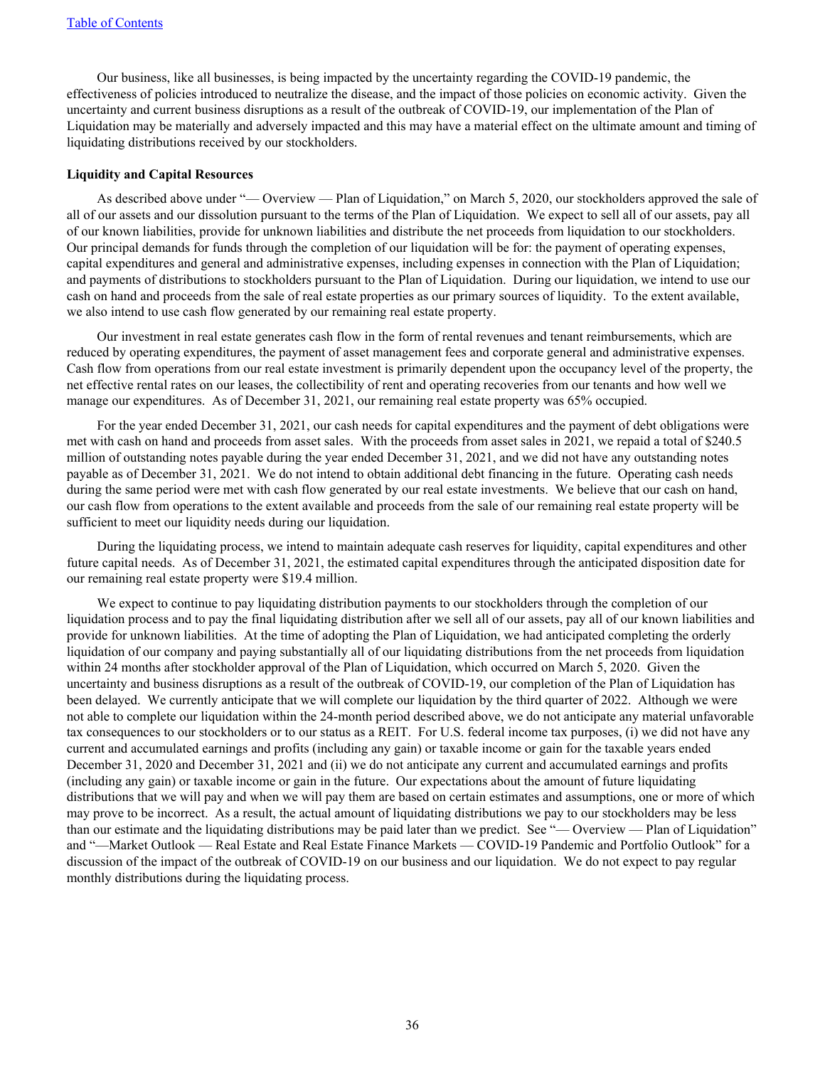Our business, like all businesses, is being impacted by the uncertainty regarding the COVID-19 pandemic, the effectiveness of policies introduced to neutralize the disease, and the impact of those policies on economic activity. Given the uncertainty and current business disruptions as a result of the outbreak of COVID-19, our implementation of the Plan of Liquidation may be materially and adversely impacted and this may have a material effect on the ultimate amount and timing of liquidating distributions received by our stockholders.

#### **Liquidity and Capital Resources**

As described above under "— Overview — Plan of Liquidation," on March 5, 2020, our stockholders approved the sale of all of our assets and our dissolution pursuant to the terms of the Plan of Liquidation. We expect to sell all of our assets, pay all of our known liabilities, provide for unknown liabilities and distribute the net proceeds from liquidation to our stockholders. Our principal demands for funds through the completion of our liquidation will be for: the payment of operating expenses, capital expenditures and general and administrative expenses, including expenses in connection with the Plan of Liquidation; and payments of distributions to stockholders pursuant to the Plan of Liquidation. During our liquidation, we intend to use our cash on hand and proceeds from the sale of real estate properties as our primary sources of liquidity. To the extent available, we also intend to use cash flow generated by our remaining real estate property.

Our investment in real estate generates cash flow in the form of rental revenues and tenant reimbursements, which are reduced by operating expenditures, the payment of asset management fees and corporate general and administrative expenses. Cash flow from operations from our real estate investment is primarily dependent upon the occupancy level of the property, the net effective rental rates on our leases, the collectibility of rent and operating recoveries from our tenants and how well we manage our expenditures. As of December 31, 2021, our remaining real estate property was 65% occupied.

For the year ended December 31, 2021, our cash needs for capital expenditures and the payment of debt obligations were met with cash on hand and proceeds from asset sales. With the proceeds from asset sales in 2021, we repaid a total of \$240.5 million of outstanding notes payable during the year ended December 31, 2021, and we did not have any outstanding notes payable as of December 31, 2021. We do not intend to obtain additional debt financing in the future. Operating cash needs during the same period were met with cash flow generated by our real estate investments. We believe that our cash on hand, our cash flow from operations to the extent available and proceeds from the sale of our remaining real estate property will be sufficient to meet our liquidity needs during our liquidation.

During the liquidating process, we intend to maintain adequate cash reserves for liquidity, capital expenditures and other future capital needs. As of December 31, 2021, the estimated capital expenditures through the anticipated disposition date for our remaining real estate property were \$19.4 million.

We expect to continue to pay liquidating distribution payments to our stockholders through the completion of our liquidation process and to pay the final liquidating distribution after we sell all of our assets, pay all of our known liabilities and provide for unknown liabilities. At the time of adopting the Plan of Liquidation, we had anticipated completing the orderly liquidation of our company and paying substantially all of our liquidating distributions from the net proceeds from liquidation within 24 months after stockholder approval of the Plan of Liquidation, which occurred on March 5, 2020. Given the uncertainty and business disruptions as a result of the outbreak of COVID-19, our completion of the Plan of Liquidation has been delayed. We currently anticipate that we will complete our liquidation by the third quarter of 2022. Although we were not able to complete our liquidation within the 24-month period described above, we do not anticipate any material unfavorable tax consequences to our stockholders or to our status as a REIT. For U.S. federal income tax purposes, (i) we did not have any current and accumulated earnings and profits (including any gain) or taxable income or gain for the taxable years ended December 31, 2020 and December 31, 2021 and (ii) we do not anticipate any current and accumulated earnings and profits (including any gain) or taxable income or gain in the future. Our expectations about the amount of future liquidating distributions that we will pay and when we will pay them are based on certain estimates and assumptions, one or more of which may prove to be incorrect. As a result, the actual amount of liquidating distributions we pay to our stockholders may be less than our estimate and the liquidating distributions may be paid later than we predict. See "— Overview — Plan of Liquidation" and "—Market Outlook — Real Estate and Real Estate Finance Markets — COVID-19 Pandemic and Portfolio Outlook" for a discussion of the impact of the outbreak of COVID-19 on our business and our liquidation. We do not expect to pay regular monthly distributions during the liquidating process.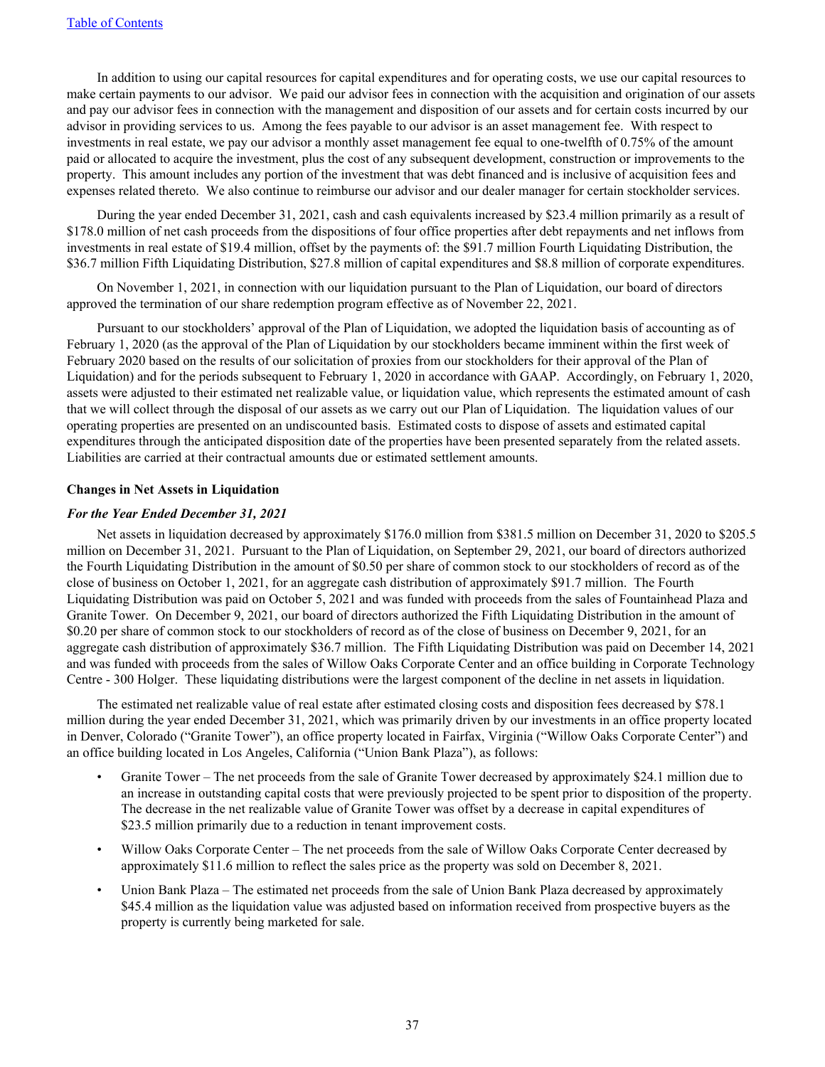In addition to using our capital resources for capital expenditures and for operating costs, we use our capital resources to make certain payments to our advisor. We paid our advisor fees in connection with the acquisition and origination of our assets and pay our advisor fees in connection with the management and disposition of our assets and for certain costs incurred by our advisor in providing services to us. Among the fees payable to our advisor is an asset management fee. With respect to investments in real estate, we pay our advisor a monthly asset management fee equal to one-twelfth of 0.75% of the amount paid or allocated to acquire the investment, plus the cost of any subsequent development, construction or improvements to the property. This amount includes any portion of the investment that was debt financed and is inclusive of acquisition fees and expenses related thereto. We also continue to reimburse our advisor and our dealer manager for certain stockholder services.

During the year ended December 31, 2021, cash and cash equivalents increased by \$23.4 million primarily as a result of \$178.0 million of net cash proceeds from the dispositions of four office properties after debt repayments and net inflows from investments in real estate of \$19.4 million, offset by the payments of: the \$91.7 million Fourth Liquidating Distribution, the \$36.7 million Fifth Liquidating Distribution, \$27.8 million of capital expenditures and \$8.8 million of corporate expenditures.

On November 1, 2021, in connection with our liquidation pursuant to the Plan of Liquidation, our board of directors approved the termination of our share redemption program effective as of November 22, 2021.

Pursuant to our stockholders' approval of the Plan of Liquidation, we adopted the liquidation basis of accounting as of February 1, 2020 (as the approval of the Plan of Liquidation by our stockholders became imminent within the first week of February 2020 based on the results of our solicitation of proxies from our stockholders for their approval of the Plan of Liquidation) and for the periods subsequent to February 1, 2020 in accordance with GAAP. Accordingly, on February 1, 2020, assets were adjusted to their estimated net realizable value, or liquidation value, which represents the estimated amount of cash that we will collect through the disposal of our assets as we carry out our Plan of Liquidation. The liquidation values of our operating properties are presented on an undiscounted basis. Estimated costs to dispose of assets and estimated capital expenditures through the anticipated disposition date of the properties have been presented separately from the related assets. Liabilities are carried at their contractual amounts due or estimated settlement amounts.

#### **Changes in Net Assets in Liquidation**

#### *For the Year Ended December 31, 2021*

Net assets in liquidation decreased by approximately \$176.0 million from \$381.5 million on December 31, 2020 to \$205.5 million on December 31, 2021. Pursuant to the Plan of Liquidation, on September 29, 2021, our board of directors authorized the Fourth Liquidating Distribution in the amount of \$0.50 per share of common stock to our stockholders of record as of the close of business on October 1, 2021, for an aggregate cash distribution of approximately \$91.7 million. The Fourth Liquidating Distribution was paid on October 5, 2021 and was funded with proceeds from the sales of Fountainhead Plaza and Granite Tower. On December 9, 2021, our board of directors authorized the Fifth Liquidating Distribution in the amount of \$0.20 per share of common stock to our stockholders of record as of the close of business on December 9, 2021, for an aggregate cash distribution of approximately \$36.7 million. The Fifth Liquidating Distribution was paid on December 14, 2021 and was funded with proceeds from the sales of Willow Oaks Corporate Center and an office building in Corporate Technology Centre - 300 Holger. These liquidating distributions were the largest component of the decline in net assets in liquidation.

The estimated net realizable value of real estate after estimated closing costs and disposition fees decreased by \$78.1 million during the year ended December 31, 2021, which was primarily driven by our investments in an office property located in Denver, Colorado ("Granite Tower"), an office property located in Fairfax, Virginia ("Willow Oaks Corporate Center") and an office building located in Los Angeles, California ("Union Bank Plaza"), as follows:

- Granite Tower The net proceeds from the sale of Granite Tower decreased by approximately \$24.1 million due to an increase in outstanding capital costs that were previously projected to be spent prior to disposition of the property. The decrease in the net realizable value of Granite Tower was offset by a decrease in capital expenditures of \$23.5 million primarily due to a reduction in tenant improvement costs.
- Willow Oaks Corporate Center The net proceeds from the sale of Willow Oaks Corporate Center decreased by approximately \$11.6 million to reflect the sales price as the property was sold on December 8, 2021.
- Union Bank Plaza The estimated net proceeds from the sale of Union Bank Plaza decreased by approximately \$45.4 million as the liquidation value was adjusted based on information received from prospective buyers as the property is currently being marketed for sale.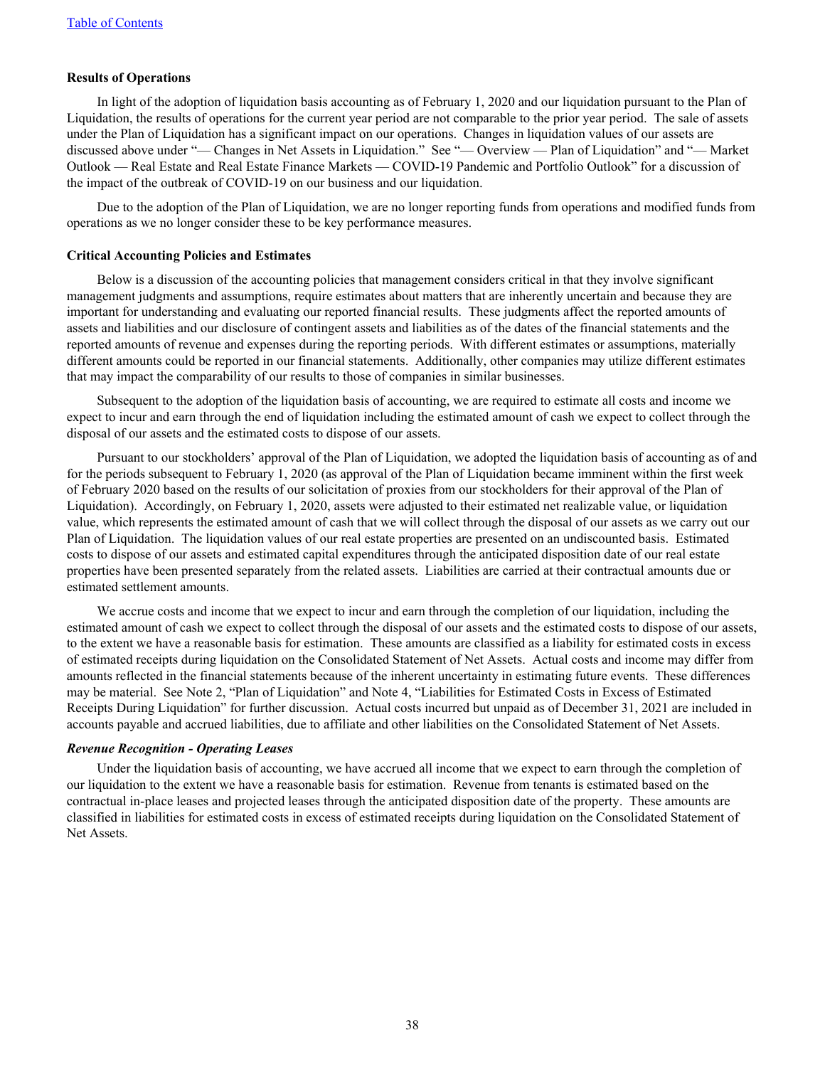#### **Results of Operations**

In light of the adoption of liquidation basis accounting as of February 1, 2020 and our liquidation pursuant to the Plan of Liquidation, the results of operations for the current year period are not comparable to the prior year period. The sale of assets under the Plan of Liquidation has a significant impact on our operations. Changes in liquidation values of our assets are discussed above under "— Changes in Net Assets in Liquidation." See "— Overview — Plan of Liquidation" and "— Market Outlook — Real Estate and Real Estate Finance Markets — COVID-19 Pandemic and Portfolio Outlook" for a discussion of the impact of the outbreak of COVID-19 on our business and our liquidation.

Due to the adoption of the Plan of Liquidation, we are no longer reporting funds from operations and modified funds from operations as we no longer consider these to be key performance measures.

#### **Critical Accounting Policies and Estimates**

Below is a discussion of the accounting policies that management considers critical in that they involve significant management judgments and assumptions, require estimates about matters that are inherently uncertain and because they are important for understanding and evaluating our reported financial results. These judgments affect the reported amounts of assets and liabilities and our disclosure of contingent assets and liabilities as of the dates of the financial statements and the reported amounts of revenue and expenses during the reporting periods. With different estimates or assumptions, materially different amounts could be reported in our financial statements. Additionally, other companies may utilize different estimates that may impact the comparability of our results to those of companies in similar businesses.

Subsequent to the adoption of the liquidation basis of accounting, we are required to estimate all costs and income we expect to incur and earn through the end of liquidation including the estimated amount of cash we expect to collect through the disposal of our assets and the estimated costs to dispose of our assets.

Pursuant to our stockholders' approval of the Plan of Liquidation, we adopted the liquidation basis of accounting as of and for the periods subsequent to February 1, 2020 (as approval of the Plan of Liquidation became imminent within the first week of February 2020 based on the results of our solicitation of proxies from our stockholders for their approval of the Plan of Liquidation). Accordingly, on February 1, 2020, assets were adjusted to their estimated net realizable value, or liquidation value, which represents the estimated amount of cash that we will collect through the disposal of our assets as we carry out our Plan of Liquidation. The liquidation values of our real estate properties are presented on an undiscounted basis. Estimated costs to dispose of our assets and estimated capital expenditures through the anticipated disposition date of our real estate properties have been presented separately from the related assets. Liabilities are carried at their contractual amounts due or estimated settlement amounts.

We accrue costs and income that we expect to incur and earn through the completion of our liquidation, including the estimated amount of cash we expect to collect through the disposal of our assets and the estimated costs to dispose of our assets, to the extent we have a reasonable basis for estimation. These amounts are classified as a liability for estimated costs in excess of estimated receipts during liquidation on the Consolidated Statement of Net Assets. Actual costs and income may differ from amounts reflected in the financial statements because of the inherent uncertainty in estimating future events. These differences may be material. See Note 2, "Plan of Liquidation" and Note 4, "Liabilities for Estimated Costs in Excess of Estimated Receipts During Liquidation" for further discussion. Actual costs incurred but unpaid as of December 31, 2021 are included in accounts payable and accrued liabilities, due to affiliate and other liabilities on the Consolidated Statement of Net Assets.

#### *Revenue Recognition - Operating Leases*

Under the liquidation basis of accounting, we have accrued all income that we expect to earn through the completion of our liquidation to the extent we have a reasonable basis for estimation. Revenue from tenants is estimated based on the contractual in-place leases and projected leases through the anticipated disposition date of the property. These amounts are classified in liabilities for estimated costs in excess of estimated receipts during liquidation on the Consolidated Statement of Net Assets.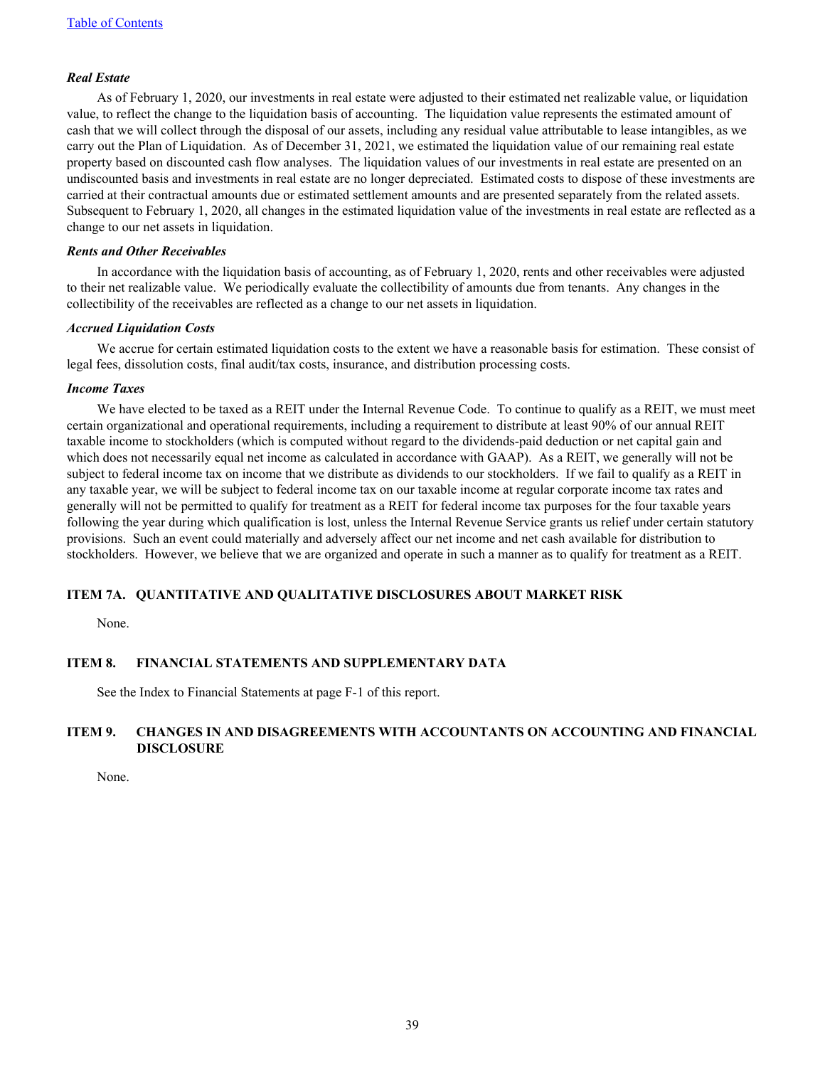#### *Real Estate*

As of February 1, 2020, our investments in real estate were adjusted to their estimated net realizable value, or liquidation value, to reflect the change to the liquidation basis of accounting. The liquidation value represents the estimated amount of cash that we will collect through the disposal of our assets, including any residual value attributable to lease intangibles, as we carry out the Plan of Liquidation. As of December 31, 2021, we estimated the liquidation value of our remaining real estate property based on discounted cash flow analyses. The liquidation values of our investments in real estate are presented on an undiscounted basis and investments in real estate are no longer depreciated. Estimated costs to dispose of these investments are carried at their contractual amounts due or estimated settlement amounts and are presented separately from the related assets. Subsequent to February 1, 2020, all changes in the estimated liquidation value of the investments in real estate are reflected as a change to our net assets in liquidation.

#### *Rents and Other Receivables*

In accordance with the liquidation basis of accounting, as of February 1, 2020, rents and other receivables were adjusted to their net realizable value. We periodically evaluate the collectibility of amounts due from tenants. Any changes in the collectibility of the receivables are reflected as a change to our net assets in liquidation.

#### *Accrued Liquidation Costs*

We accrue for certain estimated liquidation costs to the extent we have a reasonable basis for estimation. These consist of legal fees, dissolution costs, final audit/tax costs, insurance, and distribution processing costs.

#### *Income Taxes*

We have elected to be taxed as a REIT under the Internal Revenue Code. To continue to qualify as a REIT, we must meet certain organizational and operational requirements, including a requirement to distribute at least 90% of our annual REIT taxable income to stockholders (which is computed without regard to the dividends-paid deduction or net capital gain and which does not necessarily equal net income as calculated in accordance with GAAP). As a REIT, we generally will not be subject to federal income tax on income that we distribute as dividends to our stockholders. If we fail to qualify as a REIT in any taxable year, we will be subject to federal income tax on our taxable income at regular corporate income tax rates and generally will not be permitted to qualify for treatment as a REIT for federal income tax purposes for the four taxable years following the year during which qualification is lost, unless the Internal Revenue Service grants us relief under certain statutory provisions. Such an event could materially and adversely affect our net income and net cash available for distribution to stockholders. However, we believe that we are organized and operate in such a manner as to qualify for treatment as a REIT.

#### **ITEM 7A. QUANTITATIVE AND QUALITATIVE DISCLOSURES ABOUT MARKET RISK**

None.

#### **ITEM 8. FINANCIAL STATEMENTS AND SUPPLEMENTARY DATA**

See the Index to Financial Statements at page F-1 of this report.

#### **ITEM 9. CHANGES IN AND DISAGREEMENTS WITH ACCOUNTANTS ON ACCOUNTING AND FINANCIAL DISCLOSURE**

None.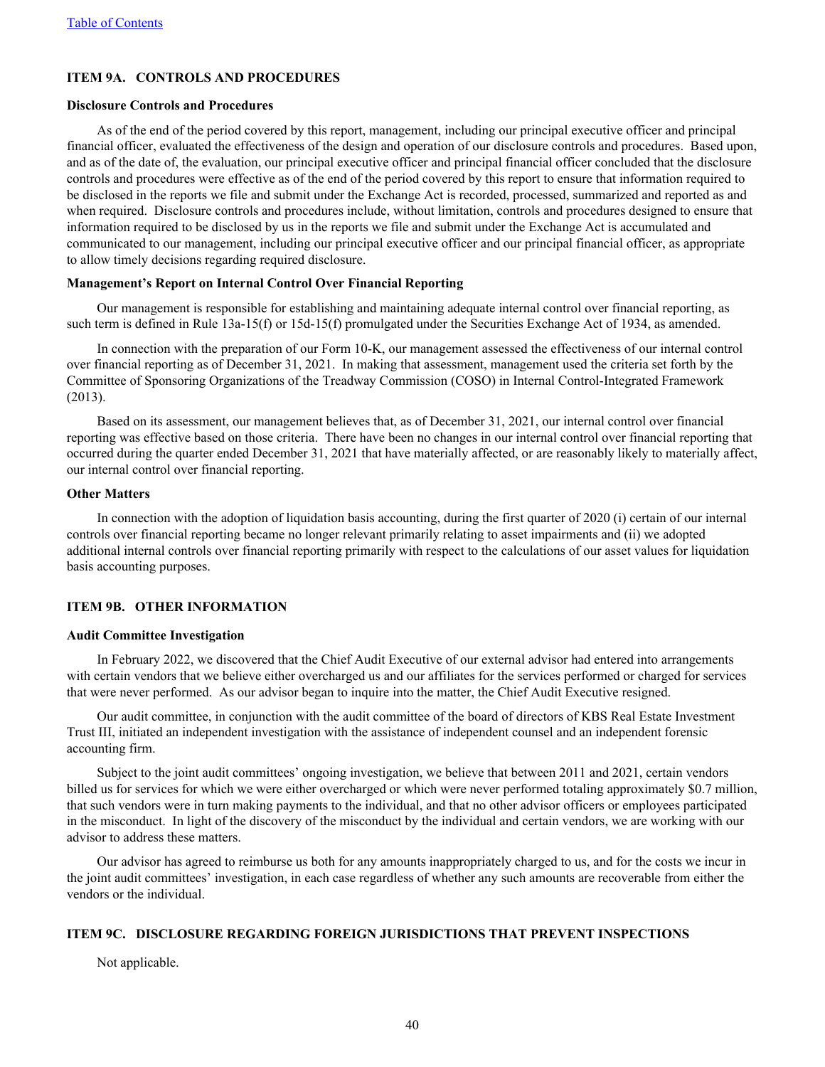### **ITEM 9A. CONTROLS AND PROCEDURES**

#### **Disclosure Controls and Procedures**

As of the end of the period covered by this report, management, including our principal executive officer and principal financial officer, evaluated the effectiveness of the design and operation of our disclosure controls and procedures. Based upon, and as of the date of, the evaluation, our principal executive officer and principal financial officer concluded that the disclosure controls and procedures were effective as of the end of the period covered by this report to ensure that information required to be disclosed in the reports we file and submit under the Exchange Act is recorded, processed, summarized and reported as and when required. Disclosure controls and procedures include, without limitation, controls and procedures designed to ensure that information required to be disclosed by us in the reports we file and submit under the Exchange Act is accumulated and communicated to our management, including our principal executive officer and our principal financial officer, as appropriate to allow timely decisions regarding required disclosure.

#### **Management's Report on Internal Control Over Financial Reporting**

Our management is responsible for establishing and maintaining adequate internal control over financial reporting, as such term is defined in Rule 13a-15(f) or 15d-15(f) promulgated under the Securities Exchange Act of 1934, as amended.

In connection with the preparation of our Form 10-K, our management assessed the effectiveness of our internal control over financial reporting as of December 31, 2021. In making that assessment, management used the criteria set forth by the Committee of Sponsoring Organizations of the Treadway Commission (COSO) in Internal Control-Integrated Framework (2013).

Based on its assessment, our management believes that, as of December 31, 2021, our internal control over financial reporting was effective based on those criteria. There have been no changes in our internal control over financial reporting that occurred during the quarter ended December 31, 2021 that have materially affected, or are reasonably likely to materially affect, our internal control over financial reporting.

#### **Other Matters**

In connection with the adoption of liquidation basis accounting, during the first quarter of 2020 (i) certain of our internal controls over financial reporting became no longer relevant primarily relating to asset impairments and (ii) we adopted additional internal controls over financial reporting primarily with respect to the calculations of our asset values for liquidation basis accounting purposes.

#### **ITEM 9B. OTHER INFORMATION**

#### **Audit Committee Investigation**

In February 2022, we discovered that the Chief Audit Executive of our external advisor had entered into arrangements with certain vendors that we believe either overcharged us and our affiliates for the services performed or charged for services that were never performed. As our advisor began to inquire into the matter, the Chief Audit Executive resigned.

Our audit committee, in conjunction with the audit committee of the board of directors of KBS Real Estate Investment Trust III, initiated an independent investigation with the assistance of independent counsel and an independent forensic accounting firm.

Subject to the joint audit committees' ongoing investigation, we believe that between 2011 and 2021, certain vendors billed us for services for which we were either overcharged or which were never performed totaling approximately \$0.7 million, that such vendors were in turn making payments to the individual, and that no other advisor officers or employees participated in the misconduct. In light of the discovery of the misconduct by the individual and certain vendors, we are working with our advisor to address these matters.

Our advisor has agreed to reimburse us both for any amounts inappropriately charged to us, and for the costs we incur in the joint audit committees' investigation, in each case regardless of whether any such amounts are recoverable from either the vendors or the individual.

### **ITEM 9C. DISCLOSURE REGARDING FOREIGN JURISDICTIONS THAT PREVENT INSPECTIONS**

Not applicable.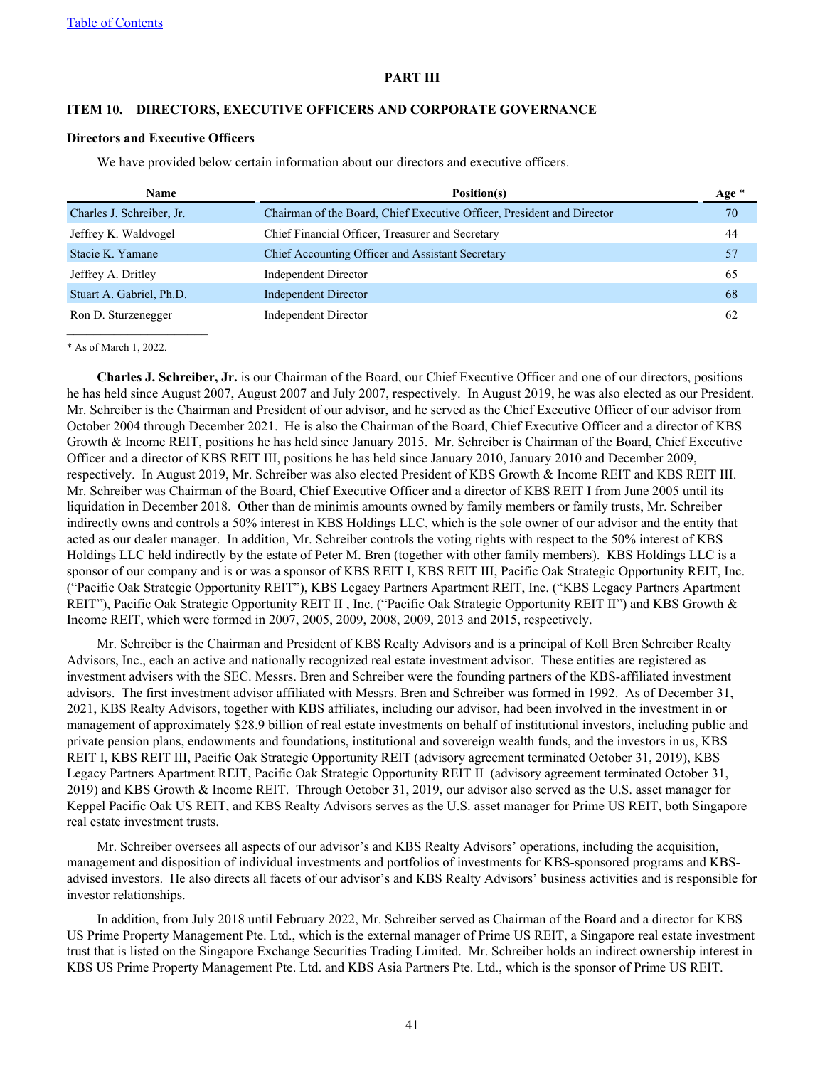#### **PART III**

#### **ITEM 10. DIRECTORS, EXECUTIVE OFFICERS AND CORPORATE GOVERNANCE**

#### **Directors and Executive Officers**

We have provided below certain information about our directors and executive officers.

| <b>Name</b>               | Position(s)                                                            | Age * |
|---------------------------|------------------------------------------------------------------------|-------|
| Charles J. Schreiber, Jr. | Chairman of the Board, Chief Executive Officer, President and Director | 70    |
| Jeffrey K. Waldvogel      | Chief Financial Officer, Treasurer and Secretary                       | 44    |
| Stacie K. Yamane          | Chief Accounting Officer and Assistant Secretary                       | 57    |
| Jeffrey A. Dritley        | <b>Independent Director</b>                                            | 65    |
| Stuart A. Gabriel, Ph.D.  | <b>Independent Director</b>                                            | 68    |
| Ron D. Sturzenegger       | Independent Director                                                   | 62    |

\* As of March 1, 2022.

**Charles J. Schreiber, Jr.** is our Chairman of the Board, our Chief Executive Officer and one of our directors, positions he has held since August 2007, August 2007 and July 2007, respectively. In August 2019, he was also elected as our President. Mr. Schreiber is the Chairman and President of our advisor, and he served as the Chief Executive Officer of our advisor from October 2004 through December 2021. He is also the Chairman of the Board, Chief Executive Officer and a director of KBS Growth & Income REIT, positions he has held since January 2015. Mr. Schreiber is Chairman of the Board, Chief Executive Officer and a director of KBS REIT III, positions he has held since January 2010, January 2010 and December 2009, respectively. In August 2019, Mr. Schreiber was also elected President of KBS Growth & Income REIT and KBS REIT III. Mr. Schreiber was Chairman of the Board, Chief Executive Officer and a director of KBS REIT I from June 2005 until its liquidation in December 2018. Other than de minimis amounts owned by family members or family trusts, Mr. Schreiber indirectly owns and controls a 50% interest in KBS Holdings LLC, which is the sole owner of our advisor and the entity that acted as our dealer manager. In addition, Mr. Schreiber controls the voting rights with respect to the 50% interest of KBS Holdings LLC held indirectly by the estate of Peter M. Bren (together with other family members). KBS Holdings LLC is a sponsor of our company and is or was a sponsor of KBS REIT I, KBS REIT III, Pacific Oak Strategic Opportunity REIT, Inc. ("Pacific Oak Strategic Opportunity REIT"), KBS Legacy Partners Apartment REIT, Inc. ("KBS Legacy Partners Apartment REIT"), Pacific Oak Strategic Opportunity REIT II, Inc. ("Pacific Oak Strategic Opportunity REIT II") and KBS Growth & Income REIT, which were formed in 2007, 2005, 2009, 2008, 2009, 2013 and 2015, respectively.

Mr. Schreiber is the Chairman and President of KBS Realty Advisors and is a principal of Koll Bren Schreiber Realty Advisors, Inc., each an active and nationally recognized real estate investment advisor. These entities are registered as investment advisers with the SEC. Messrs. Bren and Schreiber were the founding partners of the KBS-affiliated investment advisors. The first investment advisor affiliated with Messrs. Bren and Schreiber was formed in 1992. As of December 31, 2021, KBS Realty Advisors, together with KBS affiliates, including our advisor, had been involved in the investment in or management of approximately \$28.9 billion of real estate investments on behalf of institutional investors, including public and private pension plans, endowments and foundations, institutional and sovereign wealth funds, and the investors in us, KBS REIT I, KBS REIT III, Pacific Oak Strategic Opportunity REIT (advisory agreement terminated October 31, 2019), KBS Legacy Partners Apartment REIT, Pacific Oak Strategic Opportunity REIT II (advisory agreement terminated October 31, 2019) and KBS Growth & Income REIT. Through October 31, 2019, our advisor also served as the U.S. asset manager for Keppel Pacific Oak US REIT, and KBS Realty Advisors serves as the U.S. asset manager for Prime US REIT, both Singapore real estate investment trusts.

Mr. Schreiber oversees all aspects of our advisor's and KBS Realty Advisors' operations, including the acquisition, management and disposition of individual investments and portfolios of investments for KBS-sponsored programs and KBSadvised investors. He also directs all facets of our advisor's and KBS Realty Advisors' business activities and is responsible for investor relationships.

In addition, from July 2018 until February 2022, Mr. Schreiber served as Chairman of the Board and a director for KBS US Prime Property Management Pte. Ltd., which is the external manager of Prime US REIT, a Singapore real estate investment trust that is listed on the Singapore Exchange Securities Trading Limited. Mr. Schreiber holds an indirect ownership interest in KBS US Prime Property Management Pte. Ltd. and KBS Asia Partners Pte. Ltd., which is the sponsor of Prime US REIT.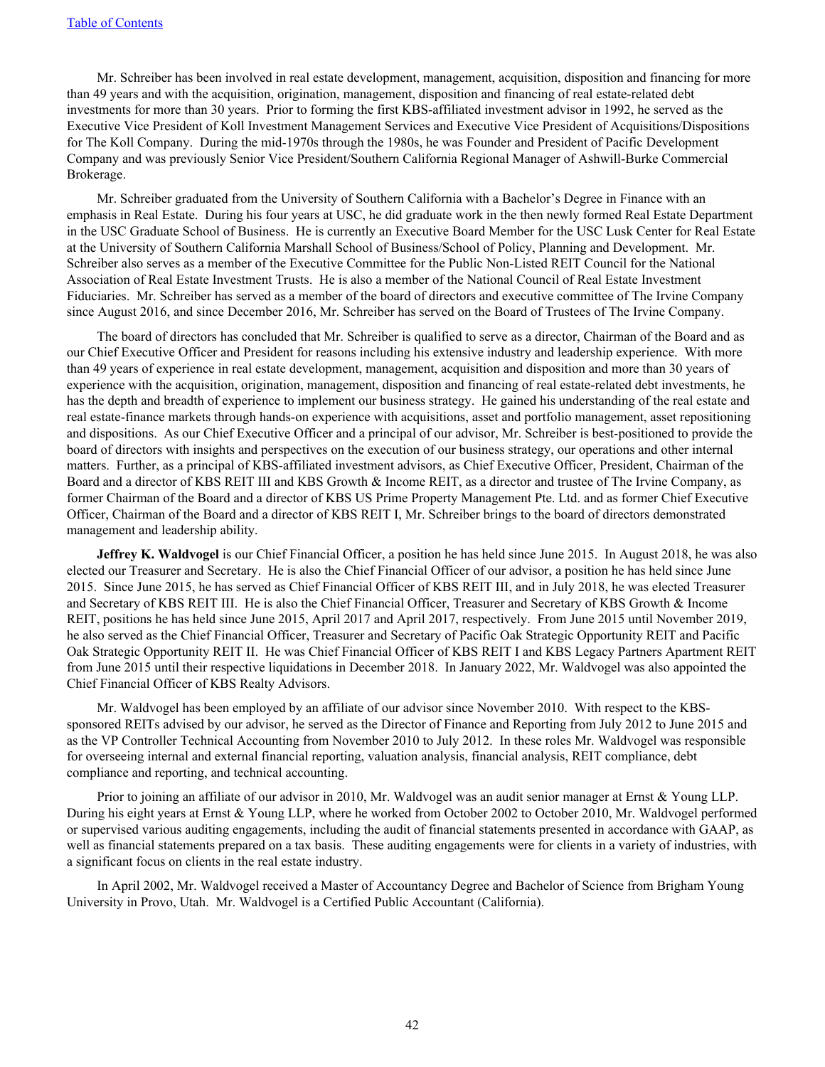Mr. Schreiber has been involved in real estate development, management, acquisition, disposition and financing for more than 49 years and with the acquisition, origination, management, disposition and financing of real estate-related debt investments for more than 30 years. Prior to forming the first KBS-affiliated investment advisor in 1992, he served as the Executive Vice President of Koll Investment Management Services and Executive Vice President of Acquisitions/Dispositions for The Koll Company. During the mid-1970s through the 1980s, he was Founder and President of Pacific Development Company and was previously Senior Vice President/Southern California Regional Manager of Ashwill-Burke Commercial Brokerage.

Mr. Schreiber graduated from the University of Southern California with a Bachelor's Degree in Finance with an emphasis in Real Estate. During his four years at USC, he did graduate work in the then newly formed Real Estate Department in the USC Graduate School of Business. He is currently an Executive Board Member for the USC Lusk Center for Real Estate at the University of Southern California Marshall School of Business/School of Policy, Planning and Development. Mr. Schreiber also serves as a member of the Executive Committee for the Public Non-Listed REIT Council for the National Association of Real Estate Investment Trusts. He is also a member of the National Council of Real Estate Investment Fiduciaries. Mr. Schreiber has served as a member of the board of directors and executive committee of The Irvine Company since August 2016, and since December 2016, Mr. Schreiber has served on the Board of Trustees of The Irvine Company.

The board of directors has concluded that Mr. Schreiber is qualified to serve as a director, Chairman of the Board and as our Chief Executive Officer and President for reasons including his extensive industry and leadership experience. With more than 49 years of experience in real estate development, management, acquisition and disposition and more than 30 years of experience with the acquisition, origination, management, disposition and financing of real estate-related debt investments, he has the depth and breadth of experience to implement our business strategy. He gained his understanding of the real estate and real estate-finance markets through hands-on experience with acquisitions, asset and portfolio management, asset repositioning and dispositions. As our Chief Executive Officer and a principal of our advisor, Mr. Schreiber is best-positioned to provide the board of directors with insights and perspectives on the execution of our business strategy, our operations and other internal matters. Further, as a principal of KBS-affiliated investment advisors, as Chief Executive Officer, President, Chairman of the Board and a director of KBS REIT III and KBS Growth & Income REIT, as a director and trustee of The Irvine Company, as former Chairman of the Board and a director of KBS US Prime Property Management Pte. Ltd. and as former Chief Executive Officer, Chairman of the Board and a director of KBS REIT I, Mr. Schreiber brings to the board of directors demonstrated management and leadership ability.

**Jeffrey K. Waldvogel** is our Chief Financial Officer, a position he has held since June 2015. In August 2018, he was also elected our Treasurer and Secretary. He is also the Chief Financial Officer of our advisor, a position he has held since June 2015. Since June 2015, he has served as Chief Financial Officer of KBS REIT III, and in July 2018, he was elected Treasurer and Secretary of KBS REIT III. He is also the Chief Financial Officer, Treasurer and Secretary of KBS Growth & Income REIT, positions he has held since June 2015, April 2017 and April 2017, respectively. From June 2015 until November 2019, he also served as the Chief Financial Officer, Treasurer and Secretary of Pacific Oak Strategic Opportunity REIT and Pacific Oak Strategic Opportunity REIT II. He was Chief Financial Officer of KBS REIT I and KBS Legacy Partners Apartment REIT from June 2015 until their respective liquidations in December 2018. In January 2022, Mr. Waldvogel was also appointed the Chief Financial Officer of KBS Realty Advisors.

Mr. Waldvogel has been employed by an affiliate of our advisor since November 2010. With respect to the KBSsponsored REITs advised by our advisor, he served as the Director of Finance and Reporting from July 2012 to June 2015 and as the VP Controller Technical Accounting from November 2010 to July 2012. In these roles Mr. Waldvogel was responsible for overseeing internal and external financial reporting, valuation analysis, financial analysis, REIT compliance, debt compliance and reporting, and technical accounting.

Prior to joining an affiliate of our advisor in 2010, Mr. Waldvogel was an audit senior manager at Ernst & Young LLP. During his eight years at Ernst & Young LLP, where he worked from October 2002 to October 2010, Mr. Waldvogel performed or supervised various auditing engagements, including the audit of financial statements presented in accordance with GAAP, as well as financial statements prepared on a tax basis. These auditing engagements were for clients in a variety of industries, with a significant focus on clients in the real estate industry.

In April 2002, Mr. Waldvogel received a Master of Accountancy Degree and Bachelor of Science from Brigham Young University in Provo, Utah. Mr. Waldvogel is a Certified Public Accountant (California).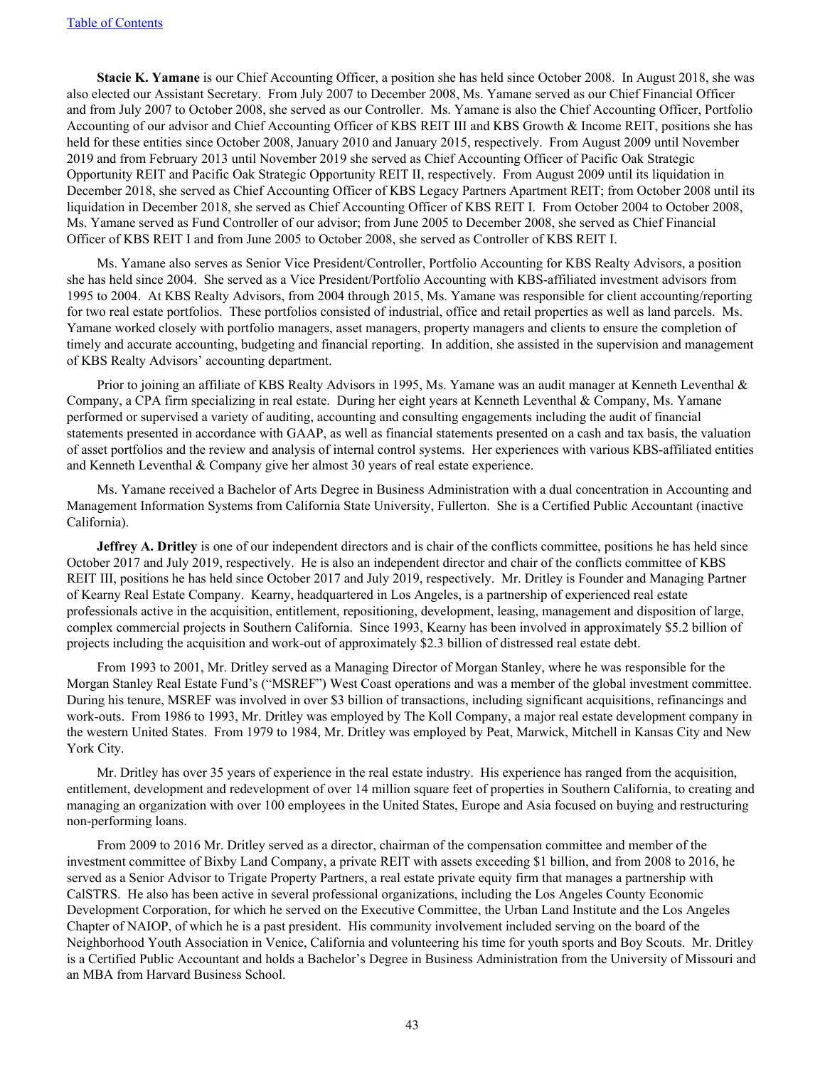**Stacie K. Yamane** is our Chief Accounting Officer, a position she has held since October 2008. In August 2018, she was also elected our Assistant Secretary. From July 2007 to December 2008, Ms. Yamane served as our Chief Financial Officer and from July 2007 to October 2008, she served as our Controller. Ms. Yamane is also the Chief Accounting Officer, Portfolio Accounting of our advisor and Chief Accounting Officer of KBS REIT III and KBS Growth & Income REIT, positions she has held for these entities since October 2008, January 2010 and January 2015, respectively. From August 2009 until November 2019 and from February 2013 until November 2019 she served as Chief Accounting Officer of Pacific Oak Strategic Opportunity REIT and Pacific Oak Strategic Opportunity REIT II, respectively. From August 2009 until its liquidation in December 2018, she served as Chief Accounting Officer of KBS Legacy Partners Apartment REIT; from October 2008 until its liquidation in December 2018, she served as Chief Accounting Officer of KBS REIT I. From October 2004 to October 2008, Ms. Yamane served as Fund Controller of our advisor; from June 2005 to December 2008, she served as Chief Financial Officer of KBS REIT I and from June 2005 to October 2008, she served as Controller of KBS REIT I.

Ms. Yamane also serves as Senior Vice President/Controller, Portfolio Accounting for KBS Realty Advisors, a position she has held since 2004. She served as a Vice President/Portfolio Accounting with KBS-affiliated investment advisors from 1995 to 2004. At KBS Realty Advisors, from 2004 through 2015, Ms. Yamane was responsible for client accounting/reporting for two real estate portfolios. These portfolios consisted of industrial, office and retail properties as well as land parcels. Ms. Yamane worked closely with portfolio managers, asset managers, property managers and clients to ensure the completion of timely and accurate accounting, budgeting and financial reporting. In addition, she assisted in the supervision and management of KBS Realty Advisors' accounting department.

Prior to joining an affiliate of KBS Realty Advisors in 1995, Ms. Yamane was an audit manager at Kenneth Leventhal & Company, a CPA firm specializing in real estate. During her eight years at Kenneth Leventhal & Company, Ms. Yamane performed or supervised a variety of auditing, accounting and consulting engagements including the audit of financial statements presented in accordance with GAAP, as well as financial statements presented on a cash and tax basis, the valuation of asset portfolios and the review and analysis of internal control systems. Her experiences with various KBS-affiliated entities and Kenneth Leventhal & Company give her almost 30 years of real estate experience.

Ms. Yamane received a Bachelor of Arts Degree in Business Administration with a dual concentration in Accounting and Management Information Systems from California State University, Fullerton. She is a Certified Public Accountant (inactive California).

**Jeffrey A. Dritley** is one of our independent directors and is chair of the conflicts committee, positions he has held since October 2017 and July 2019, respectively. He is also an independent director and chair of the conflicts committee of KBS REIT III, positions he has held since October 2017 and July 2019, respectively. Mr. Dritley is Founder and Managing Partner of Kearny Real Estate Company. Kearny, headquartered in Los Angeles, is a partnership of experienced real estate professionals active in the acquisition, entitlement, repositioning, development, leasing, management and disposition of large, complex commercial projects in Southern California. Since 1993, Kearny has been involved in approximately \$5.2 billion of projects including the acquisition and work-out of approximately \$2.3 billion of distressed real estate debt.

From 1993 to 2001, Mr. Dritley served as a Managing Director of Morgan Stanley, where he was responsible for the Morgan Stanley Real Estate Fund's ("MSREF") West Coast operations and was a member of the global investment committee. During his tenure, MSREF was involved in over \$3 billion of transactions, including significant acquisitions, refinancings and work-outs. From 1986 to 1993, Mr. Dritley was employed by The Koll Company, a major real estate development company in the western United States. From 1979 to 1984, Mr. Dritley was employed by Peat, Marwick, Mitchell in Kansas City and New York City.

Mr. Dritley has over 35 years of experience in the real estate industry. His experience has ranged from the acquisition, entitlement, development and redevelopment of over 14 million square feet of properties in Southern California, to creating and managing an organization with over 100 employees in the United States, Europe and Asia focused on buying and restructuring non-performing loans.

From 2009 to 2016 Mr. Dritley served as a director, chairman of the compensation committee and member of the investment committee of Bixby Land Company, a private REIT with assets exceeding \$1 billion, and from 2008 to 2016, he served as a Senior Advisor to Trigate Property Partners, a real estate private equity firm that manages a partnership with CalSTRS. He also has been active in several professional organizations, including the Los Angeles County Economic Development Corporation, for which he served on the Executive Committee, the Urban Land Institute and the Los Angeles Chapter of NAIOP, of which he is a past president. His community involvement included serving on the board of the Neighborhood Youth Association in Venice, California and volunteering his time for youth sports and Boy Scouts. Mr. Dritley is a Certified Public Accountant and holds a Bachelor's Degree in Business Administration from the University of Missouri and an MBA from Harvard Business School.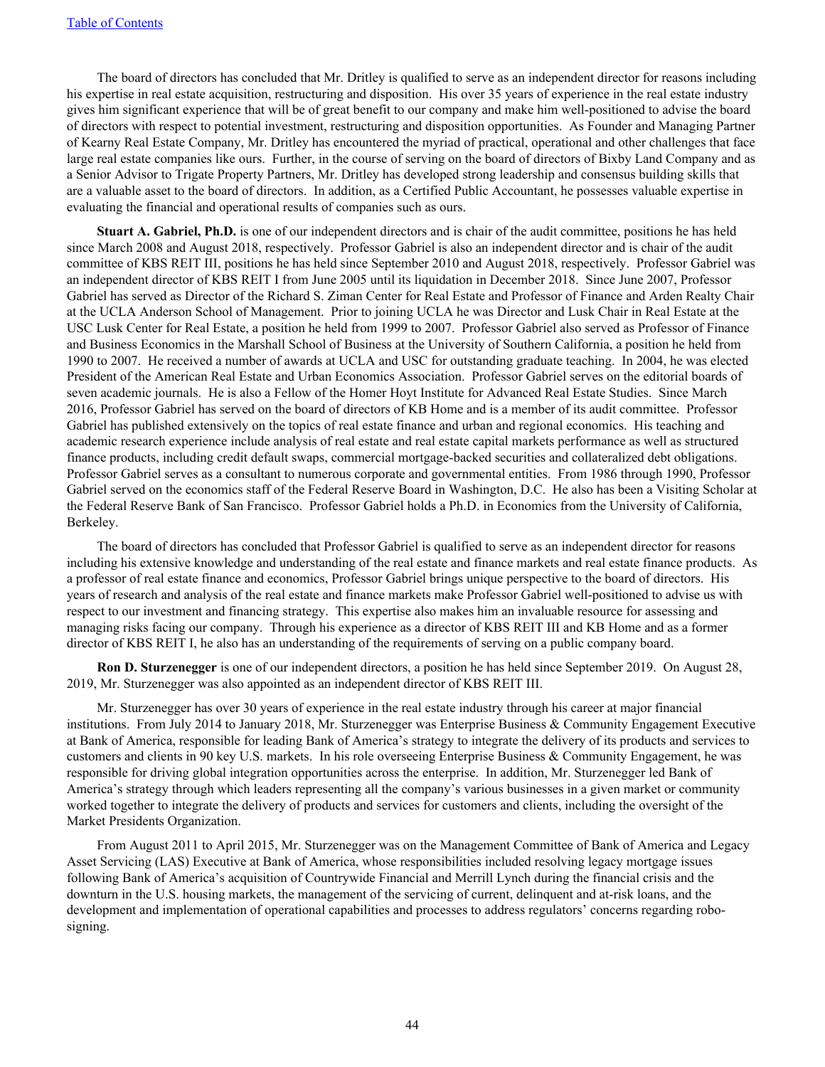The board of directors has concluded that Mr. Dritley is qualified to serve as an independent director for reasons including his expertise in real estate acquisition, restructuring and disposition. His over 35 years of experience in the real estate industry gives him significant experience that will be of great benefit to our company and make him well-positioned to advise the board of directors with respect to potential investment, restructuring and disposition opportunities. As Founder and Managing Partner of Kearny Real Estate Company, Mr. Dritley has encountered the myriad of practical, operational and other challenges that face large real estate companies like ours. Further, in the course of serving on the board of directors of Bixby Land Company and as a Senior Advisor to Trigate Property Partners, Mr. Dritley has developed strong leadership and consensus building skills that are a valuable asset to the board of directors. In addition, as a Certified Public Accountant, he possesses valuable expertise in evaluating the financial and operational results of companies such as ours.

**Stuart A. Gabriel, Ph.D.** is one of our independent directors and is chair of the audit committee, positions he has held since March 2008 and August 2018, respectively. Professor Gabriel is also an independent director and is chair of the audit committee of KBS REIT III, positions he has held since September 2010 and August 2018, respectively. Professor Gabriel was an independent director of KBS REIT I from June 2005 until its liquidation in December 2018. Since June 2007, Professor Gabriel has served as Director of the Richard S. Ziman Center for Real Estate and Professor of Finance and Arden Realty Chair at the UCLA Anderson School of Management. Prior to joining UCLA he was Director and Lusk Chair in Real Estate at the USC Lusk Center for Real Estate, a position he held from 1999 to 2007. Professor Gabriel also served as Professor of Finance and Business Economics in the Marshall School of Business at the University of Southern California, a position he held from 1990 to 2007. He received a number of awards at UCLA and USC for outstanding graduate teaching. In 2004, he was elected President of the American Real Estate and Urban Economics Association. Professor Gabriel serves on the editorial boards of seven academic journals. He is also a Fellow of the Homer Hoyt Institute for Advanced Real Estate Studies. Since March 2016, Professor Gabriel has served on the board of directors of KB Home and is a member of its audit committee. Professor Gabriel has published extensively on the topics of real estate finance and urban and regional economics. His teaching and academic research experience include analysis of real estate and real estate capital markets performance as well as structured finance products, including credit default swaps, commercial mortgage-backed securities and collateralized debt obligations. Professor Gabriel serves as a consultant to numerous corporate and governmental entities. From 1986 through 1990, Professor Gabriel served on the economics staff of the Federal Reserve Board in Washington, D.C. He also has been a Visiting Scholar at the Federal Reserve Bank of San Francisco. Professor Gabriel holds a Ph.D. in Economics from the University of California, Berkeley.

The board of directors has concluded that Professor Gabriel is qualified to serve as an independent director for reasons including his extensive knowledge and understanding of the real estate and finance markets and real estate finance products. As a professor of real estate finance and economics, Professor Gabriel brings unique perspective to the board of directors. His years of research and analysis of the real estate and finance markets make Professor Gabriel well-positioned to advise us with respect to our investment and financing strategy. This expertise also makes him an invaluable resource for assessing and managing risks facing our company. Through his experience as a director of KBS REIT III and KB Home and as a former director of KBS REIT I, he also has an understanding of the requirements of serving on a public company board.

**Ron D. Sturzenegger** is one of our independent directors, a position he has held since September 2019. On August 28, 2019, Mr. Sturzenegger was also appointed as an independent director of KBS REIT III.

Mr. Sturzenegger has over 30 years of experience in the real estate industry through his career at major financial institutions. From July 2014 to January 2018, Mr. Sturzenegger was Enterprise Business & Community Engagement Executive at Bank of America, responsible for leading Bank of America's strategy to integrate the delivery of its products and services to customers and clients in 90 key U.S. markets. In his role overseeing Enterprise Business & Community Engagement, he was responsible for driving global integration opportunities across the enterprise. In addition, Mr. Sturzenegger led Bank of America's strategy through which leaders representing all the company's various businesses in a given market or community worked together to integrate the delivery of products and services for customers and clients, including the oversight of the Market Presidents Organization.

From August 2011 to April 2015, Mr. Sturzenegger was on the Management Committee of Bank of America and Legacy Asset Servicing (LAS) Executive at Bank of America, whose responsibilities included resolving legacy mortgage issues following Bank of America's acquisition of Countrywide Financial and Merrill Lynch during the financial crisis and the downturn in the U.S. housing markets, the management of the servicing of current, delinquent and at-risk loans, and the development and implementation of operational capabilities and processes to address regulators' concerns regarding robosigning.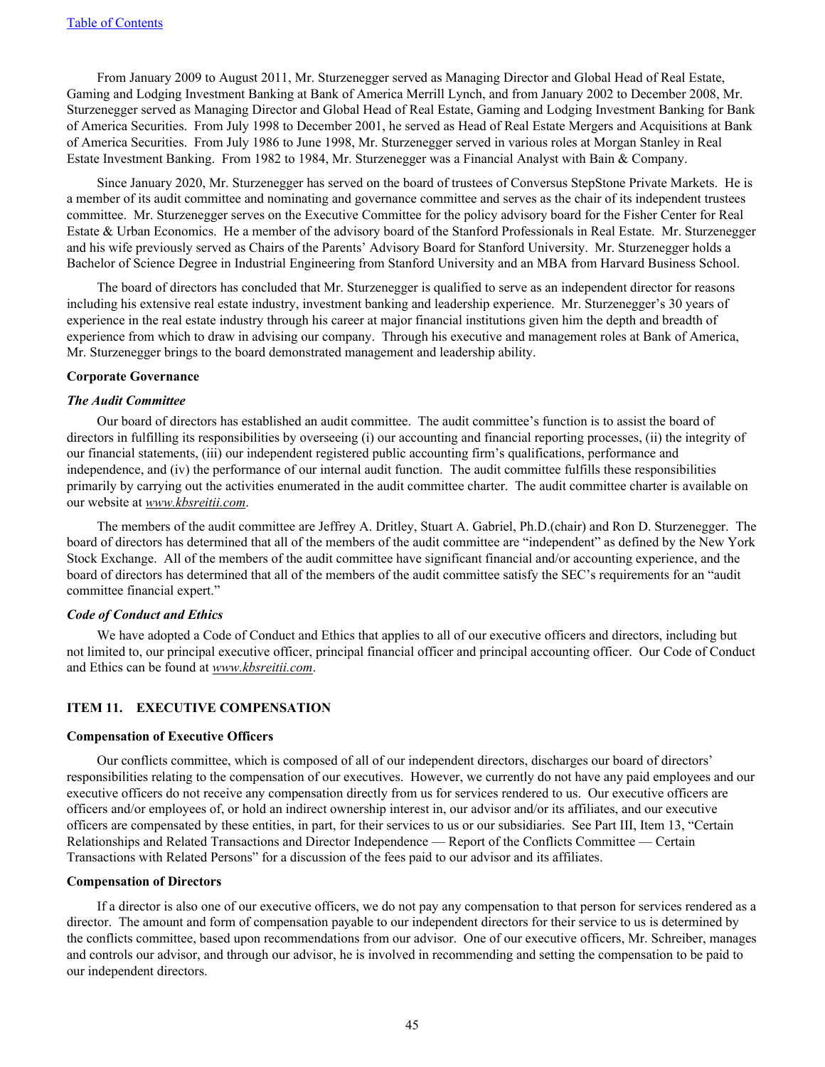From January 2009 to August 2011, Mr. Sturzenegger served as Managing Director and Global Head of Real Estate, Gaming and Lodging Investment Banking at Bank of America Merrill Lynch, and from January 2002 to December 2008, Mr. Sturzenegger served as Managing Director and Global Head of Real Estate, Gaming and Lodging Investment Banking for Bank of America Securities. From July 1998 to December 2001, he served as Head of Real Estate Mergers and Acquisitions at Bank of America Securities. From July 1986 to June 1998, Mr. Sturzenegger served in various roles at Morgan Stanley in Real Estate Investment Banking. From 1982 to 1984, Mr. Sturzenegger was a Financial Analyst with Bain & Company.

Since January 2020, Mr. Sturzenegger has served on the board of trustees of Conversus StepStone Private Markets. He is a member of its audit committee and nominating and governance committee and serves as the chair of its independent trustees committee. Mr. Sturzenegger serves on the Executive Committee for the policy advisory board for the Fisher Center for Real Estate & Urban Economics. He a member of the advisory board of the Stanford Professionals in Real Estate. Mr. Sturzenegger and his wife previously served as Chairs of the Parents' Advisory Board for Stanford University. Mr. Sturzenegger holds a Bachelor of Science Degree in Industrial Engineering from Stanford University and an MBA from Harvard Business School.

The board of directors has concluded that Mr. Sturzenegger is qualified to serve as an independent director for reasons including his extensive real estate industry, investment banking and leadership experience. Mr. Sturzenegger's 30 years of experience in the real estate industry through his career at major financial institutions given him the depth and breadth of experience from which to draw in advising our company. Through his executive and management roles at Bank of America, Mr. Sturzenegger brings to the board demonstrated management and leadership ability.

#### **Corporate Governance**

#### *The Audit Committee*

Our board of directors has established an audit committee. The audit committee's function is to assist the board of directors in fulfilling its responsibilities by overseeing (i) our accounting and financial reporting processes, (ii) the integrity of our financial statements, (iii) our independent registered public accounting firm's qualifications, performance and independence, and (iv) the performance of our internal audit function. The audit committee fulfills these responsibilities primarily by carrying out the activities enumerated in the audit committee charter. The audit committee charter is available on our website at *www.kbsreitii.com*.

The members of the audit committee are Jeffrey A. Dritley, Stuart A. Gabriel, Ph.D.(chair) and Ron D. Sturzenegger. The board of directors has determined that all of the members of the audit committee are "independent" as defined by the New York Stock Exchange. All of the members of the audit committee have significant financial and/or accounting experience, and the board of directors has determined that all of the members of the audit committee satisfy the SEC's requirements for an "audit committee financial expert."

#### *Code of Conduct and Ethics*

We have adopted a Code of Conduct and Ethics that applies to all of our executive officers and directors, including but not limited to, our principal executive officer, principal financial officer and principal accounting officer. Our Code of Conduct and Ethics can be found at *www.kbsreitii.com*.

#### **ITEM 11. EXECUTIVE COMPENSATION**

#### **Compensation of Executive Officers**

Our conflicts committee, which is composed of all of our independent directors, discharges our board of directors' responsibilities relating to the compensation of our executives. However, we currently do not have any paid employees and our executive officers do not receive any compensation directly from us for services rendered to us. Our executive officers are officers and/or employees of, or hold an indirect ownership interest in, our advisor and/or its affiliates, and our executive officers are compensated by these entities, in part, for their services to us or our subsidiaries. See Part III, Item 13, "Certain Relationships and Related Transactions and Director Independence — Report of the Conflicts Committee — Certain Transactions with Related Persons" for a discussion of the fees paid to our advisor and its affiliates.

#### **Compensation of Directors**

If a director is also one of our executive officers, we do not pay any compensation to that person for services rendered as a director. The amount and form of compensation payable to our independent directors for their service to us is determined by the conflicts committee, based upon recommendations from our advisor. One of our executive officers, Mr. Schreiber, manages and controls our advisor, and through our advisor, he is involved in recommending and setting the compensation to be paid to our independent directors.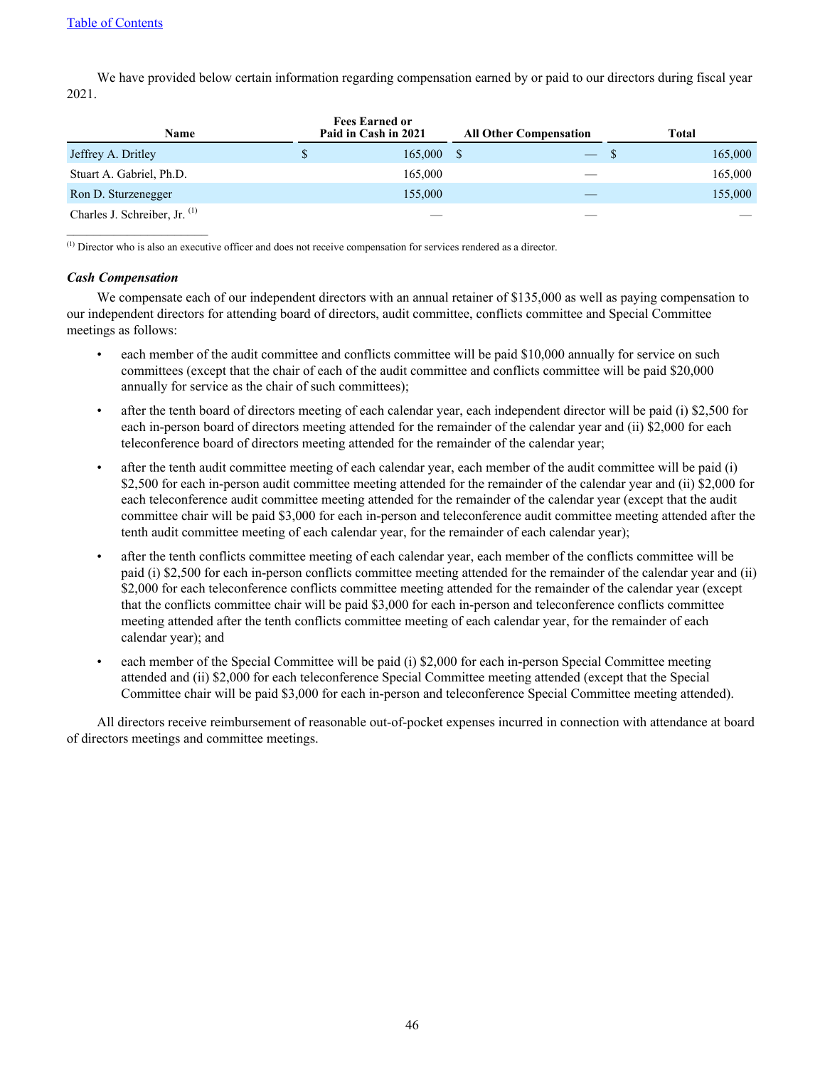We have provided below certain information regarding compensation earned by or paid to our directors during fiscal year 2021.

| Name                          | <b>Fees Earned or</b><br>Paid in Cash in 2021 | <b>All Other Compensation</b> | <b>Total</b> |
|-------------------------------|-----------------------------------------------|-------------------------------|--------------|
| Jeffrey A. Dritley            | 165,000                                       | $-$ S                         | 165,000      |
| Stuart A. Gabriel, Ph.D.      | 165,000                                       |                               | 165,000      |
| Ron D. Sturzenegger           | 155,000                                       |                               | 155,000      |
| Charles J. Schreiber, Jr. (1) |                                               |                               |              |

 $<sup>(1)</sup>$  Director who is also an executive officer and does not receive compensation for services rendered as a director.</sup>

#### *Cash Compensation*

 $\mathcal{L}_\text{max}$  , where  $\mathcal{L}_\text{max}$  , we have the set of the set of the set of the set of the set of the set of the set of the set of the set of the set of the set of the set of the set of the set of the set of the set of

We compensate each of our independent directors with an annual retainer of \$135,000 as well as paying compensation to our independent directors for attending board of directors, audit committee, conflicts committee and Special Committee meetings as follows:

- each member of the audit committee and conflicts committee will be paid \$10,000 annually for service on such committees (except that the chair of each of the audit committee and conflicts committee will be paid \$20,000 annually for service as the chair of such committees);
- after the tenth board of directors meeting of each calendar year, each independent director will be paid (i) \$2,500 for each in-person board of directors meeting attended for the remainder of the calendar year and (ii) \$2,000 for each teleconference board of directors meeting attended for the remainder of the calendar year;
- after the tenth audit committee meeting of each calendar year, each member of the audit committee will be paid (i) \$2,500 for each in-person audit committee meeting attended for the remainder of the calendar year and (ii) \$2,000 for each teleconference audit committee meeting attended for the remainder of the calendar year (except that the audit committee chair will be paid \$3,000 for each in-person and teleconference audit committee meeting attended after the tenth audit committee meeting of each calendar year, for the remainder of each calendar year);
- after the tenth conflicts committee meeting of each calendar year, each member of the conflicts committee will be paid (i) \$2,500 for each in-person conflicts committee meeting attended for the remainder of the calendar year and (ii) \$2,000 for each teleconference conflicts committee meeting attended for the remainder of the calendar year (except that the conflicts committee chair will be paid \$3,000 for each in-person and teleconference conflicts committee meeting attended after the tenth conflicts committee meeting of each calendar year, for the remainder of each calendar year); and
- each member of the Special Committee will be paid (i) \$2,000 for each in-person Special Committee meeting attended and (ii) \$2,000 for each teleconference Special Committee meeting attended (except that the Special Committee chair will be paid \$3,000 for each in-person and teleconference Special Committee meeting attended).

All directors receive reimbursement of reasonable out-of-pocket expenses incurred in connection with attendance at board of directors meetings and committee meetings.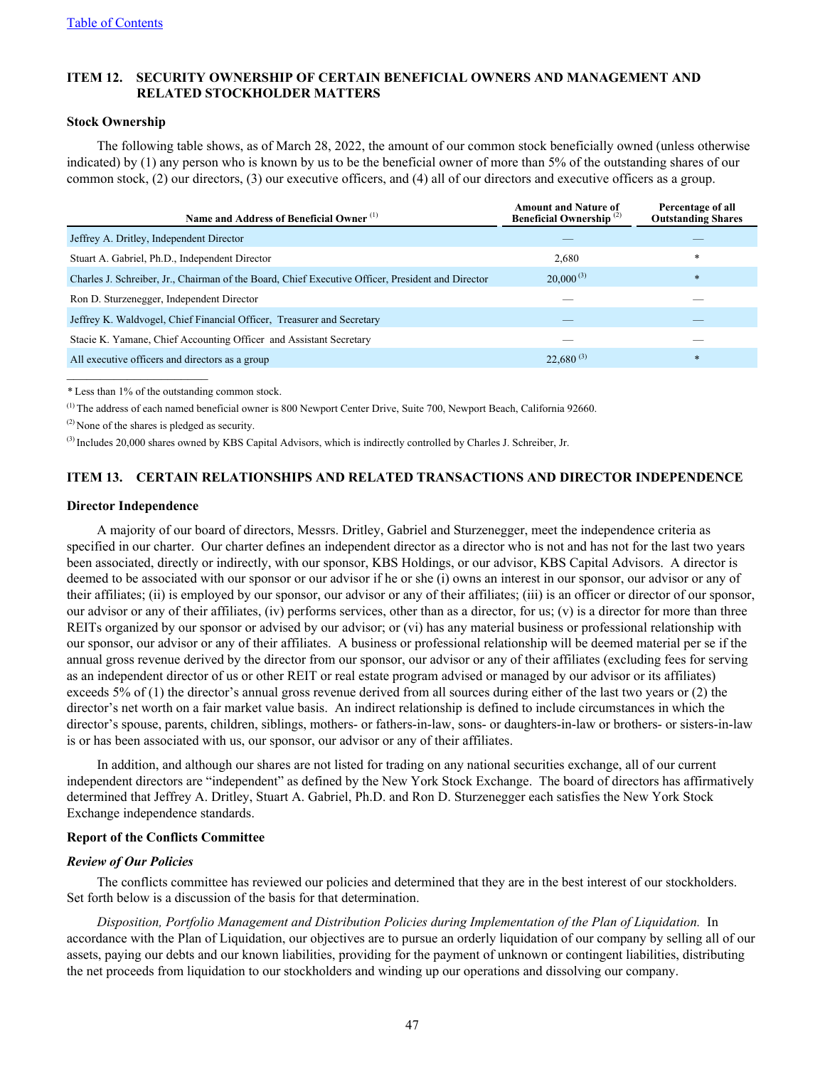#### **ITEM 12. SECURITY OWNERSHIP OF CERTAIN BENEFICIAL OWNERS AND MANAGEMENT AND RELATED STOCKHOLDER MATTERS**

#### **Stock Ownership**

The following table shows, as of March 28, 2022, the amount of our common stock beneficially owned (unless otherwise indicated) by (1) any person who is known by us to be the beneficial owner of more than 5% of the outstanding shares of our common stock, (2) our directors, (3) our executive officers, and (4) all of our directors and executive officers as a group.

| Name and Address of Beneficial Owner <sup>(1)</sup>                                               | <b>Amount and Nature of</b><br><b>Beneficial Ownership</b> <sup>(2)</sup> | Percentage of all<br><b>Outstanding Shares</b> |
|---------------------------------------------------------------------------------------------------|---------------------------------------------------------------------------|------------------------------------------------|
| Jeffrey A. Dritley, Independent Director                                                          |                                                                           |                                                |
| Stuart A. Gabriel, Ph.D., Independent Director                                                    | 2,680                                                                     | *                                              |
| Charles J. Schreiber, Jr., Chairman of the Board, Chief Executive Officer, President and Director | $20,000^{(3)}$                                                            | $\ast$                                         |
| Ron D. Sturzenegger, Independent Director                                                         |                                                                           |                                                |
| Jeffrey K. Waldvogel, Chief Financial Officer, Treasurer and Secretary                            |                                                                           |                                                |
| Stacie K. Yamane, Chief Accounting Officer and Assistant Secretary                                |                                                                           |                                                |
| All executive officers and directors as a group                                                   | $22.680^{(3)}$                                                            | $\ast$                                         |
|                                                                                                   |                                                                           |                                                |

*\** Less than 1% of the outstanding common stock.

(1) The address of each named beneficial owner is 800 Newport Center Drive, Suite 700, Newport Beach, California 92660.

(2) None of the shares is pledged as security.

(3) Includes 20,000 shares owned by KBS Capital Advisors, which is indirectly controlled by Charles J. Schreiber, Jr.

#### **ITEM 13. CERTAIN RELATIONSHIPS AND RELATED TRANSACTIONS AND DIRECTOR INDEPENDENCE**

#### **Director Independence**

A majority of our board of directors, Messrs. Dritley, Gabriel and Sturzenegger, meet the independence criteria as specified in our charter. Our charter defines an independent director as a director who is not and has not for the last two years been associated, directly or indirectly, with our sponsor, KBS Holdings, or our advisor, KBS Capital Advisors. A director is deemed to be associated with our sponsor or our advisor if he or she (i) owns an interest in our sponsor, our advisor or any of their affiliates; (ii) is employed by our sponsor, our advisor or any of their affiliates; (iii) is an officer or director of our sponsor, our advisor or any of their affiliates, (iv) performs services, other than as a director, for us; (v) is a director for more than three REITs organized by our sponsor or advised by our advisor; or (vi) has any material business or professional relationship with our sponsor, our advisor or any of their affiliates. A business or professional relationship will be deemed material per se if the annual gross revenue derived by the director from our sponsor, our advisor or any of their affiliates (excluding fees for serving as an independent director of us or other REIT or real estate program advised or managed by our advisor or its affiliates) exceeds 5% of (1) the director's annual gross revenue derived from all sources during either of the last two years or (2) the director's net worth on a fair market value basis. An indirect relationship is defined to include circumstances in which the director's spouse, parents, children, siblings, mothers- or fathers-in-law, sons- or daughters-in-law or brothers- or sisters-in-law is or has been associated with us, our sponsor, our advisor or any of their affiliates.

In addition, and although our shares are not listed for trading on any national securities exchange, all of our current independent directors are "independent" as defined by the New York Stock Exchange. The board of directors has affirmatively determined that Jeffrey A. Dritley, Stuart A. Gabriel, Ph.D. and Ron D. Sturzenegger each satisfies the New York Stock Exchange independence standards.

#### **Report of the Conflicts Committee**

#### *Review of Our Policies*

The conflicts committee has reviewed our policies and determined that they are in the best interest of our stockholders. Set forth below is a discussion of the basis for that determination.

*Disposition, Portfolio Management and Distribution Policies during Implementation of the Plan of Liquidation.* In accordance with the Plan of Liquidation, our objectives are to pursue an orderly liquidation of our company by selling all of our assets, paying our debts and our known liabilities, providing for the payment of unknown or contingent liabilities, distributing the net proceeds from liquidation to our stockholders and winding up our operations and dissolving our company.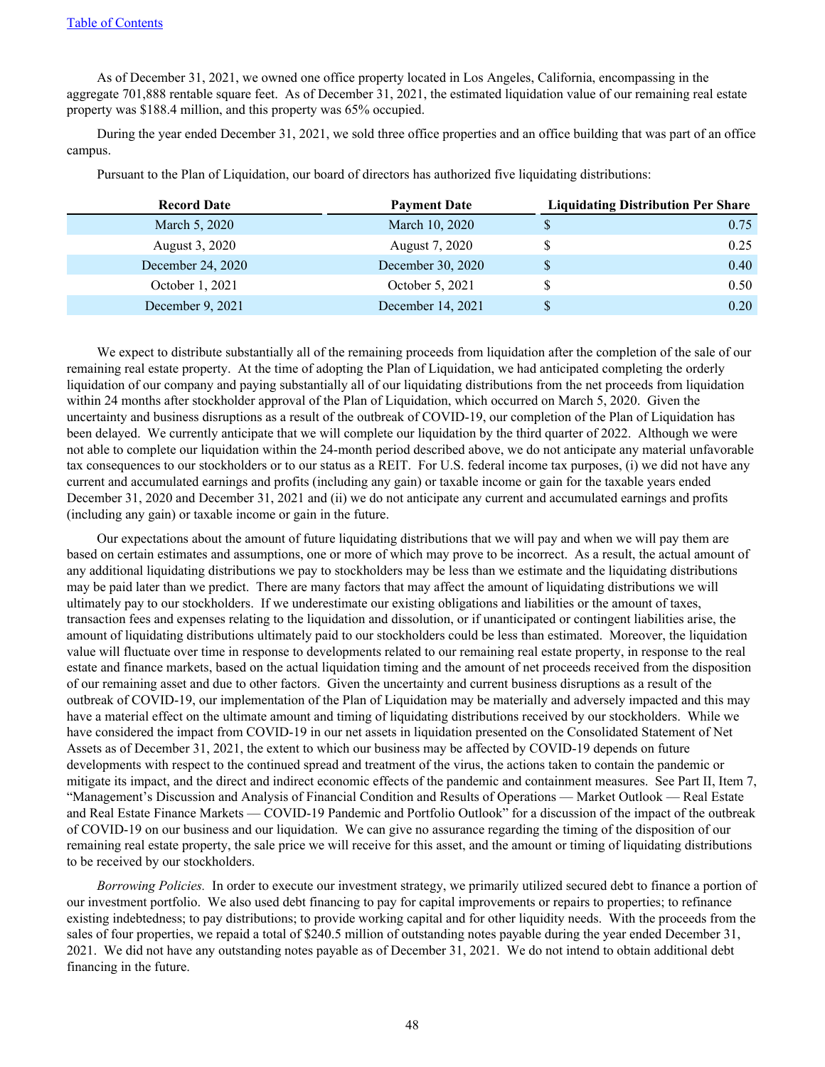As of December 31, 2021, we owned one office property located in Los Angeles, California, encompassing in the aggregate 701,888 rentable square feet. As of December 31, 2021, the estimated liquidation value of our remaining real estate property was \$188.4 million, and this property was 65% occupied.

During the year ended December 31, 2021, we sold three office properties and an office building that was part of an office campus.

Pursuant to the Plan of Liquidation, our board of directors has authorized five liquidating distributions:

| <b>Record Date</b> | <b>Payment Date</b> | <b>Liquidating Distribution Per Share</b> |
|--------------------|---------------------|-------------------------------------------|
| March 5, 2020      | March 10, 2020      | 0.75                                      |
| August 3, 2020     | August 7, 2020      | 0.25                                      |
| December 24, 2020  | December 30, 2020   | \$<br>0.40                                |
| October 1, 2021    | October 5, 2021     | 0.50                                      |
| December 9, 2021   | December 14, 2021   | \$<br>0.20                                |

We expect to distribute substantially all of the remaining proceeds from liquidation after the completion of the sale of our remaining real estate property. At the time of adopting the Plan of Liquidation, we had anticipated completing the orderly liquidation of our company and paying substantially all of our liquidating distributions from the net proceeds from liquidation within 24 months after stockholder approval of the Plan of Liquidation, which occurred on March 5, 2020. Given the uncertainty and business disruptions as a result of the outbreak of COVID-19, our completion of the Plan of Liquidation has been delayed. We currently anticipate that we will complete our liquidation by the third quarter of 2022. Although we were not able to complete our liquidation within the 24-month period described above, we do not anticipate any material unfavorable tax consequences to our stockholders or to our status as a REIT. For U.S. federal income tax purposes, (i) we did not have any current and accumulated earnings and profits (including any gain) or taxable income or gain for the taxable years ended December 31, 2020 and December 31, 2021 and (ii) we do not anticipate any current and accumulated earnings and profits (including any gain) or taxable income or gain in the future.

Our expectations about the amount of future liquidating distributions that we will pay and when we will pay them are based on certain estimates and assumptions, one or more of which may prove to be incorrect. As a result, the actual amount of any additional liquidating distributions we pay to stockholders may be less than we estimate and the liquidating distributions may be paid later than we predict. There are many factors that may affect the amount of liquidating distributions we will ultimately pay to our stockholders. If we underestimate our existing obligations and liabilities or the amount of taxes, transaction fees and expenses relating to the liquidation and dissolution, or if unanticipated or contingent liabilities arise, the amount of liquidating distributions ultimately paid to our stockholders could be less than estimated. Moreover, the liquidation value will fluctuate over time in response to developments related to our remaining real estate property, in response to the real estate and finance markets, based on the actual liquidation timing and the amount of net proceeds received from the disposition of our remaining asset and due to other factors. Given the uncertainty and current business disruptions as a result of the outbreak of COVID-19, our implementation of the Plan of Liquidation may be materially and adversely impacted and this may have a material effect on the ultimate amount and timing of liquidating distributions received by our stockholders. While we have considered the impact from COVID-19 in our net assets in liquidation presented on the Consolidated Statement of Net Assets as of December 31, 2021, the extent to which our business may be affected by COVID-19 depends on future developments with respect to the continued spread and treatment of the virus, the actions taken to contain the pandemic or mitigate its impact, and the direct and indirect economic effects of the pandemic and containment measures. See Part II, Item 7, "Management's Discussion and Analysis of Financial Condition and Results of Operations — Market Outlook — Real Estate and Real Estate Finance Markets — COVID-19 Pandemic and Portfolio Outlook" for a discussion of the impact of the outbreak of COVID-19 on our business and our liquidation. We can give no assurance regarding the timing of the disposition of our remaining real estate property, the sale price we will receive for this asset, and the amount or timing of liquidating distributions to be received by our stockholders.

*Borrowing Policies.* In order to execute our investment strategy, we primarily utilized secured debt to finance a portion of our investment portfolio. We also used debt financing to pay for capital improvements or repairs to properties; to refinance existing indebtedness; to pay distributions; to provide working capital and for other liquidity needs. With the proceeds from the sales of four properties, we repaid a total of \$240.5 million of outstanding notes payable during the year ended December 31, 2021. We did not have any outstanding notes payable as of December 31, 2021. We do not intend to obtain additional debt financing in the future.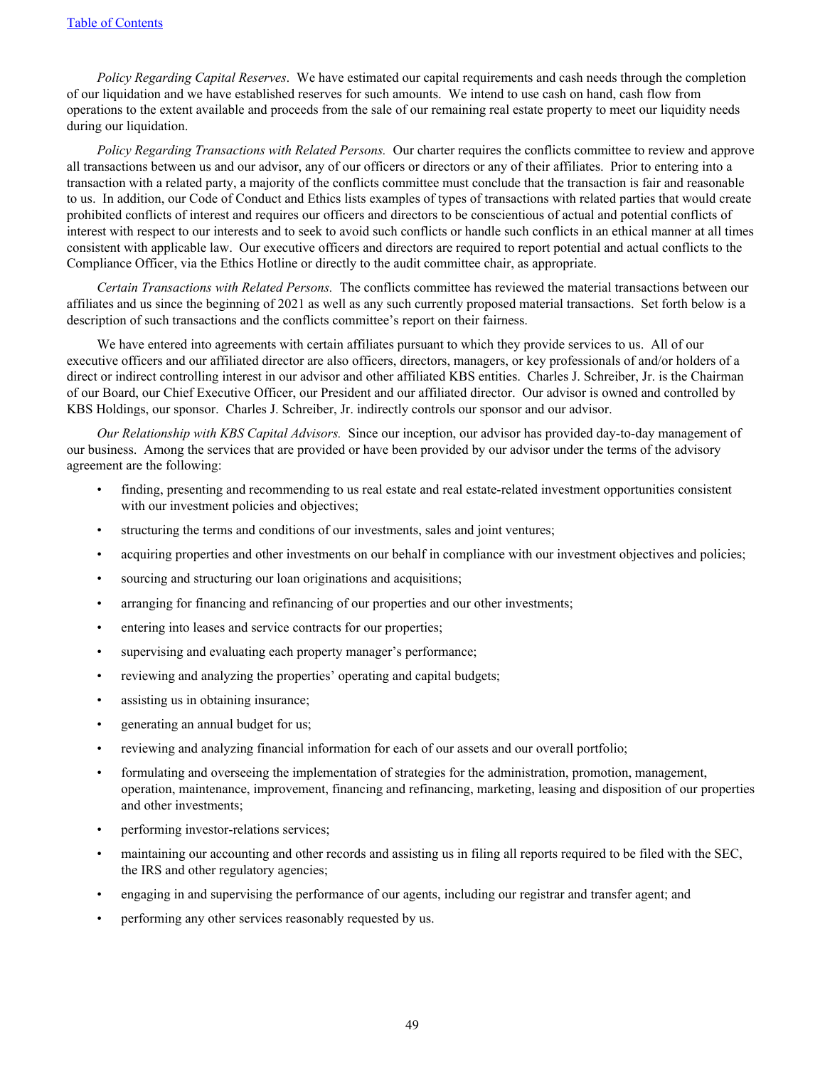*Policy Regarding Capital Reserves*. We have estimated our capital requirements and cash needs through the completion of our liquidation and we have established reserves for such amounts. We intend to use cash on hand, cash flow from operations to the extent available and proceeds from the sale of our remaining real estate property to meet our liquidity needs during our liquidation.

*Policy Regarding Transactions with Related Persons.* Our charter requires the conflicts committee to review and approve all transactions between us and our advisor, any of our officers or directors or any of their affiliates. Prior to entering into a transaction with a related party, a majority of the conflicts committee must conclude that the transaction is fair and reasonable to us. In addition, our Code of Conduct and Ethics lists examples of types of transactions with related parties that would create prohibited conflicts of interest and requires our officers and directors to be conscientious of actual and potential conflicts of interest with respect to our interests and to seek to avoid such conflicts or handle such conflicts in an ethical manner at all times consistent with applicable law. Our executive officers and directors are required to report potential and actual conflicts to the Compliance Officer, via the Ethics Hotline or directly to the audit committee chair, as appropriate.

*Certain Transactions with Related Persons.* The conflicts committee has reviewed the material transactions between our affiliates and us since the beginning of 2021 as well as any such currently proposed material transactions. Set forth below is a description of such transactions and the conflicts committee's report on their fairness.

We have entered into agreements with certain affiliates pursuant to which they provide services to us. All of our executive officers and our affiliated director are also officers, directors, managers, or key professionals of and/or holders of a direct or indirect controlling interest in our advisor and other affiliated KBS entities. Charles J. Schreiber, Jr. is the Chairman of our Board, our Chief Executive Officer, our President and our affiliated director. Our advisor is owned and controlled by KBS Holdings, our sponsor. Charles J. Schreiber, Jr. indirectly controls our sponsor and our advisor.

*Our Relationship with KBS Capital Advisors.* Since our inception, our advisor has provided day-to-day management of our business. Among the services that are provided or have been provided by our advisor under the terms of the advisory agreement are the following:

- finding, presenting and recommending to us real estate and real estate-related investment opportunities consistent with our investment policies and objectives;
- structuring the terms and conditions of our investments, sales and joint ventures;
- acquiring properties and other investments on our behalf in compliance with our investment objectives and policies;
- sourcing and structuring our loan originations and acquisitions;
- arranging for financing and refinancing of our properties and our other investments;
- entering into leases and service contracts for our properties;
- supervising and evaluating each property manager's performance;
- reviewing and analyzing the properties' operating and capital budgets;
- assisting us in obtaining insurance;
- generating an annual budget for us;
- reviewing and analyzing financial information for each of our assets and our overall portfolio;
- formulating and overseeing the implementation of strategies for the administration, promotion, management, operation, maintenance, improvement, financing and refinancing, marketing, leasing and disposition of our properties and other investments;
- performing investor-relations services;
- maintaining our accounting and other records and assisting us in filing all reports required to be filed with the SEC, the IRS and other regulatory agencies;
- engaging in and supervising the performance of our agents, including our registrar and transfer agent; and
- performing any other services reasonably requested by us.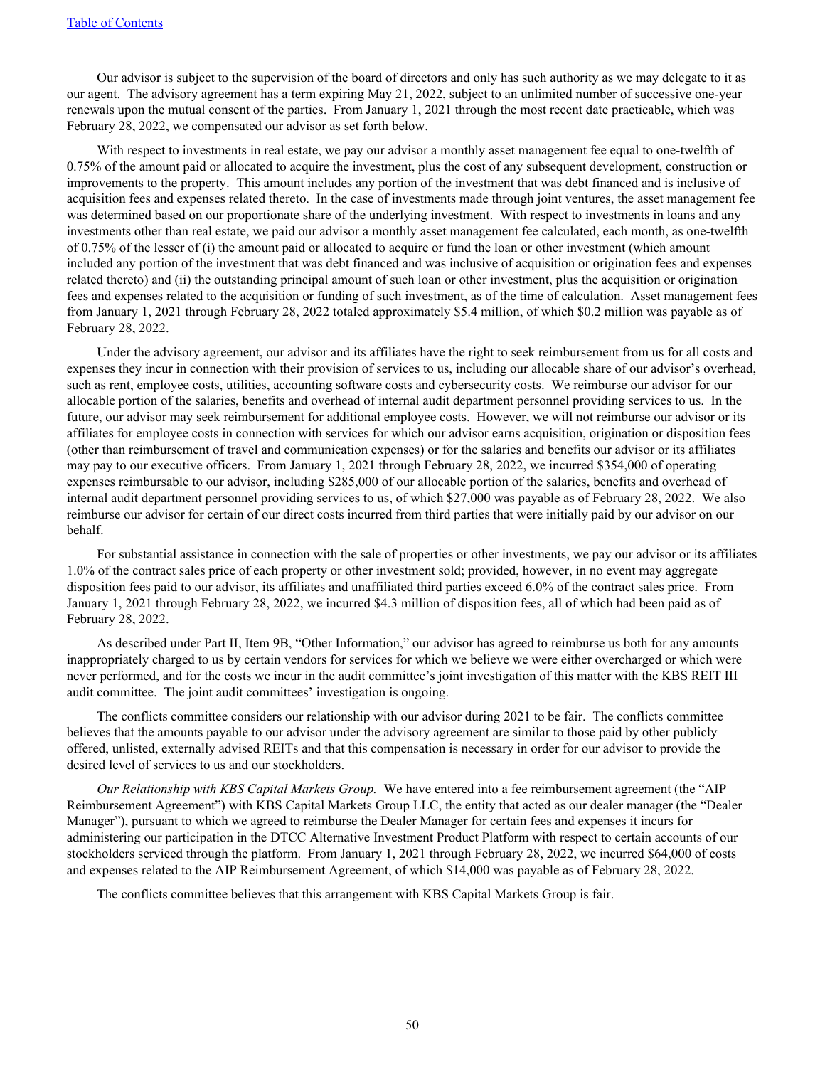Our advisor is subject to the supervision of the board of directors and only has such authority as we may delegate to it as our agent. The advisory agreement has a term expiring May 21, 2022, subject to an unlimited number of successive one-year renewals upon the mutual consent of the parties. From January 1, 2021 through the most recent date practicable, which was February 28, 2022, we compensated our advisor as set forth below.

With respect to investments in real estate, we pay our advisor a monthly asset management fee equal to one-twelfth of 0.75% of the amount paid or allocated to acquire the investment, plus the cost of any subsequent development, construction or improvements to the property. This amount includes any portion of the investment that was debt financed and is inclusive of acquisition fees and expenses related thereto. In the case of investments made through joint ventures, the asset management fee was determined based on our proportionate share of the underlying investment. With respect to investments in loans and any investments other than real estate, we paid our advisor a monthly asset management fee calculated, each month, as one-twelfth of 0.75% of the lesser of (i) the amount paid or allocated to acquire or fund the loan or other investment (which amount included any portion of the investment that was debt financed and was inclusive of acquisition or origination fees and expenses related thereto) and (ii) the outstanding principal amount of such loan or other investment, plus the acquisition or origination fees and expenses related to the acquisition or funding of such investment, as of the time of calculation. Asset management fees from January 1, 2021 through February 28, 2022 totaled approximately \$5.4 million, of which \$0.2 million was payable as of February 28, 2022.

Under the advisory agreement, our advisor and its affiliates have the right to seek reimbursement from us for all costs and expenses they incur in connection with their provision of services to us, including our allocable share of our advisor's overhead, such as rent, employee costs, utilities, accounting software costs and cybersecurity costs. We reimburse our advisor for our allocable portion of the salaries, benefits and overhead of internal audit department personnel providing services to us. In the future, our advisor may seek reimbursement for additional employee costs. However, we will not reimburse our advisor or its affiliates for employee costs in connection with services for which our advisor earns acquisition, origination or disposition fees (other than reimbursement of travel and communication expenses) or for the salaries and benefits our advisor or its affiliates may pay to our executive officers. From January 1, 2021 through February 28, 2022, we incurred \$354,000 of operating expenses reimbursable to our advisor, including \$285,000 of our allocable portion of the salaries, benefits and overhead of internal audit department personnel providing services to us, of which \$27,000 was payable as of February 28, 2022. We also reimburse our advisor for certain of our direct costs incurred from third parties that were initially paid by our advisor on our behalf.

For substantial assistance in connection with the sale of properties or other investments, we pay our advisor or its affiliates 1.0% of the contract sales price of each property or other investment sold; provided, however, in no event may aggregate disposition fees paid to our advisor, its affiliates and unaffiliated third parties exceed 6.0% of the contract sales price. From January 1, 2021 through February 28, 2022, we incurred \$4.3 million of disposition fees, all of which had been paid as of February 28, 2022.

As described under Part II, Item 9B, "Other Information," our advisor has agreed to reimburse us both for any amounts inappropriately charged to us by certain vendors for services for which we believe we were either overcharged or which were never performed, and for the costs we incur in the audit committee's joint investigation of this matter with the KBS REIT III audit committee. The joint audit committees' investigation is ongoing.

The conflicts committee considers our relationship with our advisor during 2021 to be fair. The conflicts committee believes that the amounts payable to our advisor under the advisory agreement are similar to those paid by other publicly offered, unlisted, externally advised REITs and that this compensation is necessary in order for our advisor to provide the desired level of services to us and our stockholders.

*Our Relationship with KBS Capital Markets Group.* We have entered into a fee reimbursement agreement (the "AIP Reimbursement Agreement") with KBS Capital Markets Group LLC, the entity that acted as our dealer manager (the "Dealer Manager"), pursuant to which we agreed to reimburse the Dealer Manager for certain fees and expenses it incurs for administering our participation in the DTCC Alternative Investment Product Platform with respect to certain accounts of our stockholders serviced through the platform. From January 1, 2021 through February 28, 2022, we incurred \$64,000 of costs and expenses related to the AIP Reimbursement Agreement, of which \$14,000 was payable as of February 28, 2022.

The conflicts committee believes that this arrangement with KBS Capital Markets Group is fair.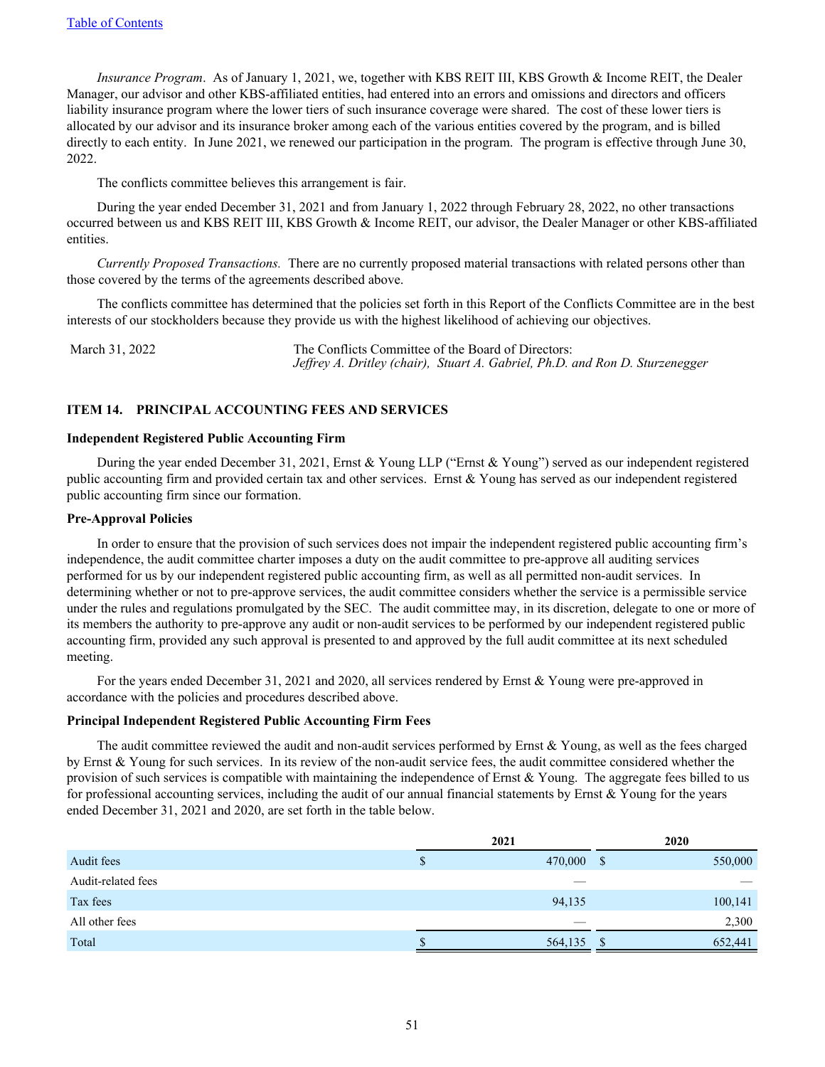*Insurance Program*. As of January 1, 2021, we, together with KBS REIT III, KBS Growth & Income REIT, the Dealer Manager, our advisor and other KBS-affiliated entities, had entered into an errors and omissions and directors and officers liability insurance program where the lower tiers of such insurance coverage were shared. The cost of these lower tiers is allocated by our advisor and its insurance broker among each of the various entities covered by the program, and is billed directly to each entity. In June 2021, we renewed our participation in the program. The program is effective through June 30, 2022.

The conflicts committee believes this arrangement is fair.

During the year ended December 31, 2021 and from January 1, 2022 through February 28, 2022, no other transactions occurred between us and KBS REIT III, KBS Growth & Income REIT, our advisor, the Dealer Manager or other KBS-affiliated entities.

*Currently Proposed Transactions.* There are no currently proposed material transactions with related persons other than those covered by the terms of the agreements described above.

The conflicts committee has determined that the policies set forth in this Report of the Conflicts Committee are in the best interests of our stockholders because they provide us with the highest likelihood of achieving our objectives.

March 31, 2022 The Conflicts Committee of the Board of Directors: *Jeffrey A. Dritley (chair), Stuart A. Gabriel, Ph.D. and Ron D. Sturzenegger*

#### **ITEM 14. PRINCIPAL ACCOUNTING FEES AND SERVICES**

#### **Independent Registered Public Accounting Firm**

During the year ended December 31, 2021, Ernst & Young LLP ("Ernst & Young") served as our independent registered public accounting firm and provided certain tax and other services. Ernst & Young has served as our independent registered public accounting firm since our formation.

#### **Pre-Approval Policies**

In order to ensure that the provision of such services does not impair the independent registered public accounting firm's independence, the audit committee charter imposes a duty on the audit committee to pre-approve all auditing services performed for us by our independent registered public accounting firm, as well as all permitted non-audit services. In determining whether or not to pre-approve services, the audit committee considers whether the service is a permissible service under the rules and regulations promulgated by the SEC. The audit committee may, in its discretion, delegate to one or more of its members the authority to pre-approve any audit or non-audit services to be performed by our independent registered public accounting firm, provided any such approval is presented to and approved by the full audit committee at its next scheduled meeting.

For the years ended December 31, 2021 and 2020, all services rendered by Ernst & Young were pre-approved in accordance with the policies and procedures described above.

#### **Principal Independent Registered Public Accounting Firm Fees**

The audit committee reviewed the audit and non-audit services performed by Ernst  $\&$  Young, as well as the fees charged by Ernst & Young for such services. In its review of the non-audit service fees, the audit committee considered whether the provision of such services is compatible with maintaining the independence of Ernst & Young. The aggregate fees billed to us for professional accounting services, including the audit of our annual financial statements by Ernst  $\&$  Young for the years ended December 31, 2021 and 2020, are set forth in the table below.

|                    | 2021         | 2020                     |
|--------------------|--------------|--------------------------|
| Audit fees         | 470,000<br>P | 550,000<br>$\mathbb{S}$  |
| Audit-related fees |              |                          |
| Tax fees           | 94,135       | 100,141                  |
| All other fees     | _            | 2,300                    |
| Total              | 564,135      | <sup>\$</sup><br>652,441 |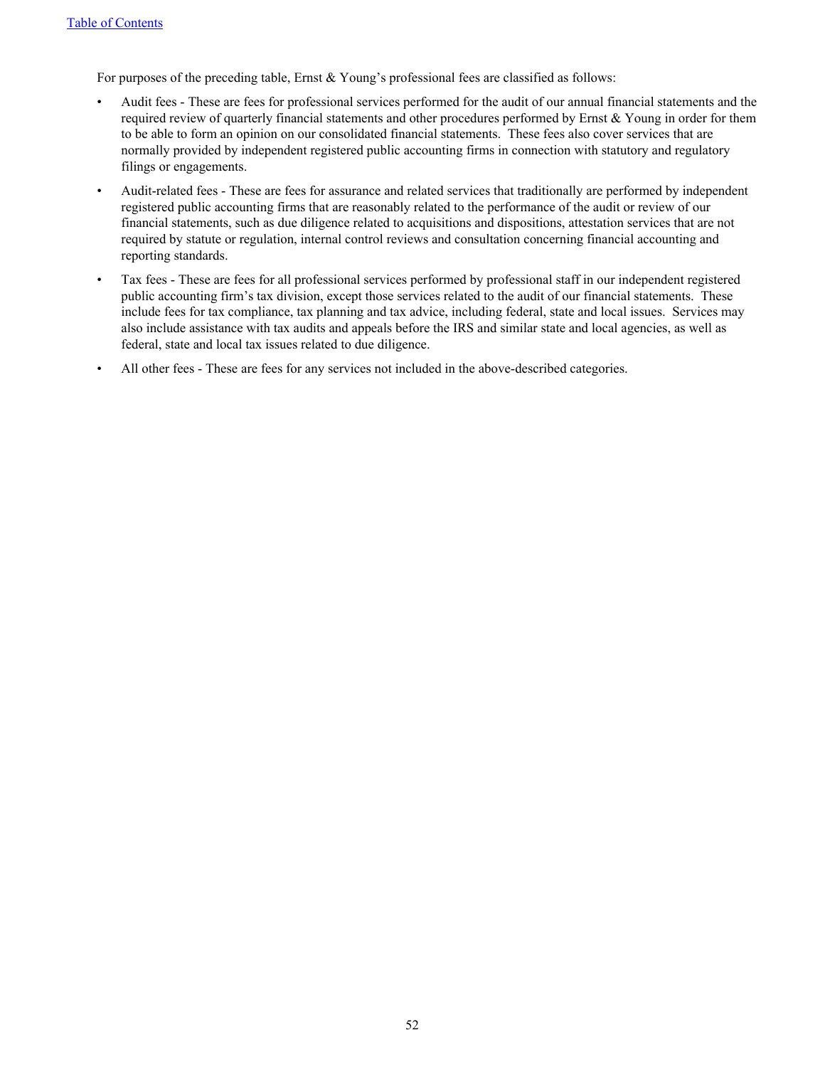For purposes of the preceding table, Ernst & Young's professional fees are classified as follows:

- Audit fees These are fees for professional services performed for the audit of our annual financial statements and the required review of quarterly financial statements and other procedures performed by Ernst  $\&$  Young in order for them to be able to form an opinion on our consolidated financial statements. These fees also cover services that are normally provided by independent registered public accounting firms in connection with statutory and regulatory filings or engagements.
- Audit-related fees These are fees for assurance and related services that traditionally are performed by independent registered public accounting firms that are reasonably related to the performance of the audit or review of our financial statements, such as due diligence related to acquisitions and dispositions, attestation services that are not required by statute or regulation, internal control reviews and consultation concerning financial accounting and reporting standards.
- Tax fees These are fees for all professional services performed by professional staff in our independent registered public accounting firm's tax division, except those services related to the audit of our financial statements. These include fees for tax compliance, tax planning and tax advice, including federal, state and local issues. Services may also include assistance with tax audits and appeals before the IRS and similar state and local agencies, as well as federal, state and local tax issues related to due diligence.
- All other fees These are fees for any services not included in the above-described categories.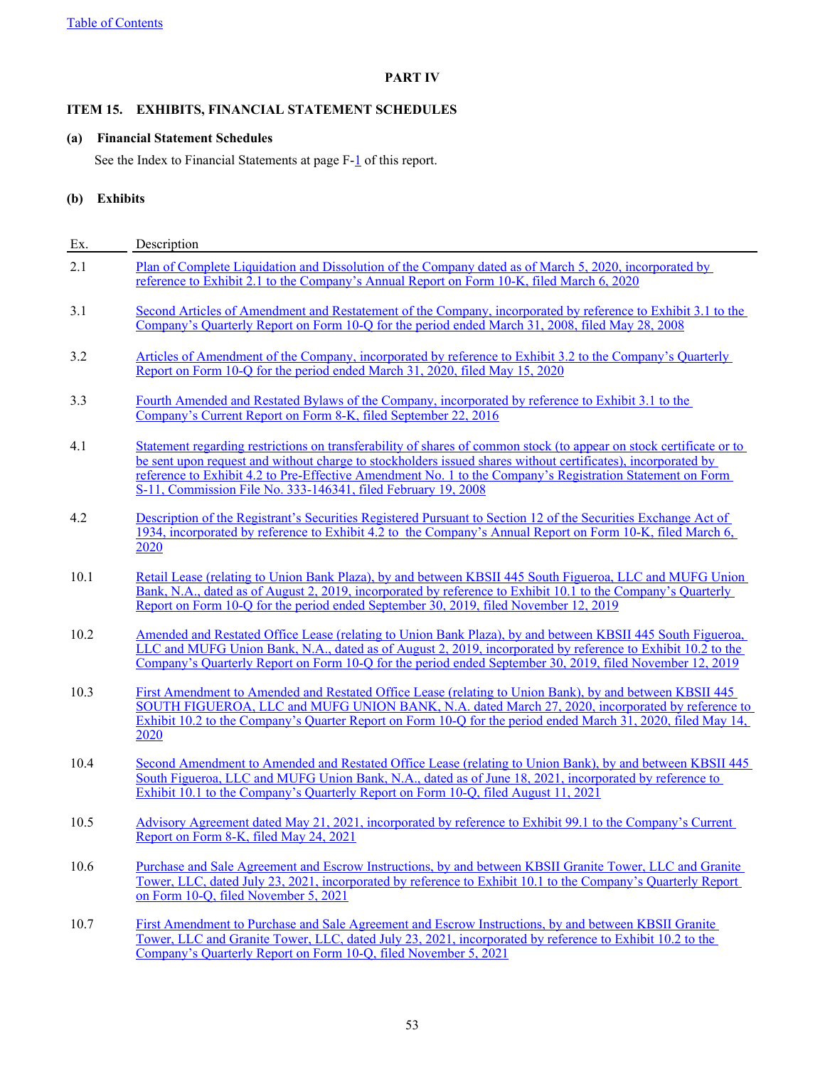## **PART IV**

## **ITEM 15. EXHIBITS, FINANCIAL STATEMENT SCHEDULES**

## **(a) Financial Statement Schedules**

See the Index to Financial Statements at page F[-1](#page-55-0) of this report.

## **(b) Exhibits**

| Ex.  | Description                                                                                                                                                                                                                                                                                                                                                                                                       |
|------|-------------------------------------------------------------------------------------------------------------------------------------------------------------------------------------------------------------------------------------------------------------------------------------------------------------------------------------------------------------------------------------------------------------------|
| 2.1  | Plan of Complete Liquidation and Dissolution of the Company dated as of March 5, 2020, incorporated by<br>reference to Exhibit 2.1 to the Company's Annual Report on Form 10-K, filed March 6, 2020                                                                                                                                                                                                               |
| 3.1  | Second Articles of Amendment and Restatement of the Company, incorporated by reference to Exhibit 3.1 to the<br>Company's Quarterly Report on Form 10-Q for the period ended March 31, 2008, filed May 28, 2008                                                                                                                                                                                                   |
| 3.2  | Articles of Amendment of the Company, incorporated by reference to Exhibit 3.2 to the Company's Quarterly<br>Report on Form 10-Q for the period ended March 31, 2020, filed May 15, 2020                                                                                                                                                                                                                          |
| 3.3  | Fourth Amended and Restated Bylaws of the Company, incorporated by reference to Exhibit 3.1 to the<br>Company's Current Report on Form 8-K, filed September 22, 2016                                                                                                                                                                                                                                              |
| 4.1  | Statement regarding restrictions on transferability of shares of common stock (to appear on stock certificate or to<br>be sent upon request and without charge to stockholders issued shares without certificates), incorporated by<br>reference to Exhibit 4.2 to Pre-Effective Amendment No. 1 to the Company's Registration Statement on Form<br>S-11, Commission File No. 333-146341, filed February 19, 2008 |
| 4.2  | Description of the Registrant's Securities Registered Pursuant to Section 12 of the Securities Exchange Act of<br>1934, incorporated by reference to Exhibit 4.2 to the Company's Annual Report on Form 10-K, filed March 6,<br>2020                                                                                                                                                                              |
| 10.1 | Retail Lease (relating to Union Bank Plaza), by and between KBSII 445 South Figueroa, LLC and MUFG Union<br>Bank, N.A., dated as of August 2, 2019, incorporated by reference to Exhibit 10.1 to the Company's Quarterly<br>Report on Form 10-Q for the period ended September 30, 2019, filed November 12, 2019                                                                                                  |
| 10.2 | Amended and Restated Office Lease (relating to Union Bank Plaza), by and between KBSII 445 South Figueroa,<br>LLC and MUFG Union Bank, N.A., dated as of August 2, 2019, incorporated by reference to Exhibit 10.2 to the<br>Company's Quarterly Report on Form 10-Q for the period ended September 30, 2019, filed November 12, 2019                                                                             |
| 10.3 | First Amendment to Amended and Restated Office Lease (relating to Union Bank), by and between KBSII 445<br>SOUTH FIGUEROA, LLC and MUFG UNION BANK, N.A. dated March 27, 2020, incorporated by reference to<br>Exhibit 10.2 to the Company's Quarter Report on Form 10-Q for the period ended March 31, 2020, filed May 14,<br>2020                                                                               |
| 10.4 | Second Amendment to Amended and Restated Office Lease (relating to Union Bank), by and between KBSII 445<br>South Figueroa, LLC and MUFG Union Bank, N.A., dated as of June 18, 2021, incorporated by reference to<br>Exhibit 10.1 to the Company's Quarterly Report on Form 10-Q, filed August 11, 2021                                                                                                          |
| 10.5 | Advisory Agreement dated May 21, 2021, incorporated by reference to Exhibit 99.1 to the Company's Current<br>Report on Form 8-K, filed May 24, 2021                                                                                                                                                                                                                                                               |
| 10.6 | Purchase and Sale Agreement and Escrow Instructions, by and between KBSII Granite Tower, LLC and Granite<br>Tower, LLC, dated July 23, 2021, incorporated by reference to Exhibit 10.1 to the Company's Quarterly Report<br>on Form 10-O, filed November 5, 2021                                                                                                                                                  |
| 10.7 | First Amendment to Purchase and Sale Agreement and Escrow Instructions, by and between KBSII Granite<br>Tower, LLC and Granite Tower, LLC, dated July 23, 2021, incorporated by reference to Exhibit 10.2 to the<br>Company's Quarterly Report on Form 10-Q, filed November 5, 2021                                                                                                                               |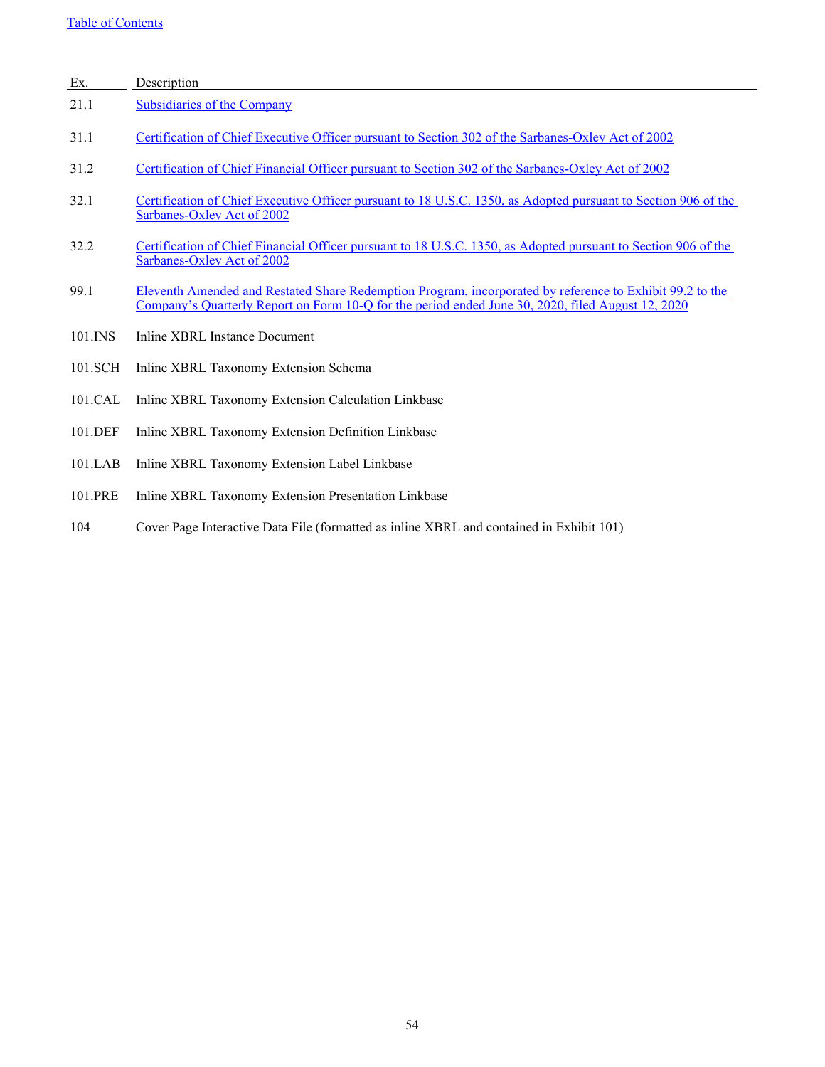| Ex.        | Description                                                                                                                                                                                                   |
|------------|---------------------------------------------------------------------------------------------------------------------------------------------------------------------------------------------------------------|
| 21.1       | <b>Subsidiaries of the Company</b>                                                                                                                                                                            |
| 31.1       | Certification of Chief Executive Officer pursuant to Section 302 of the Sarbanes-Oxley Act of 2002                                                                                                            |
| 31.2       | Certification of Chief Financial Officer pursuant to Section 302 of the Sarbanes-Oxley Act of 2002                                                                                                            |
| 32.1       | Certification of Chief Executive Officer pursuant to 18 U.S.C. 1350, as Adopted pursuant to Section 906 of the<br>Sarbanes-Oxley Act of 2002                                                                  |
| 32.2       | Certification of Chief Financial Officer pursuant to 18 U.S.C. 1350, as Adopted pursuant to Section 906 of the<br>Sarbanes-Oxley Act of 2002                                                                  |
| 99.1       | Eleventh Amended and Restated Share Redemption Program, incorporated by reference to Exhibit 99.2 to the<br>Company's Quarterly Report on Form 10-Q for the period ended June 30, 2020, filed August 12, 2020 |
| 101.INS    | <b>Inline XBRL Instance Document</b>                                                                                                                                                                          |
| 101.SCH    | Inline XBRL Taxonomy Extension Schema                                                                                                                                                                         |
| 101.CAL    | Inline XBRL Taxonomy Extension Calculation Linkbase                                                                                                                                                           |
| 101.DEF    | Inline XBRL Taxonomy Extension Definition Linkbase                                                                                                                                                            |
| $101$ .LAB | Inline XBRL Taxonomy Extension Label Linkbase                                                                                                                                                                 |
| 101.PRE    | Inline XBRL Taxonomy Extension Presentation Linkbase                                                                                                                                                          |
| 104        | Cover Page Interactive Data File (formatted as inline XBRL and contained in Exhibit 101)                                                                                                                      |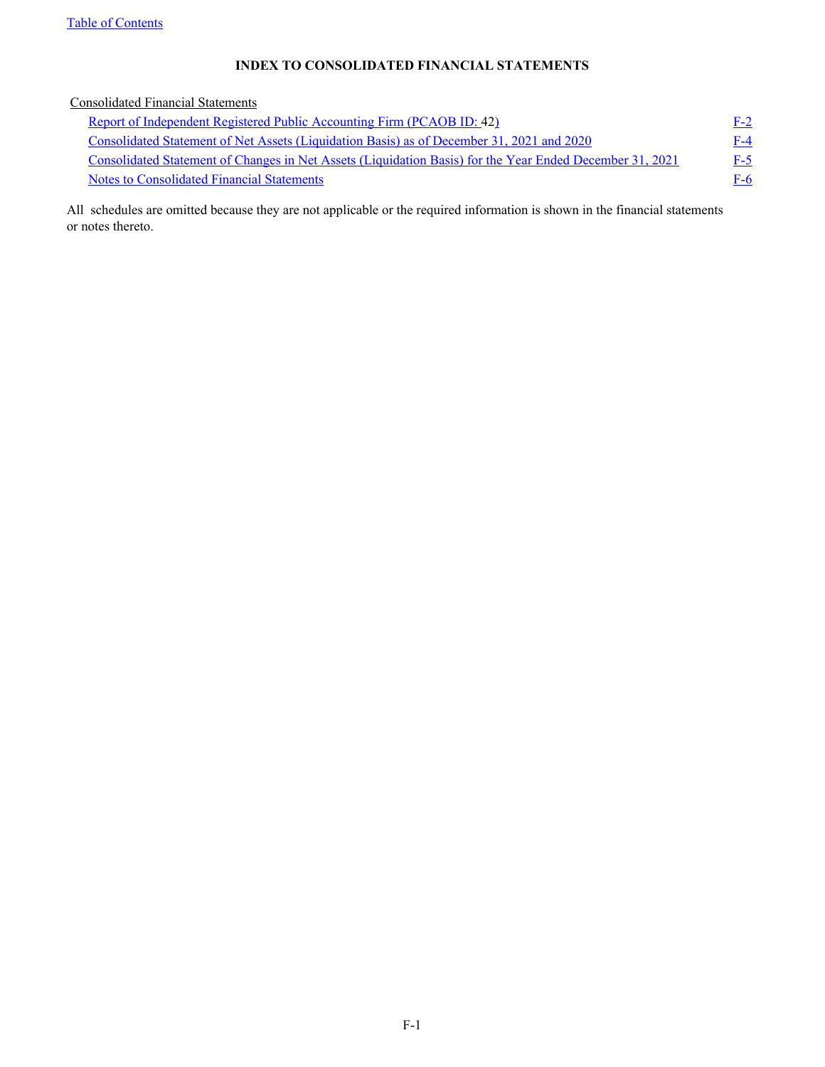### **INDEX TO CONSOLIDATED FINANCIAL STATEMENTS**

<span id="page-55-0"></span>Consolidated Financial Statements

| Report of Independent Registered Public Accounting Firm (PCAOB ID: 42)                                   | F-2 |
|----------------------------------------------------------------------------------------------------------|-----|
| Consolidated Statement of Net Assets (Liquidation Basis) as of December 31, 2021 and 2020                | F-4 |
| Consolidated Statement of Changes in Net Assets (Liquidation Basis) for the Year Ended December 31, 2021 | F-5 |
| Notes to Consolidated Financial Statements                                                               | F-6 |

All schedules are omitted because they are not applicable or the required information is shown in the financial statements or notes thereto.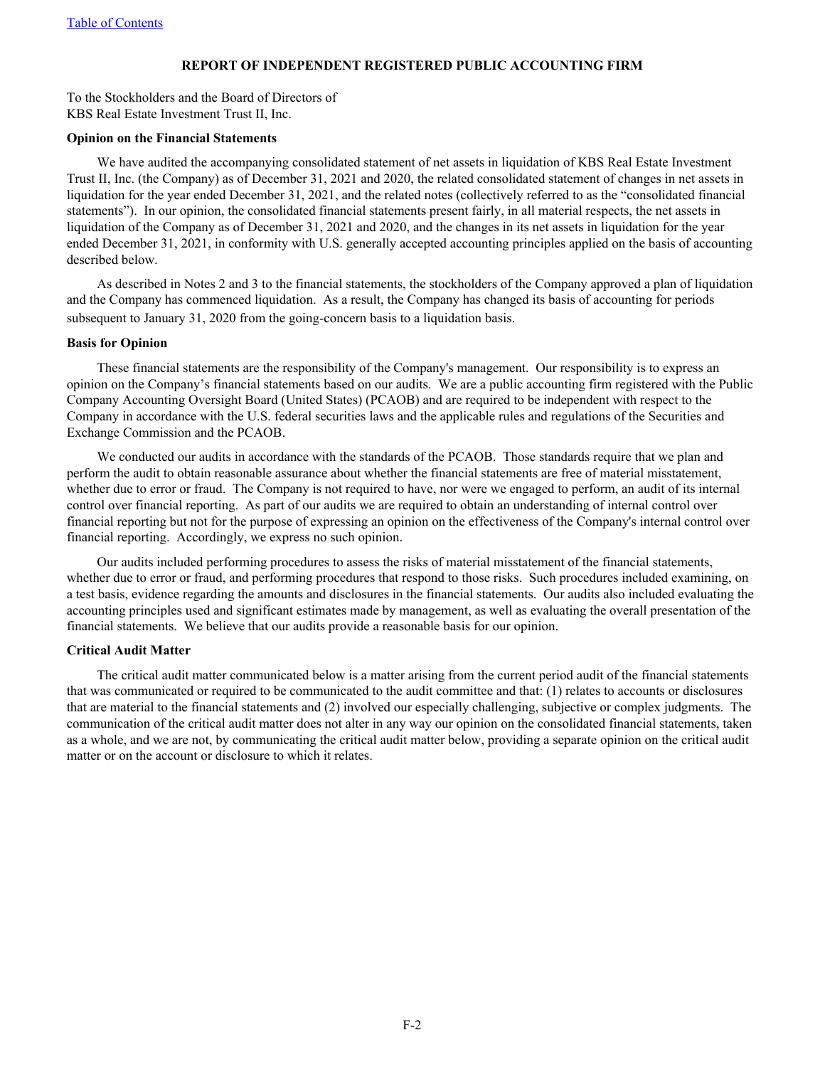#### **REPORT OF INDEPENDENT REGISTERED PUBLIC ACCOUNTING FIRM**

<span id="page-56-0"></span>To the Stockholders and the Board of Directors of KBS Real Estate Investment Trust II, Inc.

#### **Opinion on the Financial Statements**

We have audited the accompanying consolidated statement of net assets in liquidation of KBS Real Estate Investment Trust II, Inc. (the Company) as of December 31, 2021 and 2020, the related consolidated statement of changes in net assets in liquidation for the year ended December 31, 2021, and the related notes (collectively referred to as the "consolidated financial statements"). In our opinion, the consolidated financial statements present fairly, in all material respects, the net assets in liquidation of the Company as of December 31, 2021 and 2020, and the changes in its net assets in liquidation for the year ended December 31, 2021, in conformity with U.S. generally accepted accounting principles applied on the basis of accounting described below.

As described in Notes 2 and 3 to the financial statements, the stockholders of the Company approved a plan of liquidation and the Company has commenced liquidation. As a result, the Company has changed its basis of accounting for periods subsequent to January 31, 2020 from the going-concern basis to a liquidation basis.

#### **Basis for Opinion**

These financial statements are the responsibility of the Company's management. Our responsibility is to express an opinion on the Company's financial statements based on our audits. We are a public accounting firm registered with the Public Company Accounting Oversight Board (United States) (PCAOB) and are required to be independent with respect to the Company in accordance with the U.S. federal securities laws and the applicable rules and regulations of the Securities and Exchange Commission and the PCAOB.

We conducted our audits in accordance with the standards of the PCAOB. Those standards require that we plan and perform the audit to obtain reasonable assurance about whether the financial statements are free of material misstatement, whether due to error or fraud. The Company is not required to have, nor were we engaged to perform, an audit of its internal control over financial reporting. As part of our audits we are required to obtain an understanding of internal control over financial reporting but not for the purpose of expressing an opinion on the effectiveness of the Company's internal control over financial reporting. Accordingly, we express no such opinion.

Our audits included performing procedures to assess the risks of material misstatement of the financial statements, whether due to error or fraud, and performing procedures that respond to those risks. Such procedures included examining, on a test basis, evidence regarding the amounts and disclosures in the financial statements. Our audits also included evaluating the accounting principles used and significant estimates made by management, as well as evaluating the overall presentation of the financial statements. We believe that our audits provide a reasonable basis for our opinion.

#### **Critical Audit Matter**

The critical audit matter communicated below is a matter arising from the current period audit of the financial statements that was communicated or required to be communicated to the audit committee and that: (1) relates to accounts or disclosures that are material to the financial statements and (2) involved our especially challenging, subjective or complex judgments. The communication of the critical audit matter does not alter in any way our opinion on the consolidated financial statements, taken as a whole, and we are not, by communicating the critical audit matter below, providing a separate opinion on the critical audit matter or on the account or disclosure to which it relates.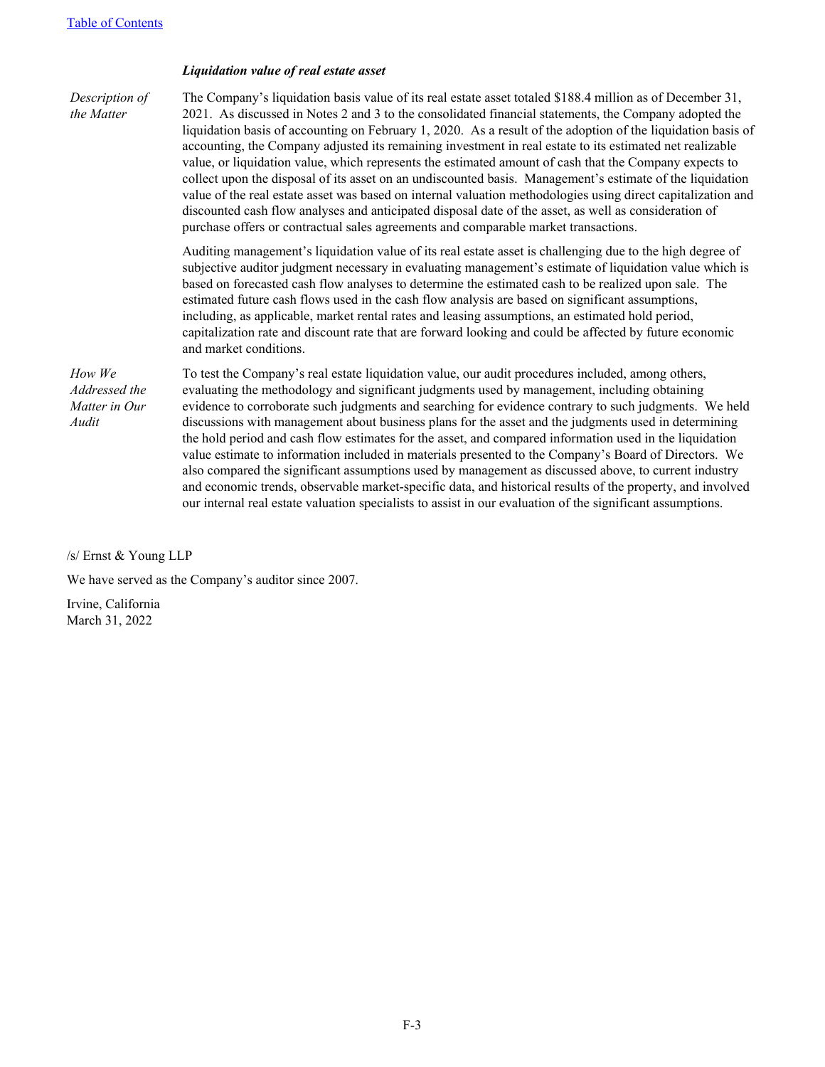## *Liquidation value of real estate asset*

| Description of<br>the Matter                      | The Company's liquidation basis value of its real estate asset totaled \$188.4 million as of December 31,<br>2021. As discussed in Notes 2 and 3 to the consolidated financial statements, the Company adopted the<br>liquidation basis of accounting on February 1, 2020. As a result of the adoption of the liquidation basis of<br>accounting, the Company adjusted its remaining investment in real estate to its estimated net realizable<br>value, or liquidation value, which represents the estimated amount of cash that the Company expects to<br>collect upon the disposal of its asset on an undiscounted basis. Management's estimate of the liquidation<br>value of the real estate asset was based on internal valuation methodologies using direct capitalization and<br>discounted cash flow analyses and anticipated disposal date of the asset, as well as consideration of<br>purchase offers or contractual sales agreements and comparable market transactions. |
|---------------------------------------------------|---------------------------------------------------------------------------------------------------------------------------------------------------------------------------------------------------------------------------------------------------------------------------------------------------------------------------------------------------------------------------------------------------------------------------------------------------------------------------------------------------------------------------------------------------------------------------------------------------------------------------------------------------------------------------------------------------------------------------------------------------------------------------------------------------------------------------------------------------------------------------------------------------------------------------------------------------------------------------------------|
|                                                   | Auditing management's liquidation value of its real estate asset is challenging due to the high degree of<br>subjective auditor judgment necessary in evaluating management's estimate of liquidation value which is<br>based on forecasted cash flow analyses to determine the estimated cash to be realized upon sale. The<br>estimated future cash flows used in the cash flow analysis are based on significant assumptions,<br>including, as applicable, market rental rates and leasing assumptions, an estimated hold period,<br>capitalization rate and discount rate that are forward looking and could be affected by future economic<br>and market conditions.                                                                                                                                                                                                                                                                                                             |
| How We<br>Addressed the<br>Matter in Our<br>Audit | To test the Company's real estate liquidation value, our audit procedures included, among others,<br>evaluating the methodology and significant judgments used by management, including obtaining<br>evidence to corroborate such judgments and searching for evidence contrary to such judgments. We held<br>discussions with management about business plans for the asset and the judgments used in determining<br>the hold period and cash flow estimates for the asset, and compared information used in the liquidation<br>value estimate to information included in materials presented to the Company's Board of Directors. We<br>also compared the significant assumptions used by management as discussed above, to current industry<br>and economic trends, observable market-specific data, and historical results of the property, and involved<br>our internal real estate valuation specialists to assist in our evaluation of the significant assumptions.            |

/s/ Ernst & Young LLP

We have served as the Company's auditor since 2007.

Irvine, California March 31, 2022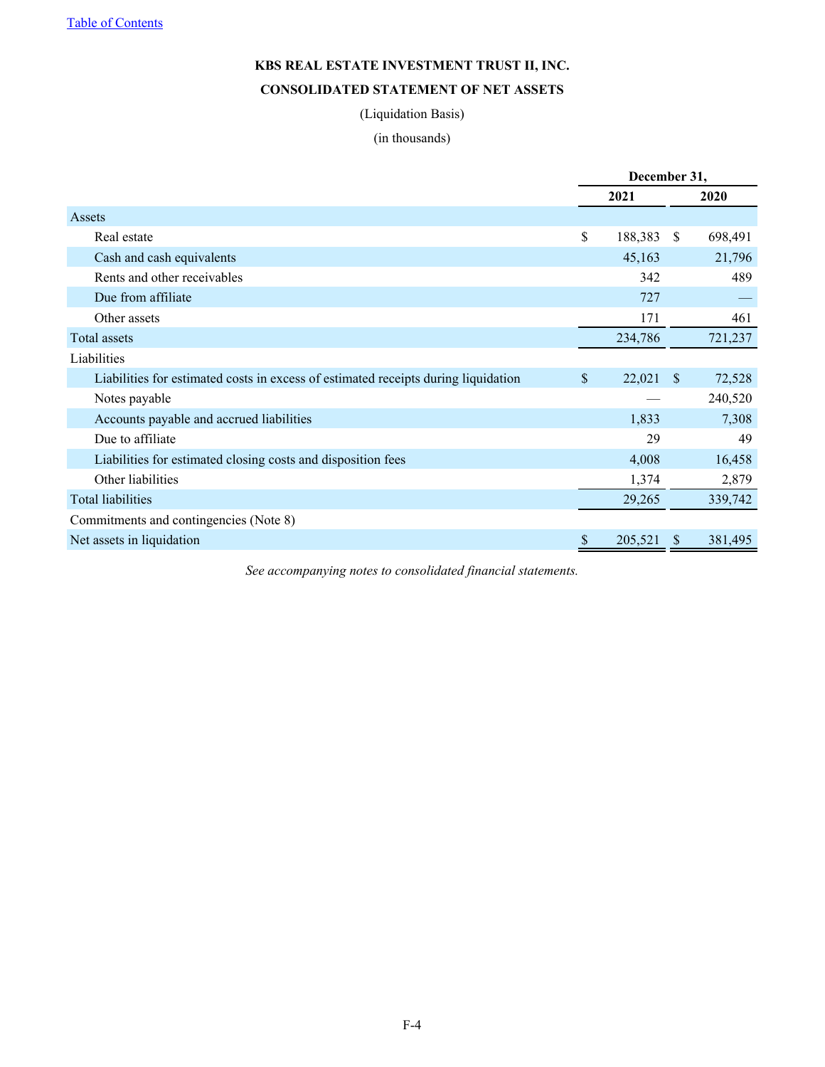## **KBS REAL ESTATE INVESTMENT TRUST II, INC. CONSOLIDATED STATEMENT OF NET ASSETS**

### (Liquidation Basis)

## (in thousands)

<span id="page-58-0"></span>

|                                                                                    | December 31, |         |              |         |
|------------------------------------------------------------------------------------|--------------|---------|--------------|---------|
|                                                                                    |              | 2021    |              | 2020    |
| Assets                                                                             |              |         |              |         |
| Real estate                                                                        | \$           | 188,383 | <sup>S</sup> | 698,491 |
| Cash and cash equivalents                                                          |              | 45,163  |              | 21,796  |
| Rents and other receivables                                                        |              | 342     |              | 489     |
| Due from affiliate                                                                 |              | 727     |              |         |
| Other assets                                                                       |              | 171     |              | 461     |
| Total assets                                                                       |              | 234,786 |              | 721,237 |
| Liabilities                                                                        |              |         |              |         |
| Liabilities for estimated costs in excess of estimated receipts during liquidation | $\mathbb{S}$ | 22,021  | - \$         | 72,528  |
| Notes payable                                                                      |              |         |              | 240,520 |
| Accounts payable and accrued liabilities                                           |              | 1,833   |              | 7,308   |
| Due to affiliate                                                                   |              | 29      |              | 49      |
| Liabilities for estimated closing costs and disposition fees                       |              | 4,008   |              | 16,458  |
| Other liabilities                                                                  |              | 1,374   |              | 2,879   |
| <b>Total liabilities</b>                                                           |              | 29,265  |              | 339,742 |
| Commitments and contingencies (Note 8)                                             |              |         |              |         |
| Net assets in liquidation                                                          | \$           | 205,521 | <sup>2</sup> | 381,495 |

*See accompanying notes to consolidated financial statements.*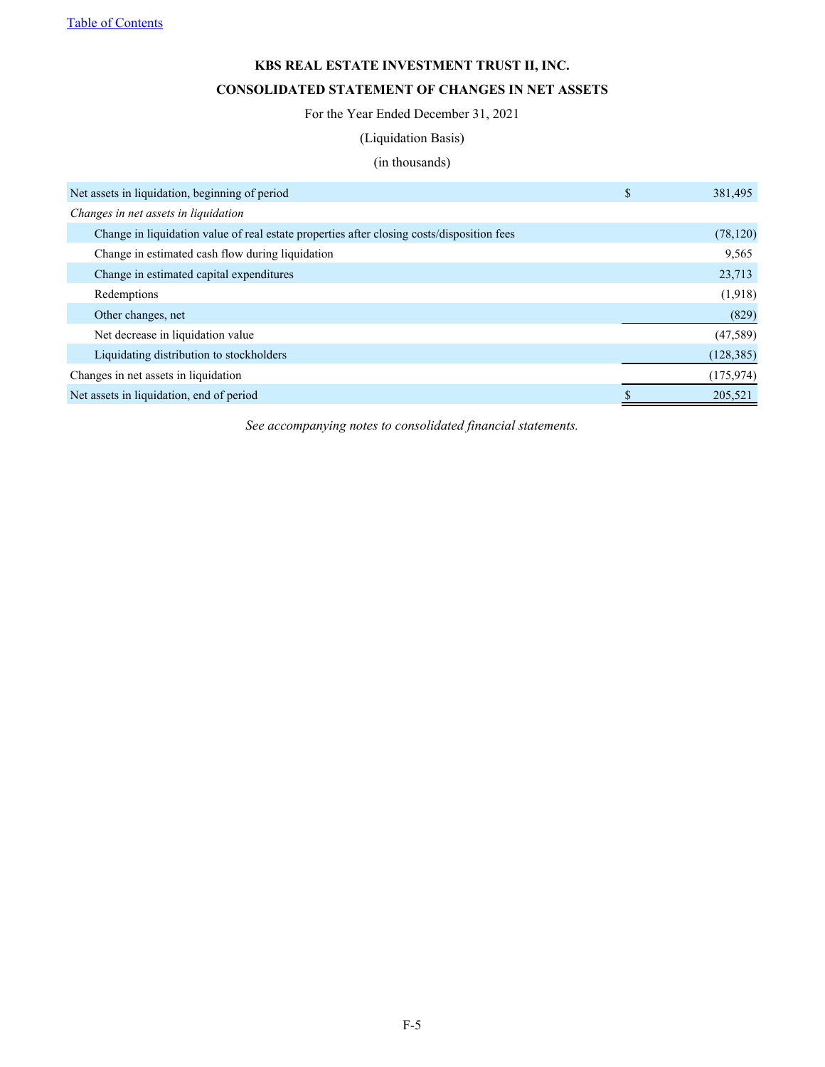<span id="page-59-0"></span>[Table of Contents](#page-1-0)

## **KBS REAL ESTATE INVESTMENT TRUST II, INC. CONSOLIDATED STATEMENT OF CHANGES IN NET ASSETS**

For the Year Ended December 31, 2021

(Liquidation Basis)

## (in thousands)

| Net assets in liquidation, beginning of period                                             | S | 381,495    |
|--------------------------------------------------------------------------------------------|---|------------|
| Changes in net assets in liquidation                                                       |   |            |
| Change in liquidation value of real estate properties after closing costs/disposition fees |   | (78, 120)  |
| Change in estimated cash flow during liquidation                                           |   | 9,565      |
| Change in estimated capital expenditures                                                   |   | 23,713     |
| Redemptions                                                                                |   | (1,918)    |
| Other changes, net                                                                         |   | (829)      |
| Net decrease in liquidation value                                                          |   | (47, 589)  |
| Liquidating distribution to stockholders                                                   |   | (128, 385) |
| Changes in net assets in liquidation                                                       |   | (175, 974) |
| Net assets in liquidation, end of period                                                   |   | 205,521    |

*See accompanying notes to consolidated financial statements.*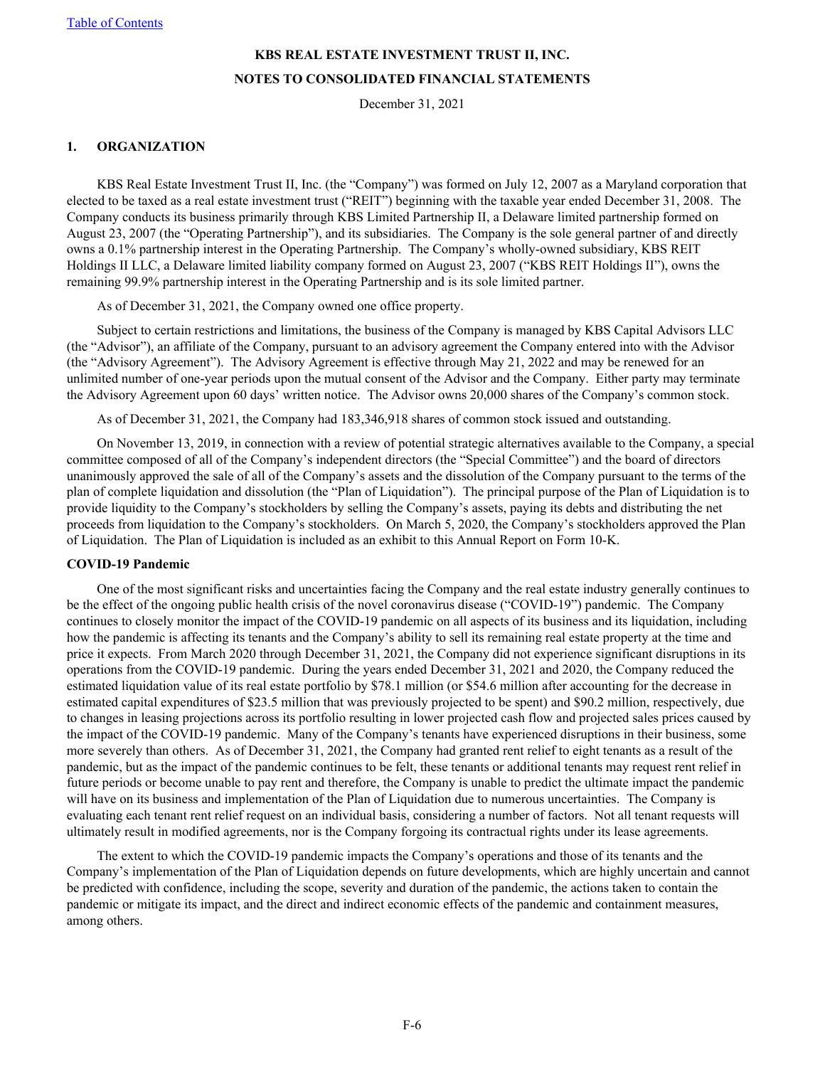## **KBS REAL ESTATE INVESTMENT TRUST II, INC. NOTES TO CONSOLIDATED FINANCIAL STATEMENTS**

December 31, 2021

#### <span id="page-60-0"></span>**1. ORGANIZATION**

KBS Real Estate Investment Trust II, Inc. (the "Company") was formed on July 12, 2007 as a Maryland corporation that elected to be taxed as a real estate investment trust ("REIT") beginning with the taxable year ended December 31, 2008. The Company conducts its business primarily through KBS Limited Partnership II, a Delaware limited partnership formed on August 23, 2007 (the "Operating Partnership"), and its subsidiaries. The Company is the sole general partner of and directly owns a 0.1% partnership interest in the Operating Partnership. The Company's wholly-owned subsidiary, KBS REIT Holdings II LLC, a Delaware limited liability company formed on August 23, 2007 ("KBS REIT Holdings II"), owns the remaining 99.9% partnership interest in the Operating Partnership and is its sole limited partner.

As of December 31, 2021, the Company owned one office property.

Subject to certain restrictions and limitations, the business of the Company is managed by KBS Capital Advisors LLC (the "Advisor"), an affiliate of the Company, pursuant to an advisory agreement the Company entered into with the Advisor (the "Advisory Agreement"). The Advisory Agreement is effective through May 21, 2022 and may be renewed for an unlimited number of one-year periods upon the mutual consent of the Advisor and the Company. Either party may terminate the Advisory Agreement upon 60 days' written notice. The Advisor owns 20,000 shares of the Company's common stock.

As of December 31, 2021, the Company had 183,346,918 shares of common stock issued and outstanding.

On November 13, 2019, in connection with a review of potential strategic alternatives available to the Company, a special committee composed of all of the Company's independent directors (the "Special Committee") and the board of directors unanimously approved the sale of all of the Company's assets and the dissolution of the Company pursuant to the terms of the plan of complete liquidation and dissolution (the "Plan of Liquidation"). The principal purpose of the Plan of Liquidation is to provide liquidity to the Company's stockholders by selling the Company's assets, paying its debts and distributing the net proceeds from liquidation to the Company's stockholders. On March 5, 2020, the Company's stockholders approved the Plan of Liquidation. The Plan of Liquidation is included as an exhibit to this Annual Report on Form 10-K.

#### **COVID-19 Pandemic**

One of the most significant risks and uncertainties facing the Company and the real estate industry generally continues to be the effect of the ongoing public health crisis of the novel coronavirus disease ("COVID-19") pandemic. The Company continues to closely monitor the impact of the COVID-19 pandemic on all aspects of its business and its liquidation, including how the pandemic is affecting its tenants and the Company's ability to sell its remaining real estate property at the time and price it expects. From March 2020 through December 31, 2021, the Company did not experience significant disruptions in its operations from the COVID-19 pandemic. During the years ended December 31, 2021 and 2020, the Company reduced the estimated liquidation value of its real estate portfolio by \$78.1 million (or \$54.6 million after accounting for the decrease in estimated capital expenditures of \$23.5 million that was previously projected to be spent) and \$90.2 million, respectively, due to changes in leasing projections across its portfolio resulting in lower projected cash flow and projected sales prices caused by the impact of the COVID-19 pandemic. Many of the Company's tenants have experienced disruptions in their business, some more severely than others. As of December 31, 2021, the Company had granted rent relief to eight tenants as a result of the pandemic, but as the impact of the pandemic continues to be felt, these tenants or additional tenants may request rent relief in future periods or become unable to pay rent and therefore, the Company is unable to predict the ultimate impact the pandemic will have on its business and implementation of the Plan of Liquidation due to numerous uncertainties. The Company is evaluating each tenant rent relief request on an individual basis, considering a number of factors. Not all tenant requests will ultimately result in modified agreements, nor is the Company forgoing its contractual rights under its lease agreements.

The extent to which the COVID-19 pandemic impacts the Company's operations and those of its tenants and the Company's implementation of the Plan of Liquidation depends on future developments, which are highly uncertain and cannot be predicted with confidence, including the scope, severity and duration of the pandemic, the actions taken to contain the pandemic or mitigate its impact, and the direct and indirect economic effects of the pandemic and containment measures, among others.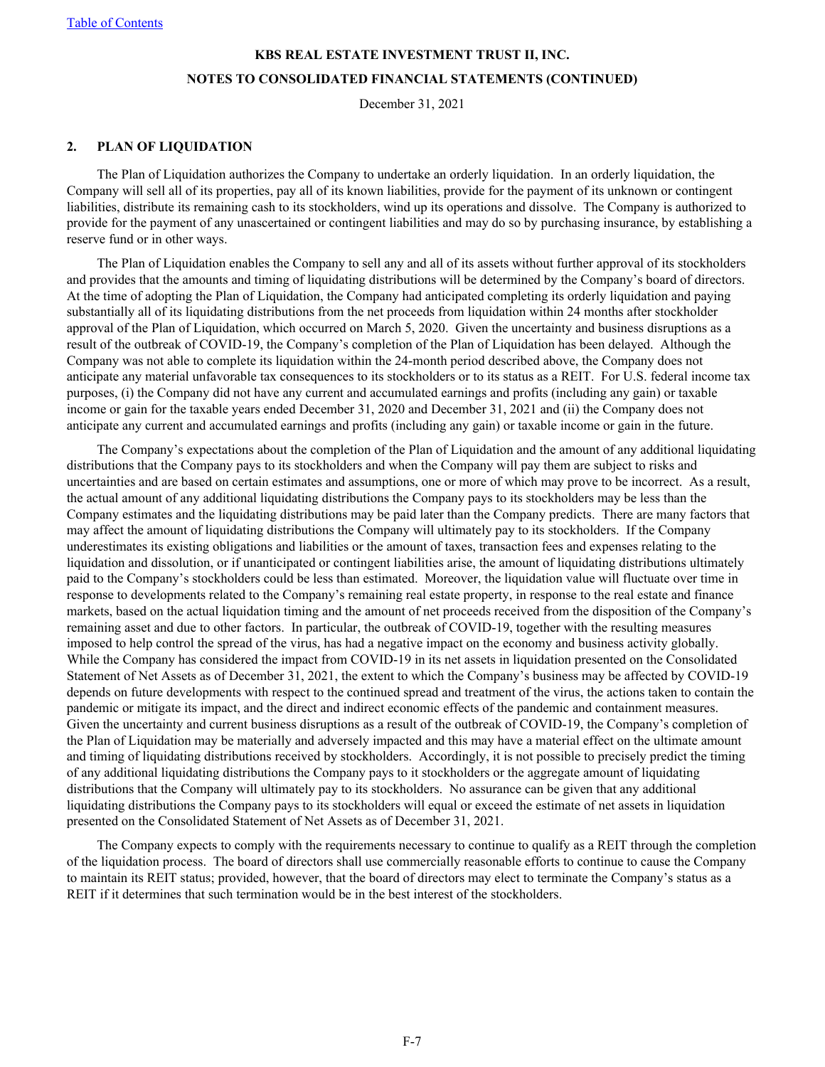#### **NOTES TO CONSOLIDATED FINANCIAL STATEMENTS (CONTINUED)**

December 31, 2021

#### **2. PLAN OF LIQUIDATION**

The Plan of Liquidation authorizes the Company to undertake an orderly liquidation. In an orderly liquidation, the Company will sell all of its properties, pay all of its known liabilities, provide for the payment of its unknown or contingent liabilities, distribute its remaining cash to its stockholders, wind up its operations and dissolve. The Company is authorized to provide for the payment of any unascertained or contingent liabilities and may do so by purchasing insurance, by establishing a reserve fund or in other ways.

The Plan of Liquidation enables the Company to sell any and all of its assets without further approval of its stockholders and provides that the amounts and timing of liquidating distributions will be determined by the Company's board of directors. At the time of adopting the Plan of Liquidation, the Company had anticipated completing its orderly liquidation and paying substantially all of its liquidating distributions from the net proceeds from liquidation within 24 months after stockholder approval of the Plan of Liquidation, which occurred on March 5, 2020. Given the uncertainty and business disruptions as a result of the outbreak of COVID-19, the Company's completion of the Plan of Liquidation has been delayed. Although the Company was not able to complete its liquidation within the 24-month period described above, the Company does not anticipate any material unfavorable tax consequences to its stockholders or to its status as a REIT. For U.S. federal income tax purposes, (i) the Company did not have any current and accumulated earnings and profits (including any gain) or taxable income or gain for the taxable years ended December 31, 2020 and December 31, 2021 and (ii) the Company does not anticipate any current and accumulated earnings and profits (including any gain) or taxable income or gain in the future.

The Company's expectations about the completion of the Plan of Liquidation and the amount of any additional liquidating distributions that the Company pays to its stockholders and when the Company will pay them are subject to risks and uncertainties and are based on certain estimates and assumptions, one or more of which may prove to be incorrect. As a result, the actual amount of any additional liquidating distributions the Company pays to its stockholders may be less than the Company estimates and the liquidating distributions may be paid later than the Company predicts. There are many factors that may affect the amount of liquidating distributions the Company will ultimately pay to its stockholders. If the Company underestimates its existing obligations and liabilities or the amount of taxes, transaction fees and expenses relating to the liquidation and dissolution, or if unanticipated or contingent liabilities arise, the amount of liquidating distributions ultimately paid to the Company's stockholders could be less than estimated. Moreover, the liquidation value will fluctuate over time in response to developments related to the Company's remaining real estate property, in response to the real estate and finance markets, based on the actual liquidation timing and the amount of net proceeds received from the disposition of the Company's remaining asset and due to other factors. In particular, the outbreak of COVID-19, together with the resulting measures imposed to help control the spread of the virus, has had a negative impact on the economy and business activity globally. While the Company has considered the impact from COVID-19 in its net assets in liquidation presented on the Consolidated Statement of Net Assets as of December 31, 2021, the extent to which the Company's business may be affected by COVID-19 depends on future developments with respect to the continued spread and treatment of the virus, the actions taken to contain the pandemic or mitigate its impact, and the direct and indirect economic effects of the pandemic and containment measures. Given the uncertainty and current business disruptions as a result of the outbreak of COVID-19, the Company's completion of the Plan of Liquidation may be materially and adversely impacted and this may have a material effect on the ultimate amount and timing of liquidating distributions received by stockholders. Accordingly, it is not possible to precisely predict the timing of any additional liquidating distributions the Company pays to it stockholders or the aggregate amount of liquidating distributions that the Company will ultimately pay to its stockholders. No assurance can be given that any additional liquidating distributions the Company pays to its stockholders will equal or exceed the estimate of net assets in liquidation presented on the Consolidated Statement of Net Assets as of December 31, 2021.

The Company expects to comply with the requirements necessary to continue to qualify as a REIT through the completion of the liquidation process. The board of directors shall use commercially reasonable efforts to continue to cause the Company to maintain its REIT status; provided, however, that the board of directors may elect to terminate the Company's status as a REIT if it determines that such termination would be in the best interest of the stockholders.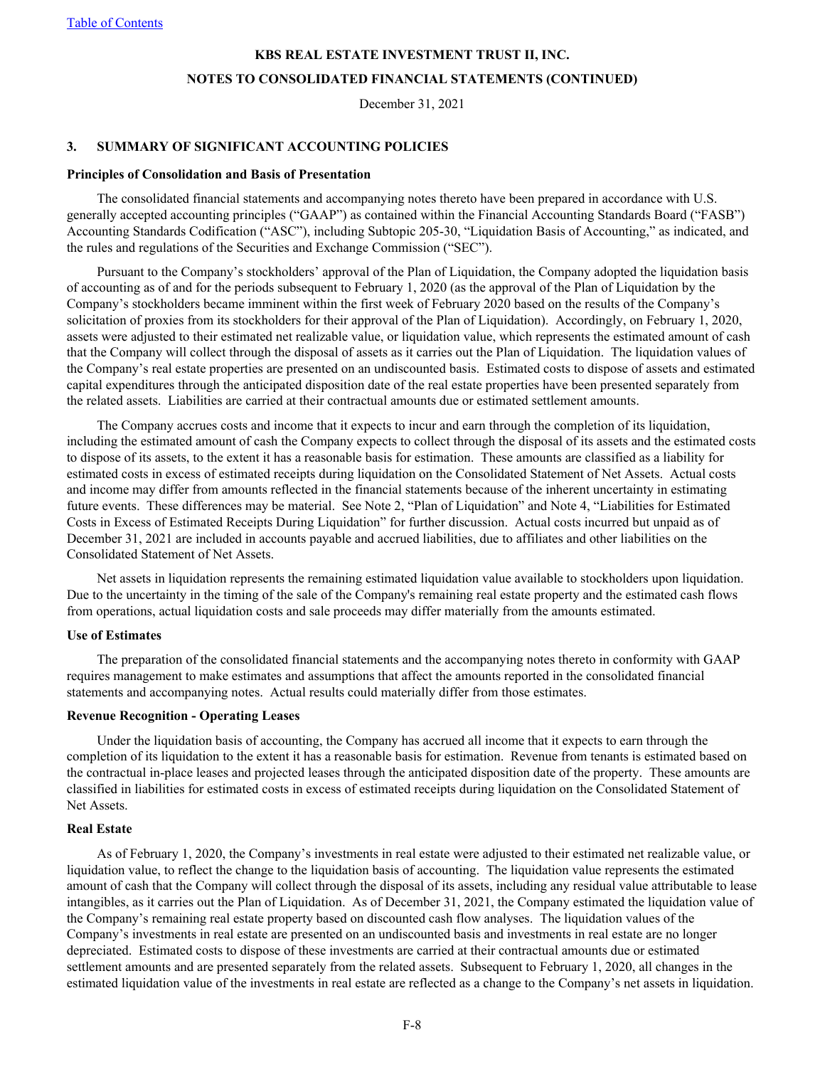#### **NOTES TO CONSOLIDATED FINANCIAL STATEMENTS (CONTINUED)**

December 31, 2021

#### **3. SUMMARY OF SIGNIFICANT ACCOUNTING POLICIES**

#### **Principles of Consolidation and Basis of Presentation**

The consolidated financial statements and accompanying notes thereto have been prepared in accordance with U.S. generally accepted accounting principles ("GAAP") as contained within the Financial Accounting Standards Board ("FASB") Accounting Standards Codification ("ASC"), including Subtopic 205-30, "Liquidation Basis of Accounting," as indicated, and the rules and regulations of the Securities and Exchange Commission ("SEC").

Pursuant to the Company's stockholders' approval of the Plan of Liquidation, the Company adopted the liquidation basis of accounting as of and for the periods subsequent to February 1, 2020 (as the approval of the Plan of Liquidation by the Company's stockholders became imminent within the first week of February 2020 based on the results of the Company's solicitation of proxies from its stockholders for their approval of the Plan of Liquidation). Accordingly, on February 1, 2020, assets were adjusted to their estimated net realizable value, or liquidation value, which represents the estimated amount of cash that the Company will collect through the disposal of assets as it carries out the Plan of Liquidation. The liquidation values of the Company's real estate properties are presented on an undiscounted basis. Estimated costs to dispose of assets and estimated capital expenditures through the anticipated disposition date of the real estate properties have been presented separately from the related assets. Liabilities are carried at their contractual amounts due or estimated settlement amounts.

The Company accrues costs and income that it expects to incur and earn through the completion of its liquidation, including the estimated amount of cash the Company expects to collect through the disposal of its assets and the estimated costs to dispose of its assets, to the extent it has a reasonable basis for estimation. These amounts are classified as a liability for estimated costs in excess of estimated receipts during liquidation on the Consolidated Statement of Net Assets. Actual costs and income may differ from amounts reflected in the financial statements because of the inherent uncertainty in estimating future events. These differences may be material. See Note 2, "Plan of Liquidation" and Note 4, "Liabilities for Estimated Costs in Excess of Estimated Receipts During Liquidation" for further discussion. Actual costs incurred but unpaid as of December 31, 2021 are included in accounts payable and accrued liabilities, due to affiliates and other liabilities on the Consolidated Statement of Net Assets.

Net assets in liquidation represents the remaining estimated liquidation value available to stockholders upon liquidation. Due to the uncertainty in the timing of the sale of the Company's remaining real estate property and the estimated cash flows from operations, actual liquidation costs and sale proceeds may differ materially from the amounts estimated.

#### **Use of Estimates**

The preparation of the consolidated financial statements and the accompanying notes thereto in conformity with GAAP requires management to make estimates and assumptions that affect the amounts reported in the consolidated financial statements and accompanying notes. Actual results could materially differ from those estimates.

#### **Revenue Recognition - Operating Leases**

Under the liquidation basis of accounting, the Company has accrued all income that it expects to earn through the completion of its liquidation to the extent it has a reasonable basis for estimation. Revenue from tenants is estimated based on the contractual in-place leases and projected leases through the anticipated disposition date of the property. These amounts are classified in liabilities for estimated costs in excess of estimated receipts during liquidation on the Consolidated Statement of Net Assets.

#### **Real Estate**

As of February 1, 2020, the Company's investments in real estate were adjusted to their estimated net realizable value, or liquidation value, to reflect the change to the liquidation basis of accounting. The liquidation value represents the estimated amount of cash that the Company will collect through the disposal of its assets, including any residual value attributable to lease intangibles, as it carries out the Plan of Liquidation. As of December 31, 2021, the Company estimated the liquidation value of the Company's remaining real estate property based on discounted cash flow analyses. The liquidation values of the Company's investments in real estate are presented on an undiscounted basis and investments in real estate are no longer depreciated. Estimated costs to dispose of these investments are carried at their contractual amounts due or estimated settlement amounts and are presented separately from the related assets. Subsequent to February 1, 2020, all changes in the estimated liquidation value of the investments in real estate are reflected as a change to the Company's net assets in liquidation.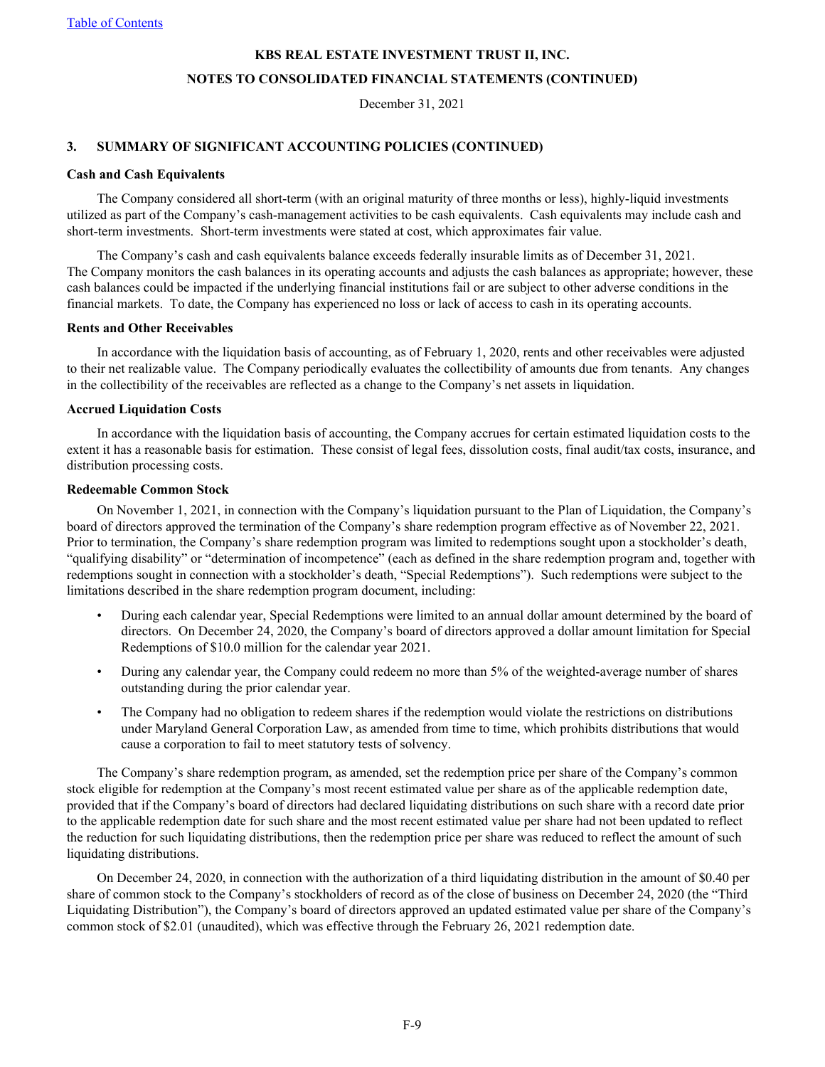#### **NOTES TO CONSOLIDATED FINANCIAL STATEMENTS (CONTINUED)**

December 31, 2021

### **3. SUMMARY OF SIGNIFICANT ACCOUNTING POLICIES (CONTINUED)**

#### **Cash and Cash Equivalents**

The Company considered all short-term (with an original maturity of three months or less), highly-liquid investments utilized as part of the Company's cash-management activities to be cash equivalents. Cash equivalents may include cash and short-term investments. Short-term investments were stated at cost, which approximates fair value.

The Company's cash and cash equivalents balance exceeds federally insurable limits as of December 31, 2021. The Company monitors the cash balances in its operating accounts and adjusts the cash balances as appropriate; however, these cash balances could be impacted if the underlying financial institutions fail or are subject to other adverse conditions in the financial markets. To date, the Company has experienced no loss or lack of access to cash in its operating accounts.

#### **Rents and Other Receivables**

In accordance with the liquidation basis of accounting, as of February 1, 2020, rents and other receivables were adjusted to their net realizable value. The Company periodically evaluates the collectibility of amounts due from tenants. Any changes in the collectibility of the receivables are reflected as a change to the Company's net assets in liquidation.

#### **Accrued Liquidation Costs**

In accordance with the liquidation basis of accounting, the Company accrues for certain estimated liquidation costs to the extent it has a reasonable basis for estimation. These consist of legal fees, dissolution costs, final audit/tax costs, insurance, and distribution processing costs.

#### **Redeemable Common Stock**

On November 1, 2021, in connection with the Company's liquidation pursuant to the Plan of Liquidation, the Company's board of directors approved the termination of the Company's share redemption program effective as of November 22, 2021. Prior to termination, the Company's share redemption program was limited to redemptions sought upon a stockholder's death, "qualifying disability" or "determination of incompetence" (each as defined in the share redemption program and, together with redemptions sought in connection with a stockholder's death, "Special Redemptions"). Such redemptions were subject to the limitations described in the share redemption program document, including:

- During each calendar year, Special Redemptions were limited to an annual dollar amount determined by the board of directors. On December 24, 2020, the Company's board of directors approved a dollar amount limitation for Special Redemptions of \$10.0 million for the calendar year 2021.
- During any calendar year, the Company could redeem no more than 5% of the weighted-average number of shares outstanding during the prior calendar year.
- The Company had no obligation to redeem shares if the redemption would violate the restrictions on distributions under Maryland General Corporation Law, as amended from time to time, which prohibits distributions that would cause a corporation to fail to meet statutory tests of solvency.

The Company's share redemption program, as amended, set the redemption price per share of the Company's common stock eligible for redemption at the Company's most recent estimated value per share as of the applicable redemption date, provided that if the Company's board of directors had declared liquidating distributions on such share with a record date prior to the applicable redemption date for such share and the most recent estimated value per share had not been updated to reflect the reduction for such liquidating distributions, then the redemption price per share was reduced to reflect the amount of such liquidating distributions.

On December 24, 2020, in connection with the authorization of a third liquidating distribution in the amount of \$0.40 per share of common stock to the Company's stockholders of record as of the close of business on December 24, 2020 (the "Third Liquidating Distribution"), the Company's board of directors approved an updated estimated value per share of the Company's common stock of \$2.01 (unaudited), which was effective through the February 26, 2021 redemption date.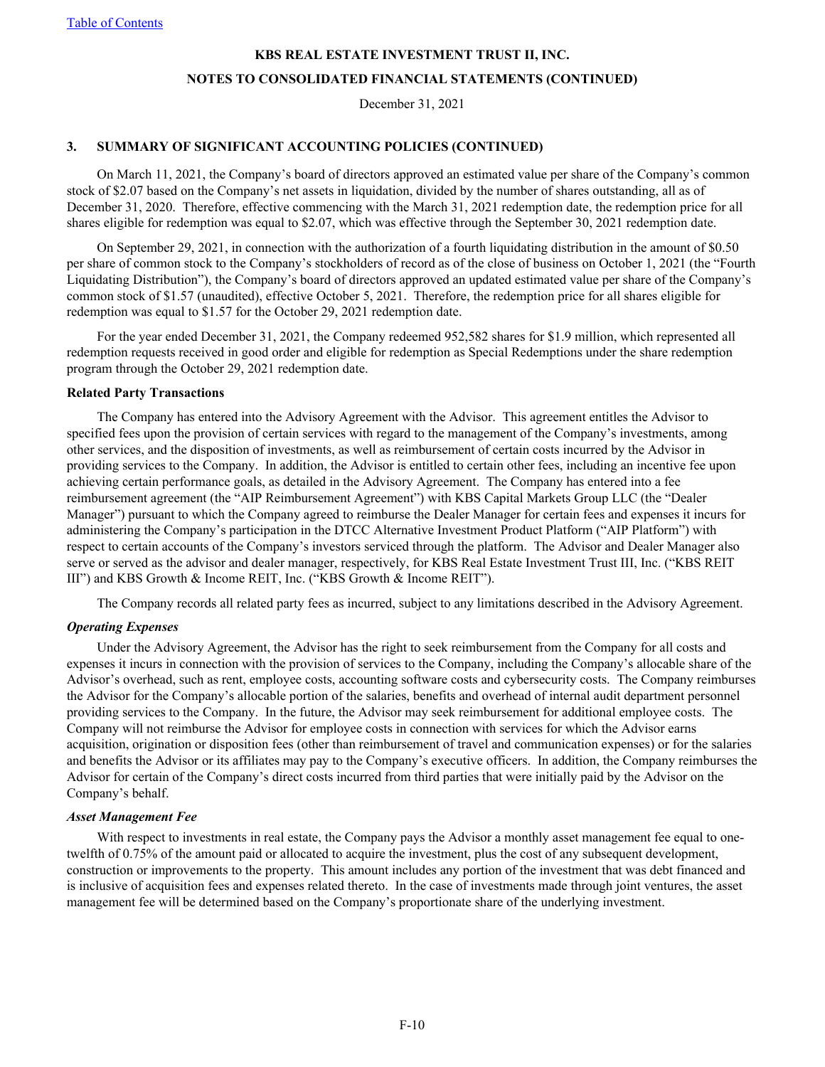#### **NOTES TO CONSOLIDATED FINANCIAL STATEMENTS (CONTINUED)**

December 31, 2021

#### **3. SUMMARY OF SIGNIFICANT ACCOUNTING POLICIES (CONTINUED)**

On March 11, 2021, the Company's board of directors approved an estimated value per share of the Company's common stock of \$2.07 based on the Company's net assets in liquidation, divided by the number of shares outstanding, all as of December 31, 2020. Therefore, effective commencing with the March 31, 2021 redemption date, the redemption price for all shares eligible for redemption was equal to \$2.07, which was effective through the September 30, 2021 redemption date.

On September 29, 2021, in connection with the authorization of a fourth liquidating distribution in the amount of \$0.50 per share of common stock to the Company's stockholders of record as of the close of business on October 1, 2021 (the "Fourth Liquidating Distribution"), the Company's board of directors approved an updated estimated value per share of the Company's common stock of \$1.57 (unaudited), effective October 5, 2021. Therefore, the redemption price for all shares eligible for redemption was equal to \$1.57 for the October 29, 2021 redemption date.

For the year ended December 31, 2021, the Company redeemed 952,582 shares for \$1.9 million, which represented all redemption requests received in good order and eligible for redemption as Special Redemptions under the share redemption program through the October 29, 2021 redemption date.

#### **Related Party Transactions**

The Company has entered into the Advisory Agreement with the Advisor. This agreement entitles the Advisor to specified fees upon the provision of certain services with regard to the management of the Company's investments, among other services, and the disposition of investments, as well as reimbursement of certain costs incurred by the Advisor in providing services to the Company. In addition, the Advisor is entitled to certain other fees, including an incentive fee upon achieving certain performance goals, as detailed in the Advisory Agreement. The Company has entered into a fee reimbursement agreement (the "AIP Reimbursement Agreement") with KBS Capital Markets Group LLC (the "Dealer Manager") pursuant to which the Company agreed to reimburse the Dealer Manager for certain fees and expenses it incurs for administering the Company's participation in the DTCC Alternative Investment Product Platform ("AIP Platform") with respect to certain accounts of the Company's investors serviced through the platform. The Advisor and Dealer Manager also serve or served as the advisor and dealer manager, respectively, for KBS Real Estate Investment Trust III, Inc. ("KBS REIT III") and KBS Growth & Income REIT, Inc. ("KBS Growth & Income REIT").

The Company records all related party fees as incurred, subject to any limitations described in the Advisory Agreement.

#### *Operating Expenses*

Under the Advisory Agreement, the Advisor has the right to seek reimbursement from the Company for all costs and expenses it incurs in connection with the provision of services to the Company, including the Company's allocable share of the Advisor's overhead, such as rent, employee costs, accounting software costs and cybersecurity costs. The Company reimburses the Advisor for the Company's allocable portion of the salaries, benefits and overhead of internal audit department personnel providing services to the Company. In the future, the Advisor may seek reimbursement for additional employee costs. The Company will not reimburse the Advisor for employee costs in connection with services for which the Advisor earns acquisition, origination or disposition fees (other than reimbursement of travel and communication expenses) or for the salaries and benefits the Advisor or its affiliates may pay to the Company's executive officers. In addition, the Company reimburses the Advisor for certain of the Company's direct costs incurred from third parties that were initially paid by the Advisor on the Company's behalf.

#### *Asset Management Fee*

With respect to investments in real estate, the Company pays the Advisor a monthly asset management fee equal to onetwelfth of 0.75% of the amount paid or allocated to acquire the investment, plus the cost of any subsequent development, construction or improvements to the property. This amount includes any portion of the investment that was debt financed and is inclusive of acquisition fees and expenses related thereto. In the case of investments made through joint ventures, the asset management fee will be determined based on the Company's proportionate share of the underlying investment.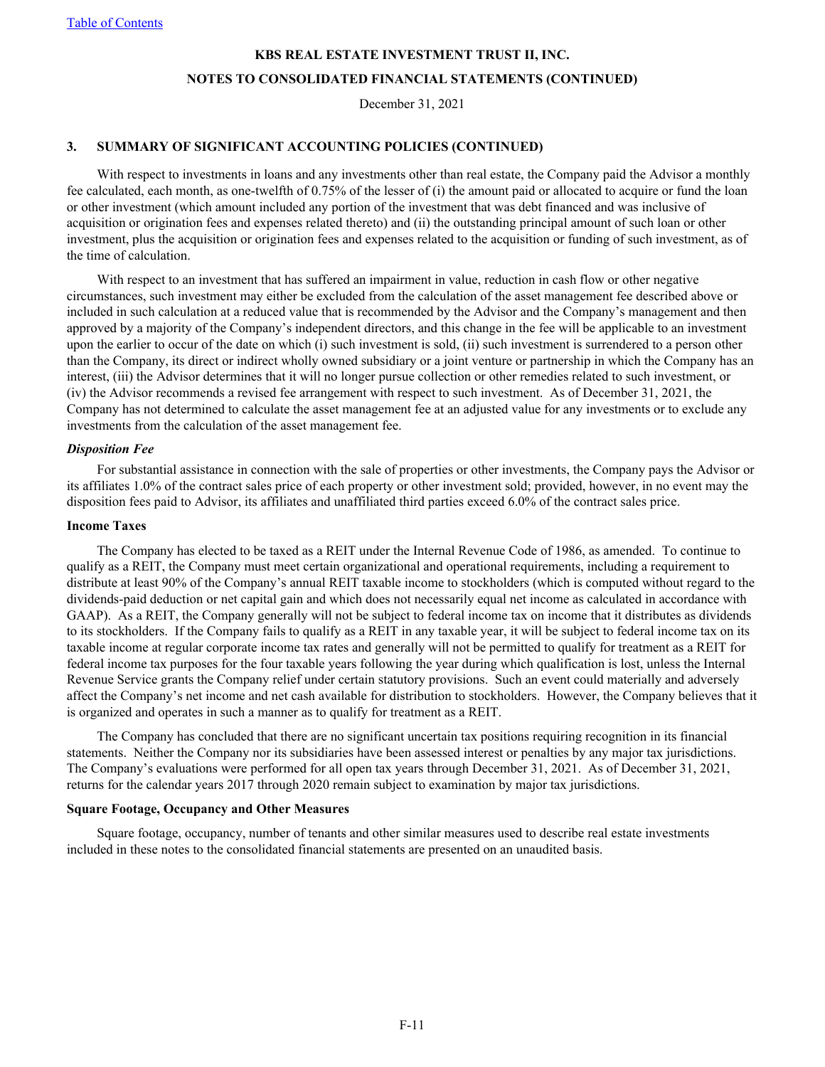[Table of Contents](#page-1-0)

#### **KBS REAL ESTATE INVESTMENT TRUST II, INC.**

#### **NOTES TO CONSOLIDATED FINANCIAL STATEMENTS (CONTINUED)**

December 31, 2021

#### **3. SUMMARY OF SIGNIFICANT ACCOUNTING POLICIES (CONTINUED)**

With respect to investments in loans and any investments other than real estate, the Company paid the Advisor a monthly fee calculated, each month, as one-twelfth of 0.75% of the lesser of (i) the amount paid or allocated to acquire or fund the loan or other investment (which amount included any portion of the investment that was debt financed and was inclusive of acquisition or origination fees and expenses related thereto) and (ii) the outstanding principal amount of such loan or other investment, plus the acquisition or origination fees and expenses related to the acquisition or funding of such investment, as of the time of calculation.

With respect to an investment that has suffered an impairment in value, reduction in cash flow or other negative circumstances, such investment may either be excluded from the calculation of the asset management fee described above or included in such calculation at a reduced value that is recommended by the Advisor and the Company's management and then approved by a majority of the Company's independent directors, and this change in the fee will be applicable to an investment upon the earlier to occur of the date on which (i) such investment is sold, (ii) such investment is surrendered to a person other than the Company, its direct or indirect wholly owned subsidiary or a joint venture or partnership in which the Company has an interest, (iii) the Advisor determines that it will no longer pursue collection or other remedies related to such investment, or (iv) the Advisor recommends a revised fee arrangement with respect to such investment. As of December 31, 2021, the Company has not determined to calculate the asset management fee at an adjusted value for any investments or to exclude any investments from the calculation of the asset management fee.

#### *Disposition Fee*

For substantial assistance in connection with the sale of properties or other investments, the Company pays the Advisor or its affiliates 1.0% of the contract sales price of each property or other investment sold; provided, however, in no event may the disposition fees paid to Advisor, its affiliates and unaffiliated third parties exceed 6.0% of the contract sales price.

#### **Income Taxes**

The Company has elected to be taxed as a REIT under the Internal Revenue Code of 1986, as amended. To continue to qualify as a REIT, the Company must meet certain organizational and operational requirements, including a requirement to distribute at least 90% of the Company's annual REIT taxable income to stockholders (which is computed without regard to the dividends-paid deduction or net capital gain and which does not necessarily equal net income as calculated in accordance with GAAP). As a REIT, the Company generally will not be subject to federal income tax on income that it distributes as dividends to its stockholders. If the Company fails to qualify as a REIT in any taxable year, it will be subject to federal income tax on its taxable income at regular corporate income tax rates and generally will not be permitted to qualify for treatment as a REIT for federal income tax purposes for the four taxable years following the year during which qualification is lost, unless the Internal Revenue Service grants the Company relief under certain statutory provisions. Such an event could materially and adversely affect the Company's net income and net cash available for distribution to stockholders. However, the Company believes that it is organized and operates in such a manner as to qualify for treatment as a REIT.

The Company has concluded that there are no significant uncertain tax positions requiring recognition in its financial statements. Neither the Company nor its subsidiaries have been assessed interest or penalties by any major tax jurisdictions. The Company's evaluations were performed for all open tax years through December 31, 2021. As of December 31, 2021, returns for the calendar years 2017 through 2020 remain subject to examination by major tax jurisdictions.

#### **Square Footage, Occupancy and Other Measures**

Square footage, occupancy, number of tenants and other similar measures used to describe real estate investments included in these notes to the consolidated financial statements are presented on an unaudited basis.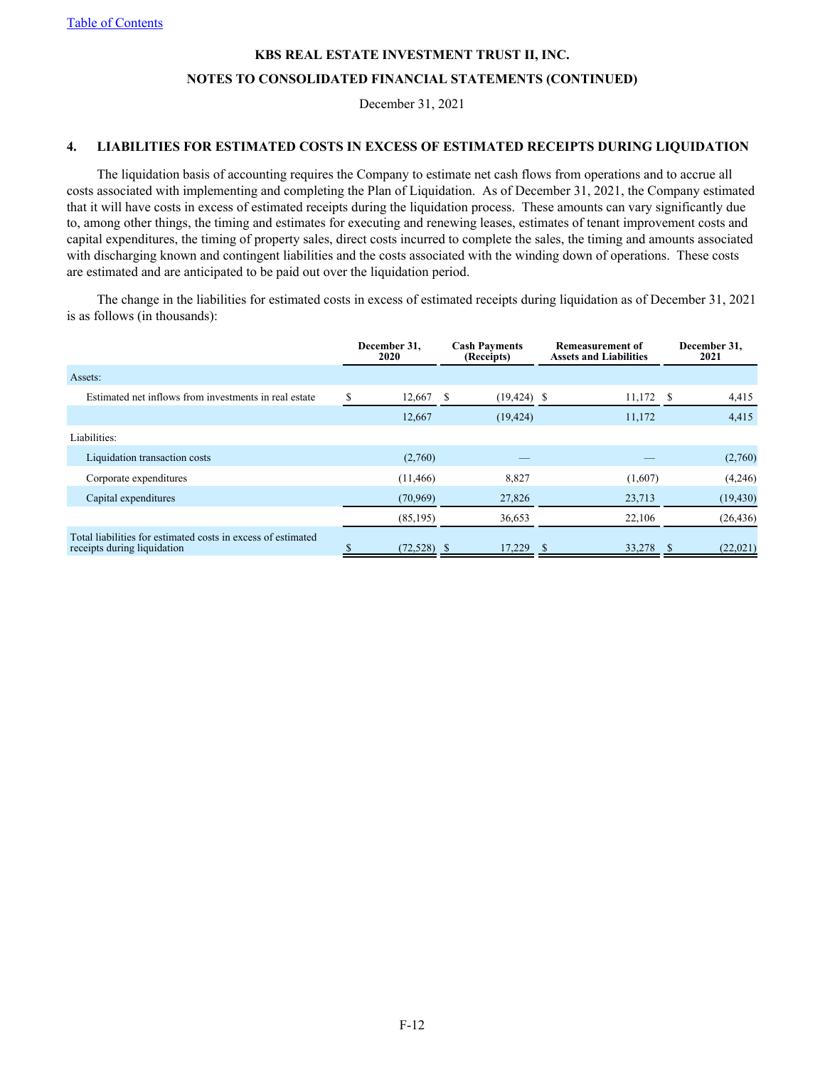### **NOTES TO CONSOLIDATED FINANCIAL STATEMENTS (CONTINUED)**

December 31, 2021

#### **4. LIABILITIES FOR ESTIMATED COSTS IN EXCESS OF ESTIMATED RECEIPTS DURING LIQUIDATION**

The liquidation basis of accounting requires the Company to estimate net cash flows from operations and to accrue all costs associated with implementing and completing the Plan of Liquidation. As of December 31, 2021, the Company estimated that it will have costs in excess of estimated receipts during the liquidation process. These amounts can vary significantly due to, among other things, the timing and estimates for executing and renewing leases, estimates of tenant improvement costs and capital expenditures, the timing of property sales, direct costs incurred to complete the sales, the timing and amounts associated with discharging known and contingent liabilities and the costs associated with the winding down of operations. These costs are estimated and are anticipated to be paid out over the liquidation period.

The change in the liabilities for estimated costs in excess of estimated receipts during liquidation as of December 31, 2021 is as follows (in thousands):

|                                                                                             | December 31,<br>2020 | <b>Cash Payments</b><br>(Receipts) | <b>Remeasurement of</b><br><b>Assets and Liabilities</b> | December 31,<br>2021 |
|---------------------------------------------------------------------------------------------|----------------------|------------------------------------|----------------------------------------------------------|----------------------|
| Assets:                                                                                     |                      |                                    |                                                          |                      |
| Estimated net inflows from investments in real estate                                       | S<br>12,667          | $(19, 424)$ \$<br>S                | 11,172                                                   | 4,415<br>\$          |
|                                                                                             | 12,667               | (19, 424)                          | 11,172                                                   | 4,415                |
| Liabilities:                                                                                |                      |                                    |                                                          |                      |
| Liquidation transaction costs                                                               | (2,760)              |                                    |                                                          | (2,760)              |
| Corporate expenditures                                                                      | (11, 466)            | 8,827                              | (1,607)                                                  | (4,246)              |
| Capital expenditures                                                                        | (70, 969)            | 27,826                             | 23,713                                                   | (19, 430)            |
|                                                                                             | (85, 195)            | 36,653                             | 22,106                                                   | (26, 436)            |
| Total liabilities for estimated costs in excess of estimated<br>receipts during liquidation | $(72,528)$ \$<br>æ   | 17,229                             | 33,278<br>-8                                             | (22,021)<br>-S       |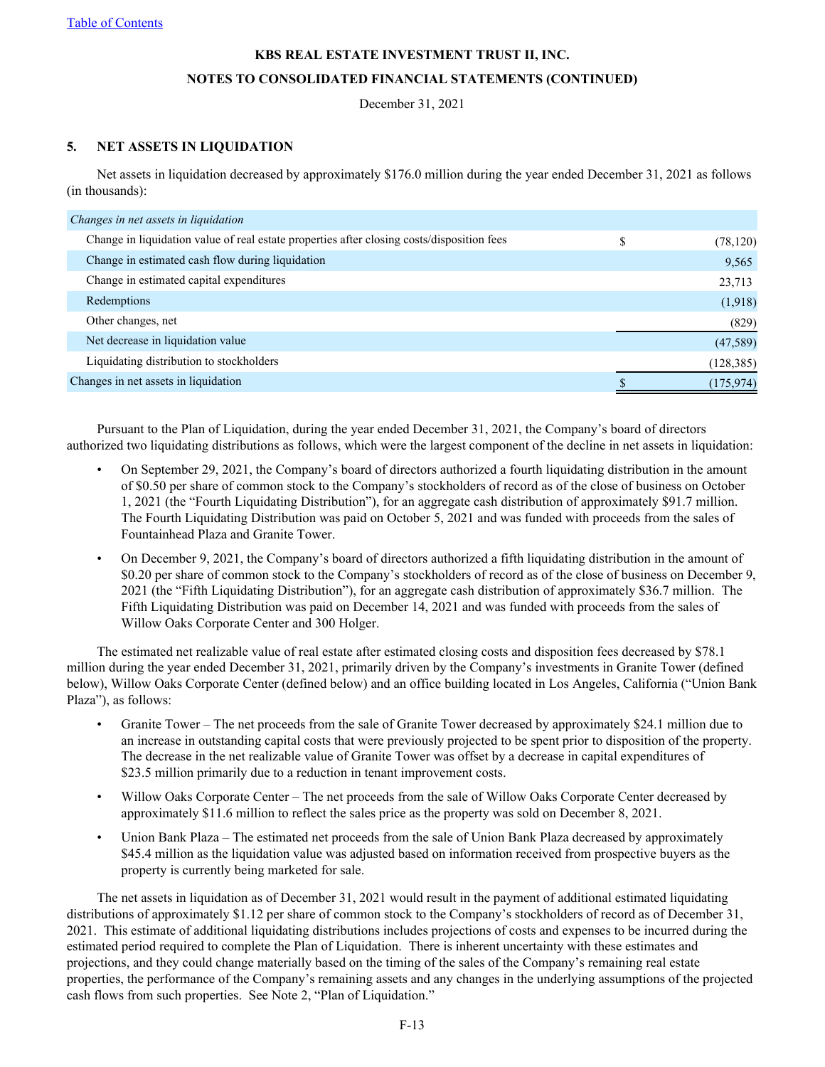#### **NOTES TO CONSOLIDATED FINANCIAL STATEMENTS (CONTINUED)**

December 31, 2021

### **5. NET ASSETS IN LIQUIDATION**

Net assets in liquidation decreased by approximately \$176.0 million during the year ended December 31, 2021 as follows (in thousands):

| Changes in net assets in liquidation                                                       |                 |
|--------------------------------------------------------------------------------------------|-----------------|
| Change in liquidation value of real estate properties after closing costs/disposition fees | \$<br>(78, 120) |
| Change in estimated cash flow during liquidation                                           | 9,565           |
| Change in estimated capital expenditures                                                   | 23,713          |
| Redemptions                                                                                | (1,918)         |
| Other changes, net                                                                         | (829)           |
| Net decrease in liquidation value                                                          | (47, 589)       |
| Liquidating distribution to stockholders                                                   | (128, 385)      |
| Changes in net assets in liquidation                                                       | (175, 974)      |

Pursuant to the Plan of Liquidation, during the year ended December 31, 2021, the Company's board of directors authorized two liquidating distributions as follows, which were the largest component of the decline in net assets in liquidation:

- On September 29, 2021, the Company's board of directors authorized a fourth liquidating distribution in the amount of \$0.50 per share of common stock to the Company's stockholders of record as of the close of business on October 1, 2021 (the "Fourth Liquidating Distribution"), for an aggregate cash distribution of approximately \$91.7 million. The Fourth Liquidating Distribution was paid on October 5, 2021 and was funded with proceeds from the sales of Fountainhead Plaza and Granite Tower.
- On December 9, 2021, the Company's board of directors authorized a fifth liquidating distribution in the amount of \$0.20 per share of common stock to the Company's stockholders of record as of the close of business on December 9, 2021 (the "Fifth Liquidating Distribution"), for an aggregate cash distribution of approximately \$36.7 million. The Fifth Liquidating Distribution was paid on December 14, 2021 and was funded with proceeds from the sales of Willow Oaks Corporate Center and 300 Holger.

The estimated net realizable value of real estate after estimated closing costs and disposition fees decreased by \$78.1 million during the year ended December 31, 2021, primarily driven by the Company's investments in Granite Tower (defined below), Willow Oaks Corporate Center (defined below) and an office building located in Los Angeles, California ("Union Bank Plaza"), as follows:

- Granite Tower The net proceeds from the sale of Granite Tower decreased by approximately \$24.1 million due to an increase in outstanding capital costs that were previously projected to be spent prior to disposition of the property. The decrease in the net realizable value of Granite Tower was offset by a decrease in capital expenditures of \$23.5 million primarily due to a reduction in tenant improvement costs.
- Willow Oaks Corporate Center The net proceeds from the sale of Willow Oaks Corporate Center decreased by approximately \$11.6 million to reflect the sales price as the property was sold on December 8, 2021.
- Union Bank Plaza The estimated net proceeds from the sale of Union Bank Plaza decreased by approximately \$45.4 million as the liquidation value was adjusted based on information received from prospective buyers as the property is currently being marketed for sale.

The net assets in liquidation as of December 31, 2021 would result in the payment of additional estimated liquidating distributions of approximately \$1.12 per share of common stock to the Company's stockholders of record as of December 31, 2021. This estimate of additional liquidating distributions includes projections of costs and expenses to be incurred during the estimated period required to complete the Plan of Liquidation. There is inherent uncertainty with these estimates and projections, and they could change materially based on the timing of the sales of the Company's remaining real estate properties, the performance of the Company's remaining assets and any changes in the underlying assumptions of the projected cash flows from such properties. See Note 2, "Plan of Liquidation."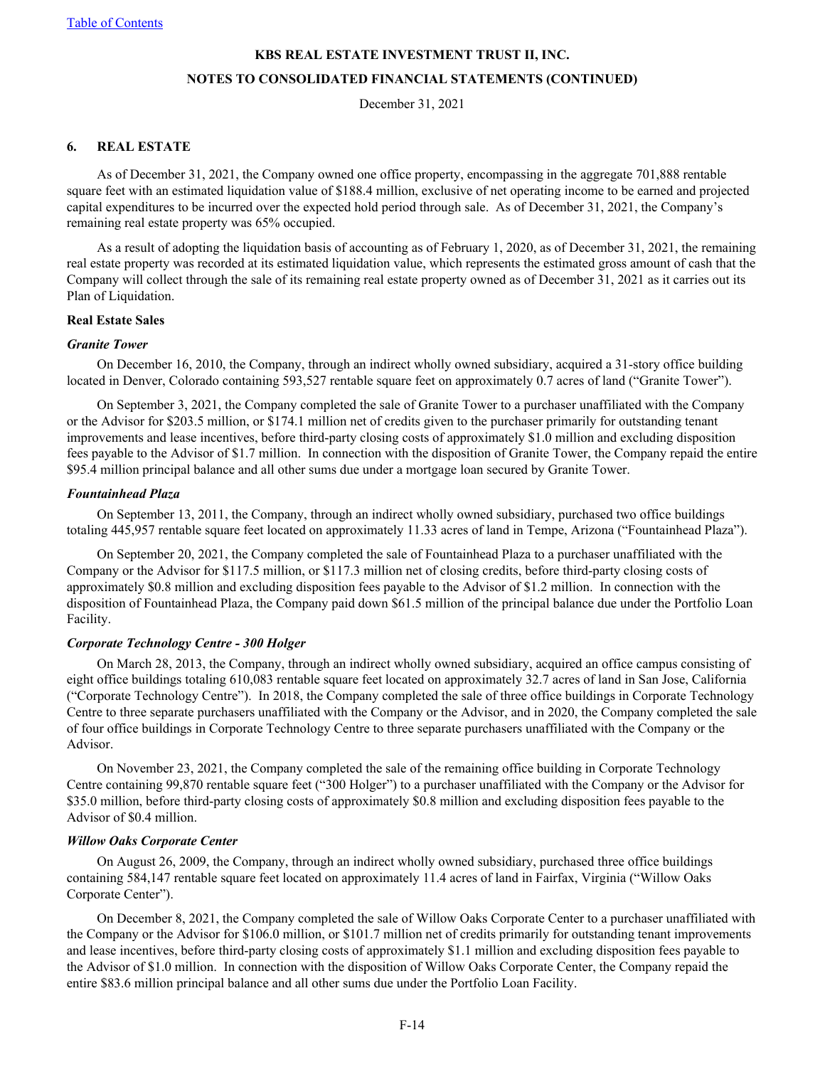#### **NOTES TO CONSOLIDATED FINANCIAL STATEMENTS (CONTINUED)**

December 31, 2021

#### **6. REAL ESTATE**

As of December 31, 2021, the Company owned one office property, encompassing in the aggregate 701,888 rentable square feet with an estimated liquidation value of \$188.4 million, exclusive of net operating income to be earned and projected capital expenditures to be incurred over the expected hold period through sale. As of December 31, 2021, the Company's remaining real estate property was 65% occupied.

As a result of adopting the liquidation basis of accounting as of February 1, 2020, as of December 31, 2021, the remaining real estate property was recorded at its estimated liquidation value, which represents the estimated gross amount of cash that the Company will collect through the sale of its remaining real estate property owned as of December 31, 2021 as it carries out its Plan of Liquidation.

#### **Real Estate Sales**

#### *Granite Tower*

On December 16, 2010, the Company, through an indirect wholly owned subsidiary, acquired a 31-story office building located in Denver, Colorado containing 593,527 rentable square feet on approximately 0.7 acres of land ("Granite Tower").

On September 3, 2021, the Company completed the sale of Granite Tower to a purchaser unaffiliated with the Company or the Advisor for \$203.5 million, or \$174.1 million net of credits given to the purchaser primarily for outstanding tenant improvements and lease incentives, before third-party closing costs of approximately \$1.0 million and excluding disposition fees payable to the Advisor of \$1.7 million. In connection with the disposition of Granite Tower, the Company repaid the entire \$95.4 million principal balance and all other sums due under a mortgage loan secured by Granite Tower.

#### *Fountainhead Plaza*

On September 13, 2011, the Company, through an indirect wholly owned subsidiary, purchased two office buildings totaling 445,957 rentable square feet located on approximately 11.33 acres of land in Tempe, Arizona ("Fountainhead Plaza").

On September 20, 2021, the Company completed the sale of Fountainhead Plaza to a purchaser unaffiliated with the Company or the Advisor for \$117.5 million, or \$117.3 million net of closing credits, before third-party closing costs of approximately \$0.8 million and excluding disposition fees payable to the Advisor of \$1.2 million. In connection with the disposition of Fountainhead Plaza, the Company paid down \$61.5 million of the principal balance due under the Portfolio Loan Facility.

#### *Corporate Technology Centre - 300 Holger*

On March 28, 2013, the Company, through an indirect wholly owned subsidiary, acquired an office campus consisting of eight office buildings totaling 610,083 rentable square feet located on approximately 32.7 acres of land in San Jose, California ("Corporate Technology Centre"). In 2018, the Company completed the sale of three office buildings in Corporate Technology Centre to three separate purchasers unaffiliated with the Company or the Advisor, and in 2020, the Company completed the sale of four office buildings in Corporate Technology Centre to three separate purchasers unaffiliated with the Company or the Advisor.

On November 23, 2021, the Company completed the sale of the remaining office building in Corporate Technology Centre containing 99,870 rentable square feet ("300 Holger") to a purchaser unaffiliated with the Company or the Advisor for \$35.0 million, before third-party closing costs of approximately \$0.8 million and excluding disposition fees payable to the Advisor of \$0.4 million.

#### *Willow Oaks Corporate Center*

On August 26, 2009, the Company, through an indirect wholly owned subsidiary, purchased three office buildings containing 584,147 rentable square feet located on approximately 11.4 acres of land in Fairfax, Virginia ("Willow Oaks Corporate Center").

On December 8, 2021, the Company completed the sale of Willow Oaks Corporate Center to a purchaser unaffiliated with the Company or the Advisor for \$106.0 million, or \$101.7 million net of credits primarily for outstanding tenant improvements and lease incentives, before third-party closing costs of approximately \$1.1 million and excluding disposition fees payable to the Advisor of \$1.0 million. In connection with the disposition of Willow Oaks Corporate Center, the Company repaid the entire \$83.6 million principal balance and all other sums due under the Portfolio Loan Facility.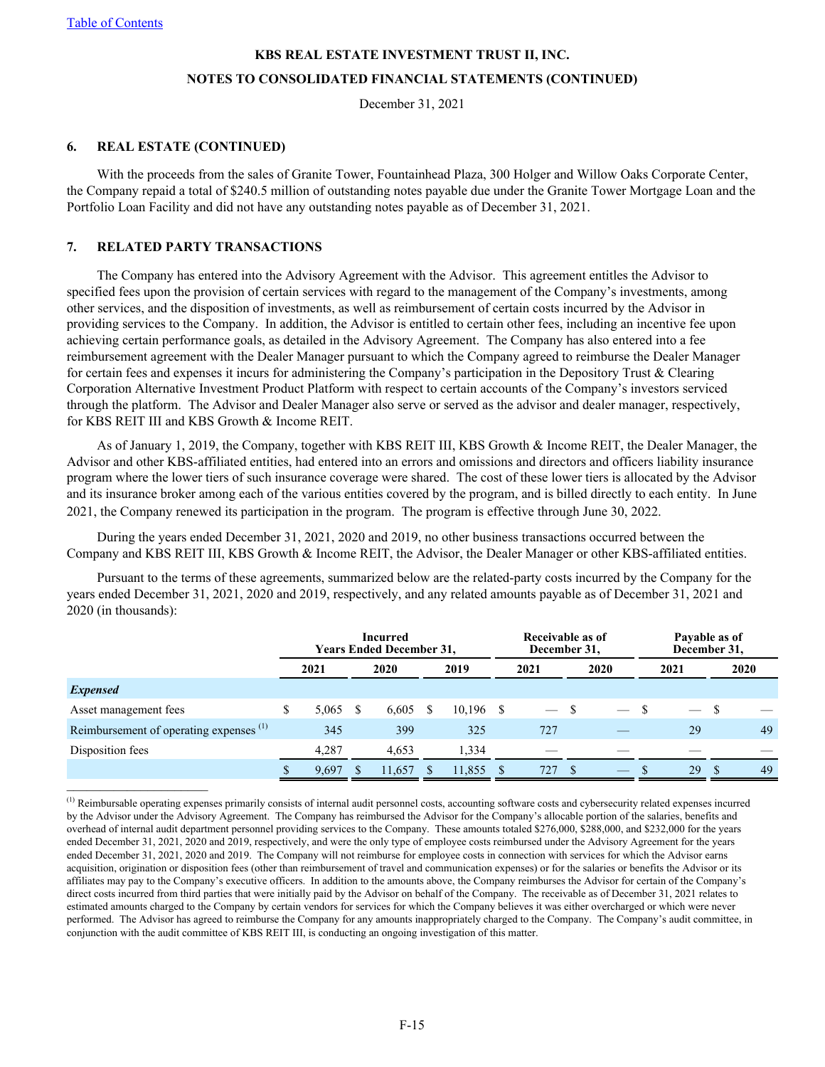#### **NOTES TO CONSOLIDATED FINANCIAL STATEMENTS (CONTINUED)**

December 31, 2021

#### **6. REAL ESTATE (CONTINUED)**

With the proceeds from the sales of Granite Tower, Fountainhead Plaza, 300 Holger and Willow Oaks Corporate Center, the Company repaid a total of \$240.5 million of outstanding notes payable due under the Granite Tower Mortgage Loan and the Portfolio Loan Facility and did not have any outstanding notes payable as of December 31, 2021.

#### **7. RELATED PARTY TRANSACTIONS**

The Company has entered into the Advisory Agreement with the Advisor. This agreement entitles the Advisor to specified fees upon the provision of certain services with regard to the management of the Company's investments, among other services, and the disposition of investments, as well as reimbursement of certain costs incurred by the Advisor in providing services to the Company. In addition, the Advisor is entitled to certain other fees, including an incentive fee upon achieving certain performance goals, as detailed in the Advisory Agreement. The Company has also entered into a fee reimbursement agreement with the Dealer Manager pursuant to which the Company agreed to reimburse the Dealer Manager for certain fees and expenses it incurs for administering the Company's participation in the Depository Trust & Clearing Corporation Alternative Investment Product Platform with respect to certain accounts of the Company's investors serviced through the platform. The Advisor and Dealer Manager also serve or served as the advisor and dealer manager, respectively, for KBS REIT III and KBS Growth & Income REIT.

As of January 1, 2019, the Company, together with KBS REIT III, KBS Growth & Income REIT, the Dealer Manager, the Advisor and other KBS-affiliated entities, had entered into an errors and omissions and directors and officers liability insurance program where the lower tiers of such insurance coverage were shared. The cost of these lower tiers is allocated by the Advisor and its insurance broker among each of the various entities covered by the program, and is billed directly to each entity. In June 2021, the Company renewed its participation in the program. The program is effective through June 30, 2022.

During the years ended December 31, 2021, 2020 and 2019, no other business transactions occurred between the Company and KBS REIT III, KBS Growth & Income REIT, the Advisor, the Dealer Manager or other KBS-affiliated entities.

Pursuant to the terms of these agreements, summarized below are the related-party costs incurred by the Company for the years ended December 31, 2021, 2020 and 2019, respectively, and any related amounts payable as of December 31, 2021 and 2020 (in thousands):

|                                                    | Incurred<br><b>Years Ended December 31,</b> |       |      |        |      |             | Receivable as of<br>December 31, |     |               | Payable as of<br>December 31, |      |    |      |    |
|----------------------------------------------------|---------------------------------------------|-------|------|--------|------|-------------|----------------------------------|-----|---------------|-------------------------------|------|----|------|----|
|                                                    |                                             | 2021  | 2020 |        | 2019 |             | 2021                             |     | 2020          |                               | 2021 |    | 2020 |    |
| <i>Expensed</i>                                    |                                             |       |      |        |      |             |                                  |     |               |                               |      |    |      |    |
| Asset management fees                              |                                             | 5,065 | - S  | 6,605  | S.   | $10,196$ \$ |                                  |     |               | $\overline{\phantom{0}}$      |      |    | -S   |    |
| Reimbursement of operating expenses <sup>(1)</sup> |                                             | 345   |      | 399    |      | 325         |                                  | 727 |               |                               |      | 29 |      | 49 |
| Disposition fees                                   |                                             | 4.287 |      | 4.653  |      | 1,334       |                                  |     |               |                               |      |    |      |    |
|                                                    |                                             | 9.697 |      | 11,657 |      | 11,855      | ∣\$                              | 727 | $\mathcal{S}$ | $-$ \$                        |      | 29 | -S   | 49 |
|                                                    |                                             |       |      |        |      |             |                                  |     |               |                               |      |    |      |    |

(1) Reimbursable operating expenses primarily consists of internal audit personnel costs, accounting software costs and cybersecurity related expenses incurred by the Advisor under the Advisory Agreement. The Company has reimbursed the Advisor for the Company's allocable portion of the salaries, benefits and overhead of internal audit department personnel providing services to the Company. These amounts totaled \$276,000, \$288,000, and \$232,000 for the years ended December 31, 2021, 2020 and 2019, respectively, and were the only type of employee costs reimbursed under the Advisory Agreement for the years ended December 31, 2021, 2020 and 2019. The Company will not reimburse for employee costs in connection with services for which the Advisor earns acquisition, origination or disposition fees (other than reimbursement of travel and communication expenses) or for the salaries or benefits the Advisor or its affiliates may pay to the Company's executive officers. In addition to the amounts above, the Company reimburses the Advisor for certain of the Company's direct costs incurred from third parties that were initially paid by the Advisor on behalf of the Company. The receivable as of December 31, 2021 relates to estimated amounts charged to the Company by certain vendors for services for which the Company believes it was either overcharged or which were never performed. The Advisor has agreed to reimburse the Company for any amounts inappropriately charged to the Company. The Company's audit committee, in conjunction with the audit committee of KBS REIT III, is conducting an ongoing investigation of this matter.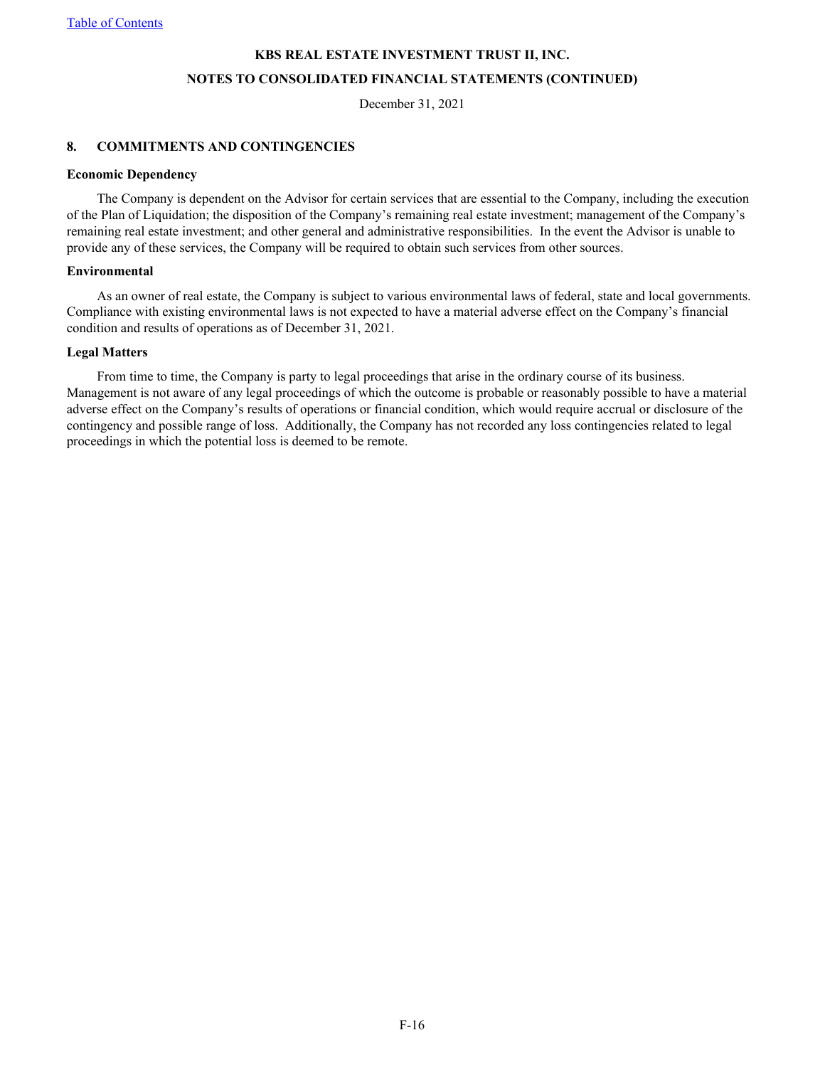## **KBS REAL ESTATE INVESTMENT TRUST II, INC. NOTES TO CONSOLIDATED FINANCIAL STATEMENTS (CONTINUED)**

December 31, 2021

#### **8. COMMITMENTS AND CONTINGENCIES**

#### **Economic Dependency**

The Company is dependent on the Advisor for certain services that are essential to the Company, including the execution of the Plan of Liquidation; the disposition of the Company's remaining real estate investment; management of the Company's remaining real estate investment; and other general and administrative responsibilities. In the event the Advisor is unable to provide any of these services, the Company will be required to obtain such services from other sources.

#### **Environmental**

As an owner of real estate, the Company is subject to various environmental laws of federal, state and local governments. Compliance with existing environmental laws is not expected to have a material adverse effect on the Company's financial condition and results of operations as of December 31, 2021.

#### **Legal Matters**

From time to time, the Company is party to legal proceedings that arise in the ordinary course of its business. Management is not aware of any legal proceedings of which the outcome is probable or reasonably possible to have a material adverse effect on the Company's results of operations or financial condition, which would require accrual or disclosure of the contingency and possible range of loss. Additionally, the Company has not recorded any loss contingencies related to legal proceedings in which the potential loss is deemed to be remote.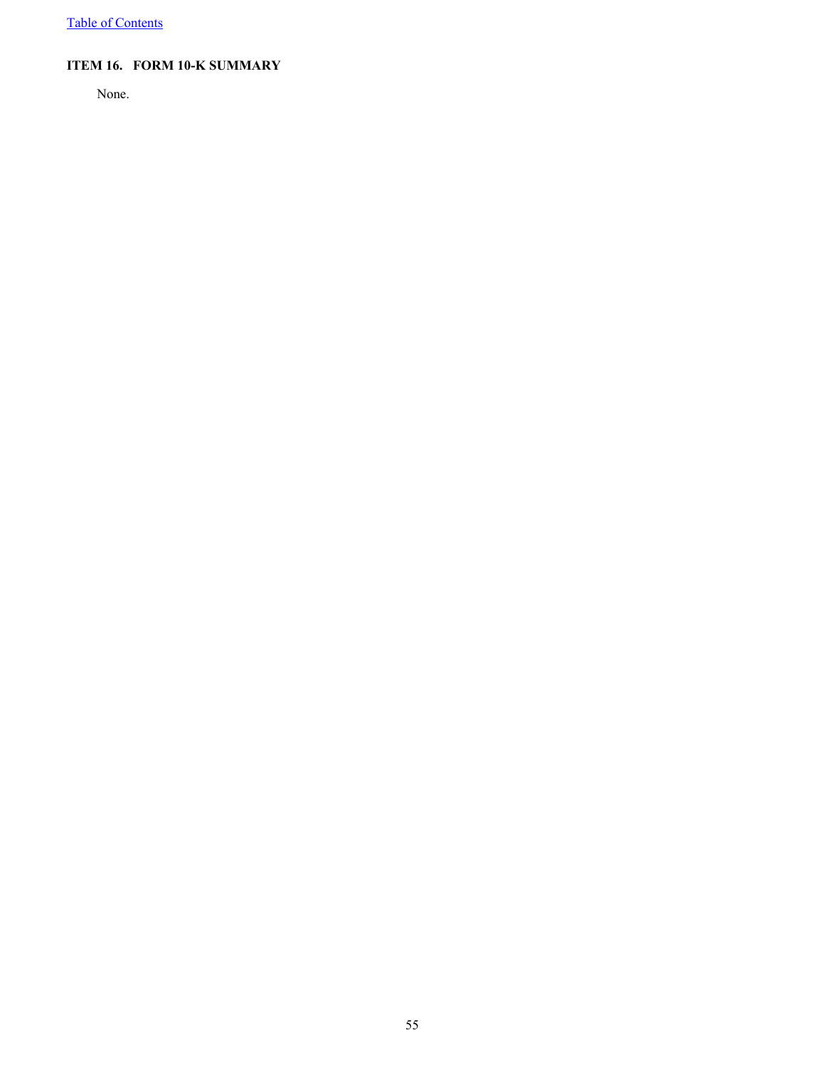### **ITEM 16. FORM 10-K SUMMARY**

None.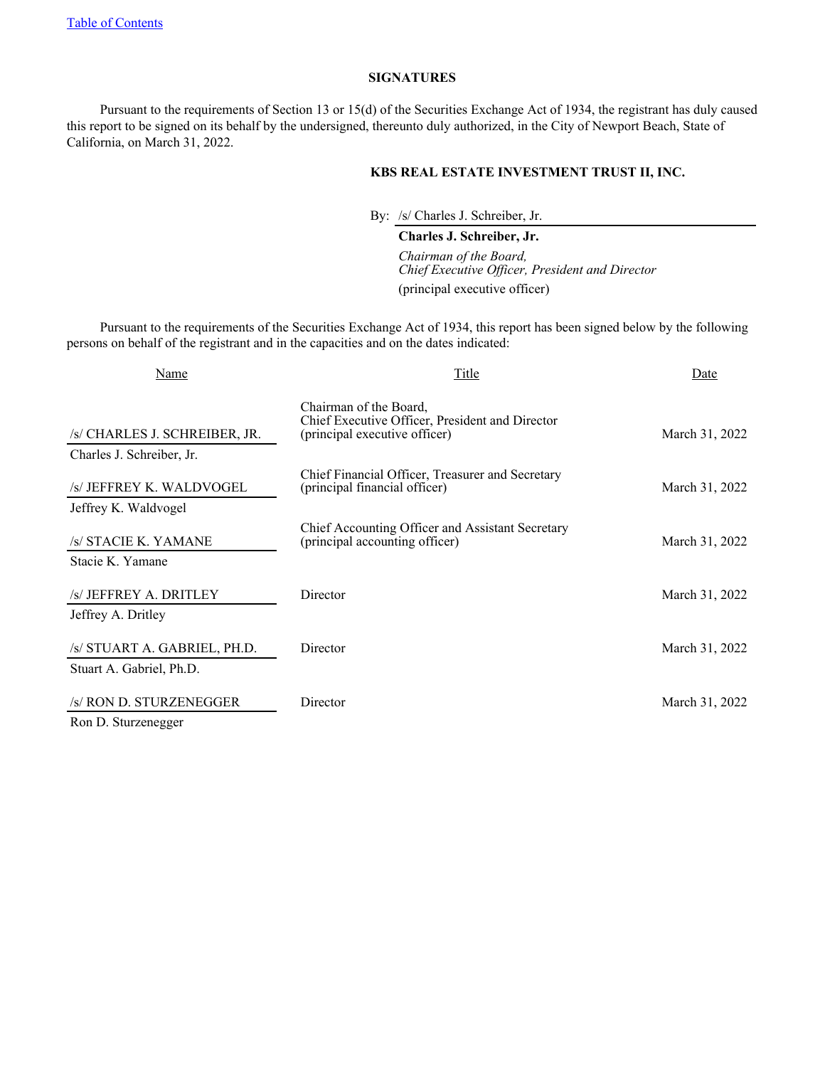#### **SIGNATURES**

Pursuant to the requirements of Section 13 or 15(d) of the Securities Exchange Act of 1934, the registrant has duly caused this report to be signed on its behalf by the undersigned, thereunto duly authorized, in the City of Newport Beach, State of California, on March 31, 2022.

# **KBS REAL ESTATE INVESTMENT TRUST II, INC.**

By: /s/ Charles J. Schreiber, Jr.

#### **Charles J. Schreiber, Jr.**

*Chairman of the Board, Chief Executive Officer, President and Director* (principal executive officer)

Pursuant to the requirements of the Securities Exchange Act of 1934, this report has been signed below by the following persons on behalf of the registrant and in the capacities and on the dates indicated:

| Name                                                       | Title                                                                                                      | Date           |
|------------------------------------------------------------|------------------------------------------------------------------------------------------------------------|----------------|
| /s/ CHARLES J. SCHREIBER, JR.<br>Charles J. Schreiber, Jr. | Chairman of the Board.<br>Chief Executive Officer, President and Director<br>(principal executive officer) | March 31, 2022 |
| /s/ JEFFREY K. WALDVOGEL<br>Jeffrey K. Waldvogel           | Chief Financial Officer, Treasurer and Secretary<br>(principal financial officer)                          | March 31, 2022 |
| /s/ STACIE K. YAMANE<br>Stacie K. Yamane                   | Chief Accounting Officer and Assistant Secretary<br>(principal accounting officer)                         | March 31, 2022 |
| /s/ JEFFREY A. DRITLEY<br>Jeffrey A. Dritley               | Director                                                                                                   | March 31, 2022 |
| /s/ STUART A. GABRIEL, PH.D.<br>Stuart A. Gabriel, Ph.D.   | Director                                                                                                   | March 31, 2022 |
| /s/ RON D. STURZENEGGER                                    | Director                                                                                                   | March 31, 2022 |

Ron D. Sturzenegger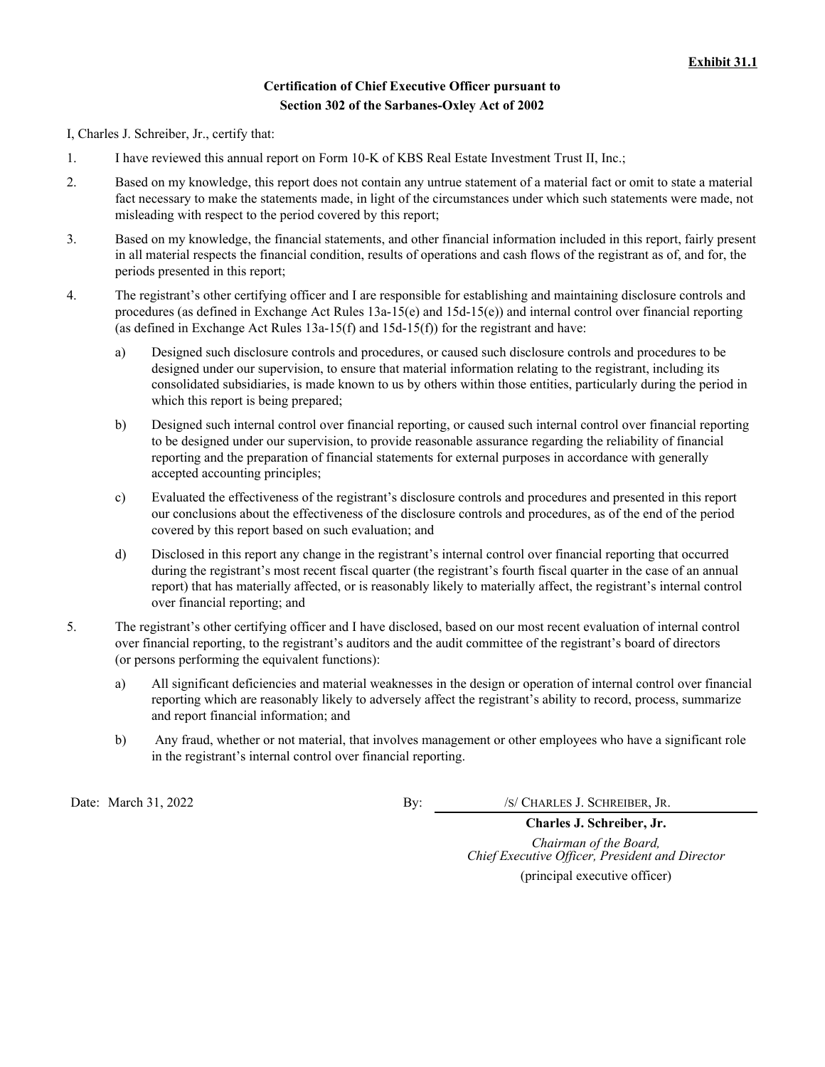# **Certification of Chief Executive Officer pursuant to Section 302 of the Sarbanes-Oxley Act of 2002**

I, Charles J. Schreiber, Jr., certify that:

- 1. I have reviewed this annual report on Form 10-K of KBS Real Estate Investment Trust II, Inc.;
- 2. Based on my knowledge, this report does not contain any untrue statement of a material fact or omit to state a material fact necessary to make the statements made, in light of the circumstances under which such statements were made, not misleading with respect to the period covered by this report;
- 3. Based on my knowledge, the financial statements, and other financial information included in this report, fairly present in all material respects the financial condition, results of operations and cash flows of the registrant as of, and for, the periods presented in this report;
- 4. The registrant's other certifying officer and I are responsible for establishing and maintaining disclosure controls and procedures (as defined in Exchange Act Rules 13a-15(e) and 15d-15(e)) and internal control over financial reporting (as defined in Exchange Act Rules  $13a-15(f)$  and  $15d-15(f)$ ) for the registrant and have:
	- a) Designed such disclosure controls and procedures, or caused such disclosure controls and procedures to be designed under our supervision, to ensure that material information relating to the registrant, including its consolidated subsidiaries, is made known to us by others within those entities, particularly during the period in which this report is being prepared;
	- b) Designed such internal control over financial reporting, or caused such internal control over financial reporting to be designed under our supervision, to provide reasonable assurance regarding the reliability of financial reporting and the preparation of financial statements for external purposes in accordance with generally accepted accounting principles;
	- c) Evaluated the effectiveness of the registrant's disclosure controls and procedures and presented in this report our conclusions about the effectiveness of the disclosure controls and procedures, as of the end of the period covered by this report based on such evaluation; and
	- d) Disclosed in this report any change in the registrant's internal control over financial reporting that occurred during the registrant's most recent fiscal quarter (the registrant's fourth fiscal quarter in the case of an annual report) that has materially affected, or is reasonably likely to materially affect, the registrant's internal control over financial reporting; and
- 5. The registrant's other certifying officer and I have disclosed, based on our most recent evaluation of internal control over financial reporting, to the registrant's auditors and the audit committee of the registrant's board of directors (or persons performing the equivalent functions):
	- a) All significant deficiencies and material weaknesses in the design or operation of internal control over financial reporting which are reasonably likely to adversely affect the registrant's ability to record, process, summarize and report financial information; and
	- b) Any fraud, whether or not material, that involves management or other employees who have a significant role in the registrant's internal control over financial reporting.

Date: March 31, 2022 By: /S/ CHARLES J. SCHREIBER, JR.

**Charles J. Schreiber, Jr.** *Chairman of the Board, Chief Executive Officer, President and Director* (principal executive officer)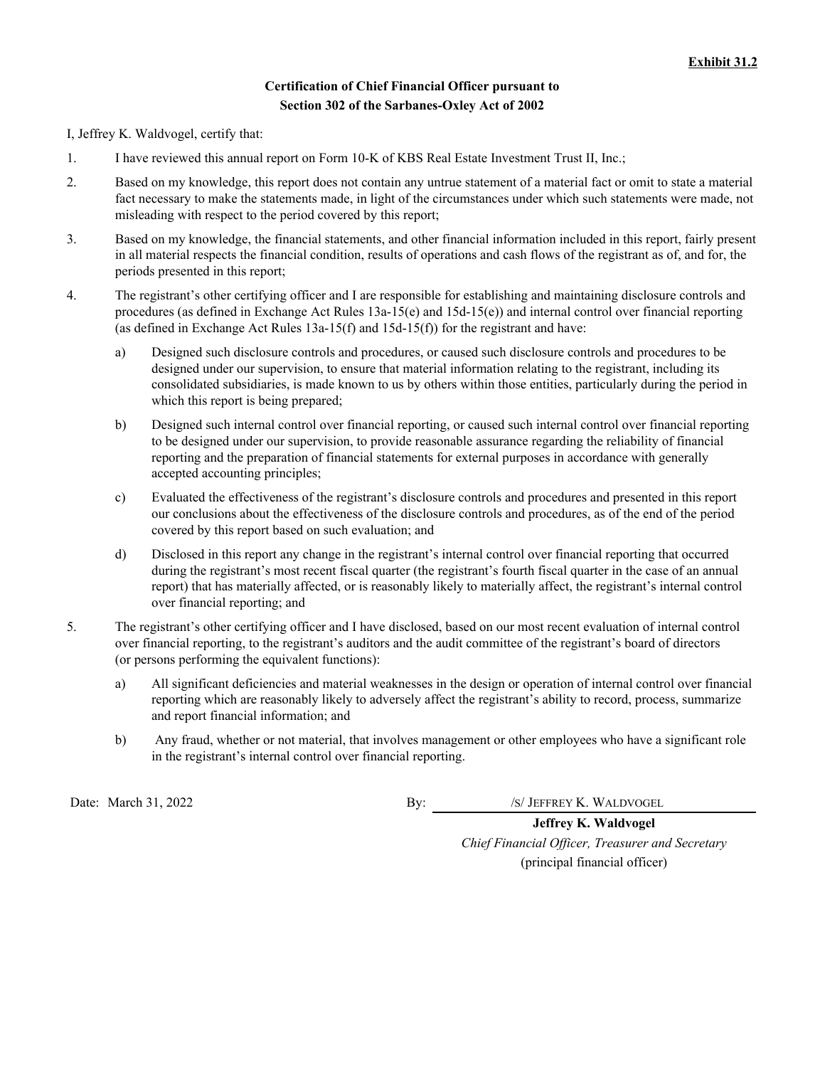# **Certification of Chief Financial Officer pursuant to Section 302 of the Sarbanes-Oxley Act of 2002**

I, Jeffrey K. Waldvogel, certify that:

- 1. I have reviewed this annual report on Form 10-K of KBS Real Estate Investment Trust II, Inc.;
- 2. Based on my knowledge, this report does not contain any untrue statement of a material fact or omit to state a material fact necessary to make the statements made, in light of the circumstances under which such statements were made, not misleading with respect to the period covered by this report;
- 3. Based on my knowledge, the financial statements, and other financial information included in this report, fairly present in all material respects the financial condition, results of operations and cash flows of the registrant as of, and for, the periods presented in this report;
- 4. The registrant's other certifying officer and I are responsible for establishing and maintaining disclosure controls and procedures (as defined in Exchange Act Rules 13a-15(e) and 15d-15(e)) and internal control over financial reporting (as defined in Exchange Act Rules  $13a-15(f)$  and  $15d-15(f)$ ) for the registrant and have:
	- a) Designed such disclosure controls and procedures, or caused such disclosure controls and procedures to be designed under our supervision, to ensure that material information relating to the registrant, including its consolidated subsidiaries, is made known to us by others within those entities, particularly during the period in which this report is being prepared;
	- b) Designed such internal control over financial reporting, or caused such internal control over financial reporting to be designed under our supervision, to provide reasonable assurance regarding the reliability of financial reporting and the preparation of financial statements for external purposes in accordance with generally accepted accounting principles;
	- c) Evaluated the effectiveness of the registrant's disclosure controls and procedures and presented in this report our conclusions about the effectiveness of the disclosure controls and procedures, as of the end of the period covered by this report based on such evaluation; and
	- d) Disclosed in this report any change in the registrant's internal control over financial reporting that occurred during the registrant's most recent fiscal quarter (the registrant's fourth fiscal quarter in the case of an annual report) that has materially affected, or is reasonably likely to materially affect, the registrant's internal control over financial reporting; and
- 5. The registrant's other certifying officer and I have disclosed, based on our most recent evaluation of internal control over financial reporting, to the registrant's auditors and the audit committee of the registrant's board of directors (or persons performing the equivalent functions):
	- a) All significant deficiencies and material weaknesses in the design or operation of internal control over financial reporting which are reasonably likely to adversely affect the registrant's ability to record, process, summarize and report financial information; and
	- b) Any fraud, whether or not material, that involves management or other employees who have a significant role in the registrant's internal control over financial reporting.

Date: March 31, 2022 By: /S/ JEFFREY K. WALDVOGEL

**Jeffrey K. Waldvogel** *Chief Financial Officer, Treasurer and Secretary* (principal financial officer)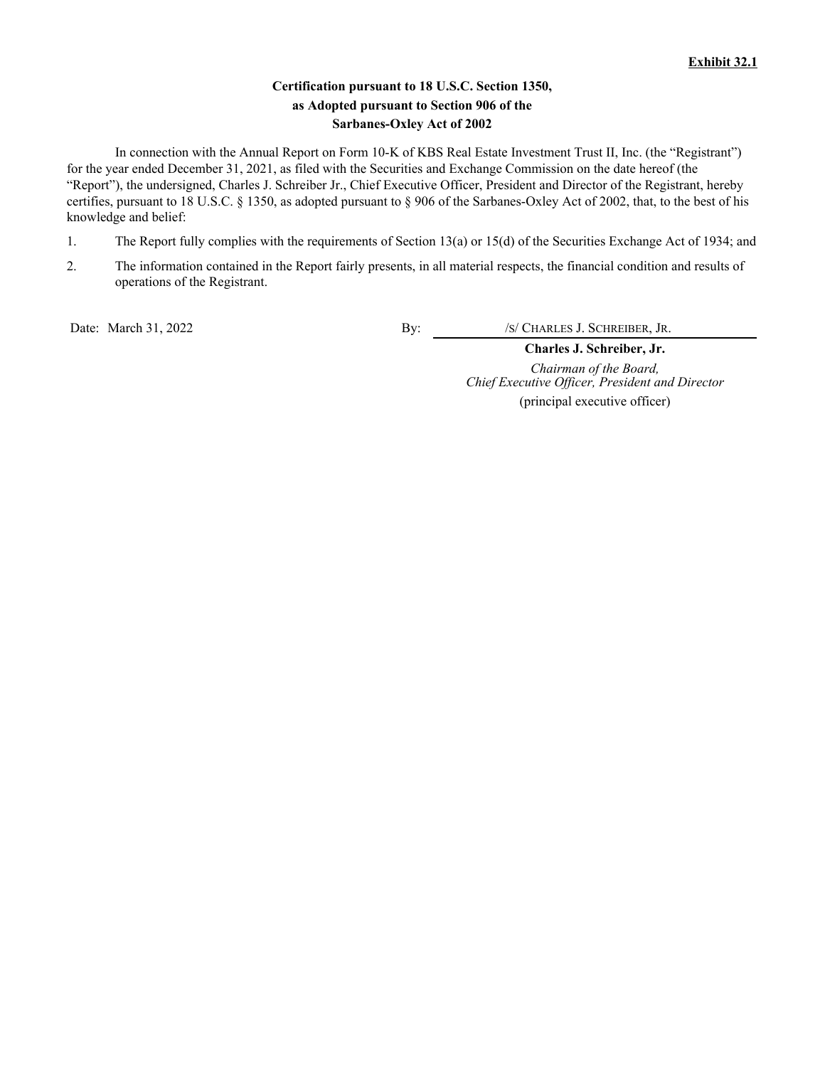# **Certification pursuant to 18 U.S.C. Section 1350, as Adopted pursuant to Section 906 of the Sarbanes-Oxley Act of 2002**

In connection with the Annual Report on Form 10-K of KBS Real Estate Investment Trust II, Inc. (the "Registrant") for the year ended December 31, 2021, as filed with the Securities and Exchange Commission on the date hereof (the "Report"), the undersigned, Charles J. Schreiber Jr., Chief Executive Officer, President and Director of the Registrant, hereby certifies, pursuant to 18 U.S.C. § 1350, as adopted pursuant to § 906 of the Sarbanes-Oxley Act of 2002, that, to the best of his knowledge and belief:

- 1. The Report fully complies with the requirements of Section 13(a) or 15(d) of the Securities Exchange Act of 1934; and
- 2. The information contained in the Report fairly presents, in all material respects, the financial condition and results of operations of the Registrant.

Date: March 31, 2022 By: /S/ CHARLES J. SCHREIBER, JR.

**Charles J. Schreiber, Jr.** *Chairman of the Board, Chief Executive Officer, President and Director* (principal executive officer)